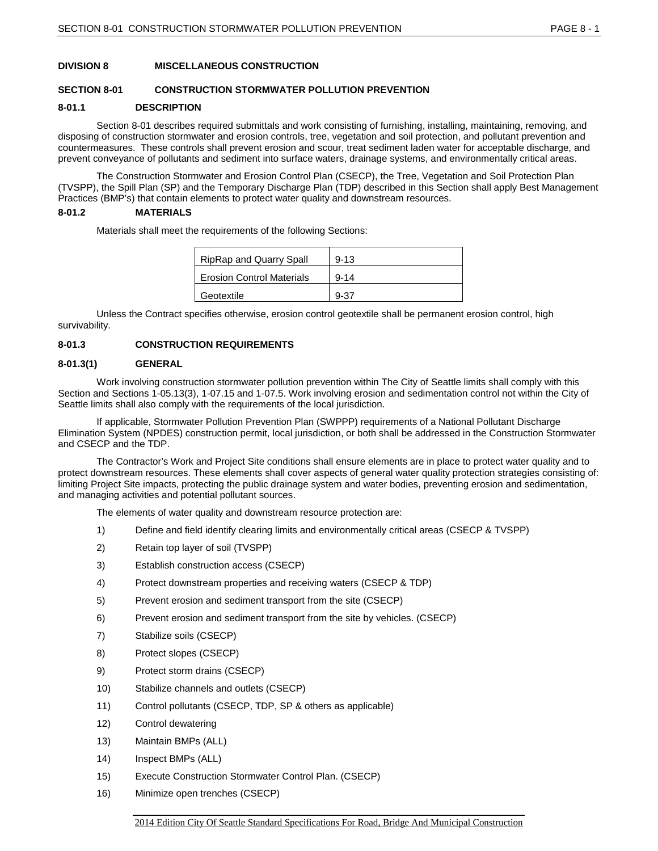# **DIVISION 8 MISCELLANEOUS CONSTRUCTION**

### **SECTION 8-01 CONSTRUCTION STORMWATER POLLUTION PREVENTION**

#### **8-01.1 DESCRIPTION**

Section 8-01 describes required submittals and work consisting of furnishing, installing, maintaining, removing, and disposing of construction stormwater and erosion controls, tree, vegetation and soil protection, and pollutant prevention and countermeasures. These controls shall prevent erosion and scour, treat sediment laden water for acceptable discharge, and prevent conveyance of pollutants and sediment into surface waters, drainage systems, and environmentally critical areas.

The Construction Stormwater and Erosion Control Plan (CSECP), the Tree, Vegetation and Soil Protection Plan (TVSPP), the Spill Plan (SP) and the Temporary Discharge Plan (TDP) described in this Section shall apply Best Management Practices (BMP's) that contain elements to protect water quality and downstream resources.

### **8-01.2 MATERIALS**

Materials shall meet the requirements of the following Sections:

| <b>RipRap and Quarry Spall</b>   | $9 - 13$ |
|----------------------------------|----------|
| <b>Erosion Control Materials</b> | $9 - 14$ |
| Geotextile                       | $9 - 37$ |

Unless the Contract specifies otherwise, erosion control geotextile shall be permanent erosion control, high survivability.

# **8-01.3 CONSTRUCTION REQUIREMENTS**

#### **8-01.3(1) GENERAL**

Work involving construction stormwater pollution prevention within The City of Seattle limits shall comply with this Section and Sections 1-05.13(3), 1-07.15 and 1-07.5. Work involving erosion and sedimentation control not within the City of Seattle limits shall also comply with the requirements of the local jurisdiction.

If applicable, Stormwater Pollution Prevention Plan (SWPPP) requirements of a National Pollutant Discharge Elimination System (NPDES) construction permit, local jurisdiction, or both shall be addressed in the Construction Stormwater and CSECP and the TDP.

The Contractor's Work and Project Site conditions shall ensure elements are in place to protect water quality and to protect downstream resources. These elements shall cover aspects of general water quality protection strategies consisting of: limiting Project Site impacts, protecting the public drainage system and water bodies, preventing erosion and sedimentation, and managing activities and potential pollutant sources.

The elements of water quality and downstream resource protection are:

- 1) Define and field identify clearing limits and environmentally critical areas (CSECP & TVSPP)
- 2) Retain top layer of soil (TVSPP)
- 3) Establish construction access (CSECP)
- 4) Protect downstream properties and receiving waters (CSECP & TDP)
- 5) Prevent erosion and sediment transport from the site (CSECP)
- 6) Prevent erosion and sediment transport from the site by vehicles. (CSECP)
- 7) Stabilize soils (CSECP)
- 8) Protect slopes (CSECP)
- 9) Protect storm drains (CSECP)
- 10) Stabilize channels and outlets (CSECP)
- 11) Control pollutants (CSECP, TDP, SP & others as applicable)
- 12) Control dewatering
- 13) Maintain BMPs (ALL)
- 14) Inspect BMPs (ALL)
- 15) Execute Construction Stormwater Control Plan. (CSECP)
- 16) Minimize open trenches (CSECP)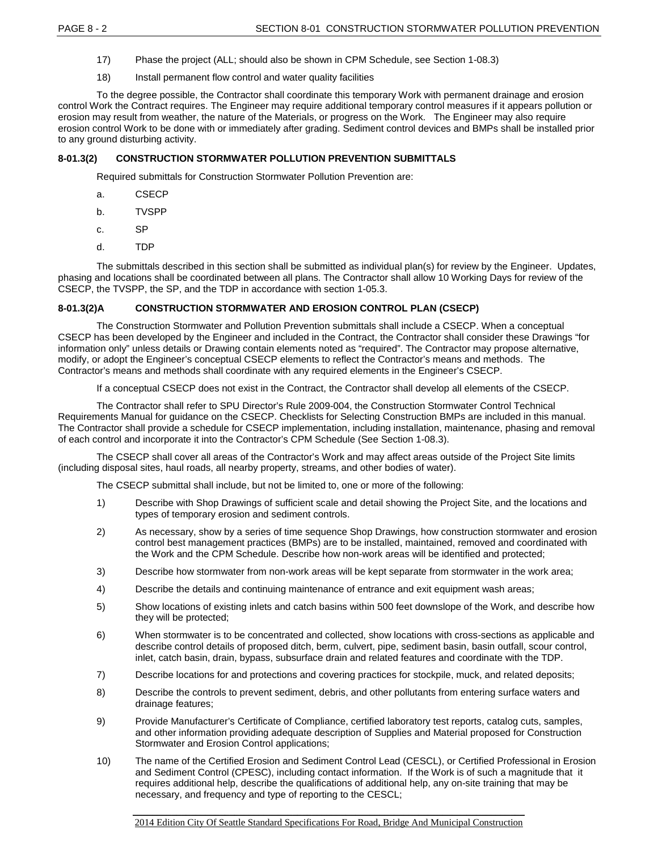- 17) Phase the project (ALL; should also be shown in CPM Schedule, see Section 1-08.3)
- 18) Install permanent flow control and water quality facilities

To the degree possible, the Contractor shall coordinate this temporary Work with permanent drainage and erosion control Work the Contract requires. The Engineer may require additional temporary control measures if it appears pollution or erosion may result from weather, the nature of the Materials, or progress on the Work. The Engineer may also require erosion control Work to be done with or immediately after grading. Sediment control devices and BMPs shall be installed prior to any ground disturbing activity.

# **8-01.3(2) CONSTRUCTION STORMWATER POLLUTION PREVENTION SUBMITTALS**

Required submittals for Construction Stormwater Pollution Prevention are:

- a. CSECP
- b. TVSPP
- c. SP
- d. TDP

The submittals described in this section shall be submitted as individual plan(s) for review by the Engineer. Updates, phasing and locations shall be coordinated between all plans. The Contractor shall allow 10 Working Days for review of the CSECP, the TVSPP, the SP, and the TDP in accordance with section 1-05.3.

# **8-01.3(2)A CONSTRUCTION STORMWATER AND EROSION CONTROL PLAN (CSECP)**

The Construction Stormwater and Pollution Prevention submittals shall include a CSECP. When a conceptual CSECP has been developed by the Engineer and included in the Contract, the Contractor shall consider these Drawings "for information only" unless details or Drawing contain elements noted as "required". The Contractor may propose alternative, modify, or adopt the Engineer's conceptual CSECP elements to reflect the Contractor's means and methods. The Contractor's means and methods shall coordinate with any required elements in the Engineer's CSECP.

If a conceptual CSECP does not exist in the Contract, the Contractor shall develop all elements of the CSECP.

The Contractor shall refer to SPU Director's Rule 2009-004, the Construction Stormwater Control Technical Requirements Manual for guidance on the CSECP. Checklists for Selecting Construction BMPs are included in this manual. The Contractor shall provide a schedule for CSECP implementation, including installation, maintenance, phasing and removal of each control and incorporate it into the Contractor's CPM Schedule (See Section 1-08.3).

The CSECP shall cover all areas of the Contractor's Work and may affect areas outside of the Project Site limits (including disposal sites, haul roads, all nearby property, streams, and other bodies of water).

The CSECP submittal shall include, but not be limited to, one or more of the following:

- 1) Describe with Shop Drawings of sufficient scale and detail showing the Project Site, and the locations and types of temporary erosion and sediment controls.
- 2) As necessary, show by a series of time sequence Shop Drawings, how construction stormwater and erosion control best management practices (BMPs) are to be installed, maintained, removed and coordinated with the Work and the CPM Schedule. Describe how non-work areas will be identified and protected;
- 3) Describe how stormwater from non-work areas will be kept separate from stormwater in the work area;
- 4) Describe the details and continuing maintenance of entrance and exit equipment wash areas;
- 5) Show locations of existing inlets and catch basins within 500 feet downslope of the Work, and describe how they will be protected;
- 6) When stormwater is to be concentrated and collected, show locations with cross-sections as applicable and describe control details of proposed ditch, berm, culvert, pipe, sediment basin, basin outfall, scour control, inlet, catch basin, drain, bypass, subsurface drain and related features and coordinate with the TDP.
- 7) Describe locations for and protections and covering practices for stockpile, muck, and related deposits;
- 8) Describe the controls to prevent sediment, debris, and other pollutants from entering surface waters and drainage features;
- 9) Provide Manufacturer's Certificate of Compliance, certified laboratory test reports, catalog cuts, samples, and other information providing adequate description of Supplies and Material proposed for Construction Stormwater and Erosion Control applications;
- 10) The name of the Certified Erosion and Sediment Control Lead (CESCL), or Certified Professional in Erosion and Sediment Control (CPESC), including contact information. If the Work is of such a magnitude that it requires additional help, describe the qualifications of additional help, any on-site training that may be necessary, and frequency and type of reporting to the CESCL;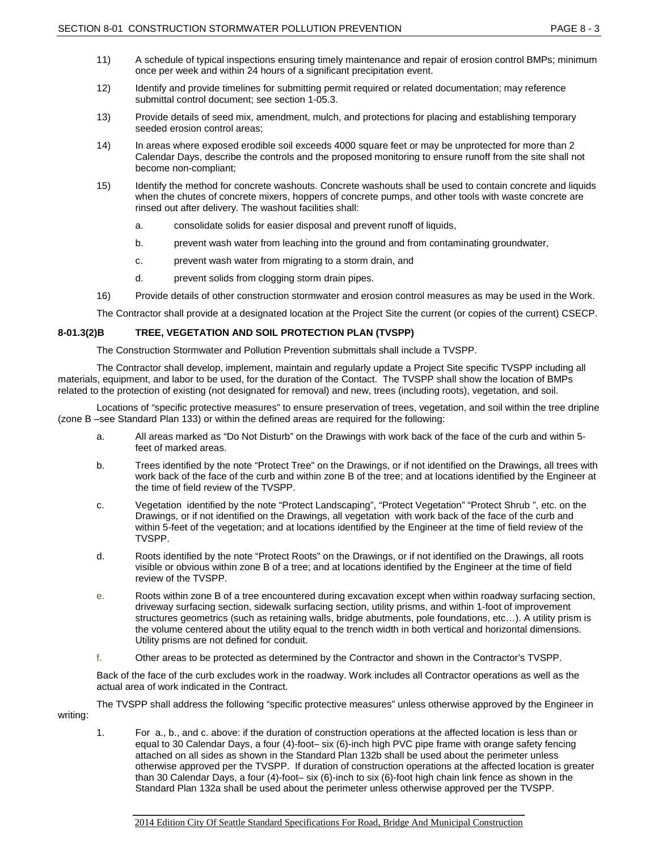- 11) A schedule of typical inspections ensuring timely maintenance and repair of erosion control BMPs; minimum once per week and within 24 hours of a significant precipitation event.
- 12) Identify and provide timelines for submitting permit required or related documentation; may reference submittal control document; see section 1-05.3.
- 13) Provide details of seed mix, amendment, mulch, and protections for placing and establishing temporary seeded erosion control areas;
- 14) In areas where exposed erodible soil exceeds 4000 square feet or may be unprotected for more than 2 Calendar Days, describe the controls and the proposed monitoring to ensure runoff from the site shall not become non-compliant;
- 15) Identify the method for concrete washouts. Concrete washouts shall be used to contain concrete and liquids when the chutes of concrete mixers, hoppers of concrete pumps, and other tools with waste concrete are rinsed out after delivery. The washout facilities shall:
	- a. consolidate solids for easier disposal and prevent runoff of liquids,
	- b. prevent wash water from leaching into the ground and from contaminating groundwater,
	- c. prevent wash water from migrating to a storm drain, and
	- d. prevent solids from clogging storm drain pipes.
- 16) Provide details of other construction stormwater and erosion control measures as may be used in the Work.

The Contractor shall provide at a designated location at the Project Site the current (or copies of the current) CSECP.

#### **8-01.3(2)B TREE, VEGETATION AND SOIL PROTECTION PLAN (TVSPP)**

The Construction Stormwater and Pollution Prevention submittals shall include a TVSPP.

The Contractor shall develop, implement, maintain and regularly update a Project Site specific TVSPP including all materials, equipment, and labor to be used, for the duration of the Contact. The TVSPP shall show the location of BMPs related to the protection of existing (not designated for removal) and new, trees (including roots), vegetation, and soil.

Locations of "specific protective measures" to ensure preservation of trees, vegetation, and soil within the tree dripline (zone B –see Standard Plan 133) or within the defined areas are required for the following:

- a. All areas marked as "Do Not Disturb" on the Drawings with work back of the face of the curb and within 5 feet of marked areas.
- b. Trees identified by the note "Protect Tree" on the Drawings, or if not identified on the Drawings, all trees with work back of the face of the curb and within zone B of the tree; and at locations identified by the Engineer at the time of field review of the TVSPP.
- c. Vegetation identified by the note "Protect Landscaping", "Protect Vegetation" "Protect Shrub ", etc. on the Drawings, or if not identified on the Drawings, all vegetation with work back of the face of the curb and within 5-feet of the vegetation; and at locations identified by the Engineer at the time of field review of the TVSPP.
- d. Roots identified by the note "Protect Roots" on the Drawings, or if not identified on the Drawings, all roots visible or obvious within zone B of a tree; and at locations identified by the Engineer at the time of field review of the TVSPP.
- e. Roots within zone B of a tree encountered during excavation except when within roadway surfacing section, driveway surfacing section, sidewalk surfacing section, utility prisms, and within 1-foot of improvement structures geometrics (such as retaining walls, bridge abutments, pole foundations, etc…). A utility prism is the volume centered about the utility equal to the trench width in both vertical and horizontal dimensions. Utility prisms are not defined for conduit.
- f. Other areas to be protected as determined by the Contractor and shown in the Contractor's TVSPP.

Back of the face of the curb excludes work in the roadway. Work includes all Contractor operations as well as the actual area of work indicated in the Contract.

The TVSPP shall address the following "specific protective measures" unless otherwise approved by the Engineer in writing:

1. For a., b., and c. above: if the duration of construction operations at the affected location is less than or equal to 30 Calendar Days, a four (4)-foot– six (6)-inch high PVC pipe frame with orange safety fencing attached on all sides as shown in the Standard Plan 132b shall be used about the perimeter unless otherwise approved per the TVSPP. If duration of construction operations at the affected location is greater than 30 Calendar Days, a four (4)-foot– six (6)-inch to six (6)-foot high chain link fence as shown in the Standard Plan 132a shall be used about the perimeter unless otherwise approved per the TVSPP.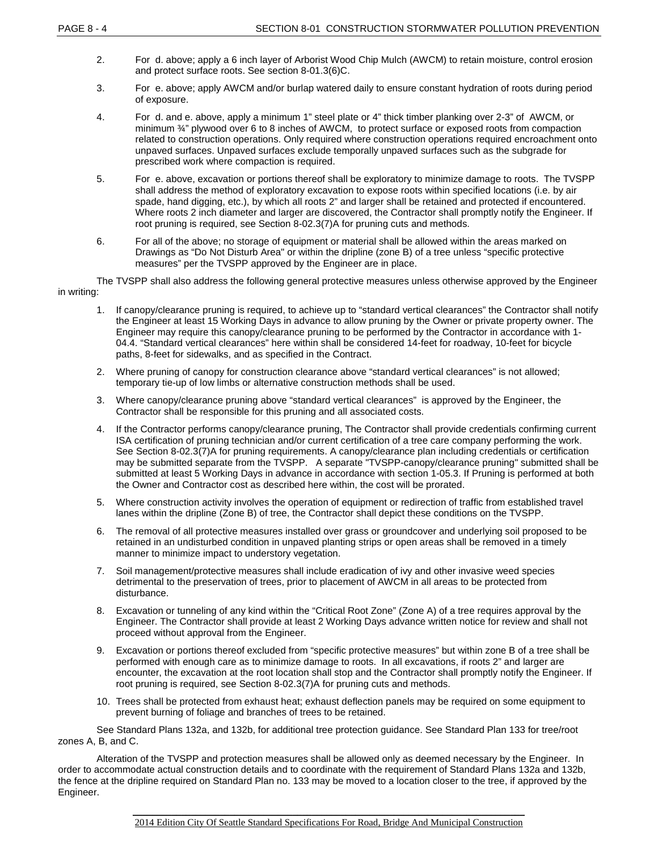- 2. For d. above; apply a 6 inch layer of Arborist Wood Chip Mulch (AWCM) to retain moisture, control erosion and protect surface roots. See section 8-01.3(6)C.
- 3. For e. above; apply AWCM and/or burlap watered daily to ensure constant hydration of roots during period of exposure.
- 4. For d. and e. above, apply a minimum 1" steel plate or 4" thick timber planking over 2-3" of AWCM, or minimum  $\frac{3}{4}$ " plywood over 6 to 8 inches of AWCM, to protect surface or exposed roots from compaction related to construction operations. Only required where construction operations required encroachment onto unpaved surfaces. Unpaved surfaces exclude temporally unpaved surfaces such as the subgrade for prescribed work where compaction is required.
- 5. For e. above, excavation or portions thereof shall be exploratory to minimize damage to roots. The TVSPP shall address the method of exploratory excavation to expose roots within specified locations (i.e. by air spade, hand digging, etc.), by which all roots 2" and larger shall be retained and protected if encountered. Where roots 2 inch diameter and larger are discovered, the Contractor shall promptly notify the Engineer. If root pruning is required, see Section 8-02.3(7)A for pruning cuts and methods.
- 6. For all of the above; no storage of equipment or material shall be allowed within the areas marked on Drawings as "Do Not Disturb Area" or within the dripline (zone B) of a tree unless "specific protective measures" per the TVSPP approved by the Engineer are in place.

The TVSPP shall also address the following general protective measures unless otherwise approved by the Engineer in writing:

- 1. If canopy/clearance pruning is required, to achieve up to "standard vertical clearances" the Contractor shall notify the Engineer at least 15 Working Days in advance to allow pruning by the Owner or private property owner. The Engineer may require this canopy/clearance pruning to be performed by the Contractor in accordance with 1- 04.4. "Standard vertical clearances" here within shall be considered 14-feet for roadway, 10-feet for bicycle paths, 8-feet for sidewalks, and as specified in the Contract.
- 2. Where pruning of canopy for construction clearance above "standard vertical clearances" is not allowed; temporary tie-up of low limbs or alternative construction methods shall be used.
- 3. Where canopy/clearance pruning above "standard vertical clearances" is approved by the Engineer, the Contractor shall be responsible for this pruning and all associated costs.
- 4. If the Contractor performs canopy/clearance pruning, The Contractor shall provide credentials confirming current ISA certification of pruning technician and/or current certification of a tree care company performing the work. See Section 8-02.3(7)A for pruning requirements. A canopy/clearance plan including credentials or certification may be submitted separate from the TVSPP. A separate "TVSPP-canopy/clearance pruning" submitted shall be submitted at least 5 Working Days in advance in accordance with section 1-05.3. If Pruning is performed at both the Owner and Contractor cost as described here within, the cost will be prorated.
- 5. Where construction activity involves the operation of equipment or redirection of traffic from established travel lanes within the dripline (Zone B) of tree, the Contractor shall depict these conditions on the TVSPP.
- 6. The removal of all protective measures installed over grass or groundcover and underlying soil proposed to be retained in an undisturbed condition in unpaved planting strips or open areas shall be removed in a timely manner to minimize impact to understory vegetation.
- 7. Soil management/protective measures shall include eradication of ivy and other invasive weed species detrimental to the preservation of trees, prior to placement of AWCM in all areas to be protected from disturbance.
- 8. Excavation or tunneling of any kind within the "Critical Root Zone" (Zone A) of a tree requires approval by the Engineer. The Contractor shall provide at least 2 Working Days advance written notice for review and shall not proceed without approval from the Engineer.
- 9. Excavation or portions thereof excluded from "specific protective measures" but within zone B of a tree shall be performed with enough care as to minimize damage to roots. In all excavations, if roots 2" and larger are encounter, the excavation at the root location shall stop and the Contractor shall promptly notify the Engineer. If root pruning is required, see Section 8-02.3(7)A for pruning cuts and methods.
- 10. Trees shall be protected from exhaust heat; exhaust deflection panels may be required on some equipment to prevent burning of foliage and branches of trees to be retained.

See Standard Plans 132a, and 132b, for additional tree protection guidance. See Standard Plan 133 for tree/root zones A, B, and C.

Alteration of the TVSPP and protection measures shall be allowed only as deemed necessary by the Engineer. In order to accommodate actual construction details and to coordinate with the requirement of Standard Plans 132a and 132b, the fence at the dripline required on Standard Plan no. 133 may be moved to a location closer to the tree, if approved by the Engineer.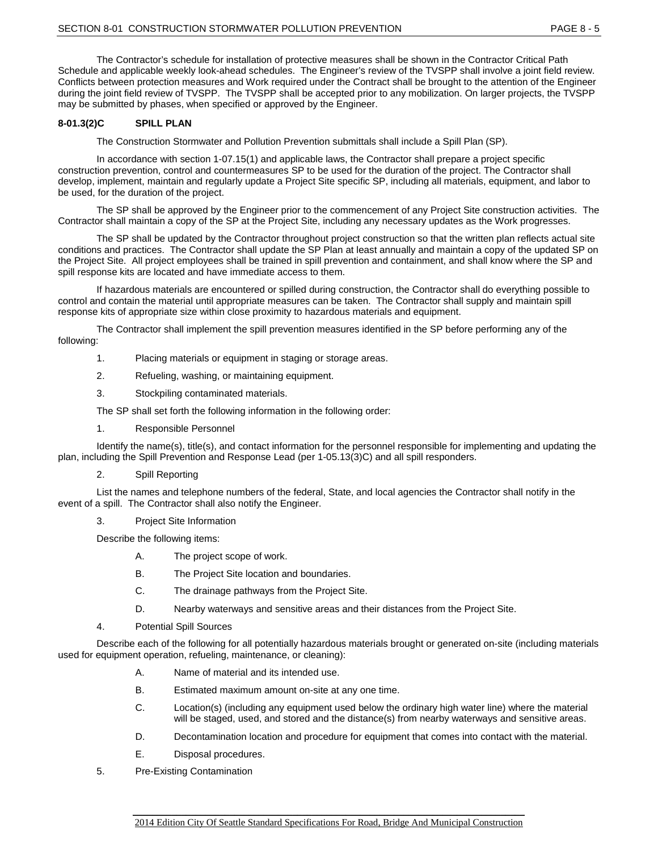The Contractor's schedule for installation of protective measures shall be shown in the Contractor Critical Path Schedule and applicable weekly look-ahead schedules. The Engineer's review of the TVSPP shall involve a joint field review. Conflicts between protection measures and Work required under the Contract shall be brought to the attention of the Engineer during the joint field review of TVSPP. The TVSPP shall be accepted prior to any mobilization. On larger projects, the TVSPP may be submitted by phases, when specified or approved by the Engineer.

# **8-01.3(2)C SPILL PLAN**

The Construction Stormwater and Pollution Prevention submittals shall include a Spill Plan (SP).

In accordance with section 1-07.15(1) and applicable laws, the Contractor shall prepare a project specific construction prevention, control and countermeasures SP to be used for the duration of the project. The Contractor shall develop, implement, maintain and regularly update a Project Site specific SP, including all materials, equipment, and labor to be used, for the duration of the project.

The SP shall be approved by the Engineer prior to the commencement of any Project Site construction activities. The Contractor shall maintain a copy of the SP at the Project Site, including any necessary updates as the Work progresses.

The SP shall be updated by the Contractor throughout project construction so that the written plan reflects actual site conditions and practices. The Contractor shall update the SP Plan at least annually and maintain a copy of the updated SP on the Project Site. All project employees shall be trained in spill prevention and containment, and shall know where the SP and spill response kits are located and have immediate access to them.

If hazardous materials are encountered or spilled during construction, the Contractor shall do everything possible to control and contain the material until appropriate measures can be taken. The Contractor shall supply and maintain spill response kits of appropriate size within close proximity to hazardous materials and equipment.

The Contractor shall implement the spill prevention measures identified in the SP before performing any of the following:

- 1. Placing materials or equipment in staging or storage areas.
- 2. Refueling, washing, or maintaining equipment.
- 3. Stockpiling contaminated materials.

The SP shall set forth the following information in the following order:

1. Responsible Personnel

Identify the name(s), title(s), and contact information for the personnel responsible for implementing and updating the plan, including the Spill Prevention and Response Lead (per 1-05.13(3)C) and all spill responders.

2. Spill Reporting

List the names and telephone numbers of the federal, State, and local agencies the Contractor shall notify in the event of a spill. The Contractor shall also notify the Engineer.

3. Project Site Information

Describe the following items:

- A. The project scope of work.
- B. The Project Site location and boundaries.
- C. The drainage pathways from the Project Site.
- D. Nearby waterways and sensitive areas and their distances from the Project Site.
- 4. Potential Spill Sources

Describe each of the following for all potentially hazardous materials brought or generated on-site (including materials used for equipment operation, refueling, maintenance, or cleaning):

- A. Name of material and its intended use.
- B. Estimated maximum amount on-site at any one time.
- C. Location(s) (including any equipment used below the ordinary high water line) where the material will be staged, used, and stored and the distance(s) from nearby waterways and sensitive areas.
- D. Decontamination location and procedure for equipment that comes into contact with the material.
- E. Disposal procedures.
- 5. Pre-Existing Contamination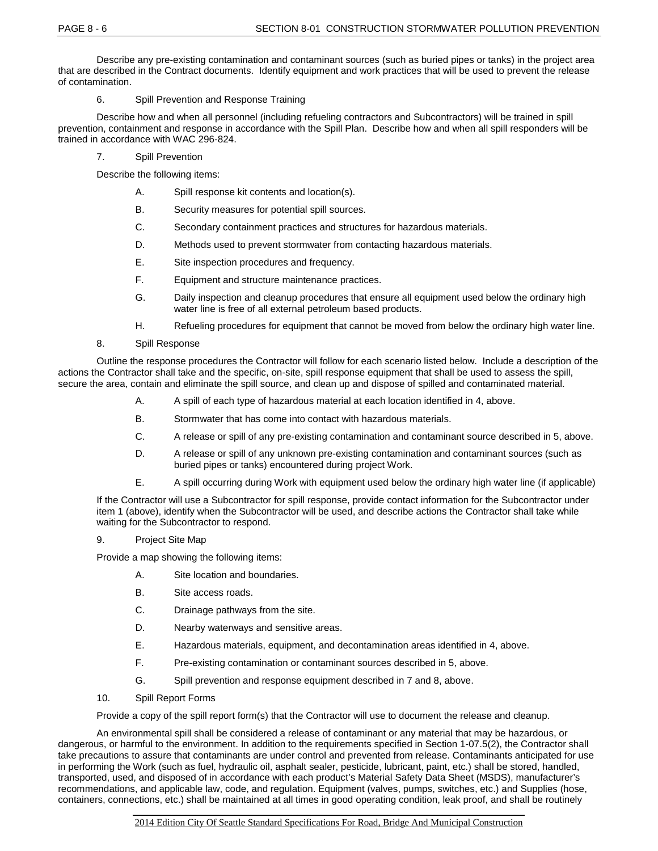Describe any pre-existing contamination and contaminant sources (such as buried pipes or tanks) in the project area that are described in the Contract documents. Identify equipment and work practices that will be used to prevent the release of contamination.

6. Spill Prevention and Response Training

Describe how and when all personnel (including refueling contractors and Subcontractors) will be trained in spill prevention, containment and response in accordance with the Spill Plan. Describe how and when all spill responders will be trained in accordance with WAC 296-824.

- 7. Spill Prevention
- Describe the following items:
	- A. Spill response kit contents and location(s).
	- B. Security measures for potential spill sources.
	- C. Secondary containment practices and structures for hazardous materials.
	- D. Methods used to prevent stormwater from contacting hazardous materials.
	- E. Site inspection procedures and frequency.
	- F. Equipment and structure maintenance practices.
	- G. Daily inspection and cleanup procedures that ensure all equipment used below the ordinary high water line is free of all external petroleum based products.
	- H. Refueling procedures for equipment that cannot be moved from below the ordinary high water line.
- 8. Spill Response

Outline the response procedures the Contractor will follow for each scenario listed below. Include a description of the actions the Contractor shall take and the specific, on-site, spill response equipment that shall be used to assess the spill, secure the area, contain and eliminate the spill source, and clean up and dispose of spilled and contaminated material.

- A. A spill of each type of hazardous material at each location identified in 4, above.
- B. Stormwater that has come into contact with hazardous materials.
- C. A release or spill of any pre-existing contamination and contaminant source described in 5, above.
- D. A release or spill of any unknown pre-existing contamination and contaminant sources (such as buried pipes or tanks) encountered during project Work.
- E. A spill occurring during Work with equipment used below the ordinary high water line (if applicable)

If the Contractor will use a Subcontractor for spill response, provide contact information for the Subcontractor under item 1 (above), identify when the Subcontractor will be used, and describe actions the Contractor shall take while waiting for the Subcontractor to respond.

9. Project Site Map

Provide a map showing the following items:

- A. Site location and boundaries.
- B. Site access roads.
- C. Drainage pathways from the site.
- D. Nearby waterways and sensitive areas.
- E. Hazardous materials, equipment, and decontamination areas identified in 4, above.
- F. Pre-existing contamination or contaminant sources described in 5, above.
- G. Spill prevention and response equipment described in 7 and 8, above.
- 10. Spill Report Forms

Provide a copy of the spill report form(s) that the Contractor will use to document the release and cleanup.

An environmental spill shall be considered a release of contaminant or any material that may be hazardous, or dangerous, or harmful to the environment. In addition to the requirements specified in Section 1-07.5(2), the Contractor shall take precautions to assure that contaminants are under control and prevented from release. Contaminants anticipated for use in performing the Work (such as fuel, hydraulic oil, asphalt sealer, pesticide, lubricant, paint, etc.) shall be stored, handled, transported, used, and disposed of in accordance with each product's Material Safety Data Sheet (MSDS), manufacturer's recommendations, and applicable law, code, and regulation. Equipment (valves, pumps, switches, etc.) and Supplies (hose, containers, connections, etc.) shall be maintained at all times in good operating condition, leak proof, and shall be routinely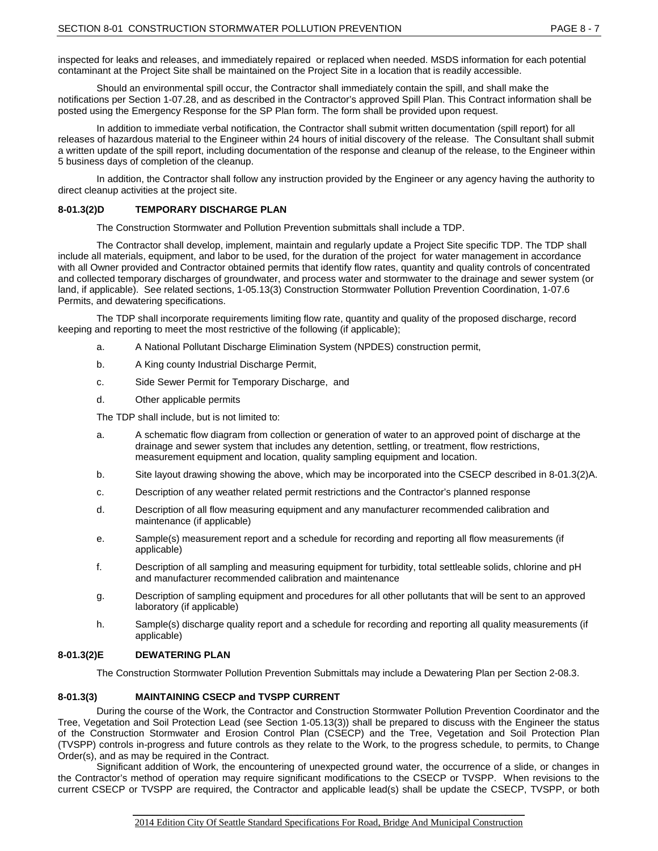inspected for leaks and releases, and immediately repaired or replaced when needed. MSDS information for each potential contaminant at the Project Site shall be maintained on the Project Site in a location that is readily accessible.

Should an environmental spill occur, the Contractor shall immediately contain the spill, and shall make the notifications per Section 1-07.28, and as described in the Contractor's approved Spill Plan. This Contract information shall be posted using the Emergency Response for the SP Plan form. The form shall be provided upon request.

In addition to immediate verbal notification, the Contractor shall submit written documentation (spill report) for all releases of hazardous material to the Engineer within 24 hours of initial discovery of the release. The Consultant shall submit a written update of the spill report, including documentation of the response and cleanup of the release, to the Engineer within 5 business days of completion of the cleanup.

In addition, the Contractor shall follow any instruction provided by the Engineer or any agency having the authority to direct cleanup activities at the project site.

### **8-01.3(2)D TEMPORARY DISCHARGE PLAN**

The Construction Stormwater and Pollution Prevention submittals shall include a TDP.

The Contractor shall develop, implement, maintain and regularly update a Project Site specific TDP. The TDP shall include all materials, equipment, and labor to be used, for the duration of the project for water management in accordance with all Owner provided and Contractor obtained permits that identify flow rates, quantity and quality controls of concentrated and collected temporary discharges of groundwater, and process water and stormwater to the drainage and sewer system (or land, if applicable). See related sections, 1-05.13(3) Construction Stormwater Pollution Prevention Coordination, 1-07.6 Permits, and dewatering specifications.

The TDP shall incorporate requirements limiting flow rate, quantity and quality of the proposed discharge, record keeping and reporting to meet the most restrictive of the following (if applicable);

- a. A National Pollutant Discharge Elimination System (NPDES) construction permit,
- b. A King county Industrial Discharge Permit,
- c. Side Sewer Permit for Temporary Discharge, and
- d. Other applicable permits

The TDP shall include, but is not limited to:

- a. A schematic flow diagram from collection or generation of water to an approved point of discharge at the drainage and sewer system that includes any detention, settling, or treatment, flow restrictions, measurement equipment and location, quality sampling equipment and location.
- b. Site layout drawing showing the above, which may be incorporated into the CSECP described in 8-01.3(2)A.
- c. Description of any weather related permit restrictions and the Contractor's planned response
- d. Description of all flow measuring equipment and any manufacturer recommended calibration and maintenance (if applicable)
- e. Sample(s) measurement report and a schedule for recording and reporting all flow measurements (if applicable)
- f. Description of all sampling and measuring equipment for turbidity, total settleable solids, chlorine and pH and manufacturer recommended calibration and maintenance
- g. Description of sampling equipment and procedures for all other pollutants that will be sent to an approved laboratory (if applicable)
- h. Sample(s) discharge quality report and a schedule for recording and reporting all quality measurements (if applicable)

#### **8-01.3(2)E DEWATERING PLAN**

The Construction Stormwater Pollution Prevention Submittals may include a Dewatering Plan per Section 2-08.3.

#### **8-01.3(3) MAINTAINING CSECP and TVSPP CURRENT**

During the course of the Work, the Contractor and Construction Stormwater Pollution Prevention Coordinator and the Tree, Vegetation and Soil Protection Lead (see Section 1-05.13(3)) shall be prepared to discuss with the Engineer the status of the Construction Stormwater and Erosion Control Plan (CSECP) and the Tree, Vegetation and Soil Protection Plan (TVSPP) controls in-progress and future controls as they relate to the Work, to the progress schedule, to permits, to Change Order(s), and as may be required in the Contract.

Significant addition of Work, the encountering of unexpected ground water, the occurrence of a slide, or changes in the Contractor's method of operation may require significant modifications to the CSECP or TVSPP. When revisions to the current CSECP or TVSPP are required, the Contractor and applicable lead(s) shall be update the CSECP, TVSPP, or both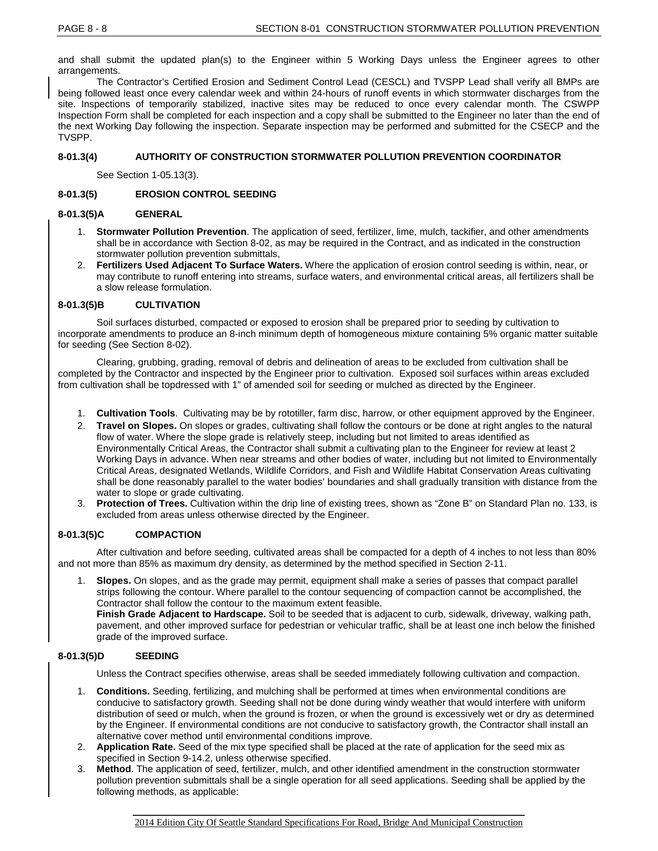and shall submit the updated plan(s) to the Engineer within 5 Working Days unless the Engineer agrees to other arrangements.

The Contractor's Certified Erosion and Sediment Control Lead (CESCL) and TVSPP Lead shall verify all BMPs are being followed least once every calendar week and within 24-hours of runoff events in which stormwater discharges from the site. Inspections of temporarily stabilized, inactive sites may be reduced to once every calendar month. The CSWPP Inspection Form shall be completed for each inspection and a copy shall be submitted to the Engineer no later than the end of the next Working Day following the inspection. Separate inspection may be performed and submitted for the CSECP and the TVSPP.

### **8-01.3(4) AUTHORITY OF CONSTRUCTION STORMWATER POLLUTION PREVENTION COORDINATOR**

See Section 1-05.13(3).

## **8-01.3(5) EROSION CONTROL SEEDING**

### **8-01.3(5)A GENERAL**

- 1. **Stormwater Pollution Prevention**. The application of seed, fertilizer, lime, mulch, tackifier, and other amendments shall be in accordance with Section 8-02, as may be required in the Contract, and as indicated in the construction stormwater pollution prevention submittals,
- 2. **Fertilizers Used Adjacent To Surface Waters.** Where the application of erosion control seeding is within, near, or may contribute to runoff entering into streams, surface waters, and environmental critical areas, all fertilizers shall be a slow release formulation.

### **8-01.3(5)B CULTIVATION**

Soil surfaces disturbed, compacted or exposed to erosion shall be prepared prior to seeding by cultivation to incorporate amendments to produce an 8-inch minimum depth of homogeneous mixture containing 5% organic matter suitable for seeding (See Section 8-02).

Clearing, grubbing, grading, removal of debris and delineation of areas to be excluded from cultivation shall be completed by the Contractor and inspected by the Engineer prior to cultivation. Exposed soil surfaces within areas excluded from cultivation shall be topdressed with 1" of amended soil for seeding or mulched as directed by the Engineer.

- 1. **Cultivation Tools**. Cultivating may be by rototiller, farm disc, harrow, or other equipment approved by the Engineer.
- 2. **Travel on Slopes.** On slopes or grades, cultivating shall follow the contours or be done at right angles to the natural flow of water. Where the slope grade is relatively steep, including but not limited to areas identified as Environmentally Critical Areas, the Contractor shall submit a cultivating plan to the Engineer for review at least 2 Working Days in advance. When near streams and other bodies of water, including but not limited to Environmentally Critical Areas, designated Wetlands, Wildlife Corridors, and Fish and Wildlife Habitat Conservation Areas cultivating shall be done reasonably parallel to the water bodies' boundaries and shall gradually transition with distance from the water to slope or grade cultivating.
- 3. **Protection of Trees.** Cultivation within the drip line of existing trees, shown as "Zone B" on Standard Plan no. 133, is excluded from areas unless otherwise directed by the Engineer.

### **8-01.3(5)C COMPACTION**

After cultivation and before seeding, cultivated areas shall be compacted for a depth of 4 inches to not less than 80% and not more than 85% as maximum dry density, as determined by the method specified in Section 2-11.

1. **Slopes.** On slopes, and as the grade may permit, equipment shall make a series of passes that compact parallel strips following the contour. Where parallel to the contour sequencing of compaction cannot be accomplished, the Contractor shall follow the contour to the maximum extent feasible.

**Finish Grade Adjacent to Hardscape.** Soil to be seeded that is adjacent to curb, sidewalk, driveway, walking path, pavement, and other improved surface for pedestrian or vehicular traffic, shall be at least one inch below the finished grade of the improved surface.

### **8-01.3(5)D SEEDING**

Unless the Contract specifies otherwise, areas shall be seeded immediately following cultivation and compaction.

- 1. **Conditions.** Seeding, fertilizing, and mulching shall be performed at times when environmental conditions are conducive to satisfactory growth. Seeding shall not be done during windy weather that would interfere with uniform distribution of seed or mulch, when the ground is frozen, or when the ground is excessively wet or dry as determined by the Engineer. If environmental conditions are not conducive to satisfactory growth, the Contractor shall install an alternative cover method until environmental conditions improve.
- 2. **Application Rate.** Seed of the mix type specified shall be placed at the rate of application for the seed mix as specified in Section 9-14.2, unless otherwise specified.
- 3. **Method**. The application of seed, fertilizer, mulch, and other identified amendment in the construction stormwater pollution prevention submittals shall be a single operation for all seed applications. Seeding shall be applied by the following methods, as applicable: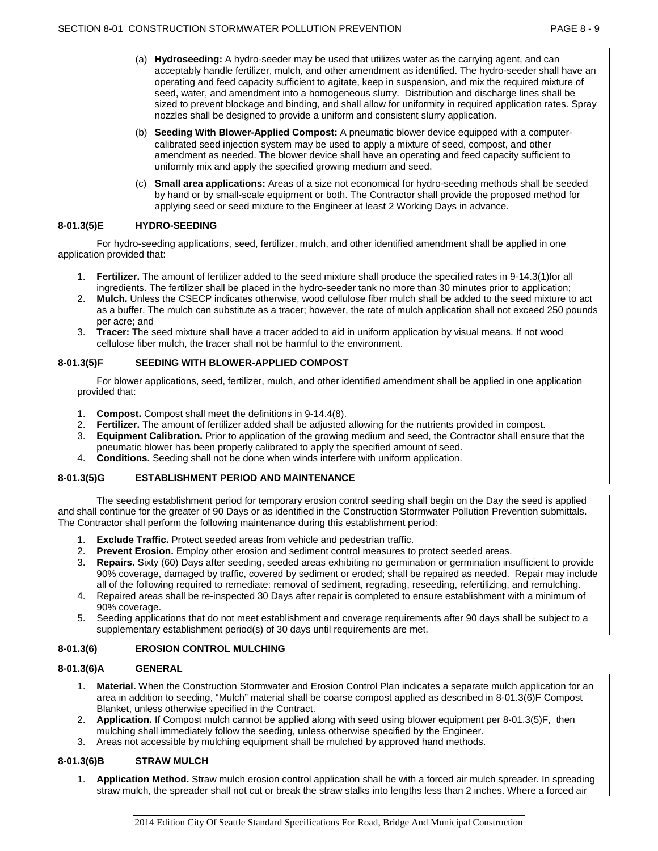- (a) **Hydroseeding:** A hydro-seeder may be used that utilizes water as the carrying agent, and can acceptably handle fertilizer, mulch, and other amendment as identified. The hydro-seeder shall have an operating and feed capacity sufficient to agitate, keep in suspension, and mix the required mixture of seed, water, and amendment into a homogeneous slurry. Distribution and discharge lines shall be sized to prevent blockage and binding, and shall allow for uniformity in required application rates. Spray nozzles shall be designed to provide a uniform and consistent slurry application.
- (b) **Seeding With Blower-Applied Compost:** A pneumatic blower device equipped with a computercalibrated seed injection system may be used to apply a mixture of seed, compost, and other amendment as needed. The blower device shall have an operating and feed capacity sufficient to uniformly mix and apply the specified growing medium and seed.
- (c) **Small area applications:** Areas of a size not economical for hydro-seeding methods shall be seeded by hand or by small-scale equipment or both. The Contractor shall provide the proposed method for applying seed or seed mixture to the Engineer at least 2 Working Days in advance.

# **8-01.3(5)E HYDRO-SEEDING**

For hydro-seeding applications, seed, fertilizer, mulch, and other identified amendment shall be applied in one application provided that:

- 1. **Fertilizer.** The amount of fertilizer added to the seed mixture shall produce the specified rates in 9-14.3(1)for all ingredients. The fertilizer shall be placed in the hydro-seeder tank no more than 30 minutes prior to application;
- 2. **Mulch.** Unless the CSECP indicates otherwise, wood cellulose fiber mulch shall be added to the seed mixture to act as a buffer. The mulch can substitute as a tracer; however, the rate of mulch application shall not exceed 250 pounds per acre; and
- 3. **Tracer:** The seed mixture shall have a tracer added to aid in uniform application by visual means. If not wood cellulose fiber mulch, the tracer shall not be harmful to the environment.

# **8-01.3(5)F SEEDING WITH BLOWER-APPLIED COMPOST**

For blower applications, seed, fertilizer, mulch, and other identified amendment shall be applied in one application provided that:

- 1. **Compost.** Compost shall meet the definitions in 9-14.4(8).
- 2. **Fertilizer.** The amount of fertilizer added shall be adjusted allowing for the nutrients provided in compost.
- 3. **Equipment Calibration.** Prior to application of the growing medium and seed, the Contractor shall ensure that the pneumatic blower has been properly calibrated to apply the specified amount of seed.
- 4. **Conditions.** Seeding shall not be done when winds interfere with uniform application.

# **8-01.3(5)G ESTABLISHMENT PERIOD AND MAINTENANCE**

The seeding establishment period for temporary erosion control seeding shall begin on the Day the seed is applied and shall continue for the greater of 90 Days or as identified in the Construction Stormwater Pollution Prevention submittals. The Contractor shall perform the following maintenance during this establishment period:

- 1. **Exclude Traffic.** Protect seeded areas from vehicle and pedestrian traffic.
- 2. **Prevent Erosion.** Employ other erosion and sediment control measures to protect seeded areas.
- 3. **Repairs.** Sixty (60) Days after seeding, seeded areas exhibiting no germination or germination insufficient to provide 90% coverage, damaged by traffic, covered by sediment or eroded; shall be repaired as needed. Repair may include all of the following required to remediate: removal of sediment, regrading, reseeding, refertilizing, and remulching.
- 4. Repaired areas shall be re-inspected 30 Days after repair is completed to ensure establishment with a minimum of 90% coverage.
- 5. Seeding applications that do not meet establishment and coverage requirements after 90 days shall be subject to a supplementary establishment period(s) of 30 days until requirements are met.

# **8-01.3(6) EROSION CONTROL MULCHING**

### **8-01.3(6)A GENERAL**

- 1. **Material.** When the Construction Stormwater and Erosion Control Plan indicates a separate mulch application for an area in addition to seeding, "Mulch" material shall be coarse compost applied as described in 8-01.3(6)F Compost Blanket, unless otherwise specified in the Contract.
- 2. **Application.** If Compost mulch cannot be applied along with seed using blower equipment per 8-01.3(5)F, then mulching shall immediately follow the seeding, unless otherwise specified by the Engineer.
- 3. Areas not accessible by mulching equipment shall be mulched by approved hand methods.

### **8-01.3(6)B STRAW MULCH**

1. **Application Method.** Straw mulch erosion control application shall be with a forced air mulch spreader. In spreading straw mulch, the spreader shall not cut or break the straw stalks into lengths less than 2 inches. Where a forced air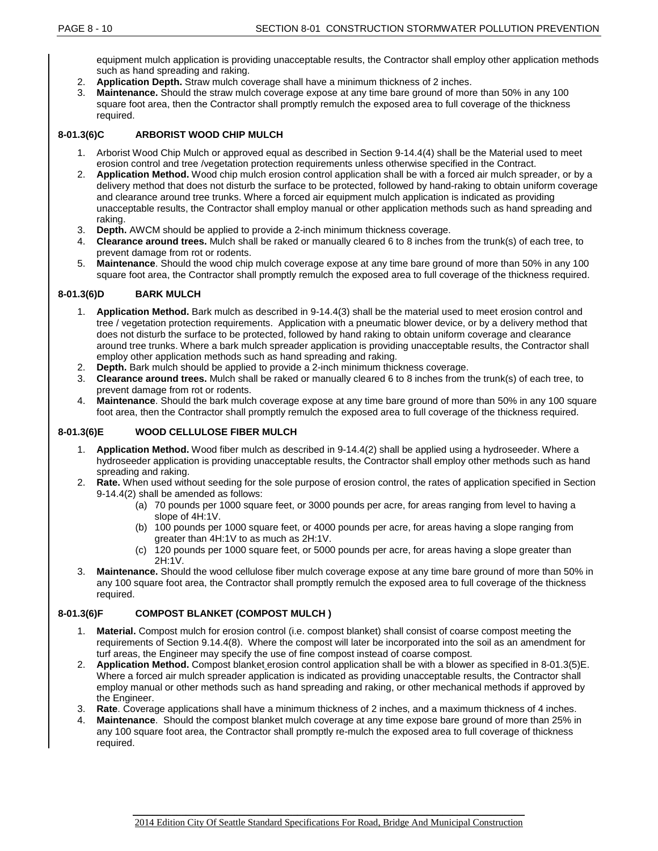equipment mulch application is providing unacceptable results, the Contractor shall employ other application methods such as hand spreading and raking.

- 2. **Application Depth.** Straw mulch coverage shall have a minimum thickness of 2 inches.
- **Maintenance.** Should the straw mulch coverage expose at any time bare ground of more than 50% in any 100 square foot area, then the Contractor shall promptly remulch the exposed area to full coverage of the thickness required.

# **8-01.3(6)C ARBORIST WOOD CHIP MULCH**

- 1. Arborist Wood Chip Mulch or approved equal as described in Section 9-14.4(4) shall be the Material used to meet erosion control and tree /vegetation protection requirements unless otherwise specified in the Contract.
- 2. **Application Method.** Wood chip mulch erosion control application shall be with a forced air mulch spreader, or by a delivery method that does not disturb the surface to be protected, followed by hand-raking to obtain uniform coverage and clearance around tree trunks. Where a forced air equipment mulch application is indicated as providing unacceptable results, the Contractor shall employ manual or other application methods such as hand spreading and raking.
- 3. **Depth.** AWCM should be applied to provide a 2-inch minimum thickness coverage.
- 4. **Clearance around trees.** Mulch shall be raked or manually cleared 6 to 8 inches from the trunk(s) of each tree, to prevent damage from rot or rodents.
- 5. **Maintenance**. Should the wood chip mulch coverage expose at any time bare ground of more than 50% in any 100 square foot area, the Contractor shall promptly remulch the exposed area to full coverage of the thickness required.

# **8-01.3(6)D BARK MULCH**

- 1. **Application Method.** Bark mulch as described in 9-14.4(3) shall be the material used to meet erosion control and tree / vegetation protection requirements. Application with a pneumatic blower device, or by a delivery method that does not disturb the surface to be protected, followed by hand raking to obtain uniform coverage and clearance around tree trunks. Where a bark mulch spreader application is providing unacceptable results, the Contractor shall employ other application methods such as hand spreading and raking.
- 2. **Depth.** Bark mulch should be applied to provide a 2-inch minimum thickness coverage.
- 3. **Clearance around trees.** Mulch shall be raked or manually cleared 6 to 8 inches from the trunk(s) of each tree, to prevent damage from rot or rodents.
- 4. **Maintenance**. Should the bark mulch coverage expose at any time bare ground of more than 50% in any 100 square foot area, then the Contractor shall promptly remulch the exposed area to full coverage of the thickness required.

# **8-01.3(6)E WOOD CELLULOSE FIBER MULCH**

- 1. **Application Method.** Wood fiber mulch as described in 9-14.4(2) shall be applied using a hydroseeder. Where a hydroseeder application is providing unacceptable results, the Contractor shall employ other methods such as hand spreading and raking.
- 2. **Rate.** When used without seeding for the sole purpose of erosion control, the rates of application specified in Section 9-14.4(2) shall be amended as follows:
	- (a) 70 pounds per 1000 square feet, or 3000 pounds per acre, for areas ranging from level to having a slope of 4H:1V.
	- (b) 100 pounds per 1000 square feet, or 4000 pounds per acre, for areas having a slope ranging from greater than 4H:1V to as much as 2H:1V.
	- (c) 120 pounds per 1000 square feet, or 5000 pounds per acre, for areas having a slope greater than 2H:1V.
- 3. **Maintenance.** Should the wood cellulose fiber mulch coverage expose at any time bare ground of more than 50% in any 100 square foot area, the Contractor shall promptly remulch the exposed area to full coverage of the thickness required.

### **8-01.3(6)F COMPOST BLANKET (COMPOST MULCH )**

- 1. **Material.** Compost mulch for erosion control (i.e. compost blanket) shall consist of coarse compost meeting the requirements of Section 9.14.4(8). Where the compost will later be incorporated into the soil as an amendment for turf areas, the Engineer may specify the use of fine compost instead of coarse compost.
- 2. **Application Method.** Compost blanket erosion control application shall be with a blower as specified in 8-01.3(5)E. Where a forced air mulch spreader application is indicated as providing unacceptable results, the Contractor shall employ manual or other methods such as hand spreading and raking, or other mechanical methods if approved by the Engineer.
- 3. **Rate**. Coverage applications shall have a minimum thickness of 2 inches, and a maximum thickness of 4 inches.
- 4. **Maintenance**. Should the compost blanket mulch coverage at any time expose bare ground of more than 25% in any 100 square foot area, the Contractor shall promptly re-mulch the exposed area to full coverage of thickness required.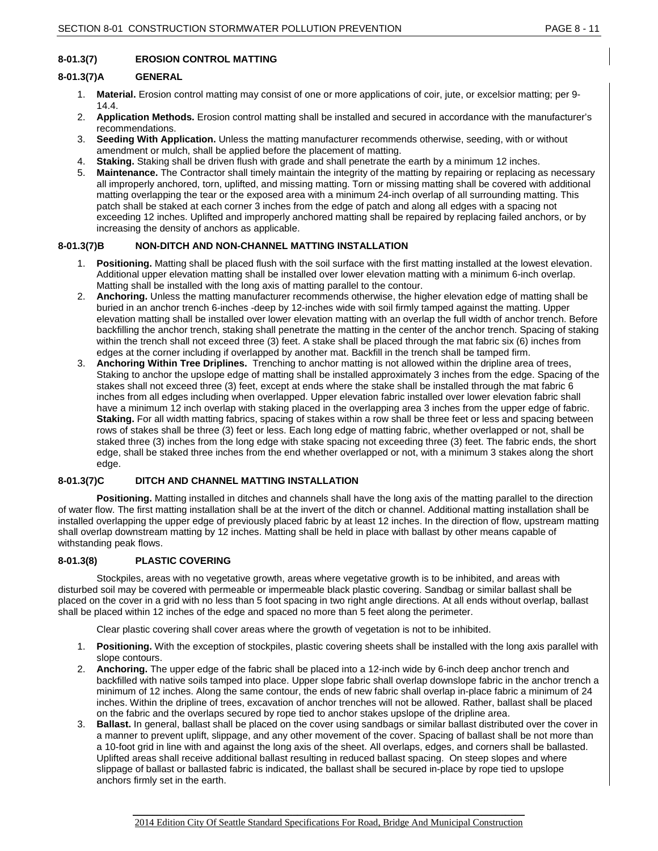# **8-01.3(7) EROSION CONTROL MATTING**

#### **8-01.3(7)A GENERAL**

- 1. **Material.** Erosion control matting may consist of one or more applications of coir, jute, or excelsior matting; per 9- 14.4.
- 2. **Application Methods.** Erosion control matting shall be installed and secured in accordance with the manufacturer's recommendations.
- 3. **Seeding With Application.** Unless the matting manufacturer recommends otherwise, seeding, with or without amendment or mulch, shall be applied before the placement of matting.
- 4. **Staking.** Staking shall be driven flush with grade and shall penetrate the earth by a minimum 12 inches.
- 5. **Maintenance.** The Contractor shall timely maintain the integrity of the matting by repairing or replacing as necessary all improperly anchored, torn, uplifted, and missing matting. Torn or missing matting shall be covered with additional matting overlapping the tear or the exposed area with a minimum 24-inch overlap of all surrounding matting. This patch shall be staked at each corner 3 inches from the edge of patch and along all edges with a spacing not exceeding 12 inches. Uplifted and improperly anchored matting shall be repaired by replacing failed anchors, or by increasing the density of anchors as applicable.

### **8-01.3(7)B NON-DITCH AND NON-CHANNEL MATTING INSTALLATION**

- 1. **Positioning.** Matting shall be placed flush with the soil surface with the first matting installed at the lowest elevation. Additional upper elevation matting shall be installed over lower elevation matting with a minimum 6-inch overlap. Matting shall be installed with the long axis of matting parallel to the contour.
- 2. **Anchoring.** Unless the matting manufacturer recommends otherwise, the higher elevation edge of matting shall be buried in an anchor trench 6-inches -deep by 12-inches wide with soil firmly tamped against the matting. Upper elevation matting shall be installed over lower elevation matting with an overlap the full width of anchor trench. Before backfilling the anchor trench, staking shall penetrate the matting in the center of the anchor trench. Spacing of staking within the trench shall not exceed three (3) feet. A stake shall be placed through the mat fabric six (6) inches from edges at the corner including if overlapped by another mat. Backfill in the trench shall be tamped firm.
- 3. **Anchoring Within Tree Driplines.** Trenching to anchor matting is not allowed within the dripline area of trees, Staking to anchor the upslope edge of matting shall be installed approximately 3 inches from the edge. Spacing of the stakes shall not exceed three (3) feet, except at ends where the stake shall be installed through the mat fabric 6 inches from all edges including when overlapped. Upper elevation fabric installed over lower elevation fabric shall have a minimum 12 inch overlap with staking placed in the overlapping area 3 inches from the upper edge of fabric. **Staking.** For all width matting fabrics, spacing of stakes within a row shall be three feet or less and spacing between rows of stakes shall be three (3) feet or less. Each long edge of matting fabric, whether overlapped or not, shall be staked three (3) inches from the long edge with stake spacing not exceeding three (3) feet. The fabric ends, the short edge, shall be staked three inches from the end whether overlapped or not, with a minimum 3 stakes along the short edge.

### **8-01.3(7)C DITCH AND CHANNEL MATTING INSTALLATION**

**Positioning.** Matting installed in ditches and channels shall have the long axis of the matting parallel to the direction of water flow. The first matting installation shall be at the invert of the ditch or channel. Additional matting installation shall be installed overlapping the upper edge of previously placed fabric by at least 12 inches. In the direction of flow, upstream matting shall overlap downstream matting by 12 inches. Matting shall be held in place with ballast by other means capable of withstanding peak flows.

#### **8-01.3(8) PLASTIC COVERING**

Stockpiles, areas with no vegetative growth, areas where vegetative growth is to be inhibited, and areas with disturbed soil may be covered with permeable or impermeable black plastic covering. Sandbag or similar ballast shall be placed on the cover in a grid with no less than 5 foot spacing in two right angle directions. At all ends without overlap, ballast shall be placed within 12 inches of the edge and spaced no more than 5 feet along the perimeter.

Clear plastic covering shall cover areas where the growth of vegetation is not to be inhibited.

- 1. **Positioning.** With the exception of stockpiles, plastic covering sheets shall be installed with the long axis parallel with slope contours.
- 2. **Anchoring.** The upper edge of the fabric shall be placed into a 12-inch wide by 6-inch deep anchor trench and backfilled with native soils tamped into place. Upper slope fabric shall overlap downslope fabric in the anchor trench a minimum of 12 inches. Along the same contour, the ends of new fabric shall overlap in-place fabric a minimum of 24 inches. Within the dripline of trees, excavation of anchor trenches will not be allowed. Rather, ballast shall be placed on the fabric and the overlaps secured by rope tied to anchor stakes upslope of the dripline area.
- 3. **Ballast.** In general, ballast shall be placed on the cover using sandbags or similar ballast distributed over the cover in a manner to prevent uplift, slippage, and any other movement of the cover. Spacing of ballast shall be not more than a 10-foot grid in line with and against the long axis of the sheet. All overlaps, edges, and corners shall be ballasted. Uplifted areas shall receive additional ballast resulting in reduced ballast spacing. On steep slopes and where slippage of ballast or ballasted fabric is indicated, the ballast shall be secured in-place by rope tied to upslope anchors firmly set in the earth.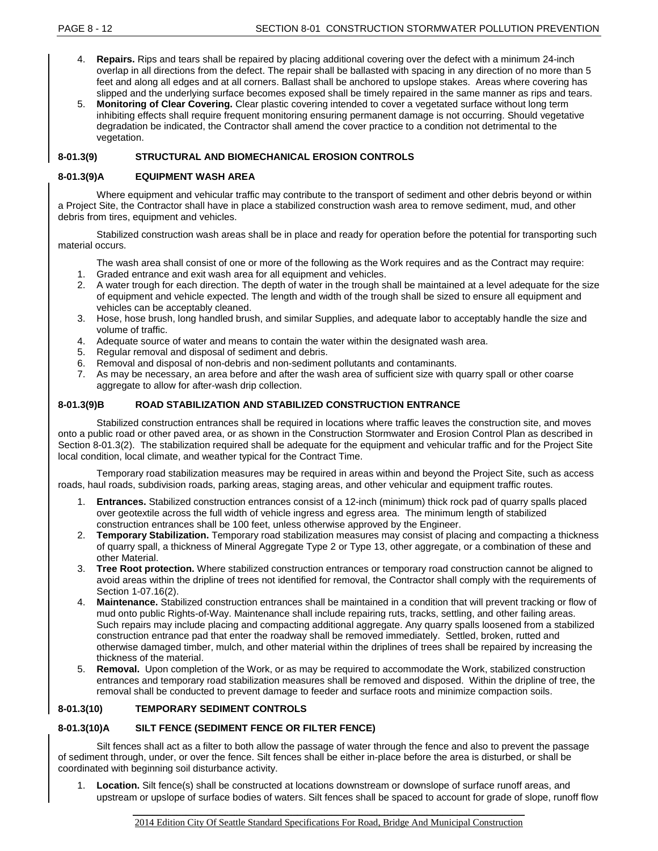- 4. **Repairs.** Rips and tears shall be repaired by placing additional covering over the defect with a minimum 24-inch overlap in all directions from the defect. The repair shall be ballasted with spacing in any direction of no more than 5 feet and along all edges and at all corners. Ballast shall be anchored to upslope stakes. Areas where covering has slipped and the underlying surface becomes exposed shall be timely repaired in the same manner as rips and tears.
- 5. **Monitoring of Clear Covering.** Clear plastic covering intended to cover a vegetated surface without long term inhibiting effects shall require frequent monitoring ensuring permanent damage is not occurring. Should vegetative degradation be indicated, the Contractor shall amend the cover practice to a condition not detrimental to the vegetation.

# **8-01.3(9) STRUCTURAL AND BIOMECHANICAL EROSION CONTROLS**

### **8-01.3(9)A EQUIPMENT WASH AREA**

Where equipment and vehicular traffic may contribute to the transport of sediment and other debris beyond or within a Project Site, the Contractor shall have in place a stabilized construction wash area to remove sediment, mud, and other debris from tires, equipment and vehicles.

Stabilized construction wash areas shall be in place and ready for operation before the potential for transporting such material occurs.

- The wash area shall consist of one or more of the following as the Work requires and as the Contract may require:
- 1. Graded entrance and exit wash area for all equipment and vehicles.
- 2. A water trough for each direction. The depth of water in the trough shall be maintained at a level adequate for the size of equipment and vehicle expected. The length and width of the trough shall be sized to ensure all equipment and vehicles can be acceptably cleaned.
- 3. Hose, hose brush, long handled brush, and similar Supplies, and adequate labor to acceptably handle the size and volume of traffic.
- 4. Adequate source of water and means to contain the water within the designated wash area.
- 5. Regular removal and disposal of sediment and debris.
- 6. Removal and disposal of non-debris and non-sediment pollutants and contaminants.
- 7. As may be necessary, an area before and after the wash area of sufficient size with quarry spall or other coarse aggregate to allow for after-wash drip collection.

# **8-01.3(9)B ROAD STABILIZATION AND STABILIZED CONSTRUCTION ENTRANCE**

Stabilized construction entrances shall be required in locations where traffic leaves the construction site, and moves onto a public road or other paved area, or as shown in the Construction Stormwater and Erosion Control Plan as described in Section 8-01.3(2). The stabilization required shall be adequate for the equipment and vehicular traffic and for the Project Site local condition, local climate, and weather typical for the Contract Time.

Temporary road stabilization measures may be required in areas within and beyond the Project Site, such as access roads, haul roads, subdivision roads, parking areas, staging areas, and other vehicular and equipment traffic routes.

- 1. **Entrances.** Stabilized construction entrances consist of a 12-inch (minimum) thick rock pad of quarry spalls placed over geotextile across the full width of vehicle ingress and egress area. The minimum length of stabilized construction entrances shall be 100 feet, unless otherwise approved by the Engineer.
- 2. **Temporary Stabilization.** Temporary road stabilization measures may consist of placing and compacting a thickness of quarry spall, a thickness of Mineral Aggregate Type 2 or Type 13, other aggregate, or a combination of these and other Material.
- 3. **Tree Root protection.** Where stabilized construction entrances or temporary road construction cannot be aligned to avoid areas within the dripline of trees not identified for removal, the Contractor shall comply with the requirements of Section 1-07.16(2).
- 4. **Maintenance.** Stabilized construction entrances shall be maintained in a condition that will prevent tracking or flow of mud onto public Rights-of-Way. Maintenance shall include repairing ruts, tracks, settling, and other failing areas. Such repairs may include placing and compacting additional aggregate. Any quarry spalls loosened from a stabilized construction entrance pad that enter the roadway shall be removed immediately. Settled, broken, rutted and otherwise damaged timber, mulch, and other material within the driplines of trees shall be repaired by increasing the thickness of the material.
- 5. **Removal.** Upon completion of the Work, or as may be required to accommodate the Work, stabilized construction entrances and temporary road stabilization measures shall be removed and disposed. Within the dripline of tree, the removal shall be conducted to prevent damage to feeder and surface roots and minimize compaction soils.

### **8-01.3(10) TEMPORARY SEDIMENT CONTROLS**

# **8-01.3(10)A SILT FENCE (SEDIMENT FENCE OR FILTER FENCE)**

Silt fences shall act as a filter to both allow the passage of water through the fence and also to prevent the passage of sediment through, under, or over the fence. Silt fences shall be either in-place before the area is disturbed, or shall be coordinated with beginning soil disturbance activity.

1. **Location.** Silt fence(s) shall be constructed at locations downstream or downslope of surface runoff areas, and upstream or upslope of surface bodies of waters. Silt fences shall be spaced to account for grade of slope, runoff flow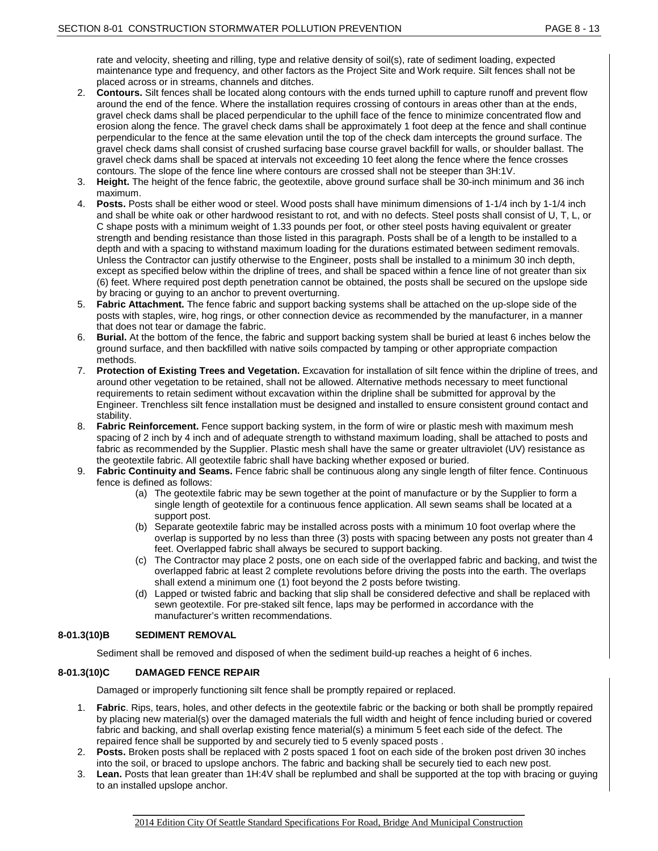rate and velocity, sheeting and rilling, type and relative density of soil(s), rate of sediment loading, expected maintenance type and frequency, and other factors as the Project Site and Work require. Silt fences shall not be placed across or in streams, channels and ditches.

- 2. **Contours.** Silt fences shall be located along contours with the ends turned uphill to capture runoff and prevent flow around the end of the fence. Where the installation requires crossing of contours in areas other than at the ends, gravel check dams shall be placed perpendicular to the uphill face of the fence to minimize concentrated flow and erosion along the fence. The gravel check dams shall be approximately 1 foot deep at the fence and shall continue perpendicular to the fence at the same elevation until the top of the check dam intercepts the ground surface. The gravel check dams shall consist of crushed surfacing base course gravel backfill for walls, or shoulder ballast. The gravel check dams shall be spaced at intervals not exceeding 10 feet along the fence where the fence crosses contours. The slope of the fence line where contours are crossed shall not be steeper than 3H:1V.
- 3. **Height.** The height of the fence fabric, the geotextile, above ground surface shall be 30-inch minimum and 36 inch maximum.
- 4. **Posts.** Posts shall be either wood or steel. Wood posts shall have minimum dimensions of 1-1/4 inch by 1-1/4 inch and shall be white oak or other hardwood resistant to rot, and with no defects. Steel posts shall consist of U, T, L, or C shape posts with a minimum weight of 1.33 pounds per foot, or other steel posts having equivalent or greater strength and bending resistance than those listed in this paragraph. Posts shall be of a length to be installed to a depth and with a spacing to withstand maximum loading for the durations estimated between sediment removals. Unless the Contractor can justify otherwise to the Engineer, posts shall be installed to a minimum 30 inch depth, except as specified below within the dripline of trees, and shall be spaced within a fence line of not greater than six (6) feet. Where required post depth penetration cannot be obtained, the posts shall be secured on the upslope side by bracing or guying to an anchor to prevent overturning.
- 5. **Fabric Attachment.** The fence fabric and support backing systems shall be attached on the up-slope side of the posts with staples, wire, hog rings, or other connection device as recommended by the manufacturer, in a manner that does not tear or damage the fabric.
- 6. **Burial.** At the bottom of the fence, the fabric and support backing system shall be buried at least 6 inches below the ground surface, and then backfilled with native soils compacted by tamping or other appropriate compaction methods.
- 7. **Protection of Existing Trees and Vegetation.** Excavation for installation of silt fence within the dripline of trees, and around other vegetation to be retained, shall not be allowed. Alternative methods necessary to meet functional requirements to retain sediment without excavation within the dripline shall be submitted for approval by the Engineer. Trenchless silt fence installation must be designed and installed to ensure consistent ground contact and stability.
- 8. **Fabric Reinforcement.** Fence support backing system, in the form of wire or plastic mesh with maximum mesh spacing of 2 inch by 4 inch and of adequate strength to withstand maximum loading, shall be attached to posts and fabric as recommended by the Supplier. Plastic mesh shall have the same or greater ultraviolet (UV) resistance as the geotextile fabric. All geotextile fabric shall have backing whether exposed or buried.
- 9. **Fabric Continuity and Seams.** Fence fabric shall be continuous along any single length of filter fence. Continuous fence is defined as follows:
	- (a) The geotextile fabric may be sewn together at the point of manufacture or by the Supplier to form a single length of geotextile for a continuous fence application. All sewn seams shall be located at a support post.
	- (b) Separate geotextile fabric may be installed across posts with a minimum 10 foot overlap where the overlap is supported by no less than three (3) posts with spacing between any posts not greater than 4 feet. Overlapped fabric shall always be secured to support backing.
	- (c) The Contractor may place 2 posts, one on each side of the overlapped fabric and backing, and twist the overlapped fabric at least 2 complete revolutions before driving the posts into the earth. The overlaps shall extend a minimum one (1) foot beyond the 2 posts before twisting.
	- (d) Lapped or twisted fabric and backing that slip shall be considered defective and shall be replaced with sewn geotextile. For pre-staked silt fence, laps may be performed in accordance with the manufacturer's written recommendations.

### **8-01.3(10)B SEDIMENT REMOVAL**

Sediment shall be removed and disposed of when the sediment build-up reaches a height of 6 inches.

### **8-01.3(10)C DAMAGED FENCE REPAIR**

Damaged or improperly functioning silt fence shall be promptly repaired or replaced.

- 1. **Fabric**. Rips, tears, holes, and other defects in the geotextile fabric or the backing or both shall be promptly repaired by placing new material(s) over the damaged materials the full width and height of fence including buried or covered fabric and backing, and shall overlap existing fence material(s) a minimum 5 feet each side of the defect. The repaired fence shall be supported by and securely tied to 5 evenly spaced posts .
- 2. **Posts.** Broken posts shall be replaced with 2 posts spaced 1 foot on each side of the broken post driven 30 inches into the soil, or braced to upslope anchors. The fabric and backing shall be securely tied to each new post.
- 3. **Lean.** Posts that lean greater than 1H:4V shall be replumbed and shall be supported at the top with bracing or guying to an installed upslope anchor.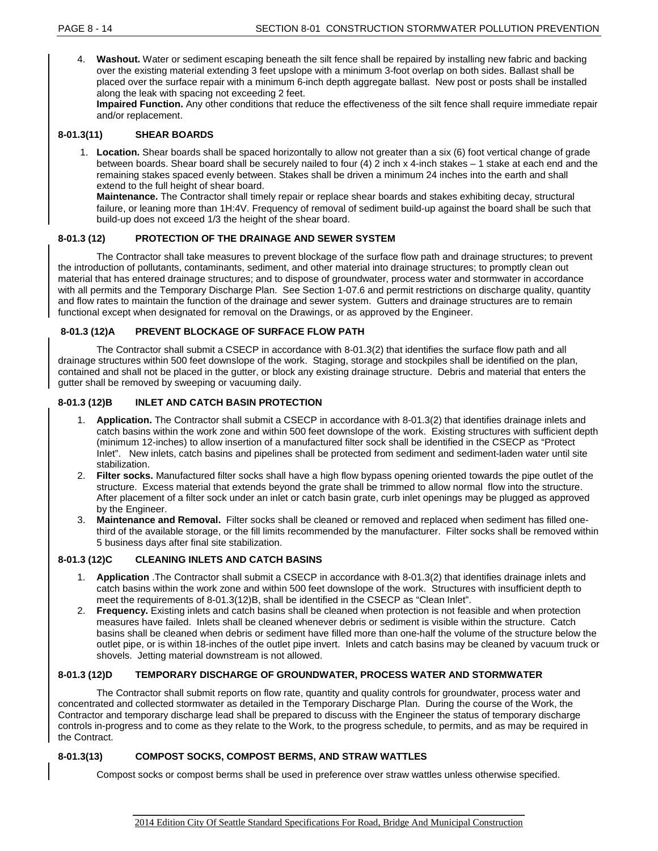4. **Washout.** Water or sediment escaping beneath the silt fence shall be repaired by installing new fabric and backing over the existing material extending 3 feet upslope with a minimum 3-foot overlap on both sides. Ballast shall be placed over the surface repair with a minimum 6-inch depth aggregate ballast. New post or posts shall be installed along the leak with spacing not exceeding 2 feet.

**Impaired Function.** Any other conditions that reduce the effectiveness of the silt fence shall require immediate repair and/or replacement.

# **8-01.3(11) SHEAR BOARDS**

1. **Location.** Shear boards shall be spaced horizontally to allow not greater than a six (6) foot vertical change of grade between boards. Shear board shall be securely nailed to four (4) 2 inch x 4-inch stakes – 1 stake at each end and the remaining stakes spaced evenly between. Stakes shall be driven a minimum 24 inches into the earth and shall extend to the full height of shear board.

**Maintenance.** The Contractor shall timely repair or replace shear boards and stakes exhibiting decay, structural failure, or leaning more than 1H:4V. Frequency of removal of sediment build-up against the board shall be such that build-up does not exceed 1/3 the height of the shear board.

# **8-01.3 (12) PROTECTION OF THE DRAINAGE AND SEWER SYSTEM**

The Contractor shall take measures to prevent blockage of the surface flow path and drainage structures; to prevent the introduction of pollutants, contaminants, sediment, and other material into drainage structures; to promptly clean out material that has entered drainage structures; and to dispose of groundwater, process water and stormwater in accordance with all permits and the Temporary Discharge Plan. See Section 1-07.6 and permit restrictions on discharge quality, quantity and flow rates to maintain the function of the drainage and sewer system. Gutters and drainage structures are to remain functional except when designated for removal on the Drawings, or as approved by the Engineer.

# **8-01.3 (12)A PREVENT BLOCKAGE OF SURFACE FLOW PATH**

The Contractor shall submit a CSECP in accordance with 8-01.3(2) that identifies the surface flow path and all drainage structures within 500 feet downslope of the work. Staging, storage and stockpiles shall be identified on the plan, contained and shall not be placed in the gutter, or block any existing drainage structure. Debris and material that enters the gutter shall be removed by sweeping or vacuuming daily.

# **8-01.3 (12)B INLET AND CATCH BASIN PROTECTION**

- 1. **Application.** The Contractor shall submit a CSECP in accordance with 8-01.3(2) that identifies drainage inlets and catch basins within the work zone and within 500 feet downslope of the work. Existing structures with sufficient depth (minimum 12-inches) to allow insertion of a manufactured filter sock shall be identified in the CSECP as "Protect Inlet". New inlets, catch basins and pipelines shall be protected from sediment and sediment-laden water until site stabilization.
- 2. **Filter socks.** Manufactured filter socks shall have a high flow bypass opening oriented towards the pipe outlet of the structure. Excess material that extends beyond the grate shall be trimmed to allow normal flow into the structure. After placement of a filter sock under an inlet or catch basin grate, curb inlet openings may be plugged as approved by the Engineer.
- 3. **Maintenance and Removal.** Filter socks shall be cleaned or removed and replaced when sediment has filled onethird of the available storage, or the fill limits recommended by the manufacturer. Filter socks shall be removed within 5 business days after final site stabilization.

# **8-01.3 (12)C CLEANING INLETS AND CATCH BASINS**

- 1. **Application** .The Contractor shall submit a CSECP in accordance with 8-01.3(2) that identifies drainage inlets and catch basins within the work zone and within 500 feet downslope of the work. Structures with insufficient depth to meet the requirements of 8-01.3(12)B, shall be identified in the CSECP as "Clean Inlet".
- 2. **Frequency.** Existing inlets and catch basins shall be cleaned when protection is not feasible and when protection measures have failed. Inlets shall be cleaned whenever debris or sediment is visible within the structure. Catch basins shall be cleaned when debris or sediment have filled more than one-half the volume of the structure below the outlet pipe, or is within 18-inches of the outlet pipe invert. Inlets and catch basins may be cleaned by vacuum truck or shovels. Jetting material downstream is not allowed.

### **8-01.3 (12)D TEMPORARY DISCHARGE OF GROUNDWATER, PROCESS WATER AND STORMWATER**

The Contractor shall submit reports on flow rate, quantity and quality controls for groundwater, process water and concentrated and collected stormwater as detailed in the Temporary Discharge Plan.During the course of the Work, the Contractor and temporary discharge lead shall be prepared to discuss with the Engineer the status of temporary discharge controls in-progress and to come as they relate to the Work, to the progress schedule, to permits, and as may be required in the Contract.

### **8-01.3(13) COMPOST SOCKS, COMPOST BERMS, AND STRAW WATTLES**

Compost socks or compost berms shall be used in preference over straw wattles unless otherwise specified.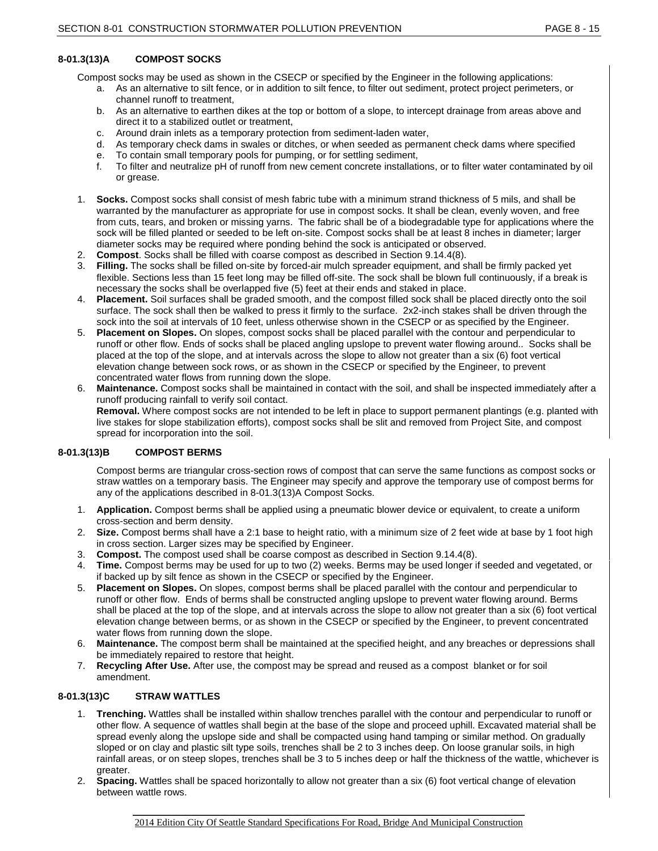# **8-01.3(13)A COMPOST SOCKS**

Compost socks may be used as shown in the CSECP or specified by the Engineer in the following applications:

- a. As an alternative to silt fence, or in addition to silt fence, to filter out sediment, protect project perimeters, or channel runoff to treatment,
- b. As an alternative to earthen dikes at the top or bottom of a slope, to intercept drainage from areas above and direct it to a stabilized outlet or treatment,
- c. Around drain inlets as a temporary protection from sediment-laden water,
- d. As temporary check dams in swales or ditches, or when seeded as permanent check dams where specified
- e. To contain small temporary pools for pumping, or for settling sediment,
- f. To filter and neutralize pH of runoff from new cement concrete installations, or to filter water contaminated by oil or grease.
- 1. **Socks.** Compost socks shall consist of mesh fabric tube with a minimum strand thickness of 5 mils, and shall be warranted by the manufacturer as appropriate for use in compost socks. It shall be clean, evenly woven, and free from cuts, tears, and broken or missing yarns. The fabric shall be of a biodegradable type for applications where the sock will be filled planted or seeded to be left on-site. Compost socks shall be at least 8 inches in diameter; larger diameter socks may be required where ponding behind the sock is anticipated or observed.
- 2. **Compost**. Socks shall be filled with coarse compost as described in Section 9.14.4(8).
- 3. **Filling.** The socks shall be filled on-site by forced-air mulch spreader equipment, and shall be firmly packed yet flexible. Sections less than 15 feet long may be filled off-site. The sock shall be blown full continuously, if a break is necessary the socks shall be overlapped five (5) feet at their ends and staked in place.
- 4. **Placement.** Soil surfaces shall be graded smooth, and the compost filled sock shall be placed directly onto the soil surface. The sock shall then be walked to press it firmly to the surface. 2x2-inch stakes shall be driven through the sock into the soil at intervals of 10 feet, unless otherwise shown in the CSECP or as specified by the Engineer.
- 5. **Placement on Slopes.** On slopes, compost socks shall be placed parallel with the contour and perpendicular to runoff or other flow. Ends of socks shall be placed angling upslope to prevent water flowing around.. Socks shall be placed at the top of the slope, and at intervals across the slope to allow not greater than a six (6) foot vertical elevation change between sock rows, or as shown in the CSECP or specified by the Engineer, to prevent concentrated water flows from running down the slope.
- 6. **Maintenance.** Compost socks shall be maintained in contact with the soil, and shall be inspected immediately after a runoff producing rainfall to verify soil contact. **Removal.** Where compost socks are not intended to be left in place to support permanent plantings (e.g. planted with live stakes for slope stabilization efforts), compost socks shall be slit and removed from Project Site, and compost spread for incorporation into the soil.

# **8-01.3(13)B COMPOST BERMS**

Compost berms are triangular cross-section rows of compost that can serve the same functions as compost socks or straw wattles on a temporary basis. The Engineer may specify and approve the temporary use of compost berms for any of the applications described in 8-01.3(13)A Compost Socks.

- 1. **Application.** Compost berms shall be applied using a pneumatic blower device or equivalent, to create a uniform cross-section and berm density.
- 2. **Size.** Compost berms shall have a 2:1 base to height ratio, with a minimum size of 2 feet wide at base by 1 foot high in cross section. Larger sizes may be specified by Engineer.
- 3. **Compost.** The compost used shall be coarse compost as described in Section 9.14.4(8).
- 4. **Time.** Compost berms may be used for up to two (2) weeks. Berms may be used longer if seeded and vegetated, or if backed up by silt fence as shown in the CSECP or specified by the Engineer.
- 5. **Placement on Slopes.** On slopes, compost berms shall be placed parallel with the contour and perpendicular to runoff or other flow. Ends of berms shall be constructed angling upslope to prevent water flowing around. Berms shall be placed at the top of the slope, and at intervals across the slope to allow not greater than a six (6) foot vertical elevation change between berms, or as shown in the CSECP or specified by the Engineer, to prevent concentrated water flows from running down the slope.
- 6. **Maintenance.** The compost berm shall be maintained at the specified height, and any breaches or depressions shall be immediately repaired to restore that height.
- 7. **Recycling After Use.** After use, the compost may be spread and reused as a compost blanket or for soil amendment.

### **8-01.3(13)C STRAW WATTLES**

- 1. **Trenching.** Wattles shall be installed within shallow trenches parallel with the contour and perpendicular to runoff or other flow. A sequence of wattles shall begin at the base of the slope and proceed uphill. Excavated material shall be spread evenly along the upslope side and shall be compacted using hand tamping or similar method. On gradually sloped or on clay and plastic silt type soils, trenches shall be 2 to 3 inches deep. On loose granular soils, in high rainfall areas, or on steep slopes, trenches shall be 3 to 5 inches deep or half the thickness of the wattle, whichever is greater.
- 2. **Spacing.** Wattles shall be spaced horizontally to allow not greater than a six (6) foot vertical change of elevation between wattle rows.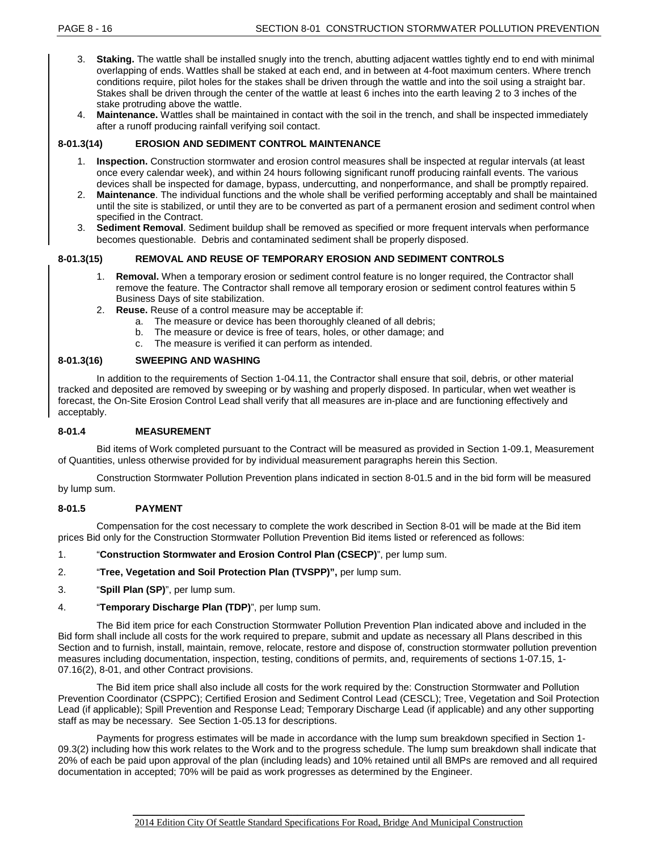- 3. **Staking.** The wattle shall be installed snugly into the trench, abutting adjacent wattles tightly end to end with minimal overlapping of ends. Wattles shall be staked at each end, and in between at 4-foot maximum centers. Where trench conditions require, pilot holes for the stakes shall be driven through the wattle and into the soil using a straight bar. Stakes shall be driven through the center of the wattle at least 6 inches into the earth leaving 2 to 3 inches of the stake protruding above the wattle.
- 4. **Maintenance.** Wattles shall be maintained in contact with the soil in the trench, and shall be inspected immediately after a runoff producing rainfall verifying soil contact.

### **8-01.3(14) EROSION AND SEDIMENT CONTROL MAINTENANCE**

- 1. **Inspection.** Construction stormwater and erosion control measures shall be inspected at regular intervals (at least once every calendar week), and within 24 hours following significant runoff producing rainfall events. The various devices shall be inspected for damage, bypass, undercutting, and nonperformance, and shall be promptly repaired.
- 2. **Maintenance**. The individual functions and the whole shall be verified performing acceptably and shall be maintained until the site is stabilized, or until they are to be converted as part of a permanent erosion and sediment control when specified in the Contract.
- 3. **Sediment Removal**. Sediment buildup shall be removed as specified or more frequent intervals when performance becomes questionable. Debris and contaminated sediment shall be properly disposed.

# **8-01.3(15) REMOVAL AND REUSE OF TEMPORARY EROSION AND SEDIMENT CONTROLS**

- 1. **Removal.** When a temporary erosion or sediment control feature is no longer required, the Contractor shall remove the feature. The Contractor shall remove all temporary erosion or sediment control features within 5 Business Days of site stabilization.
- 2. **Reuse.** Reuse of a control measure may be acceptable if:
	- a. The measure or device has been thoroughly cleaned of all debris;
	- b. The measure or device is free of tears, holes, or other damage; and
	- c. The measure is verified it can perform as intended.

# **8-01.3(16) SWEEPING AND WASHING**

In addition to the requirements of Section 1-04.11, the Contractor shall ensure that soil, debris, or other material tracked and deposited are removed by sweeping or by washing and properly disposed. In particular, when wet weather is forecast, the On-Site Erosion Control Lead shall verify that all measures are in-place and are functioning effectively and acceptably.

### **8-01.4 MEASUREMENT**

Bid items of Work completed pursuant to the Contract will be measured as provided in Section 1-09.1, Measurement of Quantities, unless otherwise provided for by individual measurement paragraphs herein this Section.

Construction Stormwater Pollution Prevention plans indicated in section 8-01.5 and in the bid form will be measured by lump sum.

### **8-01.5 PAYMENT**

Compensation for the cost necessary to complete the work described in Section 8-01 will be made at the Bid item prices Bid only for the Construction Stormwater Pollution Prevention Bid items listed or referenced as follows:

1. "**Construction Stormwater and Erosion Control Plan (CSECP)**", per lump sum.

- 2. "**Tree, Vegetation and Soil Protection Plan (TVSPP)",** per lump sum.
- 3. "**Spill Plan (SP)**", per lump sum.
- 4. "**Temporary Discharge Plan (TDP)**", per lump sum.

The Bid item price for each Construction Stormwater Pollution Prevention Plan indicated above and included in the Bid form shall include all costs for the work required to prepare, submit and update as necessary all Plans described in this Section and to furnish, install, maintain, remove, relocate, restore and dispose of, construction stormwater pollution prevention measures including documentation, inspection, testing, conditions of permits, and, requirements of sections 1-07.15, 1- 07.16(2), 8-01, and other Contract provisions.

The Bid item price shall also include all costs for the work required by the: Construction Stormwater and Pollution Prevention Coordinator (CSPPC); Certified Erosion and Sediment Control Lead (CESCL); Tree, Vegetation and Soil Protection Lead (if applicable); Spill Prevention and Response Lead; Temporary Discharge Lead (if applicable) and any other supporting staff as may be necessary. See Section 1-05.13 for descriptions.

Payments for progress estimates will be made in accordance with the lump sum breakdown specified in Section 1- 09.3(2) including how this work relates to the Work and to the progress schedule. The lump sum breakdown shall indicate that 20% of each be paid upon approval of the plan (including leads) and 10% retained until all BMPs are removed and all required documentation in accepted; 70% will be paid as work progresses as determined by the Engineer.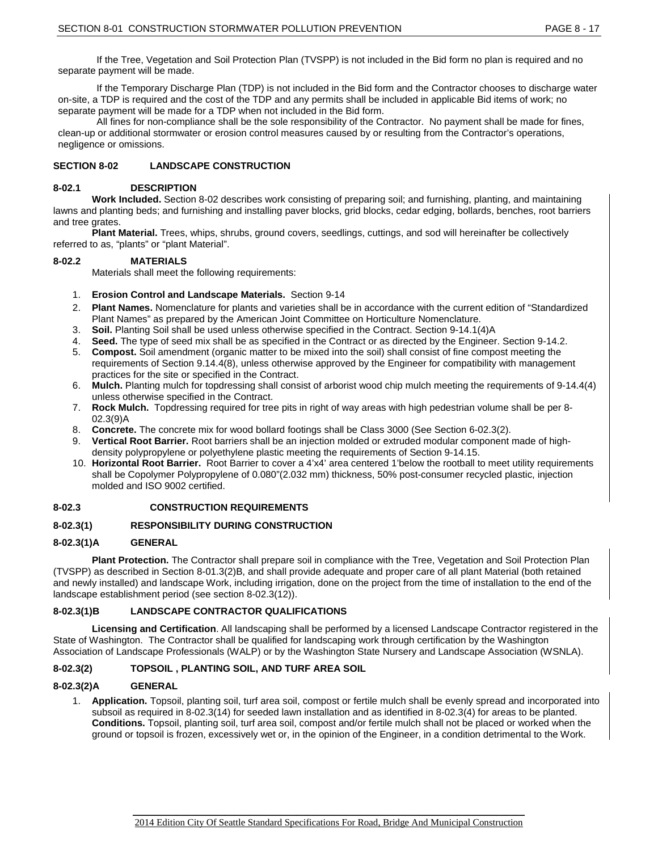If the Tree, Vegetation and Soil Protection Plan (TVSPP) is not included in the Bid form no plan is required and no separate payment will be made.

If the Temporary Discharge Plan (TDP) is not included in the Bid form and the Contractor chooses to discharge water on-site, a TDP is required and the cost of the TDP and any permits shall be included in applicable Bid items of work; no separate payment will be made for a TDP when not included in the Bid form.

All fines for non-compliance shall be the sole responsibility of the Contractor. No payment shall be made for fines, clean-up or additional stormwater or erosion control measures caused by or resulting from the Contractor's operations, negligence or omissions.

# **SECTION 8-02 LANDSCAPE CONSTRUCTION**

#### **8-02.1 DESCRIPTION**

**Work Included.** Section 8-02 describes work consisting of preparing soil; and furnishing, planting, and maintaining lawns and planting beds; and furnishing and installing paver blocks, grid blocks, cedar edging, bollards, benches, root barriers and tree grates.

**Plant Material.** Trees, whips, shrubs, ground covers, seedlings, cuttings, and sod will hereinafter be collectively referred to as, "plants" or "plant Material".

### **8-02.2 MATERIALS**

Materials shall meet the following requirements:

- 1. **Erosion Control and Landscape Materials.** Section 9-14
- 2. **Plant Names.** Nomenclature for plants and varieties shall be in accordance with the current edition of "Standardized Plant Names" as prepared by the American Joint Committee on Horticulture Nomenclature.
- 3. **Soil.** Planting Soil shall be used unless otherwise specified in the Contract. Section 9-14.1(4)A
- 4. **Seed.** The type of seed mix shall be as specified in the Contract or as directed by the Engineer. Section 9-14.2.
- 5. **Compost.** Soil amendment (organic matter to be mixed into the soil) shall consist of fine compost meeting the requirements of Section 9.14.4(8), unless otherwise approved by the Engineer for compatibility with management practices for the site or specified in the Contract.
- 6. **Mulch.** Planting mulch for topdressing shall consist of arborist wood chip mulch meeting the requirements of 9-14.4(4) unless otherwise specified in the Contract.
- 7. **Rock Mulch.** Topdressing required for tree pits in right of way areas with high pedestrian volume shall be per 8- 02.3(9)A
- 8. **Concrete.** The concrete mix for wood bollard footings shall be Class 3000 (See Section 6-02.3(2).
- 9. **Vertical Root Barrier.** Root barriers shall be an injection molded or extruded modular component made of highdensity polypropylene or polyethylene plastic meeting the requirements of Section 9-14.15.
- 10. **Horizontal Root Barrier.** Root Barrier to cover a 4'x4' area centered 1'below the rootball to meet utility requirements shall be Copolymer Polypropylene of 0.080"(2.032 mm) thickness, 50% post-consumer recycled plastic, injection molded and ISO 9002 certified.

### **8-02.3 CONSTRUCTION REQUIREMENTS**

### **8-02.3(1) RESPONSIBILITY DURING CONSTRUCTION**

#### **8-02.3(1)A GENERAL**

**Plant Protection.** The Contractor shall prepare soil in compliance with the Tree, Vegetation and Soil Protection Plan (TVSPP) as described in Section 8-01.3(2)B, and shall provide adequate and proper care of all plant Material (both retained and newly installed) and landscape Work, including irrigation, done on the project from the time of installation to the end of the landscape establishment period (see section 8-02.3(12)).

### **8-02.3(1)B LANDSCAPE CONTRACTOR QUALIFICATIONS**

**Licensing and Certification**. All landscaping shall be performed by a licensed Landscape Contractor registered in the State of Washington. The Contractor shall be qualified for landscaping work through certification by the Washington Association of Landscape Professionals (WALP) or by the Washington State Nursery and Landscape Association (WSNLA).

### **8-02.3(2) TOPSOIL , PLANTING SOIL, AND TURF AREA SOIL**

### **8-02.3(2)A GENERAL**

1. **Application.** Topsoil, planting soil, turf area soil, compost or fertile mulch shall be evenly spread and incorporated into subsoil as required in 8-02.3(14) for seeded lawn installation and as identified in 8-02.3(4) for areas to be planted. **Conditions.** Topsoil, planting soil, turf area soil, compost and/or fertile mulch shall not be placed or worked when the ground or topsoil is frozen, excessively wet or, in the opinion of the Engineer, in a condition detrimental to the Work.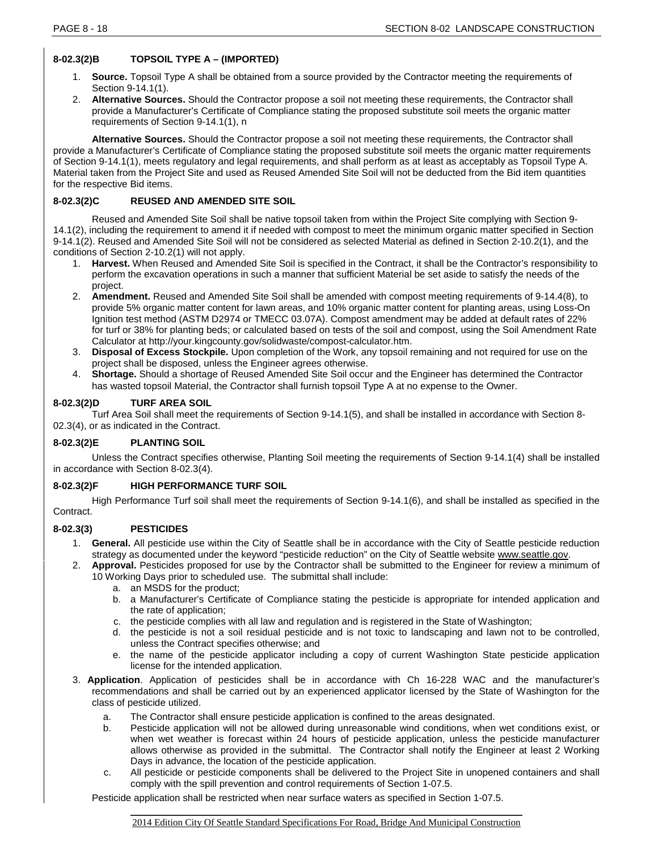# **8-02.3(2)B TOPSOIL TYPE A – (IMPORTED)**

- 1. **Source.** Topsoil Type A shall be obtained from a source provided by the Contractor meeting the requirements of Section 9-14.1(1).
- 2. **Alternative Sources.** Should the Contractor propose a soil not meeting these requirements, the Contractor shall provide a Manufacturer's Certificate of Compliance stating the proposed substitute soil meets the organic matter requirements of Section 9-14.1(1), n

**Alternative Sources.** Should the Contractor propose a soil not meeting these requirements, the Contractor shall provide a Manufacturer's Certificate of Compliance stating the proposed substitute soil meets the organic matter requirements of Section 9-14.1(1), meets regulatory and legal requirements, and shall perform as at least as acceptably as Topsoil Type A. Material taken from the Project Site and used as Reused Amended Site Soil will not be deducted from the Bid item quantities for the respective Bid items.

# **8-02.3(2)C REUSED AND AMENDED SITE SOIL**

Reused and Amended Site Soil shall be native topsoil taken from within the Project Site complying with Section 9- 14.1(2), including the requirement to amend it if needed with compost to meet the minimum organic matter specified in Section 9-14.1(2). Reused and Amended Site Soil will not be considered as selected Material as defined in Section 2-10.2(1), and the conditions of Section 2-10.2(1) will not apply.

- 1. **Harvest.** When Reused and Amended Site Soil is specified in the Contract, it shall be the Contractor's responsibility to perform the excavation operations in such a manner that sufficient Material be set aside to satisfy the needs of the project.
- 2. **Amendment.** Reused and Amended Site Soil shall be amended with compost meeting requirements of 9-14.4(8), to provide 5% organic matter content for lawn areas, and 10% organic matter content for planting areas, using Loss-On Ignition test method (ASTM D2974 or TMECC 03.07A). Compost amendment may be added at default rates of 22% for turf or 38% for planting beds; or calculated based on tests of the soil and compost, using the Soil Amendment Rate Calculator at http://your.kingcounty.gov/solidwaste/compost-calculator.htm.
- 3. **Disposal of Excess Stockpile.** Upon completion of the Work, any topsoil remaining and not required for use on the project shall be disposed, unless the Engineer agrees otherwise.
- 4. **Shortage.** Should a shortage of Reused Amended Site Soil occur and the Engineer has determined the Contractor has wasted topsoil Material, the Contractor shall furnish topsoil Type A at no expense to the Owner.

# **8-02.3(2)D TURF AREA SOIL**

Turf Area Soil shall meet the requirements of Section 9-14.1(5), and shall be installed in accordance with Section 8- 02.3(4), or as indicated in the Contract.

# **8-02.3(2)E PLANTING SOIL**

Unless the Contract specifies otherwise, Planting Soil meeting the requirements of Section 9-14.1(4) shall be installed in accordance with Section 8-02.3(4).

# **8-02.3(2)F HIGH PERFORMANCE TURF SOIL**

High Performance Turf soil shall meet the requirements of Section 9-14.1(6), and shall be installed as specified in the Contract.

# **8-02.3(3) PESTICIDES**

- 1. **General.** All pesticide use within the City of Seattle shall be in accordance with the City of Seattle pesticide reduction strategy as documented under the keyword "pesticide reduction" on the City of Seattle website [www.seattle.gov.](http://www.ci.seattle.gov/)
- 2. **Approval.** Pesticides proposed for use by the Contractor shall be submitted to the Engineer for review a minimum of 10 Working Days prior to scheduled use. The submittal shall include:
	- a. an MSDS for the product;
	- b. a Manufacturer's Certificate of Compliance stating the pesticide is appropriate for intended application and the rate of application;
	- c. the pesticide complies with all law and regulation and is registered in the State of Washington;
	- d. the pesticide is not a soil residual pesticide and is not toxic to landscaping and lawn not to be controlled, unless the Contract specifies otherwise; and
	- e. the name of the pesticide applicator including a copy of current Washington State pesticide application license for the intended application.
- 3. **Application**. Application of pesticides shall be in accordance with Ch 16-228 WAC and the manufacturer's recommendations and shall be carried out by an experienced applicator licensed by the State of Washington for the class of pesticide utilized.
	- a. The Contractor shall ensure pesticide application is confined to the areas designated.
	- b. Pesticide application will not be allowed during unreasonable wind conditions, when wet conditions exist, or when wet weather is forecast within 24 hours of pesticide application, unless the pesticide manufacturer allows otherwise as provided in the submittal. The Contractor shall notify the Engineer at least 2 Working Days in advance, the location of the pesticide application.
	- c. All pesticide or pesticide components shall be delivered to the Project Site in unopened containers and shall comply with the spill prevention and control requirements of Section 1-07.5.

Pesticide application shall be restricted when near surface waters as specified in Section 1-07.5.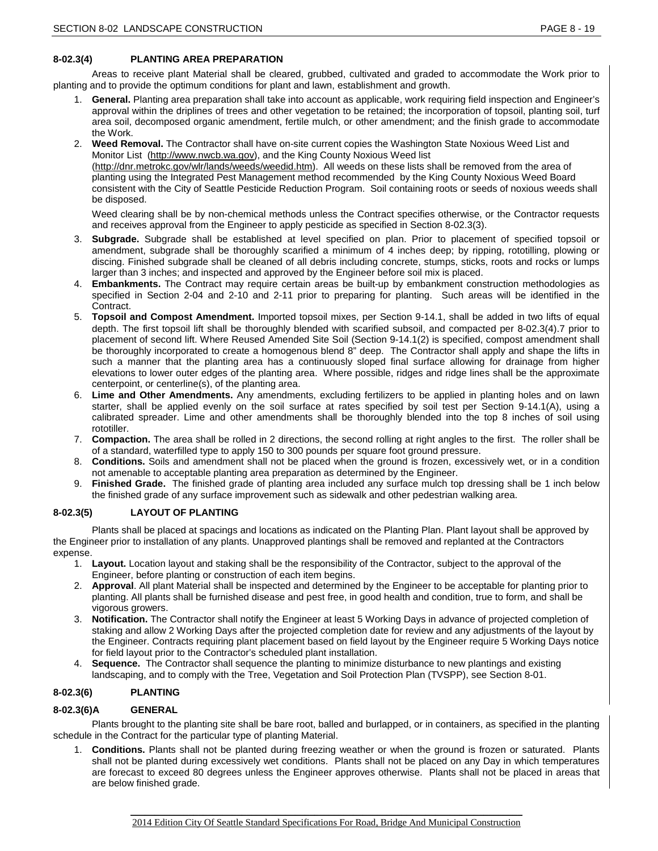### **8-02.3(4) PLANTING AREA PREPARATION**

Areas to receive plant Material shall be cleared, grubbed, cultivated and graded to accommodate the Work prior to planting and to provide the optimum conditions for plant and lawn, establishment and growth.

- 1. **General.** Planting area preparation shall take into account as applicable, work requiring field inspection and Engineer's approval within the driplines of trees and other vegetation to be retained; the incorporation of topsoil, planting soil, turf area soil, decomposed organic amendment, fertile mulch, or other amendment; and the finish grade to accommodate the Work.
- 2. **Weed Removal.** The Contractor shall have on-site current copies the Washington State Noxious Weed List and Monitor List [\(http://www.nwcb.wa.gov\)](http://www.nwcb.wa.gov/weed_list/weed_listhome.html), and the King County Noxious Weed list [\(http://dnr.metrokc.gov/wlr/lands/weeds/weedid.htm\)](http://dnr.metrokc.gov/wlr/lands/weeds/weedid.htm). All weeds on these lists shall be removed from the area of planting using the Integrated Pest Management method recommended by the King County Noxious Weed Board consistent with the City of Seattle Pesticide Reduction Program. Soil containing roots or seeds of noxious weeds shall be disposed.

Weed clearing shall be by non-chemical methods unless the Contract specifies otherwise, or the Contractor requests and receives approval from the Engineer to apply pesticide as specified in Section 8-02.3(3).

- 3. **Subgrade.** Subgrade shall be established at level specified on plan. Prior to placement of specified topsoil or amendment, subgrade shall be thoroughly scarified a minimum of 4 inches deep; by ripping, rototilling, plowing or discing. Finished subgrade shall be cleaned of all debris including concrete, stumps, sticks, roots and rocks or lumps larger than 3 inches; and inspected and approved by the Engineer before soil mix is placed.
- 4. **Embankments.** The Contract may require certain areas be built-up by embankment construction methodologies as specified in Section 2-04 and 2-10 and 2-11 prior to preparing for planting. Such areas will be identified in the Contract.
- 5. **Topsoil and Compost Amendment.** Imported topsoil mixes, per Section 9-14.1, shall be added in two lifts of equal depth. The first topsoil lift shall be thoroughly blended with scarified subsoil, and compacted per 8-02.3(4).7 prior to placement of second lift. Where Reused Amended Site Soil (Section 9-14.1(2) is specified, compost amendment shall be thoroughly incorporated to create a homogenous blend 8" deep. The Contractor shall apply and shape the lifts in such a manner that the planting area has a continuously sloped final surface allowing for drainage from higher elevations to lower outer edges of the planting area. Where possible, ridges and ridge lines shall be the approximate centerpoint, or centerline(s), of the planting area.
- 6. **Lime and Other Amendments.** Any amendments, excluding fertilizers to be applied in planting holes and on lawn starter, shall be applied evenly on the soil surface at rates specified by soil test per Section 9-14.1(A), using a calibrated spreader. Lime and other amendments shall be thoroughly blended into the top 8 inches of soil using rototiller.
- 7. **Compaction.** The area shall be rolled in 2 directions, the second rolling at right angles to the first. The roller shall be of a standard, waterfilled type to apply 150 to 300 pounds per square foot ground pressure.
- 8. **Conditions.** Soils and amendment shall not be placed when the ground is frozen, excessively wet, or in a condition not amenable to acceptable planting area preparation as determined by the Engineer.
- 9. **Finished Grade.** The finished grade of planting area included any surface mulch top dressing shall be 1 inch below the finished grade of any surface improvement such as sidewalk and other pedestrian walking area.

# **8-02.3(5) LAYOUT OF PLANTING**

Plants shall be placed at spacings and locations as indicated on the Planting Plan. Plant layout shall be approved by the Engineer prior to installation of any plants. Unapproved plantings shall be removed and replanted at the Contractors expense.

- 1. **Layout.** Location layout and staking shall be the responsibility of the Contractor, subject to the approval of the Engineer, before planting or construction of each item begins.
- 2. **Approval**. All plant Material shall be inspected and determined by the Engineer to be acceptable for planting prior to planting. All plants shall be furnished disease and pest free, in good health and condition, true to form, and shall be vigorous growers.
- 3. **Notification.** The Contractor shall notify the Engineer at least 5 Working Days in advance of projected completion of staking and allow 2 Working Days after the projected completion date for review and any adjustments of the layout by the Engineer. Contracts requiring plant placement based on field layout by the Engineer require 5 Working Days notice for field layout prior to the Contractor's scheduled plant installation.
- 4. **Sequence.** The Contractor shall sequence the planting to minimize disturbance to new plantings and existing landscaping, and to comply with the Tree, Vegetation and Soil Protection Plan (TVSPP), see Section 8-01.

# **8-02.3(6) PLANTING**

# **8-02.3(6)A GENERAL**

Plants brought to the planting site shall be bare root, balled and burlapped, or in containers, as specified in the planting schedule in the Contract for the particular type of planting Material.

1. **Conditions.** Plants shall not be planted during freezing weather or when the ground is frozen or saturated. Plants shall not be planted during excessively wet conditions. Plants shall not be placed on any Day in which temperatures are forecast to exceed 80 degrees unless the Engineer approves otherwise. Plants shall not be placed in areas that are below finished grade.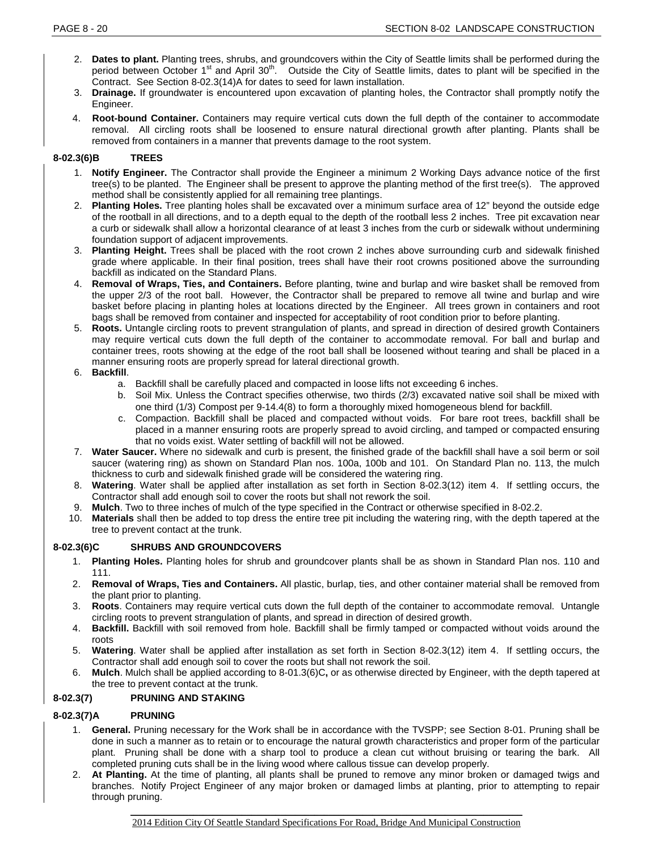- 2. **Dates to plant.** Planting trees, shrubs, and groundcovers within the City of Seattle limits shall be performed during the period between October  $1<sup>st</sup>$  and April 30<sup>th</sup>. Outside the City of Seattle limits, dates to plant will be specified in the Contract. See Section 8-02.3(14)A for dates to seed for lawn installation.
- 3. **Drainage.** If groundwater is encountered upon excavation of planting holes, the Contractor shall promptly notify the Engineer.
- 4. **Root-bound Container.** Containers may require vertical cuts down the full depth of the container to accommodate removal. All circling roots shall be loosened to ensure natural directional growth after planting. Plants shall be removed from containers in a manner that prevents damage to the root system.

# **8-02.3(6)B TREES**

- 1. **Notify Engineer.** The Contractor shall provide the Engineer a minimum 2 Working Days advance notice of the first tree(s) to be planted. The Engineer shall be present to approve the planting method of the first tree(s). The approved method shall be consistently applied for all remaining tree plantings.
- 2. **Planting Holes.** Tree planting holes shall be excavated over a minimum surface area of 12" beyond the outside edge of the rootball in all directions, and to a depth equal to the depth of the rootball less 2 inches. Tree pit excavation near a curb or sidewalk shall allow a horizontal clearance of at least 3 inches from the curb or sidewalk without undermining foundation support of adjacent improvements.
- 3. **Planting Height.** Trees shall be placed with the root crown 2 inches above surrounding curb and sidewalk finished grade where applicable. In their final position, trees shall have their root crowns positioned above the surrounding backfill as indicated on the Standard Plans.
- 4. **Removal of Wraps, Ties, and Containers.** Before planting, twine and burlap and wire basket shall be removed from the upper 2/3 of the root ball. However, the Contractor shall be prepared to remove all twine and burlap and wire basket before placing in planting holes at locations directed by the Engineer. All trees grown in containers and root bags shall be removed from container and inspected for acceptability of root condition prior to before planting.
- 5. **Roots.** Untangle circling roots to prevent strangulation of plants, and spread in direction of desired growth Containers may require vertical cuts down the full depth of the container to accommodate removal. For ball and burlap and container trees, roots showing at the edge of the root ball shall be loosened without tearing and shall be placed in a manner ensuring roots are properly spread for lateral directional growth.

# 6. **Backfill**.

- a. Backfill shall be carefully placed and compacted in loose lifts not exceeding 6 inches.
- b. Soil Mix. Unless the Contract specifies otherwise, two thirds (2/3) excavated native soil shall be mixed with one third (1/3) Compost per 9-14.4(8) to form a thoroughly mixed homogeneous blend for backfill.
- c. Compaction. Backfill shall be placed and compacted without voids. For bare root trees, backfill shall be placed in a manner ensuring roots are properly spread to avoid circling, and tamped or compacted ensuring that no voids exist. Water settling of backfill will not be allowed.
- 7. **Water Saucer.** Where no sidewalk and curb is present, the finished grade of the backfill shall have a soil berm or soil saucer (watering ring) as shown on Standard Plan nos. 100a, 100b and 101. On Standard Plan no. 113, the mulch thickness to curb and sidewalk finished grade will be considered the watering ring.
- 8. **Watering**. Water shall be applied after installation as set forth in Section 8-02.3(12) item 4. If settling occurs, the Contractor shall add enough soil to cover the roots but shall not rework the soil.
- 9. **Mulch**. Two to three inches of mulch of the type specified in the Contract or otherwise specified in 8-02.2.
- 10. **Materials** shall then be added to top dress the entire tree pit including the watering ring, with the depth tapered at the tree to prevent contact at the trunk.

# **8-02.3(6)C SHRUBS AND GROUNDCOVERS**

- 1. **Planting Holes.** Planting holes for shrub and groundcover plants shall be as shown in Standard Plan nos. 110 and 111.
- 2. **Removal of Wraps, Ties and Containers.** All plastic, burlap, ties, and other container material shall be removed from the plant prior to planting.
- 3. **Roots**. Containers may require vertical cuts down the full depth of the container to accommodate removal. Untangle circling roots to prevent strangulation of plants, and spread in direction of desired growth.
- 4. **Backfill.** Backfill with soil removed from hole. Backfill shall be firmly tamped or compacted without voids around the roots
- 5. **Watering**. Water shall be applied after installation as set forth in Section 8-02.3(12) item 4. If settling occurs, the Contractor shall add enough soil to cover the roots but shall not rework the soil.
- 6. **Mulch**. Mulch shall be applied according to 8-01.3(6)C**,** or as otherwise directed by Engineer, with the depth tapered at the tree to prevent contact at the trunk.

# **8-02.3(7) PRUNING AND STAKING**

# **8-02.3(7)A PRUNING**

- 1. **General.** Pruning necessary for the Work shall be in accordance with the TVSPP; see Section 8-01. Pruning shall be done in such a manner as to retain or to encourage the natural growth characteristics and proper form of the particular plant. Pruning shall be done with a sharp tool to produce a clean cut without bruising or tearing the bark. All completed pruning cuts shall be in the living wood where callous tissue can develop properly.
- 2. **At Planting.** At the time of planting, all plants shall be pruned to remove any minor broken or damaged twigs and branches. Notify Project Engineer of any major broken or damaged limbs at planting, prior to attempting to repair through pruning.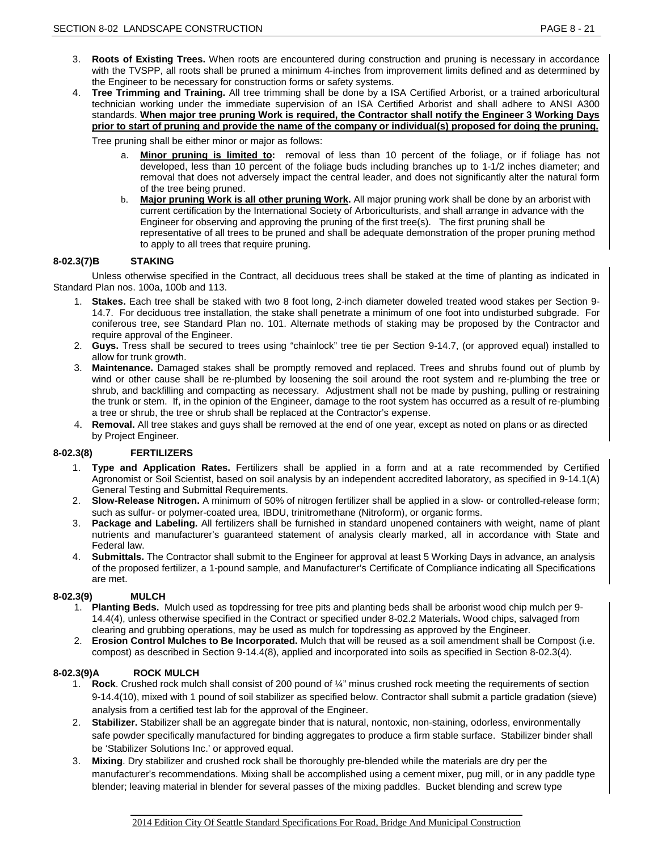- 3. **Roots of Existing Trees.** When roots are encountered during construction and pruning is necessary in accordance with the TVSPP, all roots shall be pruned a minimum 4-inches from improvement limits defined and as determined by the Engineer to be necessary for construction forms or safety systems.
- 4. **Tree Trimming and Training.** All tree trimming shall be done by a ISA Certified Arborist, or a trained arboricultural technician working under the immediate supervision of an ISA Certified Arborist and shall adhere to ANSI A300 standards. **When major tree pruning Work is required, the Contractor shall notify the Engineer 3 Working Days prior to start of pruning and provide the name of the company or individual(s) proposed for doing the pruning.**

Tree pruning shall be either minor or major as follows:

- a. **Minor pruning is limited to:** removal of less than 10 percent of the foliage, or if foliage has not developed, less than 10 percent of the foliage buds including branches up to 1-1/2 inches diameter; and removal that does not adversely impact the central leader, and does not significantly alter the natural form of the tree being pruned.
- b. **Major pruning Work is all other pruning Work.** All major pruning work shall be done by an arborist with current certification by the International Society of Arboriculturists, and shall arrange in advance with the Engineer for observing and approving the pruning of the first tree(s). The first pruning shall be representative of all trees to be pruned and shall be adequate demonstration of the proper pruning method to apply to all trees that require pruning.

# **8-02.3(7)B STAKING**

Unless otherwise specified in the Contract, all deciduous trees shall be staked at the time of planting as indicated in Standard Plan nos. 100a, 100b and 113.

- 1. **Stakes.** Each tree shall be staked with two 8 foot long, 2-inch diameter doweled treated wood stakes per Section 9- 14.7. For deciduous tree installation, the stake shall penetrate a minimum of one foot into undisturbed subgrade. For coniferous tree, see Standard Plan no. 101. Alternate methods of staking may be proposed by the Contractor and require approval of the Engineer.
- 2. **Guys.** Tress shall be secured to trees using "chainlock" tree tie per Section 9-14.7, (or approved equal) installed to allow for trunk growth.
- 3. **Maintenance.** Damaged stakes shall be promptly removed and replaced. Trees and shrubs found out of plumb by wind or other cause shall be re-plumbed by loosening the soil around the root system and re-plumbing the tree or shrub, and backfilling and compacting as necessary. Adjustment shall not be made by pushing, pulling or restraining the trunk or stem. If, in the opinion of the Engineer, damage to the root system has occurred as a result of re-plumbing a tree or shrub, the tree or shrub shall be replaced at the Contractor's expense.
- 4. **Removal.** All tree stakes and guys shall be removed at the end of one year, except as noted on plans or as directed by Project Engineer.

### **8-02.3(8) FERTILIZERS**

- 1. **Type and Application Rates.** Fertilizers shall be applied in a form and at a rate recommended by Certified Agronomist or Soil Scientist, based on soil analysis by an independent accredited laboratory, as specified in 9-14.1(A) General Testing and Submittal Requirements.
- 2. **Slow-Release Nitrogen.** A minimum of 50% of nitrogen fertilizer shall be applied in a slow- or controlled-release form; such as sulfur- or polymer-coated urea, IBDU, trinitromethane (Nitroform), or organic forms.
- 3. **Package and Labeling.** All fertilizers shall be furnished in standard unopened containers with weight, name of plant nutrients and manufacturer's guaranteed statement of analysis clearly marked, all in accordance with State and Federal law.
- 4. **Submittals.** The Contractor shall submit to the Engineer for approval at least 5 Working Days in advance, an analysis of the proposed fertilizer, a 1-pound sample, and Manufacturer's Certificate of Compliance indicating all Specifications are met.

# **8-02.3(9) MULCH**

- 1. **Planting Beds.** Mulch used as topdressing for tree pits and planting beds shall be arborist wood chip mulch per 9- 14.4(4), unless otherwise specified in the Contract or specified under 8-02.2 Materials**.** Wood chips, salvaged from clearing and grubbing operations, may be used as mulch for topdressing as approved by the Engineer.
- 2. **Erosion Control Mulches to Be Incorporated.** Mulch that will be reused as a soil amendment shall be Compost (i.e. compost) as described in Section 9-14.4(8), applied and incorporated into soils as specified in Section 8-02.3(4).

### **8-02.3(9)A ROCK MULCH**

- 1. **Rock**. Crushed rock mulch shall consist of 200 pound of ¼" minus crushed rock meeting the requirements of section 9-14.4(10), mixed with 1 pound of soil stabilizer as specified below. Contractor shall submit a particle gradation (sieve) analysis from a certified test lab for the approval of the Engineer.
- 2. **Stabilizer.** Stabilizer shall be an aggregate binder that is natural, nontoxic, non-staining, odorless, environmentally safe powder specifically manufactured for binding aggregates to produce a firm stable surface. Stabilizer binder shall be 'Stabilizer Solutions Inc.' or approved equal.
- 3. **Mixing**. Dry stabilizer and crushed rock shall be thoroughly pre-blended while the materials are dry per the manufacturer's recommendations. Mixing shall be accomplished using a cement mixer, pug mill, or in any paddle type blender; leaving material in blender for several passes of the mixing paddles. Bucket blending and screw type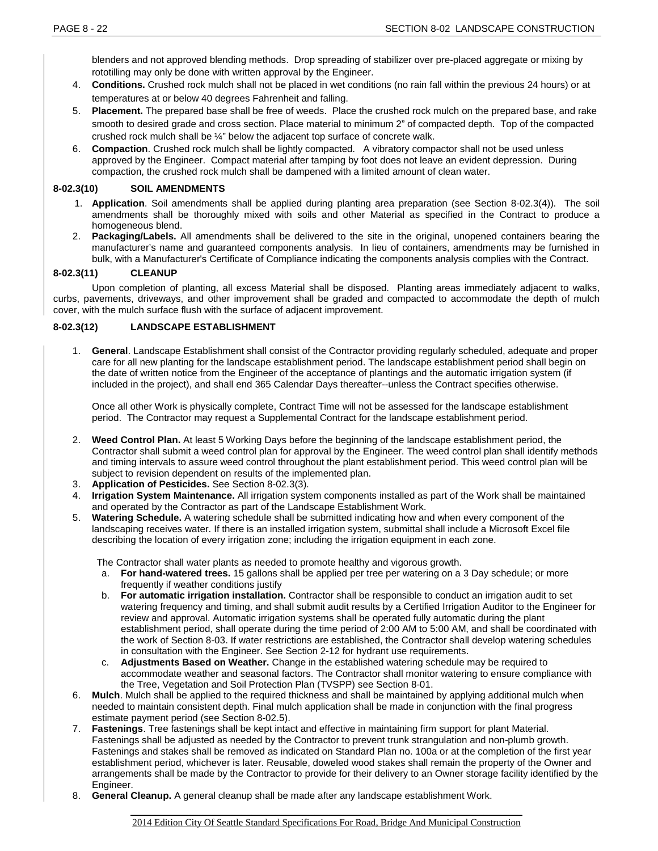blenders and not approved blending methods. Drop spreading of stabilizer over pre-placed aggregate or mixing by rototilling may only be done with written approval by the Engineer.

- 4. **Conditions.** Crushed rock mulch shall not be placed in wet conditions (no rain fall within the previous 24 hours) or at temperatures at or below 40 degrees Fahrenheit and falling.
- 5. **Placement.** The prepared base shall be free of weeds. Place the crushed rock mulch on the prepared base, and rake smooth to desired grade and cross section. Place material to minimum 2" of compacted depth. Top of the compacted crushed rock mulch shall be ¼" below the adjacent top surface of concrete walk.
- 6. **Compaction**. Crushed rock mulch shall be lightly compacted. A vibratory compactor shall not be used unless approved by the Engineer. Compact material after tamping by foot does not leave an evident depression. During compaction, the crushed rock mulch shall be dampened with a limited amount of clean water.

# **8-02.3(10) SOIL AMENDMENTS**

- 1. **Application**. Soil amendments shall be applied during planting area preparation (see Section 8-02.3(4)). The soil amendments shall be thoroughly mixed with soils and other Material as specified in the Contract to produce a homogeneous blend.
- 2. **Packaging/Labels.** All amendments shall be delivered to the site in the original, unopened containers bearing the manufacturer's name and guaranteed components analysis. In lieu of containers, amendments may be furnished in bulk, with a Manufacturer's Certificate of Compliance indicating the components analysis complies with the Contract.

# **8-02.3(11) CLEANUP**

Upon completion of planting, all excess Material shall be disposed. Planting areas immediately adjacent to walks, curbs, pavements, driveways, and other improvement shall be graded and compacted to accommodate the depth of mulch cover, with the mulch surface flush with the surface of adjacent improvement.

# **8-02.3(12) LANDSCAPE ESTABLISHMENT**

1. **General**. Landscape Establishment shall consist of the Contractor providing regularly scheduled, adequate and proper care for all new planting for the landscape establishment period. The landscape establishment period shall begin on the date of written notice from the Engineer of the acceptance of plantings and the automatic irrigation system (if included in the project), and shall end 365 Calendar Days thereafter--unless the Contract specifies otherwise.

Once all other Work is physically complete, Contract Time will not be assessed for the landscape establishment period. The Contractor may request a Supplemental Contract for the landscape establishment period.

- 2. **Weed Control Plan.** At least 5 Working Days before the beginning of the landscape establishment period, the Contractor shall submit a weed control plan for approval by the Engineer. The weed control plan shall identify methods and timing intervals to assure weed control throughout the plant establishment period. This weed control plan will be subject to revision dependent on results of the implemented plan.
- 3. **Application of Pesticides.** See Section 8-02.3(3).
- 4. **Irrigation System Maintenance.** All irrigation system components installed as part of the Work shall be maintained and operated by the Contractor as part of the Landscape Establishment Work.
- 5. **Watering Schedule.** A watering schedule shall be submitted indicating how and when every component of the landscaping receives water. If there is an installed irrigation system, submittal shall include a Microsoft Excel file describing the location of every irrigation zone; including the irrigation equipment in each zone.

The Contractor shall water plants as needed to promote healthy and vigorous growth.

- a. **For hand-watered trees.** 15 gallons shall be applied per tree per watering on a 3 Day schedule; or more frequently if weather conditions justify
- b. **For automatic irrigation installation.** Contractor shall be responsible to conduct an irrigation audit to set watering frequency and timing, and shall submit audit results by a Certified Irrigation Auditor to the Engineer for review and approval. Automatic irrigation systems shall be operated fully automatic during the plant establishment period, shall operate during the time period of 2:00 AM to 5:00 AM, and shall be coordinated with the work of Section 8-03. If water restrictions are established, the Contractor shall develop watering schedules in consultation with the Engineer. See Section 2-12 for hydrant use requirements.
- c. **Adjustments Based on Weather.** Change in the established watering schedule may be required to accommodate weather and seasonal factors. The Contractor shall monitor watering to ensure compliance with the Tree, Vegetation and Soil Protection Plan (TVSPP) see Section 8-01.
- 6. **Mulch**. Mulch shall be applied to the required thickness and shall be maintained by applying additional mulch when needed to maintain consistent depth. Final mulch application shall be made in conjunction with the final progress estimate payment period (see Section 8-02.5).
- 7. **Fastenings**. Tree fastenings shall be kept intact and effective in maintaining firm support for plant Material. Fastenings shall be adjusted as needed by the Contractor to prevent trunk strangulation and non-plumb growth. Fastenings and stakes shall be removed as indicated on Standard Plan no. 100a or at the completion of the first year establishment period, whichever is later. Reusable, doweled wood stakes shall remain the property of the Owner and arrangements shall be made by the Contractor to provide for their delivery to an Owner storage facility identified by the Engineer.
- 8. **General Cleanup.** A general cleanup shall be made after any landscape establishment Work.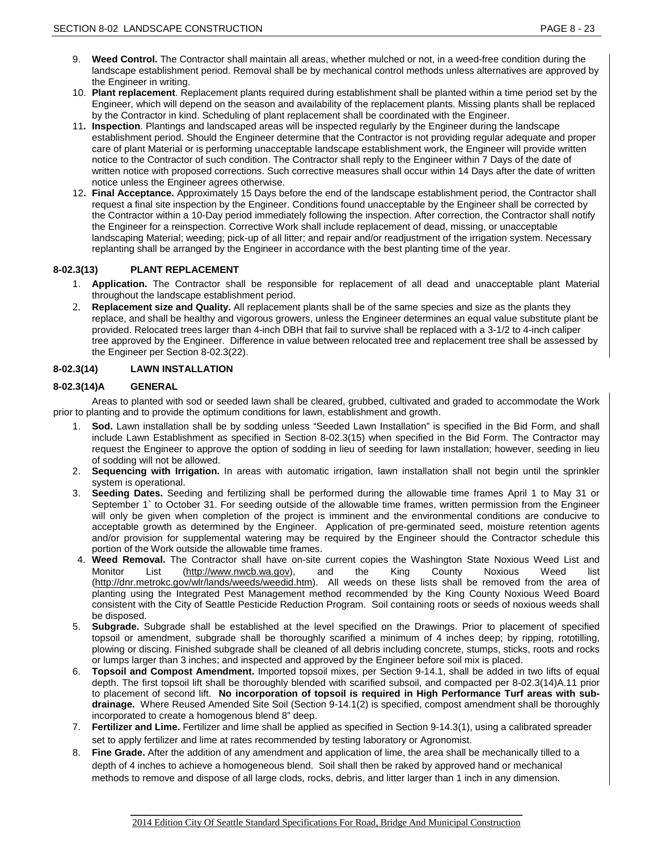- 9. **Weed Control.** The Contractor shall maintain all areas, whether mulched or not, in a weed-free condition during the landscape establishment period. Removal shall be by mechanical control methods unless alternatives are approved by the Engineer in writing.
- 10. **Plant replacement**. Replacement plants required during establishment shall be planted within a time period set by the Engineer, which will depend on the season and availability of the replacement plants. Missing plants shall be replaced by the Contractor in kind. Scheduling of plant replacement shall be coordinated with the Engineer.
- 11**. Inspection**. Plantings and landscaped areas will be inspected regularly by the Engineer during the landscape establishment period. Should the Engineer determine that the Contractor is not providing regular adequate and proper care of plant Material or is performing unacceptable landscape establishment work, the Engineer will provide written notice to the Contractor of such condition. The Contractor shall reply to the Engineer within 7 Days of the date of written notice with proposed corrections. Such corrective measures shall occur within 14 Days after the date of written notice unless the Engineer agrees otherwise.
- 12**. Final Acceptance.** Approximately 15 Days before the end of the landscape establishment period, the Contractor shall request a final site inspection by the Engineer. Conditions found unacceptable by the Engineer shall be corrected by the Contractor within a 10-Day period immediately following the inspection. After correction, the Contractor shall notify the Engineer for a reinspection. Corrective Work shall include replacement of dead, missing, or unacceptable landscaping Material; weeding; pick-up of all litter; and repair and/or readjustment of the irrigation system. Necessary replanting shall be arranged by the Engineer in accordance with the best planting time of the year.

# **8-02.3(13) PLANT REPLACEMENT**

- 1. **Application.** The Contractor shall be responsible for replacement of all dead and unacceptable plant Material throughout the landscape establishment period.
- 2. **Replacement size and Quality.** All replacement plants shall be of the same species and size as the plants they replace, and shall be healthy and vigorous growers, unless the Engineer determines an equal value substitute plant be provided. Relocated trees larger than 4-inch DBH that fail to survive shall be replaced with a 3-1/2 to 4-inch caliper tree approved by the Engineer. Difference in value between relocated tree and replacement tree shall be assessed by the Engineer per Section 8-02.3(22).

# **8-02.3(14) LAWN INSTALLATION**

### **8-02.3(14)A GENERAL**

Areas to planted with sod or seeded lawn shall be cleared, grubbed, cultivated and graded to accommodate the Work prior to planting and to provide the optimum conditions for lawn, establishment and growth.

- 1. **Sod.** Lawn installation shall be by sodding unless "Seeded Lawn Installation" is specified in the Bid Form, and shall include Lawn Establishment as specified in Section 8-02.3(15) when specified in the Bid Form. The Contractor may request the Engineer to approve the option of sodding in lieu of seeding for lawn installation; however, seeding in lieu of sodding will not be allowed.
- 2. **Sequencing with Irrigation.** In areas with automatic irrigation, lawn installation shall not begin until the sprinkler system is operational.
- 3. **Seeding Dates.** Seeding and fertilizing shall be performed during the allowable time frames April 1 to May 31 or September 1` to October 31. For seeding outside of the allowable time frames, written permission from the Engineer will only be given when completion of the project is imminent and the environmental conditions are conducive to acceptable growth as determined by the Engineer. Application of pre-germinated seed, moisture retention agents and/or provision for supplemental watering may be required by the Engineer should the Contractor schedule this portion of the Work outside the allowable time frames.
- 4. **Weed Removal.** The Contractor shall have on-site current copies the Washington State Noxious Weed List and Monitor List [\(http://www.nwcb.wa.gov\)](http://www.nwcb.wa.gov/weed_list/weed_listhome.html), and the King County Noxious Weed list [\(http://dnr.metrokc.gov/wlr/lands/weeds/weedid.htm\)](http://dnr.metrokc.gov/wlr/lands/weeds/weedid.htm). All weeds on these lists shall be removed from the area of planting using the Integrated Pest Management method recommended by the King County Noxious Weed Board consistent with the City of Seattle Pesticide Reduction Program. Soil containing roots or seeds of noxious weeds shall be disposed.
- 5. **Subgrade.** Subgrade shall be established at the level specified on the Drawings. Prior to placement of specified topsoil or amendment, subgrade shall be thoroughly scarified a minimum of 4 inches deep; by ripping, rototilling, plowing or discing. Finished subgrade shall be cleaned of all debris including concrete, stumps, sticks, roots and rocks or lumps larger than 3 inches; and inspected and approved by the Engineer before soil mix is placed.
- 6. **Topsoil and Compost Amendment.** Imported topsoil mixes, per Section 9-14.1, shall be added in two lifts of equal depth. The first topsoil lift shall be thoroughly blended with scarified subsoil, and compacted per 8-02.3(14)A.11 prior to placement of second lift. **No incorporation of topsoil is required in High Performance Turf areas with sub**drainage. Where Reused Amended Site Soil (Section 9-14.1(2) is specified, compost amendment shall be thoroughly incorporated to create a homogenous blend 8" deep.
- 7. **Fertilizer and Lime.** Fertilizer and lime shall be applied as specified in Section 9-14.3(1), using a calibrated spreader set to apply fertilizer and lime at rates recommended by testing laboratory or Agronomist.
- 8. **Fine Grade.** After the addition of any amendment and application of lime, the area shall be mechanically tilled to a depth of 4 inches to achieve a homogeneous blend. Soil shall then be raked by approved hand or mechanical methods to remove and dispose of all large clods, rocks, debris, and litter larger than 1 inch in any dimension.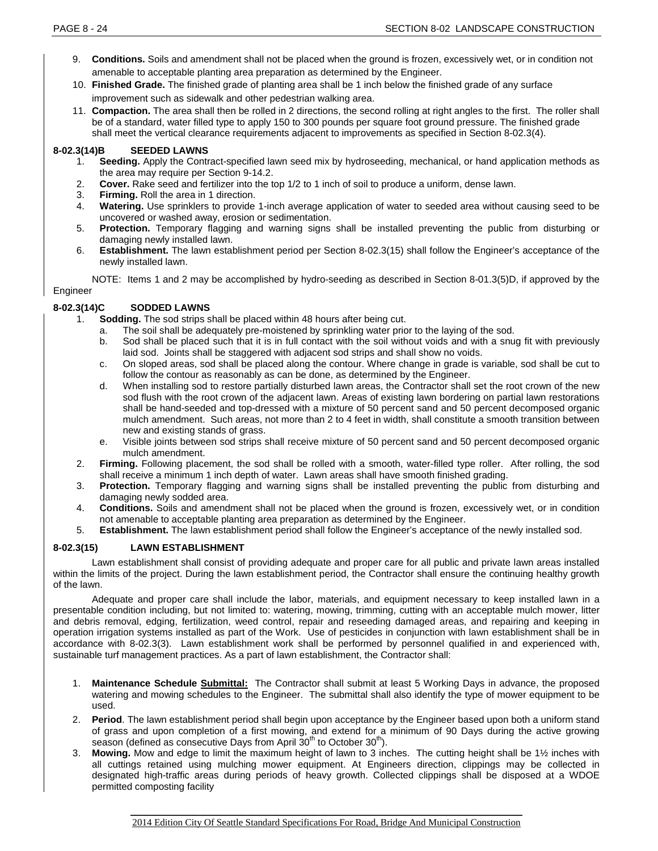- 9. **Conditions.** Soils and amendment shall not be placed when the ground is frozen, excessively wet, or in condition not amenable to acceptable planting area preparation as determined by the Engineer.
- 10. **Finished Grade.** The finished grade of planting area shall be 1 inch below the finished grade of any surface improvement such as sidewalk and other pedestrian walking area.
- 11. **Compaction.** The area shall then be rolled in 2 directions, the second rolling at right angles to the first. The roller shall be of a standard, water filled type to apply 150 to 300 pounds per square foot ground pressure. The finished grade shall meet the vertical clearance requirements adjacent to improvements as specified in Section 8-02.3(4).

### **8-02.3(14)B SEEDED LAWNS**

- 1. **Seeding.** Apply the Contract-specified lawn seed mix by hydroseeding, mechanical, or hand application methods as the area may require per Section 9-14.2.
- 2. **Cover.** Rake seed and fertilizer into the top 1/2 to 1 inch of soil to produce a uniform, dense lawn.
- 3. **Firming.** Roll the area in 1 direction.
- 4. **Watering.** Use sprinklers to provide 1-inch average application of water to seeded area without causing seed to be uncovered or washed away, erosion or sedimentation.
- 5. **Protection.** Temporary flagging and warning signs shall be installed preventing the public from disturbing or damaging newly installed lawn.
- 6. **Establishment.** The lawn establishment period per Section 8-02.3(15) shall follow the Engineer's acceptance of the newly installed lawn.

NOTE: Items 1 and 2 may be accomplished by hydro-seeding as described in Section 8-01.3(5)D, if approved by the Engineer

# **8-02.3(14)C SODDED LAWNS**

- 1. **Sodding.** The sod strips shall be placed within 48 hours after being cut.
	- a. The soil shall be adequately pre-moistened by sprinkling water prior to the laying of the sod.
	- b. Sod shall be placed such that it is in full contact with the soil without voids and with a snug fit with previously laid sod. Joints shall be staggered with adjacent sod strips and shall show no voids.
	- c. On sloped areas, sod shall be placed along the contour. Where change in grade is variable, sod shall be cut to follow the contour as reasonably as can be done, as determined by the Engineer.
	- d. When installing sod to restore partially disturbed lawn areas, the Contractor shall set the root crown of the new sod flush with the root crown of the adjacent lawn. Areas of existing lawn bordering on partial lawn restorations shall be hand-seeded and top-dressed with a mixture of 50 percent sand and 50 percent decomposed organic mulch amendment. Such areas, not more than 2 to 4 feet in width, shall constitute a smooth transition between new and existing stands of grass.
	- e. Visible joints between sod strips shall receive mixture of 50 percent sand and 50 percent decomposed organic mulch amendment.
- 2. **Firming.** Following placement, the sod shall be rolled with a smooth, water-filled type roller. After rolling, the sod shall receive a minimum 1 inch depth of water. Lawn areas shall have smooth finished grading.
- 3. **Protection.** Temporary flagging and warning signs shall be installed preventing the public from disturbing and damaging newly sodded area.
- 4. **Conditions.** Soils and amendment shall not be placed when the ground is frozen, excessively wet, or in condition not amenable to acceptable planting area preparation as determined by the Engineer.
- 5. **Establishment.** The lawn establishment period shall follow the Engineer's acceptance of the newly installed sod.

# **8-02.3(15) LAWN ESTABLISHMENT**

Lawn establishment shall consist of providing adequate and proper care for all public and private lawn areas installed within the limits of the project. During the lawn establishment period, the Contractor shall ensure the continuing healthy growth of the lawn.

Adequate and proper care shall include the labor, materials, and equipment necessary to keep installed lawn in a presentable condition including, but not limited to: watering, mowing, trimming, cutting with an acceptable mulch mower, litter and debris removal, edging, fertilization, weed control, repair and reseeding damaged areas, and repairing and keeping in operation irrigation systems installed as part of the Work. Use of pesticides in conjunction with lawn establishment shall be in accordance with 8-02.3(3). Lawn establishment work shall be performed by personnel qualified in and experienced with, sustainable turf management practices. As a part of lawn establishment, the Contractor shall:

- 1. **Maintenance Schedule Submittal:** The Contractor shall submit at least 5 Working Days in advance, the proposed watering and mowing schedules to the Engineer. The submittal shall also identify the type of mower equipment to be used.
- 2. **Period**. The lawn establishment period shall begin upon acceptance by the Engineer based upon both a uniform stand of grass and upon completion of a first mowing, and extend for a minimum of 90 Days during the active growing season (defined as consecutive Days from April  $30<sup>th</sup>$  to October  $30<sup>th</sup>$ ).
- 3. **Mowing.** Mow and edge to limit the maximum height of lawn to 3 inches. The cutting height shall be 1½ inches with all cuttings retained using mulching mower equipment. At Engineers direction, clippings may be collected in designated high-traffic areas during periods of heavy growth. Collected clippings shall be disposed at a WDOE permitted composting facility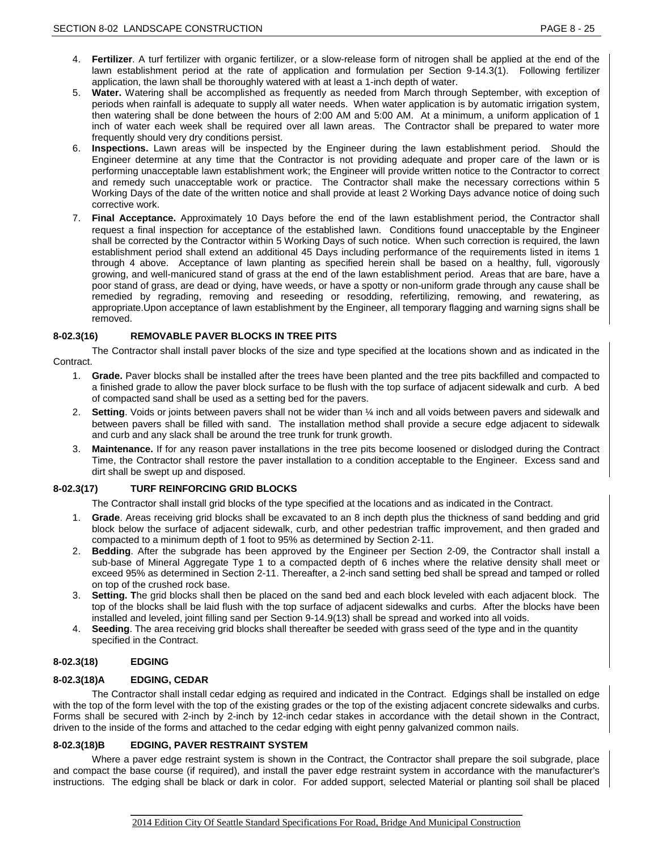- 4. **Fertilizer**. A turf fertilizer with organic fertilizer, or a slow-release form of nitrogen shall be applied at the end of the lawn establishment period at the rate of application and formulation per Section 9-14.3(1). Following fertilizer application, the lawn shall be thoroughly watered with at least a 1-inch depth of water.
- 5. **Water.** Watering shall be accomplished as frequently as needed from March through September, with exception of periods when rainfall is adequate to supply all water needs. When water application is by automatic irrigation system, then watering shall be done between the hours of 2:00 AM and 5:00 AM. At a minimum, a uniform application of 1 inch of water each week shall be required over all lawn areas. The Contractor shall be prepared to water more frequently should very dry conditions persist.
- 6. **Inspections.** Lawn areas will be inspected by the Engineer during the lawn establishment period. Should the Engineer determine at any time that the Contractor is not providing adequate and proper care of the lawn or is performing unacceptable lawn establishment work; the Engineer will provide written notice to the Contractor to correct and remedy such unacceptable work or practice. The Contractor shall make the necessary corrections within 5 Working Days of the date of the written notice and shall provide at least 2 Working Days advance notice of doing such corrective work.
- 7. **Final Acceptance.** Approximately 10 Days before the end of the lawn establishment period, the Contractor shall request a final inspection for acceptance of the established lawn. Conditions found unacceptable by the Engineer shall be corrected by the Contractor within 5 Working Days of such notice. When such correction is required, the lawn establishment period shall extend an additional 45 Days including performance of the requirements listed in items 1 through 4 above. Acceptance of lawn planting as specified herein shall be based on a healthy, full, vigorously growing, and well-manicured stand of grass at the end of the lawn establishment period. Areas that are bare, have a poor stand of grass, are dead or dying, have weeds, or have a spotty or non-uniform grade through any cause shall be remedied by regrading, removing and reseeding or resodding, refertilizing, remowing, and rewatering, as appropriate.Upon acceptance of lawn establishment by the Engineer, all temporary flagging and warning signs shall be removed.

### **8-02.3(16) REMOVABLE PAVER BLOCKS IN TREE PITS**

The Contractor shall install paver blocks of the size and type specified at the locations shown and as indicated in the Contract.

- 1. **Grade.** Paver blocks shall be installed after the trees have been planted and the tree pits backfilled and compacted to a finished grade to allow the paver block surface to be flush with the top surface of adjacent sidewalk and curb. A bed of compacted sand shall be used as a setting bed for the pavers.
- 2. **Setting**. Voids or joints between pavers shall not be wider than ¼ inch and all voids between pavers and sidewalk and between pavers shall be filled with sand. The installation method shall provide a secure edge adjacent to sidewalk and curb and any slack shall be around the tree trunk for trunk growth.
- 3. **Maintenance.** If for any reason paver installations in the tree pits become loosened or dislodged during the Contract Time, the Contractor shall restore the paver installation to a condition acceptable to the Engineer. Excess sand and dirt shall be swept up and disposed.

### **8-02.3(17) TURF REINFORCING GRID BLOCKS**

The Contractor shall install grid blocks of the type specified at the locations and as indicated in the Contract.

- 1. **Grade**. Areas receiving grid blocks shall be excavated to an 8 inch depth plus the thickness of sand bedding and grid block below the surface of adjacent sidewalk, curb, and other pedestrian traffic improvement, and then graded and compacted to a minimum depth of 1 foot to 95% as determined by Section 2-11.
- 2. **Bedding**. After the subgrade has been approved by the Engineer per Section 2-09, the Contractor shall install a sub-base of Mineral Aggregate Type 1 to a compacted depth of 6 inches where the relative density shall meet or exceed 95% as determined in Section 2-11. Thereafter, a 2-inch sand setting bed shall be spread and tamped or rolled on top of the crushed rock base.
- 3. **Setting. T**he grid blocks shall then be placed on the sand bed and each block leveled with each adjacent block. The top of the blocks shall be laid flush with the top surface of adjacent sidewalks and curbs. After the blocks have been installed and leveled, joint filling sand per Section 9-14.9(13) shall be spread and worked into all voids.
- 4. **Seeding**. The area receiving grid blocks shall thereafter be seeded with grass seed of the type and in the quantity specified in the Contract.

### **8-02.3(18) EDGING**

### **8-02.3(18)A EDGING, CEDAR**

The Contractor shall install cedar edging as required and indicated in the Contract. Edgings shall be installed on edge with the top of the form level with the top of the existing grades or the top of the existing adjacent concrete sidewalks and curbs. Forms shall be secured with 2-inch by 2-inch by 12-inch cedar stakes in accordance with the detail shown in the Contract, driven to the inside of the forms and attached to the cedar edging with eight penny galvanized common nails.

### **8-02.3(18)B EDGING, PAVER RESTRAINT SYSTEM**

Where a paver edge restraint system is shown in the Contract, the Contractor shall prepare the soil subgrade, place and compact the base course (if required), and install the paver edge restraint system in accordance with the manufacturer's instructions. The edging shall be black or dark in color. For added support, selected Material or planting soil shall be placed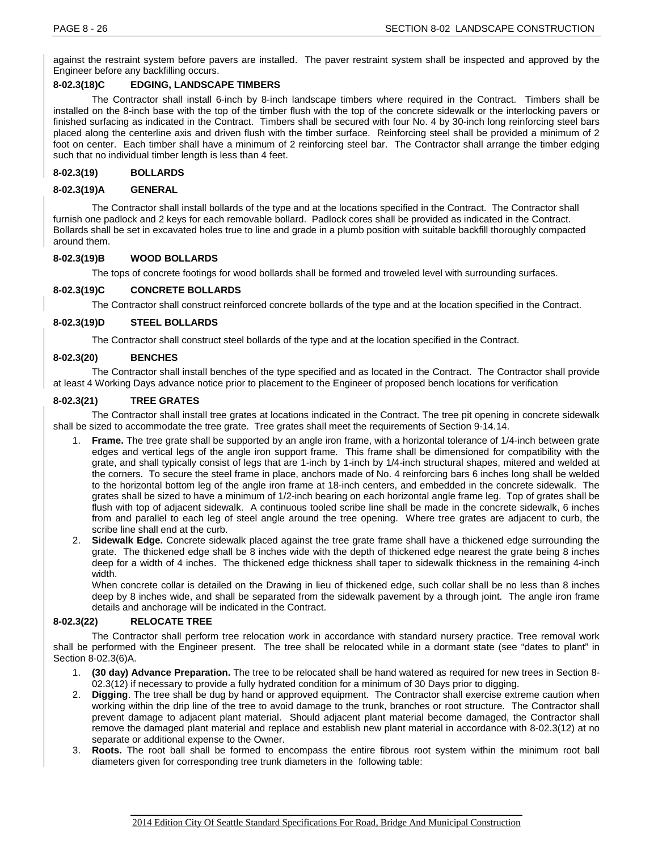against the restraint system before pavers are installed. The paver restraint system shall be inspected and approved by the Engineer before any backfilling occurs.

# **8-02.3(18)C EDGING, LANDSCAPE TIMBERS**

The Contractor shall install 6-inch by 8-inch landscape timbers where required in the Contract. Timbers shall be installed on the 8-inch base with the top of the timber flush with the top of the concrete sidewalk or the interlocking pavers or finished surfacing as indicated in the Contract. Timbers shall be secured with four No. 4 by 30-inch long reinforcing steel bars placed along the centerline axis and driven flush with the timber surface. Reinforcing steel shall be provided a minimum of 2 foot on center. Each timber shall have a minimum of 2 reinforcing steel bar. The Contractor shall arrange the timber edging such that no individual timber length is less than 4 feet.

# **8-02.3(19) BOLLARDS**

### **8-02.3(19)A GENERAL**

The Contractor shall install bollards of the type and at the locations specified in the Contract. The Contractor shall furnish one padlock and 2 keys for each removable bollard. Padlock cores shall be provided as indicated in the Contract. Bollards shall be set in excavated holes true to line and grade in a plumb position with suitable backfill thoroughly compacted around them.

### **8-02.3(19)B WOOD BOLLARDS**

The tops of concrete footings for wood bollards shall be formed and troweled level with surrounding surfaces.

# **8-02.3(19)C CONCRETE BOLLARDS**

The Contractor shall construct reinforced concrete bollards of the type and at the location specified in the Contract.

### **8-02.3(19)D STEEL BOLLARDS**

The Contractor shall construct steel bollards of the type and at the location specified in the Contract.

### **8-02.3(20) BENCHES**

The Contractor shall install benches of the type specified and as located in the Contract. The Contractor shall provide at least 4 Working Days advance notice prior to placement to the Engineer of proposed bench locations for verification

#### **8-02.3(21) TREE GRATES**

The Contractor shall install tree grates at locations indicated in the Contract. The tree pit opening in concrete sidewalk shall be sized to accommodate the tree grate. Tree grates shall meet the requirements of Section 9-14.14.

- 1. **Frame.** The tree grate shall be supported by an angle iron frame, with a horizontal tolerance of 1/4-inch between grate edges and vertical legs of the angle iron support frame. This frame shall be dimensioned for compatibility with the grate, and shall typically consist of legs that are 1-inch by 1-inch by 1/4-inch structural shapes, mitered and welded at the corners. To secure the steel frame in place, anchors made of No. 4 reinforcing bars 6 inches long shall be welded to the horizontal bottom leg of the angle iron frame at 18-inch centers, and embedded in the concrete sidewalk. The grates shall be sized to have a minimum of 1/2-inch bearing on each horizontal angle frame leg. Top of grates shall be flush with top of adjacent sidewalk. A continuous tooled scribe line shall be made in the concrete sidewalk, 6 inches from and parallel to each leg of steel angle around the tree opening. Where tree grates are adjacent to curb, the scribe line shall end at the curb.
- 2. **Sidewalk Edge.** Concrete sidewalk placed against the tree grate frame shall have a thickened edge surrounding the grate. The thickened edge shall be 8 inches wide with the depth of thickened edge nearest the grate being 8 inches deep for a width of 4 inches. The thickened edge thickness shall taper to sidewalk thickness in the remaining 4-inch width.

When concrete collar is detailed on the Drawing in lieu of thickened edge, such collar shall be no less than 8 inches deep by 8 inches wide, and shall be separated from the sidewalk pavement by a through joint. The angle iron frame details and anchorage will be indicated in the Contract.

# **8-02.3(22) RELOCATE TREE**

The Contractor shall perform tree relocation work in accordance with standard nursery practice. Tree removal work shall be performed with the Engineer present. The tree shall be relocated while in a dormant state (see "dates to plant" in Section 8-02.3(6)A.

- 1. **(30 day) Advance Preparation.** The tree to be relocated shall be hand watered as required for new trees in Section 8- 02.3(12) if necessary to provide a fully hydrated condition for a minimum of 30 Days prior to digging.
- 2. **Digging**. The tree shall be dug by hand or approved equipment. The Contractor shall exercise extreme caution when working within the drip line of the tree to avoid damage to the trunk, branches or root structure. The Contractor shall prevent damage to adjacent plant material. Should adjacent plant material become damaged, the Contractor shall remove the damaged plant material and replace and establish new plant material in accordance with 8-02.3(12) at no separate or additional expense to the Owner.
- 3. **Roots.** The root ball shall be formed to encompass the entire fibrous root system within the minimum root ball diameters given for corresponding tree trunk diameters in the following table: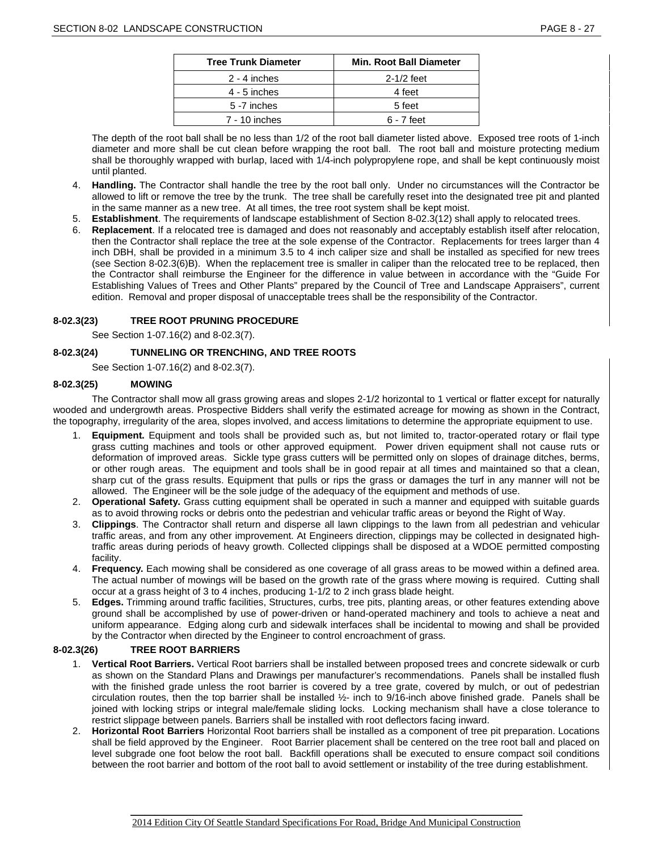| <b>Tree Trunk Diameter</b> | <b>Min. Root Ball Diameter</b> |
|----------------------------|--------------------------------|
| 2 - 4 inches               | $2-1/2$ feet                   |
| $4 - 5$ inches             | 4 feet                         |
| 5 -7 inches                | 5 feet                         |
| 7 - 10 inches              | $6 - 7$ feet                   |

The depth of the root ball shall be no less than 1/2 of the root ball diameter listed above. Exposed tree roots of 1-inch diameter and more shall be cut clean before wrapping the root ball. The root ball and moisture protecting medium shall be thoroughly wrapped with burlap, laced with 1/4-inch polypropylene rope, and shall be kept continuously moist until planted.

- 4. **Handling.** The Contractor shall handle the tree by the root ball only. Under no circumstances will the Contractor be allowed to lift or remove the tree by the trunk. The tree shall be carefully reset into the designated tree pit and planted in the same manner as a new tree. At all times, the tree root system shall be kept moist.
- 5. **Establishment**. The requirements of landscape establishment of Section 8-02.3(12) shall apply to relocated trees.
- 6. **Replacement**. If a relocated tree is damaged and does not reasonably and acceptably establish itself after relocation, then the Contractor shall replace the tree at the sole expense of the Contractor. Replacements for trees larger than 4 inch DBH, shall be provided in a minimum 3.5 to 4 inch caliper size and shall be installed as specified for new trees (see Section 8-02.3(6)B). When the replacement tree is smaller in caliper than the relocated tree to be replaced, then the Contractor shall reimburse the Engineer for the difference in value between in accordance with the "Guide For Establishing Values of Trees and Other Plants" prepared by the Council of Tree and Landscape Appraisers", current edition. Removal and proper disposal of unacceptable trees shall be the responsibility of the Contractor.

# **8-02.3(23) TREE ROOT PRUNING PROCEDURE**

See Section 1-07.16(2) and 8-02.3(7).

# **8-02.3(24) TUNNELING OR TRENCHING, AND TREE ROOTS**

See Section 1-07.16(2) and 8-02.3(7).

### **8-02.3(25) MOWING**

The Contractor shall mow all grass growing areas and slopes 2-1/2 horizontal to 1 vertical or flatter except for naturally wooded and undergrowth areas. Prospective Bidders shall verify the estimated acreage for mowing as shown in the Contract, the topography, irregularity of the area, slopes involved, and access limitations to determine the appropriate equipment to use.

- 1. **Equipment.** Equipment and tools shall be provided such as, but not limited to, tractor-operated rotary or flail type grass cutting machines and tools or other approved equipment. Power driven equipment shall not cause ruts or deformation of improved areas. Sickle type grass cutters will be permitted only on slopes of drainage ditches, berms, or other rough areas. The equipment and tools shall be in good repair at all times and maintained so that a clean, sharp cut of the grass results. Equipment that pulls or rips the grass or damages the turf in any manner will not be allowed. The Engineer will be the sole judge of the adequacy of the equipment and methods of use.
- 2. **Operational Safety.** Grass cutting equipment shall be operated in such a manner and equipped with suitable guards as to avoid throwing rocks or debris onto the pedestrian and vehicular traffic areas or beyond the Right of Way.
- 3. **Clippings**. The Contractor shall return and disperse all lawn clippings to the lawn from all pedestrian and vehicular traffic areas, and from any other improvement. At Engineers direction, clippings may be collected in designated hightraffic areas during periods of heavy growth. Collected clippings shall be disposed at a WDOE permitted composting facility.
- 4. **Frequency.** Each mowing shall be considered as one coverage of all grass areas to be mowed within a defined area. The actual number of mowings will be based on the growth rate of the grass where mowing is required. Cutting shall occur at a grass height of 3 to 4 inches, producing 1-1/2 to 2 inch grass blade height.
- 5. **Edges.** Trimming around traffic facilities, Structures, curbs, tree pits, planting areas, or other features extending above ground shall be accomplished by use of power-driven or hand-operated machinery and tools to achieve a neat and uniform appearance. Edging along curb and sidewalk interfaces shall be incidental to mowing and shall be provided by the Contractor when directed by the Engineer to control encroachment of grass.

### **8-02.3(26) TREE ROOT BARRIERS**

- 1. **Vertical Root Barriers.** Vertical Root barriers shall be installed between proposed trees and concrete sidewalk or curb as shown on the Standard Plans and Drawings per manufacturer's recommendations. Panels shall be installed flush with the finished grade unless the root barrier is covered by a tree grate, covered by mulch, or out of pedestrian circulation routes, then the top barrier shall be installed ½- inch to 9/16-inch above finished grade. Panels shall be joined with locking strips or integral male/female sliding locks. Locking mechanism shall have a close tolerance to restrict slippage between panels. Barriers shall be installed with root deflectors facing inward.
- 2. **Horizontal Root Barriers** Horizontal Root barriers shall be installed as a component of tree pit preparation. Locations shall be field approved by the Engineer. Root Barrier placement shall be centered on the tree root ball and placed on level subgrade one foot below the root ball. Backfill operations shall be executed to ensure compact soil conditions between the root barrier and bottom of the root ball to avoid settlement or instability of the tree during establishment.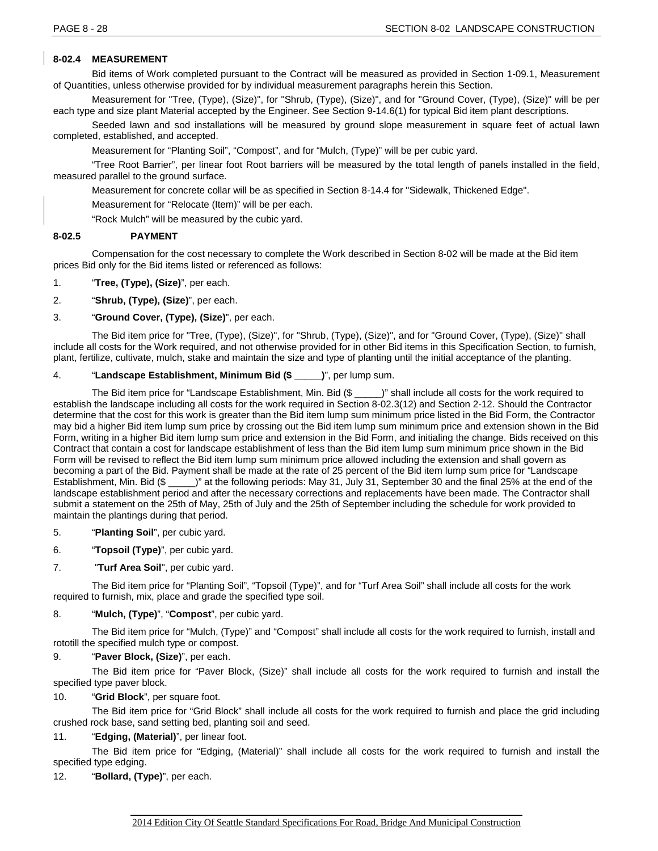# **8-02.4 MEASUREMENT**

Bid items of Work completed pursuant to the Contract will be measured as provided in Section 1-09.1, Measurement of Quantities, unless otherwise provided for by individual measurement paragraphs herein this Section.

Measurement for "Tree, (Type), (Size)", for "Shrub, (Type), (Size)", and for "Ground Cover, (Type), (Size)" will be per each type and size plant Material accepted by the Engineer. See Section 9-14.6(1) for typical Bid item plant descriptions.

Seeded lawn and sod installations will be measured by ground slope measurement in square feet of actual lawn completed, established, and accepted.

Measurement for "Planting Soil", "Compost", and for "Mulch, (Type)" will be per cubic yard.

"Tree Root Barrier", per linear foot Root barriers will be measured by the total length of panels installed in the field, measured parallel to the ground surface.

Measurement for concrete collar will be as specified in Section 8-14.4 for "Sidewalk, Thickened Edge".

Measurement for "Relocate (Item)" will be per each.

"Rock Mulch" will be measured by the cubic yard.

### **8-02.5 PAYMENT**

Compensation for the cost necessary to complete the Work described in Section 8-02 will be made at the Bid item prices Bid only for the Bid items listed or referenced as follows:

- 1. "**Tree, (Type), (Size)**", per each.
- 2. "**Shrub, (Type), (Size)**", per each.
- 3. "**Ground Cover, (Type), (Size)**", per each.

The Bid item price for "Tree, (Type), (Size)", for "Shrub, (Type), (Size)", and for "Ground Cover, (Type), (Size)" shall include all costs for the Work required, and not otherwise provided for in other Bid items in this Specification Section, to furnish, plant, fertilize, cultivate, mulch, stake and maintain the size and type of planting until the initial acceptance of the planting.

# 4. "**Landscape Establishment, Minimum Bid (\$ \_\_\_\_\_)**", per lump sum.

The Bid item price for "Landscape Establishment, Min. Bid (\$ )" shall include all costs for the work required to establish the landscape including all costs for the work required in Section 8-02.3(12) and Section 2-12. Should the Contractor determine that the cost for this work is greater than the Bid item lump sum minimum price listed in the Bid Form, the Contractor may bid a higher Bid item lump sum price by crossing out the Bid item lump sum minimum price and extension shown in the Bid Form, writing in a higher Bid item lump sum price and extension in the Bid Form, and initialing the change. Bids received on this Contract that contain a cost for landscape establishment of less than the Bid item lump sum minimum price shown in the Bid Form will be revised to reflect the Bid item lump sum minimum price allowed including the extension and shall govern as becoming a part of the Bid. Payment shall be made at the rate of 25 percent of the Bid item lump sum price for "Landscape Establishment, Min. Bid (\$ \_\_\_\_\_)" at the following periods: May 31, July 31, September 30 and the final 25% at the end of the landscape establishment period and after the necessary corrections and replacements have been made. The Contractor shall submit a statement on the 25th of May, 25th of July and the 25th of September including the schedule for work provided to maintain the plantings during that period.

- 5. "**Planting Soil**", per cubic yard.
- 6. "**Topsoil (Type)**", per cubic yard.
- 7. "**Turf Area Soil**", per cubic yard.

The Bid item price for "Planting Soil", "Topsoil (Type)", and for "Turf Area Soil" shall include all costs for the work required to furnish, mix, place and grade the specified type soil.

# 8. "**Mulch, (Type)**", "**Compost**", per cubic yard.

The Bid item price for "Mulch, (Type)" and "Compost" shall include all costs for the work required to furnish, install and rototill the specified mulch type or compost.

# 9. "**Paver Block, (Size)**", per each.

The Bid item price for "Paver Block, (Size)" shall include all costs for the work required to furnish and install the specified type paver block.

### 10. "**Grid Block**", per square foot.

The Bid item price for "Grid Block" shall include all costs for the work required to furnish and place the grid including crushed rock base, sand setting bed, planting soil and seed.

# 11. "**Edging, (Material)**", per linear foot.

The Bid item price for "Edging, (Material)" shall include all costs for the work required to furnish and install the specified type edging.

### 12. "**Bollard, (Type)**", per each.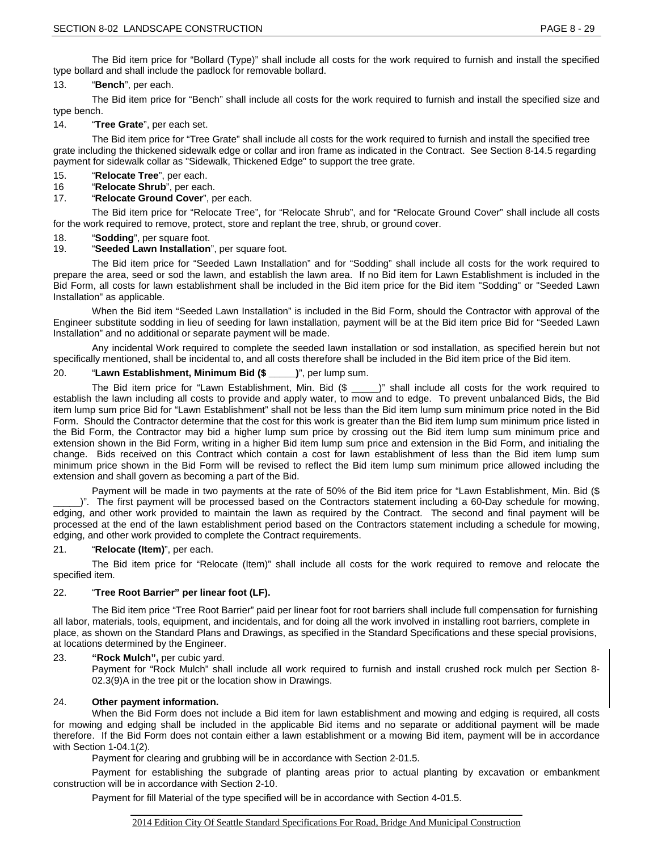### 13. "**Bench**", per each.

The Bid item price for "Bench" shall include all costs for the work required to furnish and install the specified size and type bench.

# 14. "**Tree Grate**", per each set.

The Bid item price for "Tree Grate" shall include all costs for the work required to furnish and install the specified tree grate including the thickened sidewalk edge or collar and iron frame as indicated in the Contract. See Section 8-14.5 regarding payment for sidewalk collar as "Sidewalk, Thickened Edge" to support the tree grate.

- 15. "**Relocate Tree**", per each.
- 16 "**Relocate Shrub**", per each.

# 17. "**Relocate Ground Cover**", per each.

The Bid item price for "Relocate Tree", for "Relocate Shrub", and for "Relocate Ground Cover" shall include all costs for the work required to remove, protect, store and replant the tree, shrub, or ground cover.

- 18. "**Sodding**", per square foot.
- 19. "**Seeded Lawn Installation**", per square foot.

The Bid item price for "Seeded Lawn Installation" and for "Sodding" shall include all costs for the work required to prepare the area, seed or sod the lawn, and establish the lawn area. If no Bid item for Lawn Establishment is included in the Bid Form, all costs for lawn establishment shall be included in the Bid item price for the Bid item "Sodding" or "Seeded Lawn Installation" as applicable.

When the Bid item "Seeded Lawn Installation" is included in the Bid Form, should the Contractor with approval of the Engineer substitute sodding in lieu of seeding for lawn installation, payment will be at the Bid item price Bid for "Seeded Lawn Installation" and no additional or separate payment will be made.

Any incidental Work required to complete the seeded lawn installation or sod installation, as specified herein but not specifically mentioned, shall be incidental to, and all costs therefore shall be included in the Bid item price of the Bid item.

# 20. "**Lawn Establishment, Minimum Bid (\$ \_\_\_\_\_)**", per lump sum.

The Bid item price for "Lawn Establishment, Min. Bid (\$ \_\_\_\_)" shall include all costs for the work required to establish the lawn including all costs to provide and apply water, to mow and to edge. To prevent unbalanced Bids, the Bid item lump sum price Bid for "Lawn Establishment" shall not be less than the Bid item lump sum minimum price noted in the Bid Form. Should the Contractor determine that the cost for this work is greater than the Bid item lump sum minimum price listed in the Bid Form, the Contractor may bid a higher lump sum price by crossing out the Bid item lump sum minimum price and extension shown in the Bid Form, writing in a higher Bid item lump sum price and extension in the Bid Form, and initialing the change. Bids received on this Contract which contain a cost for lawn establishment of less than the Bid item lump sum minimum price shown in the Bid Form will be revised to reflect the Bid item lump sum minimum price allowed including the extension and shall govern as becoming a part of the Bid.

Payment will be made in two payments at the rate of 50% of the Bid item price for "Lawn Establishment, Min. Bid (\$

)". The first payment will be processed based on the Contractors statement including a 60-Day schedule for mowing, edging, and other work provided to maintain the lawn as required by the Contract. The second and final payment will be processed at the end of the lawn establishment period based on the Contractors statement including a schedule for mowing, edging, and other work provided to complete the Contract requirements.

### 21. "**Relocate (Item)**", per each.

The Bid item price for "Relocate (Item)" shall include all costs for the work required to remove and relocate the specified item.

### 22. "**Tree Root Barrier" per linear foot (LF).**

The Bid item price "Tree Root Barrier" paid per linear foot for root barriers shall include full compensation for furnishing all labor, materials, tools, equipment, and incidentals, and for doing all the work involved in installing root barriers, complete in place, as shown on the Standard Plans and Drawings, as specified in the Standard Specifications and these special provisions, at locations determined by the Engineer.

### 23. **"Rock Mulch",** per cubic yard.

Payment for "Rock Mulch" shall include all work required to furnish and install crushed rock mulch per Section 8- 02.3(9)A in the tree pit or the location show in Drawings.

### 24. **Other payment information.**

When the Bid Form does not include a Bid item for lawn establishment and mowing and edging is required, all costs for mowing and edging shall be included in the applicable Bid items and no separate or additional payment will be made therefore. If the Bid Form does not contain either a lawn establishment or a mowing Bid item, payment will be in accordance with Section 1-04.1(2).

Payment for clearing and grubbing will be in accordance with Section 2-01.5.

Payment for establishing the subgrade of planting areas prior to actual planting by excavation or embankment construction will be in accordance with Section 2-10.

Payment for fill Material of the type specified will be in accordance with Section 4-01.5.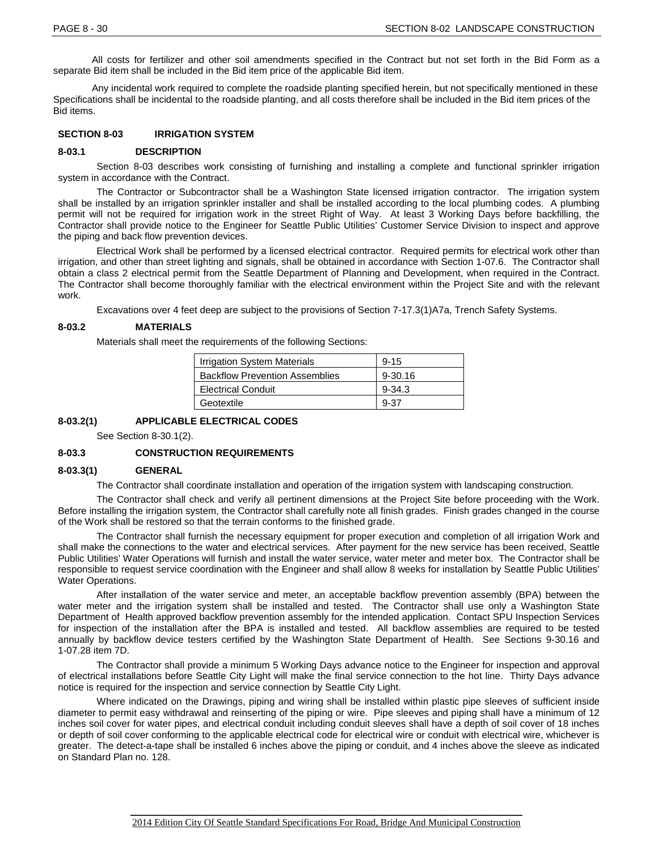All costs for fertilizer and other soil amendments specified in the Contract but not set forth in the Bid Form as a separate Bid item shall be included in the Bid item price of the applicable Bid item.

Any incidental work required to complete the roadside planting specified herein, but not specifically mentioned in these Specifications shall be incidental to the roadside planting, and all costs therefore shall be included in the Bid item prices of the Bid items.

#### **SECTION 8-03 IRRIGATION SYSTEM**

#### **8-03.1 DESCRIPTION**

Section 8-03 describes work consisting of furnishing and installing a complete and functional sprinkler irrigation system in accordance with the Contract.

The Contractor or Subcontractor shall be a Washington State licensed irrigation contractor. The irrigation system shall be installed by an irrigation sprinkler installer and shall be installed according to the local plumbing codes. A plumbing permit will not be required for irrigation work in the street Right of Way. At least 3 Working Days before backfilling, the Contractor shall provide notice to the Engineer for Seattle Public Utilities' Customer Service Division to inspect and approve the piping and back flow prevention devices.

Electrical Work shall be performed by a licensed electrical contractor. Required permits for electrical work other than irrigation, and other than street lighting and signals, shall be obtained in accordance with Section 1-07.6. The Contractor shall obtain a class 2 electrical permit from the Seattle Department of Planning and Development, when required in the Contract. The Contractor shall become thoroughly familiar with the electrical environment within the Project Site and with the relevant work.

Excavations over 4 feet deep are subject to the provisions of Section 7-17.3(1)A7a, Trench Safety Systems.

#### **8-03.2 MATERIALS**

Materials shall meet the requirements of the following Sections:

| <b>Irrigation System Materials</b>    | $9 - 15$    |
|---------------------------------------|-------------|
| <b>Backflow Prevention Assemblies</b> | $9 - 30.16$ |
| <b>Electrical Conduit</b>             | $9 - 34.3$  |
| Geotextile                            | 9-37        |

**8-03.2(1) APPLICABLE ELECTRICAL CODES**

See Section 8-30.1(2).

#### **8-03.3 CONSTRUCTION REQUIREMENTS**

#### **8-03.3(1) GENERAL**

The Contractor shall coordinate installation and operation of the irrigation system with landscaping construction.

The Contractor shall check and verify all pertinent dimensions at the Project Site before proceeding with the Work. Before installing the irrigation system, the Contractor shall carefully note all finish grades. Finish grades changed in the course of the Work shall be restored so that the terrain conforms to the finished grade.

The Contractor shall furnish the necessary equipment for proper execution and completion of all irrigation Work and shall make the connections to the water and electrical services. After payment for the new service has been received, Seattle Public Utilities' Water Operations will furnish and install the water service, water meter and meter box. The Contractor shall be responsible to request service coordination with the Engineer and shall allow 8 weeks for installation by Seattle Public Utilities' Water Operations.

After installation of the water service and meter, an acceptable backflow prevention assembly (BPA) between the water meter and the irrigation system shall be installed and tested. The Contractor shall use only a Washington State Department of Health approved backflow prevention assembly for the intended application. Contact SPU Inspection Services for inspection of the installation after the BPA is installed and tested. All backflow assemblies are required to be tested annually by backflow device testers certified by the Washington State Department of Health. See Sections 9-30.16 and 1-07.28 item 7D.

The Contractor shall provide a minimum 5 Working Days advance notice to the Engineer for inspection and approval of electrical installations before Seattle City Light will make the final service connection to the hot line. Thirty Days advance notice is required for the inspection and service connection by Seattle City Light.

Where indicated on the Drawings, piping and wiring shall be installed within plastic pipe sleeves of sufficient inside diameter to permit easy withdrawal and reinserting of the piping or wire. Pipe sleeves and piping shall have a minimum of 12 inches soil cover for water pipes, and electrical conduit including conduit sleeves shall have a depth of soil cover of 18 inches or depth of soil cover conforming to the applicable electrical code for electrical wire or conduit with electrical wire, whichever is greater. The detect-a-tape shall be installed 6 inches above the piping or conduit, and 4 inches above the sleeve as indicated on Standard Plan no. 128.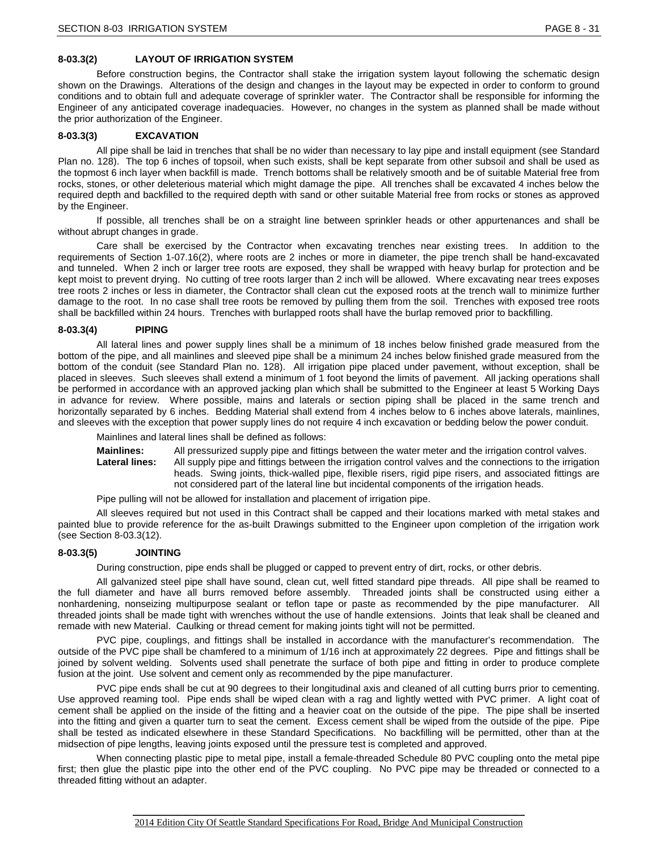## **8-03.3(2) LAYOUT OF IRRIGATION SYSTEM**

Before construction begins, the Contractor shall stake the irrigation system layout following the schematic design shown on the Drawings. Alterations of the design and changes in the layout may be expected in order to conform to ground conditions and to obtain full and adequate coverage of sprinkler water. The Contractor shall be responsible for informing the Engineer of any anticipated coverage inadequacies. However, no changes in the system as planned shall be made without the prior authorization of the Engineer.

#### **8-03.3(3) EXCAVATION**

All pipe shall be laid in trenches that shall be no wider than necessary to lay pipe and install equipment (see Standard Plan no. 128). The top 6 inches of topsoil, when such exists, shall be kept separate from other subsoil and shall be used as the topmost 6 inch layer when backfill is made. Trench bottoms shall be relatively smooth and be of suitable Material free from rocks, stones, or other deleterious material which might damage the pipe. All trenches shall be excavated 4 inches below the required depth and backfilled to the required depth with sand or other suitable Material free from rocks or stones as approved by the Engineer.

If possible, all trenches shall be on a straight line between sprinkler heads or other appurtenances and shall be without abrupt changes in grade.

Care shall be exercised by the Contractor when excavating trenches near existing trees. In addition to the requirements of Section 1-07.16(2), where roots are 2 inches or more in diameter, the pipe trench shall be hand-excavated and tunneled. When 2 inch or larger tree roots are exposed, they shall be wrapped with heavy burlap for protection and be kept moist to prevent drying. No cutting of tree roots larger than 2 inch will be allowed. Where excavating near trees exposes tree roots 2 inches or less in diameter, the Contractor shall clean cut the exposed roots at the trench wall to minimize further damage to the root. In no case shall tree roots be removed by pulling them from the soil. Trenches with exposed tree roots shall be backfilled within 24 hours. Trenches with burlapped roots shall have the burlap removed prior to backfilling.

#### **8-03.3(4) PIPING**

All lateral lines and power supply lines shall be a minimum of 18 inches below finished grade measured from the bottom of the pipe, and all mainlines and sleeved pipe shall be a minimum 24 inches below finished grade measured from the bottom of the conduit (see Standard Plan no. 128). All irrigation pipe placed under pavement, without exception, shall be placed in sleeves. Such sleeves shall extend a minimum of 1 foot beyond the limits of pavement. All jacking operations shall be performed in accordance with an approved jacking plan which shall be submitted to the Engineer at least 5 Working Days in advance for review. Where possible, mains and laterals or section piping shall be placed in the same trench and horizontally separated by 6 inches. Bedding Material shall extend from 4 inches below to 6 inches above laterals, mainlines, and sleeves with the exception that power supply lines do not require 4 inch excavation or bedding below the power conduit.

Mainlines and lateral lines shall be defined as follows:

**Mainlines:** All pressurized supply pipe and fittings between the water meter and the irrigation control valves.

**Lateral lines:** All supply pipe and fittings between the irrigation control valves and the connections to the irrigation heads. Swing joints, thick-walled pipe, flexible risers, rigid pipe risers, and associated fittings are not considered part of the lateral line but incidental components of the irrigation heads.

Pipe pulling will not be allowed for installation and placement of irrigation pipe.

All sleeves required but not used in this Contract shall be capped and their locations marked with metal stakes and painted blue to provide reference for the as-built Drawings submitted to the Engineer upon completion of the irrigation work (see Section 8-03.3(12).

### **8-03.3(5) JOINTING**

During construction, pipe ends shall be plugged or capped to prevent entry of dirt, rocks, or other debris.

All galvanized steel pipe shall have sound, clean cut, well fitted standard pipe threads. All pipe shall be reamed to the full diameter and have all burrs removed before assembly. Threaded joints shall be constructed using either a nonhardening, nonseizing multipurpose sealant or teflon tape or paste as recommended by the pipe manufacturer. All threaded joints shall be made tight with wrenches without the use of handle extensions. Joints that leak shall be cleaned and remade with new Material. Caulking or thread cement for making joints tight will not be permitted.

PVC pipe, couplings, and fittings shall be installed in accordance with the manufacturer's recommendation. The outside of the PVC pipe shall be chamfered to a minimum of 1/16 inch at approximately 22 degrees. Pipe and fittings shall be joined by solvent welding. Solvents used shall penetrate the surface of both pipe and fitting in order to produce complete fusion at the joint. Use solvent and cement only as recommended by the pipe manufacturer.

PVC pipe ends shall be cut at 90 degrees to their longitudinal axis and cleaned of all cutting burrs prior to cementing. Use approved reaming tool. Pipe ends shall be wiped clean with a rag and lightly wetted with PVC primer. A light coat of cement shall be applied on the inside of the fitting and a heavier coat on the outside of the pipe. The pipe shall be inserted into the fitting and given a quarter turn to seat the cement. Excess cement shall be wiped from the outside of the pipe. Pipe shall be tested as indicated elsewhere in these Standard Specifications. No backfilling will be permitted, other than at the midsection of pipe lengths, leaving joints exposed until the pressure test is completed and approved.

When connecting plastic pipe to metal pipe, install a female-threaded Schedule 80 PVC coupling onto the metal pipe first; then glue the plastic pipe into the other end of the PVC coupling. No PVC pipe may be threaded or connected to a threaded fitting without an adapter.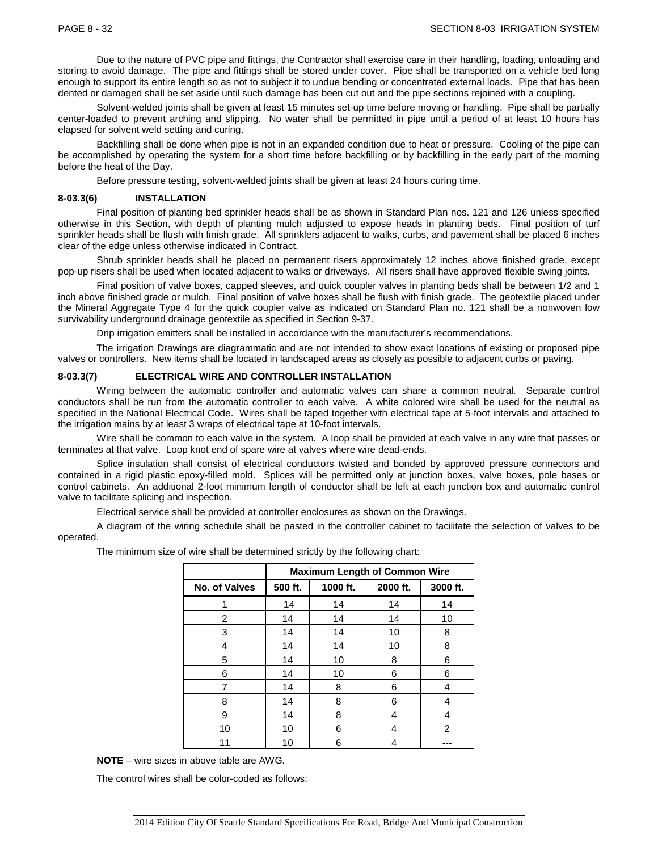Due to the nature of PVC pipe and fittings, the Contractor shall exercise care in their handling, loading, unloading and storing to avoid damage. The pipe and fittings shall be stored under cover. Pipe shall be transported on a vehicle bed long enough to support its entire length so as not to subject it to undue bending or concentrated external loads. Pipe that has been dented or damaged shall be set aside until such damage has been cut out and the pipe sections rejoined with a coupling.

Solvent-welded joints shall be given at least 15 minutes set-up time before moving or handling. Pipe shall be partially center-loaded to prevent arching and slipping. No water shall be permitted in pipe until a period of at least 10 hours has elapsed for solvent weld setting and curing.

Backfilling shall be done when pipe is not in an expanded condition due to heat or pressure. Cooling of the pipe can be accomplished by operating the system for a short time before backfilling or by backfilling in the early part of the morning before the heat of the Day.

Before pressure testing, solvent-welded joints shall be given at least 24 hours curing time.

#### **8-03.3(6) INSTALLATION**

Final position of planting bed sprinkler heads shall be as shown in Standard Plan nos. 121 and 126 unless specified otherwise in this Section, with depth of planting mulch adjusted to expose heads in planting beds. Final position of turf sprinkler heads shall be flush with finish grade. All sprinklers adjacent to walks, curbs, and pavement shall be placed 6 inches clear of the edge unless otherwise indicated in Contract.

Shrub sprinkler heads shall be placed on permanent risers approximately 12 inches above finished grade, except pop-up risers shall be used when located adjacent to walks or driveways. All risers shall have approved flexible swing joints.

Final position of valve boxes, capped sleeves, and quick coupler valves in planting beds shall be between 1/2 and 1 inch above finished grade or mulch. Final position of valve boxes shall be flush with finish grade. The geotextile placed under the Mineral Aggregate Type 4 for the quick coupler valve as indicated on Standard Plan no. 121 shall be a nonwoven low survivability underground drainage geotextile as specified in Section 9-37.

Drip irrigation emitters shall be installed in accordance with the manufacturer's recommendations.

The irrigation Drawings are diagrammatic and are not intended to show exact locations of existing or proposed pipe valves or controllers. New items shall be located in landscaped areas as closely as possible to adjacent curbs or paving.

#### **8-03.3(7) ELECTRICAL WIRE AND CONTROLLER INSTALLATION**

Wiring between the automatic controller and automatic valves can share a common neutral. Separate control conductors shall be run from the automatic controller to each valve. A white colored wire shall be used for the neutral as specified in the National Electrical Code. Wires shall be taped together with electrical tape at 5-foot intervals and attached to the irrigation mains by at least 3 wraps of electrical tape at 10-foot intervals.

Wire shall be common to each valve in the system. A loop shall be provided at each valve in any wire that passes or terminates at that valve. Loop knot end of spare wire at valves where wire dead-ends.

Splice insulation shall consist of electrical conductors twisted and bonded by approved pressure connectors and contained in a rigid plastic epoxy-filled mold. Splices will be permitted only at junction boxes, valve boxes, pole bases or control cabinets. An additional 2-foot minimum length of conductor shall be left at each junction box and automatic control valve to facilitate splicing and inspection.

Electrical service shall be provided at controller enclosures as shown on the Drawings.

A diagram of the wiring schedule shall be pasted in the controller cabinet to facilitate the selection of valves to be operated.

The minimum size of wire shall be determined strictly by the following chart:

|               | <b>Maximum Length of Common Wire</b> |          |          |                |
|---------------|--------------------------------------|----------|----------|----------------|
| No. of Valves | 500 ft.                              | 1000 ft. | 2000 ft. | 3000 ft.       |
| 1             | 14                                   | 14       | 14       | 14             |
| 2             | 14                                   | 14       | 14       | 10             |
| 3             | 14                                   | 14       | 10       | 8              |
| 4             | 14                                   | 14       | 10       | 8              |
| 5             | 14                                   | 10       | 8        | 6              |
| 6             | 14                                   | 10       | 6        | 6              |
| 7             | 14                                   | 8        | 6        | 4              |
| 8             | 14                                   | 8        | 6        | 4              |
| 9             | 14                                   | 8        | 4        | 4              |
| 10            | 10                                   | 6        | 4        | $\overline{2}$ |
| 11            | 10                                   | 6        | 4        |                |

**NOTE** – wire sizes in above table are AWG.

The control wires shall be color-coded as follows: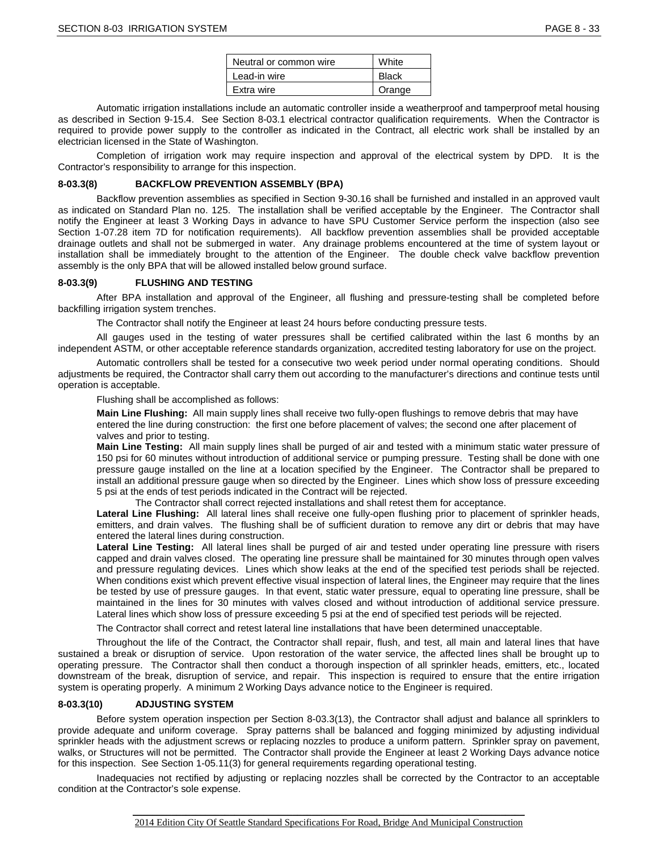| Neutral or common wire | White  |  |
|------------------------|--------|--|
| Lead-in wire           | Black  |  |
| Extra wire             | Orange |  |

Automatic irrigation installations include an automatic controller inside a weatherproof and tamperproof metal housing as described in Section 9-15.4. See Section 8-03.1 electrical contractor qualification requirements. When the Contractor is required to provide power supply to the controller as indicated in the Contract, all electric work shall be installed by an electrician licensed in the State of Washington.

Completion of irrigation work may require inspection and approval of the electrical system by DPD. It is the Contractor's responsibility to arrange for this inspection.

#### **8-03.3(8) BACKFLOW PREVENTION ASSEMBLY (BPA)**

Backflow prevention assemblies as specified in Section 9-30.16 shall be furnished and installed in an approved vault as indicated on Standard Plan no. 125. The installation shall be verified acceptable by the Engineer. The Contractor shall notify the Engineer at least 3 Working Days in advance to have SPU Customer Service perform the inspection (also see Section 1-07.28 item 7D for notification requirements). All backflow prevention assemblies shall be provided acceptable drainage outlets and shall not be submerged in water. Any drainage problems encountered at the time of system layout or installation shall be immediately brought to the attention of the Engineer. The double check valve backflow prevention assembly is the only BPA that will be allowed installed below ground surface.

#### **8-03.3(9) FLUSHING AND TESTING**

After BPA installation and approval of the Engineer, all flushing and pressure-testing shall be completed before backfilling irrigation system trenches.

The Contractor shall notify the Engineer at least 24 hours before conducting pressure tests.

All gauges used in the testing of water pressures shall be certified calibrated within the last 6 months by an independent ASTM, or other acceptable reference standards organization, accredited testing laboratory for use on the project.

Automatic controllers shall be tested for a consecutive two week period under normal operating conditions. Should adjustments be required, the Contractor shall carry them out according to the manufacturer's directions and continue tests until operation is acceptable.

Flushing shall be accomplished as follows:

**Main Line Flushing:** All main supply lines shall receive two fully-open flushings to remove debris that may have entered the line during construction: the first one before placement of valves; the second one after placement of valves and prior to testing.

**Main Line Testing:** All main supply lines shall be purged of air and tested with a minimum static water pressure of 150 psi for 60 minutes without introduction of additional service or pumping pressure. Testing shall be done with one pressure gauge installed on the line at a location specified by the Engineer. The Contractor shall be prepared to install an additional pressure gauge when so directed by the Engineer. Lines which show loss of pressure exceeding 5 psi at the ends of test periods indicated in the Contract will be rejected.

The Contractor shall correct rejected installations and shall retest them for acceptance.

**Lateral Line Flushing:** All lateral lines shall receive one fully-open flushing prior to placement of sprinkler heads, emitters, and drain valves. The flushing shall be of sufficient duration to remove any dirt or debris that may have entered the lateral lines during construction.

**Lateral Line Testing:** All lateral lines shall be purged of air and tested under operating line pressure with risers capped and drain valves closed. The operating line pressure shall be maintained for 30 minutes through open valves and pressure regulating devices. Lines which show leaks at the end of the specified test periods shall be rejected. When conditions exist which prevent effective visual inspection of lateral lines, the Engineer may require that the lines be tested by use of pressure gauges. In that event, static water pressure, equal to operating line pressure, shall be maintained in the lines for 30 minutes with valves closed and without introduction of additional service pressure. Lateral lines which show loss of pressure exceeding 5 psi at the end of specified test periods will be rejected.

The Contractor shall correct and retest lateral line installations that have been determined unacceptable.

Throughout the life of the Contract, the Contractor shall repair, flush, and test, all main and lateral lines that have sustained a break or disruption of service. Upon restoration of the water service, the affected lines shall be brought up to operating pressure. The Contractor shall then conduct a thorough inspection of all sprinkler heads, emitters, etc., located downstream of the break, disruption of service, and repair. This inspection is required to ensure that the entire irrigation system is operating properly. A minimum 2 Working Days advance notice to the Engineer is required.

#### **8-03.3(10) ADJUSTING SYSTEM**

Before system operation inspection per Section 8-03.3(13), the Contractor shall adjust and balance all sprinklers to provide adequate and uniform coverage. Spray patterns shall be balanced and fogging minimized by adjusting individual sprinkler heads with the adjustment screws or replacing nozzles to produce a uniform pattern. Sprinkler spray on pavement, walks, or Structures will not be permitted. The Contractor shall provide the Engineer at least 2 Working Days advance notice for this inspection. See Section 1-05.11(3) for general requirements regarding operational testing.

Inadequacies not rectified by adjusting or replacing nozzles shall be corrected by the Contractor to an acceptable condition at the Contractor's sole expense.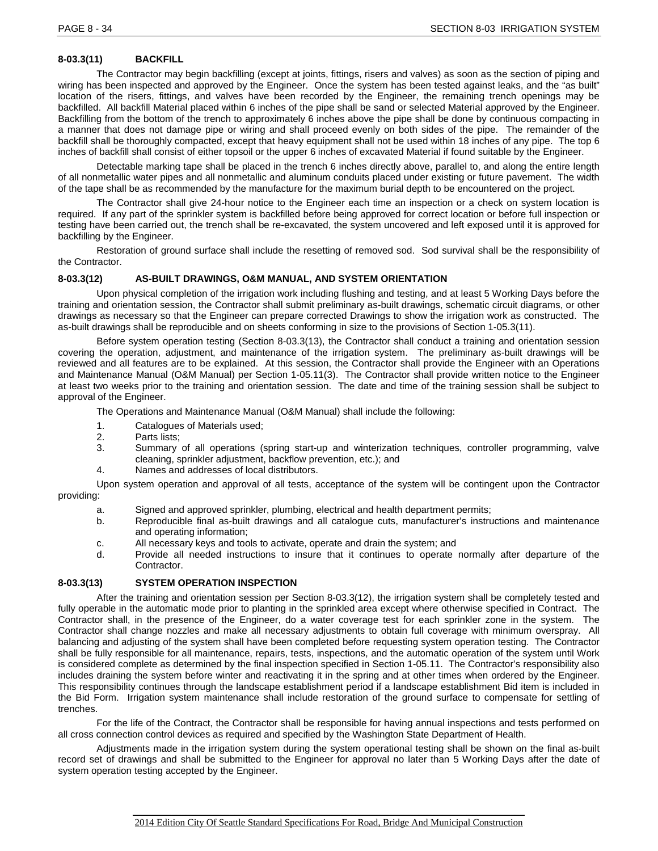# **8-03.3(11) BACKFILL**

The Contractor may begin backfilling (except at joints, fittings, risers and valves) as soon as the section of piping and wiring has been inspected and approved by the Engineer. Once the system has been tested against leaks, and the "as built" location of the risers, fittings, and valves have been recorded by the Engineer, the remaining trench openings may be backfilled. All backfill Material placed within 6 inches of the pipe shall be sand or selected Material approved by the Engineer. Backfilling from the bottom of the trench to approximately 6 inches above the pipe shall be done by continuous compacting in a manner that does not damage pipe or wiring and shall proceed evenly on both sides of the pipe. The remainder of the backfill shall be thoroughly compacted, except that heavy equipment shall not be used within 18 inches of any pipe. The top 6 inches of backfill shall consist of either topsoil or the upper 6 inches of excavated Material if found suitable by the Engineer.

Detectable marking tape shall be placed in the trench 6 inches directly above, parallel to, and along the entire length of all nonmetallic water pipes and all nonmetallic and aluminum conduits placed under existing or future pavement. The width of the tape shall be as recommended by the manufacture for the maximum burial depth to be encountered on the project.

The Contractor shall give 24-hour notice to the Engineer each time an inspection or a check on system location is required. If any part of the sprinkler system is backfilled before being approved for correct location or before full inspection or testing have been carried out, the trench shall be re-excavated, the system uncovered and left exposed until it is approved for backfilling by the Engineer.

Restoration of ground surface shall include the resetting of removed sod. Sod survival shall be the responsibility of the Contractor.

### **8-03.3(12) AS-BUILT DRAWINGS, O&M MANUAL, AND SYSTEM ORIENTATION**

Upon physical completion of the irrigation work including flushing and testing, and at least 5 Working Days before the training and orientation session, the Contractor shall submit preliminary as-built drawings, schematic circuit diagrams, or other drawings as necessary so that the Engineer can prepare corrected Drawings to show the irrigation work as constructed. The as-built drawings shall be reproducible and on sheets conforming in size to the provisions of Section 1-05.3(11).

Before system operation testing (Section 8-03.3(13), the Contractor shall conduct a training and orientation session covering the operation, adjustment, and maintenance of the irrigation system. The preliminary as-built drawings will be reviewed and all features are to be explained. At this session, the Contractor shall provide the Engineer with an Operations and Maintenance Manual (O&M Manual) per Section 1-05.11(3). The Contractor shall provide written notice to the Engineer at least two weeks prior to the training and orientation session. The date and time of the training session shall be subject to approval of the Engineer.

The Operations and Maintenance Manual (O&M Manual) shall include the following:

- 1. Catalogues of Materials used;<br>2. Parts lists;
- 2. Parts lists;<br>3. Summary
- Summary of all operations (spring start-up and winterization techniques, controller programming, valve cleaning, sprinkler adjustment, backflow prevention, etc.); and
- 4. Names and addresses of local distributors.

Upon system operation and approval of all tests, acceptance of the system will be contingent upon the Contractor providing:

- a. Signed and approved sprinkler, plumbing, electrical and health department permits;
- b. Reproducible final as-built drawings and all catalogue cuts, manufacturer's instructions and maintenance and operating information;
- c. All necessary keys and tools to activate, operate and drain the system; and d.<br>d. Provide all needed instructions to insure that it continues to operate
- Provide all needed instructions to insure that it continues to operate normally after departure of the **Contractor**

### **8-03.3(13) SYSTEM OPERATION INSPECTION**

After the training and orientation session per Section 8-03.3(12), the irrigation system shall be completely tested and fully operable in the automatic mode prior to planting in the sprinkled area except where otherwise specified in Contract. The Contractor shall, in the presence of the Engineer, do a water coverage test for each sprinkler zone in the system. The Contractor shall change nozzles and make all necessary adjustments to obtain full coverage with minimum overspray. All balancing and adjusting of the system shall have been completed before requesting system operation testing. The Contractor shall be fully responsible for all maintenance, repairs, tests, inspections, and the automatic operation of the system until Work is considered complete as determined by the final inspection specified in Section 1-05.11. The Contractor's responsibility also includes draining the system before winter and reactivating it in the spring and at other times when ordered by the Engineer. This responsibility continues through the landscape establishment period if a landscape establishment Bid item is included in the Bid Form. Irrigation system maintenance shall include restoration of the ground surface to compensate for settling of trenches.

For the life of the Contract, the Contractor shall be responsible for having annual inspections and tests performed on all cross connection control devices as required and specified by the Washington State Department of Health.

Adjustments made in the irrigation system during the system operational testing shall be shown on the final as-built record set of drawings and shall be submitted to the Engineer for approval no later than 5 Working Days after the date of system operation testing accepted by the Engineer.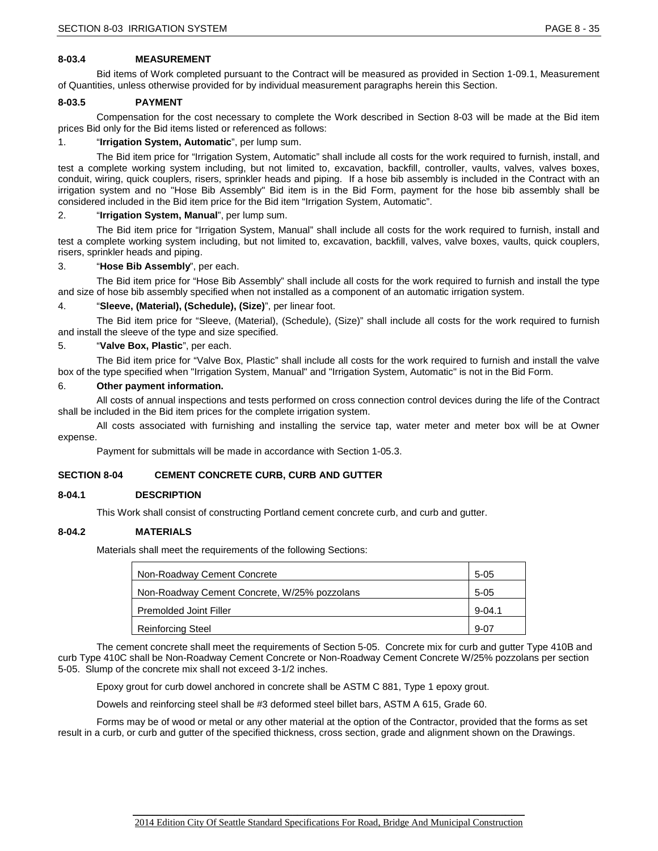### **8-03.4 MEASUREMENT**

Bid items of Work completed pursuant to the Contract will be measured as provided in Section 1-09.1, Measurement of Quantities, unless otherwise provided for by individual measurement paragraphs herein this Section.

#### **8-03.5 PAYMENT**

Compensation for the cost necessary to complete the Work described in Section 8-03 will be made at the Bid item prices Bid only for the Bid items listed or referenced as follows:

#### 1. "**Irrigation System, Automatic**", per lump sum.

The Bid item price for "Irrigation System, Automatic" shall include all costs for the work required to furnish, install, and test a complete working system including, but not limited to, excavation, backfill, controller, vaults, valves, valves boxes, conduit, wiring, quick couplers, risers, sprinkler heads and piping. If a hose bib assembly is included in the Contract with an irrigation system and no "Hose Bib Assembly" Bid item is in the Bid Form, payment for the hose bib assembly shall be considered included in the Bid item price for the Bid item "Irrigation System, Automatic".

#### 2. "**Irrigation System, Manual**", per lump sum.

The Bid item price for "Irrigation System, Manual" shall include all costs for the work required to furnish, install and test a complete working system including, but not limited to, excavation, backfill, valves, valve boxes, vaults, quick couplers, risers, sprinkler heads and piping.

#### 3. "**Hose Bib Assembly**", per each.

The Bid item price for "Hose Bib Assembly" shall include all costs for the work required to furnish and install the type and size of hose bib assembly specified when not installed as a component of an automatic irrigation system.

#### 4. "**Sleeve, (Material), (Schedule), (Size)**", per linear foot.

The Bid item price for "Sleeve, (Material), (Schedule), (Size)" shall include all costs for the work required to furnish and install the sleeve of the type and size specified.

#### 5. "**Valve Box, Plastic**", per each.

The Bid item price for "Valve Box, Plastic" shall include all costs for the work required to furnish and install the valve box of the type specified when "Irrigation System, Manual" and "Irrigation System, Automatic" is not in the Bid Form.

#### 6. **Other payment information.**

All costs of annual inspections and tests performed on cross connection control devices during the life of the Contract shall be included in the Bid item prices for the complete irrigation system.

All costs associated with furnishing and installing the service tap, water meter and meter box will be at Owner expense.

Payment for submittals will be made in accordance with Section 1-05.3.

### **SECTION 8-04 CEMENT CONCRETE CURB, CURB AND GUTTER**

#### **8-04.1 DESCRIPTION**

This Work shall consist of constructing Portland cement concrete curb, and curb and gutter.

### **8-04.2 MATERIALS**

Materials shall meet the requirements of the following Sections:

| Non-Roadway Cement Concrete                  |          |
|----------------------------------------------|----------|
| Non-Roadway Cement Concrete, W/25% pozzolans |          |
| <b>Premolded Joint Filler</b>                | $9-04.1$ |
| <b>Reinforcing Steel</b>                     | $9 - 07$ |

The cement concrete shall meet the requirements of Section 5-05. Concrete mix for curb and gutter Type 410B and curb Type 410C shall be Non-Roadway Cement Concrete or Non-Roadway Cement Concrete W/25% pozzolans per section 5-05. Slump of the concrete mix shall not exceed 3-1/2 inches.

Epoxy grout for curb dowel anchored in concrete shall be ASTM C 881, Type 1 epoxy grout.

Dowels and reinforcing steel shall be #3 deformed steel billet bars, ASTM A 615, Grade 60.

Forms may be of wood or metal or any other material at the option of the Contractor, provided that the forms as set result in a curb, or curb and gutter of the specified thickness, cross section, grade and alignment shown on the Drawings.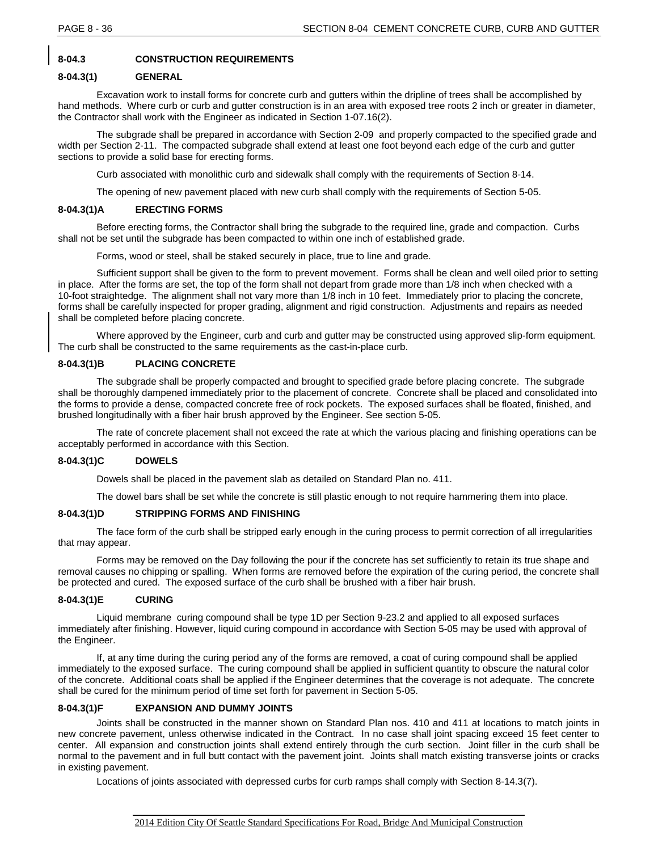# **8-04.3 CONSTRUCTION REQUIREMENTS**

### **8-04.3(1) GENERAL**

Excavation work to install forms for concrete curb and gutters within the dripline of trees shall be accomplished by hand methods. Where curb or curb and gutter construction is in an area with exposed tree roots 2 inch or greater in diameter, the Contractor shall work with the Engineer as indicated in Section 1-07.16(2).

The subgrade shall be prepared in accordance with Section 2-09 and properly compacted to the specified grade and width per Section 2-11. The compacted subgrade shall extend at least one foot beyond each edge of the curb and gutter sections to provide a solid base for erecting forms.

Curb associated with monolithic curb and sidewalk shall comply with the requirements of Section 8-14.

The opening of new pavement placed with new curb shall comply with the requirements of Section 5-05.

### **8-04.3(1)A ERECTING FORMS**

Before erecting forms, the Contractor shall bring the subgrade to the required line, grade and compaction. Curbs shall not be set until the subgrade has been compacted to within one inch of established grade.

Forms, wood or steel, shall be staked securely in place, true to line and grade.

Sufficient support shall be given to the form to prevent movement. Forms shall be clean and well oiled prior to setting in place. After the forms are set, the top of the form shall not depart from grade more than 1/8 inch when checked with a 10-foot straightedge. The alignment shall not vary more than 1/8 inch in 10 feet. Immediately prior to placing the concrete, forms shall be carefully inspected for proper grading, alignment and rigid construction. Adjustments and repairs as needed shall be completed before placing concrete.

Where approved by the Engineer, curb and curb and gutter may be constructed using approved slip-form equipment. The curb shall be constructed to the same requirements as the cast-in-place curb.

### **8-04.3(1)B PLACING CONCRETE**

The subgrade shall be properly compacted and brought to specified grade before placing concrete. The subgrade shall be thoroughly dampened immediately prior to the placement of concrete. Concrete shall be placed and consolidated into the forms to provide a dense, compacted concrete free of rock pockets. The exposed surfaces shall be floated, finished, and brushed longitudinally with a fiber hair brush approved by the Engineer. See section 5-05.

The rate of concrete placement shall not exceed the rate at which the various placing and finishing operations can be acceptably performed in accordance with this Section.

# **8-04.3(1)C DOWELS**

Dowels shall be placed in the pavement slab as detailed on Standard Plan no. 411.

The dowel bars shall be set while the concrete is still plastic enough to not require hammering them into place.

### **8-04.3(1)D STRIPPING FORMS AND FINISHING**

The face form of the curb shall be stripped early enough in the curing process to permit correction of all irregularities that may appear.

Forms may be removed on the Day following the pour if the concrete has set sufficiently to retain its true shape and removal causes no chipping or spalling. When forms are removed before the expiration of the curing period, the concrete shall be protected and cured. The exposed surface of the curb shall be brushed with a fiber hair brush.

### **8-04.3(1)E CURING**

Liquid membrane curing compound shall be type 1D per Section 9-23.2 and applied to all exposed surfaces immediately after finishing. However, liquid curing compound in accordance with Section 5-05 may be used with approval of the Engineer.

If, at any time during the curing period any of the forms are removed, a coat of curing compound shall be applied immediately to the exposed surface. The curing compound shall be applied in sufficient quantity to obscure the natural color of the concrete. Additional coats shall be applied if the Engineer determines that the coverage is not adequate. The concrete shall be cured for the minimum period of time set forth for pavement in Section 5-05.

### **8-04.3(1)F EXPANSION AND DUMMY JOINTS**

Joints shall be constructed in the manner shown on Standard Plan nos. 410 and 411 at locations to match joints in new concrete pavement, unless otherwise indicated in the Contract. In no case shall joint spacing exceed 15 feet center to center. All expansion and construction joints shall extend entirely through the curb section. Joint filler in the curb shall be normal to the pavement and in full butt contact with the pavement joint. Joints shall match existing transverse joints or cracks in existing pavement.

Locations of joints associated with depressed curbs for curb ramps shall comply with Section 8-14.3(7).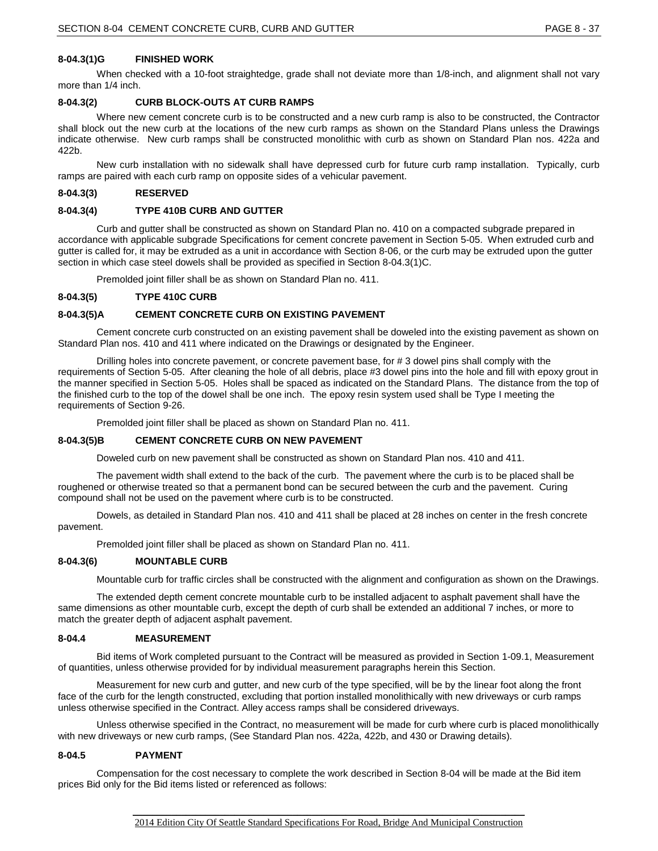# **8-04.3(1)G FINISHED WORK**

When checked with a 10-foot straightedge, grade shall not deviate more than 1/8-inch, and alignment shall not vary more than 1/4 inch.

#### **8-04.3(2) CURB BLOCK-OUTS AT CURB RAMPS**

Where new cement concrete curb is to be constructed and a new curb ramp is also to be constructed, the Contractor shall block out the new curb at the locations of the new curb ramps as shown on the Standard Plans unless the Drawings indicate otherwise. New curb ramps shall be constructed monolithic with curb as shown on Standard Plan nos. 422a and 422b.

New curb installation with no sidewalk shall have depressed curb for future curb ramp installation. Typically, curb ramps are paired with each curb ramp on opposite sides of a vehicular pavement.

#### **8-04.3(3) RESERVED**

#### **8-04.3(4) TYPE 410B CURB AND GUTTER**

Curb and gutter shall be constructed as shown on Standard Plan no. 410 on a compacted subgrade prepared in accordance with applicable subgrade Specifications for cement concrete pavement in Section 5-05. When extruded curb and gutter is called for, it may be extruded as a unit in accordance with Section 8-06, or the curb may be extruded upon the gutter section in which case steel dowels shall be provided as specified in Section 8-04.3(1)C.

Premolded joint filler shall be as shown on Standard Plan no. 411.

#### **8-04.3(5) TYPE 410C CURB**

#### **8-04.3(5)A CEMENT CONCRETE CURB ON EXISTING PAVEMENT**

Cement concrete curb constructed on an existing pavement shall be doweled into the existing pavement as shown on Standard Plan nos. 410 and 411 where indicated on the Drawings or designated by the Engineer.

Drilling holes into concrete pavement, or concrete pavement base, for # 3 dowel pins shall comply with the requirements of Section 5-05. After cleaning the hole of all debris, place #3 dowel pins into the hole and fill with epoxy grout in the manner specified in Section 5-05. Holes shall be spaced as indicated on the Standard Plans. The distance from the top of the finished curb to the top of the dowel shall be one inch. The epoxy resin system used shall be Type I meeting the requirements of Section 9-26.

Premolded joint filler shall be placed as shown on Standard Plan no. 411.

#### **8-04.3(5)B CEMENT CONCRETE CURB ON NEW PAVEMENT**

Doweled curb on new pavement shall be constructed as shown on Standard Plan nos. 410 and 411.

The pavement width shall extend to the back of the curb. The pavement where the curb is to be placed shall be roughened or otherwise treated so that a permanent bond can be secured between the curb and the pavement. Curing compound shall not be used on the pavement where curb is to be constructed.

Dowels, as detailed in Standard Plan nos. 410 and 411 shall be placed at 28 inches on center in the fresh concrete pavement.

Premolded joint filler shall be placed as shown on Standard Plan no. 411.

#### **8-04.3(6) MOUNTABLE CURB**

Mountable curb for traffic circles shall be constructed with the alignment and configuration as shown on the Drawings.

The extended depth cement concrete mountable curb to be installed adjacent to asphalt pavement shall have the same dimensions as other mountable curb, except the depth of curb shall be extended an additional 7 inches, or more to match the greater depth of adjacent asphalt pavement.

#### **8-04.4 MEASUREMENT**

Bid items of Work completed pursuant to the Contract will be measured as provided in Section 1-09.1, Measurement of quantities, unless otherwise provided for by individual measurement paragraphs herein this Section.

Measurement for new curb and gutter, and new curb of the type specified, will be by the linear foot along the front face of the curb for the length constructed, excluding that portion installed monolithically with new driveways or curb ramps unless otherwise specified in the Contract. Alley access ramps shall be considered driveways.

Unless otherwise specified in the Contract, no measurement will be made for curb where curb is placed monolithically with new driveways or new curb ramps, (See Standard Plan nos. 422a, 422b, and 430 or Drawing details).

#### **8-04.5 PAYMENT**

Compensation for the cost necessary to complete the work described in Section 8-04 will be made at the Bid item prices Bid only for the Bid items listed or referenced as follows: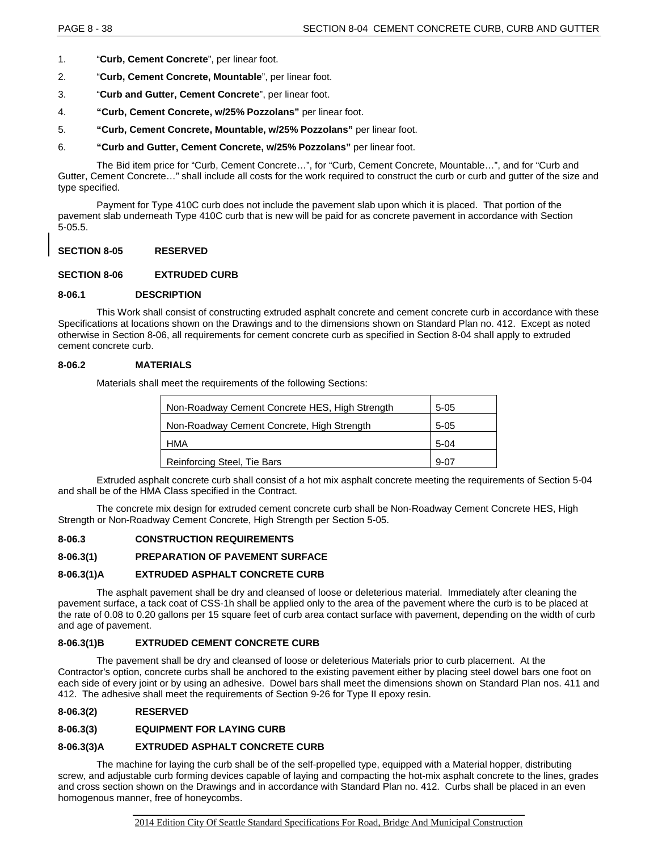- 1. "**Curb, Cement Concrete**", per linear foot.
- 2. "**Curb, Cement Concrete, Mountable**", per linear foot.
- 3. "**Curb and Gutter, Cement Concrete**", per linear foot.
- 4. **"Curb, Cement Concrete, w/25% Pozzolans"** per linear foot.
- 5. **"Curb, Cement Concrete, Mountable, w/25% Pozzolans"** per linear foot.
- 6. **"Curb and Gutter, Cement Concrete, w/25% Pozzolans"** per linear foot.

The Bid item price for "Curb, Cement Concrete…", for "Curb, Cement Concrete, Mountable…", and for "Curb and Gutter, Cement Concrete…" shall include all costs for the work required to construct the curb or curb and gutter of the size and type specified.

Payment for Type 410C curb does not include the pavement slab upon which it is placed. That portion of the pavement slab underneath Type 410C curb that is new will be paid for as concrete pavement in accordance with Section 5-05.5.

#### **SECTION 8-05 RESERVED**

#### **SECTION 8-06 EXTRUDED CURB**

#### **8-06.1 DESCRIPTION**

This Work shall consist of constructing extruded asphalt concrete and cement concrete curb in accordance with these Specifications at locations shown on the Drawings and to the dimensions shown on Standard Plan no. 412. Except as noted otherwise in Section 8-06, all requirements for cement concrete curb as specified in Section 8-04 shall apply to extruded cement concrete curb.

#### **8-06.2 MATERIALS**

Materials shall meet the requirements of the following Sections:

| Non-Roadway Cement Concrete HES, High Strength | $5 - 05$ |
|------------------------------------------------|----------|
| Non-Roadway Cement Concrete, High Strength     | $5-05$   |
| <b>HMA</b>                                     | $5-04$   |
| Reinforcing Steel, Tie Bars                    | $9-07$   |

Extruded asphalt concrete curb shall consist of a hot mix asphalt concrete meeting the requirements of Section 5-04 and shall be of the HMA Class specified in the Contract.

The concrete mix design for extruded cement concrete curb shall be Non-Roadway Cement Concrete HES, High Strength or Non-Roadway Cement Concrete, High Strength per Section 5-05.

#### **8-06.3 CONSTRUCTION REQUIREMENTS**

# **8-06.3(1) PREPARATION OF PAVEMENT SURFACE**

#### **8-06.3(1)A EXTRUDED ASPHALT CONCRETE CURB**

The asphalt pavement shall be dry and cleansed of loose or deleterious material. Immediately after cleaning the pavement surface, a tack coat of CSS-1h shall be applied only to the area of the pavement where the curb is to be placed at the rate of 0.08 to 0.20 gallons per 15 square feet of curb area contact surface with pavement, depending on the width of curb and age of pavement.

#### **8-06.3(1)B EXTRUDED CEMENT CONCRETE CURB**

The pavement shall be dry and cleansed of loose or deleterious Materials prior to curb placement. At the Contractor's option, concrete curbs shall be anchored to the existing pavement either by placing steel dowel bars one foot on each side of every joint or by using an adhesive. Dowel bars shall meet the dimensions shown on Standard Plan nos. 411 and 412. The adhesive shall meet the requirements of Section 9-26 for Type II epoxy resin.

**8-06.3(2) RESERVED**

# **8-06.3(3) EQUIPMENT FOR LAYING CURB**

# **8-06.3(3)A EXTRUDED ASPHALT CONCRETE CURB**

The machine for laying the curb shall be of the self-propelled type, equipped with a Material hopper, distributing screw, and adjustable curb forming devices capable of laying and compacting the hot-mix asphalt concrete to the lines, grades and cross section shown on the Drawings and in accordance with Standard Plan no. 412. Curbs shall be placed in an even homogenous manner, free of honeycombs.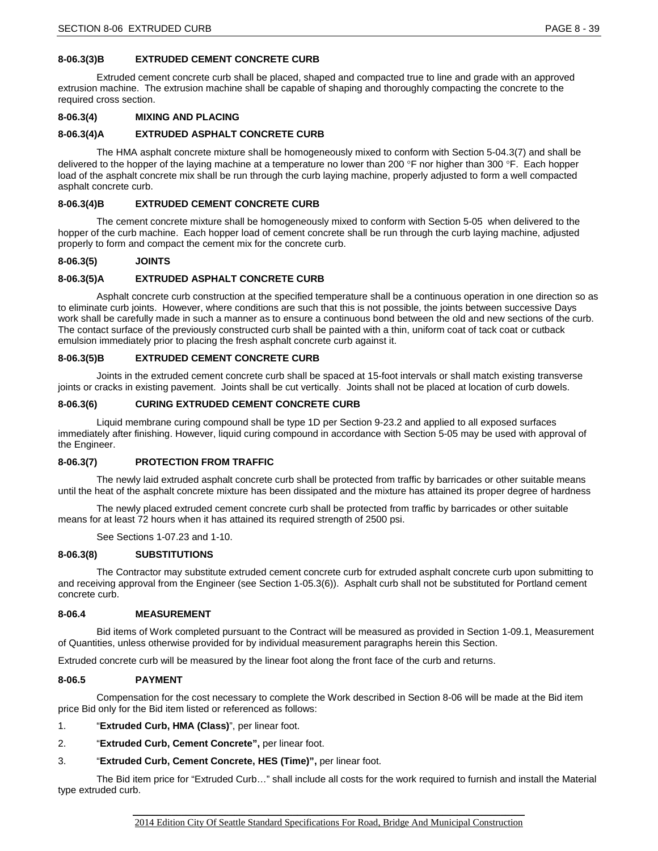# **8-06.3(3)B EXTRUDED CEMENT CONCRETE CURB**

Extruded cement concrete curb shall be placed, shaped and compacted true to line and grade with an approved extrusion machine. The extrusion machine shall be capable of shaping and thoroughly compacting the concrete to the required cross section.

# **8-06.3(4) MIXING AND PLACING**

# **8-06.3(4)A EXTRUDED ASPHALT CONCRETE CURB**

The HMA asphalt concrete mixture shall be homogeneously mixed to conform with Section 5-04.3(7) and shall be delivered to the hopper of the laying machine at a temperature no lower than 200 °F nor higher than 300 °F. Each hopper load of the asphalt concrete mix shall be run through the curb laying machine, properly adjusted to form a well compacted asphalt concrete curb.

# **8-06.3(4)B EXTRUDED CEMENT CONCRETE CURB**

The cement concrete mixture shall be homogeneously mixed to conform with Section 5-05 when delivered to the hopper of the curb machine. Each hopper load of cement concrete shall be run through the curb laying machine, adjusted properly to form and compact the cement mix for the concrete curb.

# **8-06.3(5) JOINTS**

# **8-06.3(5)A EXTRUDED ASPHALT CONCRETE CURB**

Asphalt concrete curb construction at the specified temperature shall be a continuous operation in one direction so as to eliminate curb joints. However, where conditions are such that this is not possible, the joints between successive Days work shall be carefully made in such a manner as to ensure a continuous bond between the old and new sections of the curb. The contact surface of the previously constructed curb shall be painted with a thin, uniform coat of tack coat or cutback emulsion immediately prior to placing the fresh asphalt concrete curb against it.

#### **8-06.3(5)B EXTRUDED CEMENT CONCRETE CURB**

Joints in the extruded cement concrete curb shall be spaced at 15-foot intervals or shall match existing transverse joints or cracks in existing pavement. Joints shall be cut vertically. Joints shall not be placed at location of curb dowels.

#### **8-06.3(6) CURING EXTRUDED CEMENT CONCRETE CURB**

Liquid membrane curing compound shall be type 1D per Section 9-23.2 and applied to all exposed surfaces immediately after finishing. However, liquid curing compound in accordance with Section 5-05 may be used with approval of the Engineer.

#### **8-06.3(7) PROTECTION FROM TRAFFIC**

The newly laid extruded asphalt concrete curb shall be protected from traffic by barricades or other suitable means until the heat of the asphalt concrete mixture has been dissipated and the mixture has attained its proper degree of hardness

The newly placed extruded cement concrete curb shall be protected from traffic by barricades or other suitable means for at least 72 hours when it has attained its required strength of 2500 psi.

See Sections 1-07.23 and 1-10.

#### **8-06.3(8) SUBSTITUTIONS**

The Contractor may substitute extruded cement concrete curb for extruded asphalt concrete curb upon submitting to and receiving approval from the Engineer (see Section 1-05.3(6)). Asphalt curb shall not be substituted for Portland cement concrete curb.

#### **8-06.4 MEASUREMENT**

Bid items of Work completed pursuant to the Contract will be measured as provided in Section 1-09.1, Measurement of Quantities, unless otherwise provided for by individual measurement paragraphs herein this Section.

Extruded concrete curb will be measured by the linear foot along the front face of the curb and returns.

#### **8-06.5 PAYMENT**

Compensation for the cost necessary to complete the Work described in Section 8-06 will be made at the Bid item price Bid only for the Bid item listed or referenced as follows:

- 1. "**Extruded Curb, HMA (Class)**", per linear foot.
- 2. "**Extruded Curb, Cement Concrete",** per linear foot.
- 3. "**Extruded Curb, Cement Concrete, HES (Time)",** per linear foot.

The Bid item price for "Extruded Curb…" shall include all costs for the work required to furnish and install the Material type extruded curb.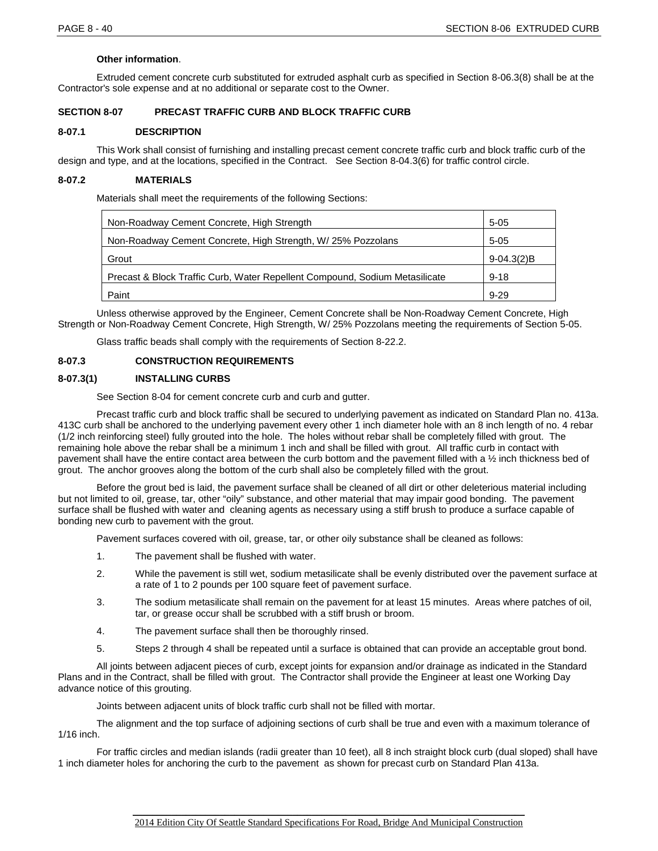# **Other information**.

Extruded cement concrete curb substituted for extruded asphalt curb as specified in Section 8-06.3(8) shall be at the Contractor's sole expense and at no additional or separate cost to the Owner.

# **SECTION 8-07 PRECAST TRAFFIC CURB AND BLOCK TRAFFIC CURB**

# **8-07.1 DESCRIPTION**

This Work shall consist of furnishing and installing precast cement concrete traffic curb and block traffic curb of the design and type, and at the locations, specified in the Contract. See Section 8-04.3(6) for traffic control circle.

# **8-07.2 MATERIALS**

Materials shall meet the requirements of the following Sections:

| Non-Roadway Cement Concrete, High Strength                                  | $5 - 05$     |
|-----------------------------------------------------------------------------|--------------|
| Non-Roadway Cement Concrete, High Strength, W/ 25% Pozzolans                | $5 - 05$     |
| Grout                                                                       | $9-04.3(2)B$ |
| Precast & Block Traffic Curb, Water Repellent Compound, Sodium Metasilicate | $9 - 18$     |
| Paint                                                                       | $9 - 29$     |

Unless otherwise approved by the Engineer, Cement Concrete shall be Non-Roadway Cement Concrete, High Strength or Non-Roadway Cement Concrete, High Strength, W/ 25% Pozzolans meeting the requirements of Section 5-05.

Glass traffic beads shall comply with the requirements of Section 8-22.2.

# **8-07.3 CONSTRUCTION REQUIREMENTS**

# **8-07.3(1) INSTALLING CURBS**

See Section 8-04 for cement concrete curb and curb and gutter.

Precast traffic curb and block traffic shall be secured to underlying pavement as indicated on Standard Plan no. 413a. 413C curb shall be anchored to the underlying pavement every other 1 inch diameter hole with an 8 inch length of no. 4 rebar (1/2 inch reinforcing steel) fully grouted into the hole. The holes without rebar shall be completely filled with grout. The remaining hole above the rebar shall be a minimum 1 inch and shall be filled with grout. All traffic curb in contact with pavement shall have the entire contact area between the curb bottom and the pavement filled with a ½ inch thickness bed of grout. The anchor grooves along the bottom of the curb shall also be completely filled with the grout.

Before the grout bed is laid, the pavement surface shall be cleaned of all dirt or other deleterious material including but not limited to oil, grease, tar, other "oily" substance, and other material that may impair good bonding. The pavement surface shall be flushed with water and cleaning agents as necessary using a stiff brush to produce a surface capable of bonding new curb to pavement with the grout.

Pavement surfaces covered with oil, grease, tar, or other oily substance shall be cleaned as follows:

- 1. The pavement shall be flushed with water.
- 2. While the pavement is still wet, sodium metasilicate shall be evenly distributed over the pavement surface at a rate of 1 to 2 pounds per 100 square feet of pavement surface.
- 3. The sodium metasilicate shall remain on the pavement for at least 15 minutes. Areas where patches of oil, tar, or grease occur shall be scrubbed with a stiff brush or broom.
- 4. The pavement surface shall then be thoroughly rinsed.
- 5. Steps 2 through 4 shall be repeated until a surface is obtained that can provide an acceptable grout bond.

All joints between adjacent pieces of curb, except joints for expansion and/or drainage as indicated in the Standard Plans and in the Contract, shall be filled with grout. The Contractor shall provide the Engineer at least one Working Day advance notice of this grouting.

Joints between adjacent units of block traffic curb shall not be filled with mortar.

The alignment and the top surface of adjoining sections of curb shall be true and even with a maximum tolerance of 1/16 inch.

For traffic circles and median islands (radii greater than 10 feet), all 8 inch straight block curb (dual sloped) shall have 1 inch diameter holes for anchoring the curb to the pavement as shown for precast curb on Standard Plan 413a.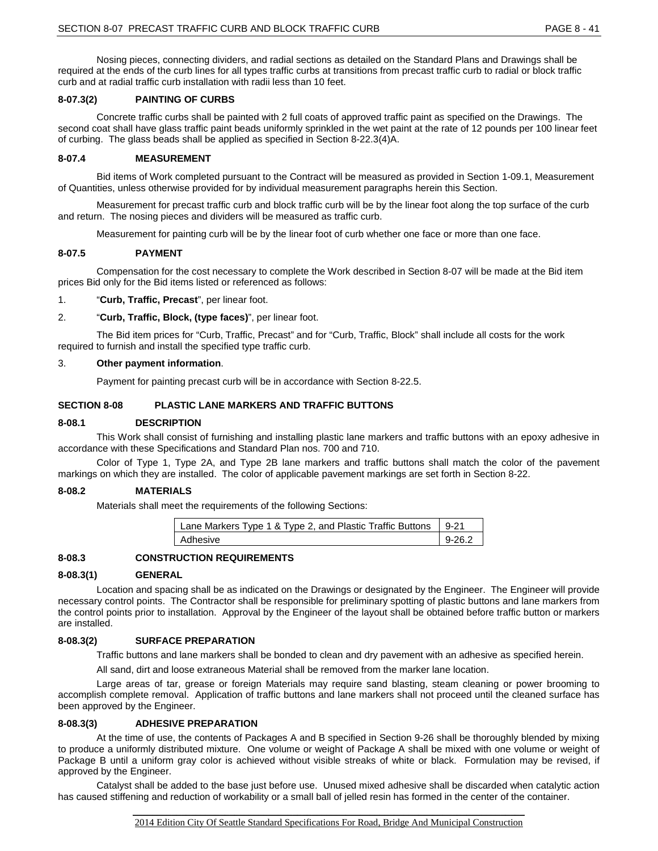Nosing pieces, connecting dividers, and radial sections as detailed on the Standard Plans and Drawings shall be required at the ends of the curb lines for all types traffic curbs at transitions from precast traffic curb to radial or block traffic curb and at radial traffic curb installation with radii less than 10 feet.

# **8-07.3(2) PAINTING OF CURBS**

Concrete traffic curbs shall be painted with 2 full coats of approved traffic paint as specified on the Drawings. The second coat shall have glass traffic paint beads uniformly sprinkled in the wet paint at the rate of 12 pounds per 100 linear feet of curbing. The glass beads shall be applied as specified in Section 8-22.3(4)A.

# **8-07.4 MEASUREMENT**

Bid items of Work completed pursuant to the Contract will be measured as provided in Section 1-09.1, Measurement of Quantities, unless otherwise provided for by individual measurement paragraphs herein this Section.

Measurement for precast traffic curb and block traffic curb will be by the linear foot along the top surface of the curb and return. The nosing pieces and dividers will be measured as traffic curb.

Measurement for painting curb will be by the linear foot of curb whether one face or more than one face.

# **8-07.5 PAYMENT**

Compensation for the cost necessary to complete the Work described in Section 8-07 will be made at the Bid item prices Bid only for the Bid items listed or referenced as follows:

1. "**Curb, Traffic, Precast**", per linear foot.

#### 2. "**Curb, Traffic, Block, (type faces)**", per linear foot.

The Bid item prices for "Curb, Traffic, Precast" and for "Curb, Traffic, Block" shall include all costs for the work required to furnish and install the specified type traffic curb.

#### 3. **Other payment information**.

Payment for painting precast curb will be in accordance with Section 8-22.5.

#### **SECTION 8-08 PLASTIC LANE MARKERS AND TRAFFIC BUTTONS**

#### **8-08.1 DESCRIPTION**

This Work shall consist of furnishing and installing plastic lane markers and traffic buttons with an epoxy adhesive in accordance with these Specifications and Standard Plan nos. 700 and 710.

Color of Type 1, Type 2A, and Type 2B lane markers and traffic buttons shall match the color of the pavement markings on which they are installed. The color of applicable pavement markings are set forth in Section 8-22.

#### **8-08.2 MATERIALS**

Materials shall meet the requirements of the following Sections:

| Lane Markers Type 1 & Type 2, and Plastic Traffic Buttons   9-21 |            |
|------------------------------------------------------------------|------------|
| Adhesive                                                         | $9 - 26.2$ |

# **8-08.3 CONSTRUCTION REQUIREMENTS**

#### **8-08.3(1) GENERAL**

Location and spacing shall be as indicated on the Drawings or designated by the Engineer. The Engineer will provide necessary control points. The Contractor shall be responsible for preliminary spotting of plastic buttons and lane markers from the control points prior to installation. Approval by the Engineer of the layout shall be obtained before traffic button or markers are installed.

#### **8-08.3(2) SURFACE PREPARATION**

Traffic buttons and lane markers shall be bonded to clean and dry pavement with an adhesive as specified herein.

All sand, dirt and loose extraneous Material shall be removed from the marker lane location.

Large areas of tar, grease or foreign Materials may require sand blasting, steam cleaning or power brooming to accomplish complete removal. Application of traffic buttons and lane markers shall not proceed until the cleaned surface has been approved by the Engineer.

#### **8-08.3(3) ADHESIVE PREPARATION**

At the time of use, the contents of Packages A and B specified in Section 9-26 shall be thoroughly blended by mixing to produce a uniformly distributed mixture. One volume or weight of Package A shall be mixed with one volume or weight of Package B until a uniform gray color is achieved without visible streaks of white or black. Formulation may be revised, if approved by the Engineer.

Catalyst shall be added to the base just before use. Unused mixed adhesive shall be discarded when catalytic action has caused stiffening and reduction of workability or a small ball of jelled resin has formed in the center of the container.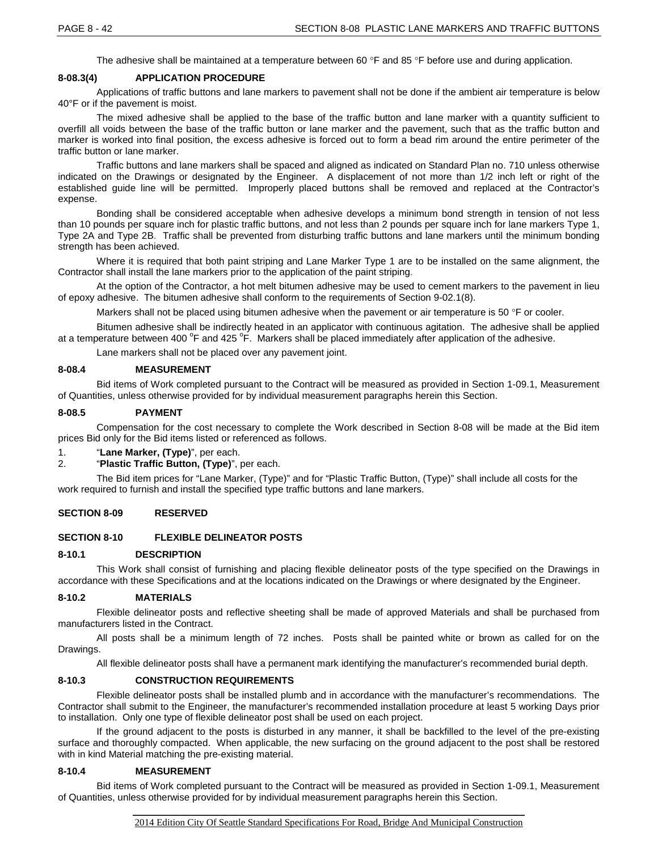The adhesive shall be maintained at a temperature between 60 °F and 85 °F before use and during application.

#### **8-08.3(4) APPLICATION PROCEDURE**

Applications of traffic buttons and lane markers to pavement shall not be done if the ambient air temperature is below 40°F or if the pavement is moist.

The mixed adhesive shall be applied to the base of the traffic button and lane marker with a quantity sufficient to overfill all voids between the base of the traffic button or lane marker and the pavement, such that as the traffic button and marker is worked into final position, the excess adhesive is forced out to form a bead rim around the entire perimeter of the traffic button or lane marker.

Traffic buttons and lane markers shall be spaced and aligned as indicated on Standard Plan no. 710 unless otherwise indicated on the Drawings or designated by the Engineer. A displacement of not more than 1/2 inch left or right of the established guide line will be permitted. Improperly placed buttons shall be removed and replaced at the Contractor's expense.

Bonding shall be considered acceptable when adhesive develops a minimum bond strength in tension of not less than 10 pounds per square inch for plastic traffic buttons, and not less than 2 pounds per square inch for lane markers Type 1, Type 2A and Type 2B. Traffic shall be prevented from disturbing traffic buttons and lane markers until the minimum bonding strength has been achieved.

Where it is required that both paint striping and Lane Marker Type 1 are to be installed on the same alignment, the Contractor shall install the lane markers prior to the application of the paint striping.

At the option of the Contractor, a hot melt bitumen adhesive may be used to cement markers to the pavement in lieu of epoxy adhesive. The bitumen adhesive shall conform to the requirements of Section 9-02.1(8).

Markers shall not be placed using bitumen adhesive when the pavement or air temperature is 50 °F or cooler.

Bitumen adhesive shall be indirectly heated in an applicator with continuous agitation. The adhesive shall be applied at a temperature between 400 <sup>o</sup>F and 425 <sup>o</sup>F. Markers shall be placed immediately after application of the adhesive.

Lane markers shall not be placed over any pavement joint.

#### **8-08.4 MEASUREMENT**

Bid items of Work completed pursuant to the Contract will be measured as provided in Section 1-09.1, Measurement of Quantities, unless otherwise provided for by individual measurement paragraphs herein this Section.

#### **8-08.5 PAYMENT**

Compensation for the cost necessary to complete the Work described in Section 8-08 will be made at the Bid item prices Bid only for the Bid items listed or referenced as follows.

# 1. "**Lane Marker, (Type)**", per each.

2. "**Plastic Traffic Button, (Type)**", per each.

The Bid item prices for "Lane Marker, (Type)" and for "Plastic Traffic Button, (Type)" shall include all costs for the work required to furnish and install the specified type traffic buttons and lane markers.

#### **SECTION 8-09 RESERVED**

# **SECTION 8-10 FLEXIBLE DELINEATOR POSTS**

#### **8-10.1 DESCRIPTION**

This Work shall consist of furnishing and placing flexible delineator posts of the type specified on the Drawings in accordance with these Specifications and at the locations indicated on the Drawings or where designated by the Engineer.

#### **8-10.2 MATERIALS**

Flexible delineator posts and reflective sheeting shall be made of approved Materials and shall be purchased from manufacturers listed in the Contract.

All posts shall be a minimum length of 72 inches. Posts shall be painted white or brown as called for on the Drawings.

All flexible delineator posts shall have a permanent mark identifying the manufacturer's recommended burial depth.

#### **8-10.3 CONSTRUCTION REQUIREMENTS**

Flexible delineator posts shall be installed plumb and in accordance with the manufacturer's recommendations. The Contractor shall submit to the Engineer, the manufacturer's recommended installation procedure at least 5 working Days prior to installation. Only one type of flexible delineator post shall be used on each project.

If the ground adjacent to the posts is disturbed in any manner, it shall be backfilled to the level of the pre-existing surface and thoroughly compacted. When applicable, the new surfacing on the ground adjacent to the post shall be restored with in kind Material matching the pre-existing material.

#### **8-10.4 MEASUREMENT**

Bid items of Work completed pursuant to the Contract will be measured as provided in Section 1-09.1, Measurement of Quantities, unless otherwise provided for by individual measurement paragraphs herein this Section.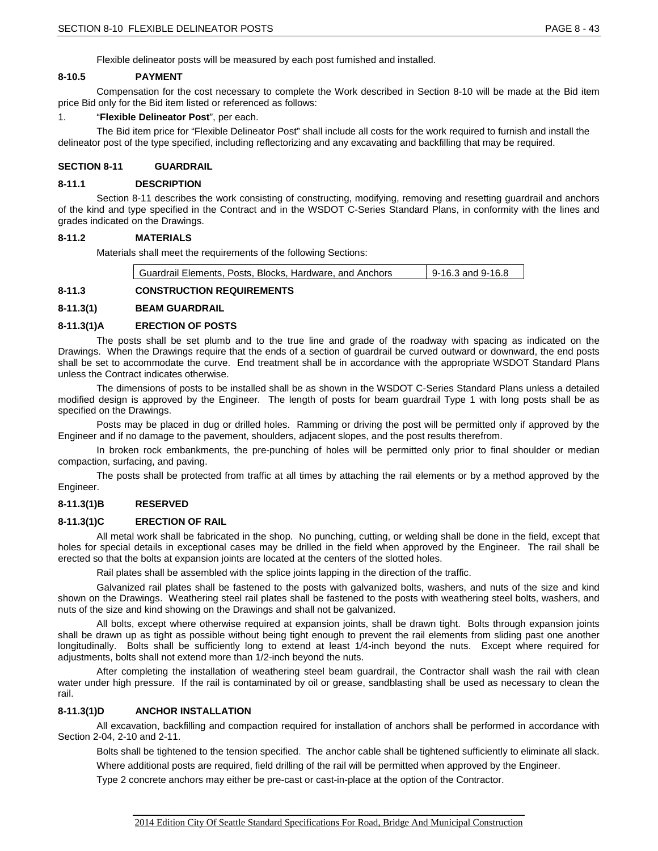Flexible delineator posts will be measured by each post furnished and installed.

#### **8-10.5 PAYMENT**

Compensation for the cost necessary to complete the Work described in Section 8-10 will be made at the Bid item price Bid only for the Bid item listed or referenced as follows:

#### 1. "**Flexible Delineator Post**", per each.

The Bid item price for "Flexible Delineator Post" shall include all costs for the work required to furnish and install the delineator post of the type specified, including reflectorizing and any excavating and backfilling that may be required.

#### **SECTION 8-11 GUARDRAIL**

#### **8-11.1 DESCRIPTION**

Section 8-11 describes the work consisting of constructing, modifying, removing and resetting guardrail and anchors of the kind and type specified in the Contract and in the WSDOT C-Series Standard Plans, in conformity with the lines and grades indicated on the Drawings.

#### **8-11.2 MATERIALS**

Materials shall meet the requirements of the following Sections:

| Guardrail Elements, Posts, Blocks, Hardware, and Anchors | $9-16.3$ and 9-16.8 |
|----------------------------------------------------------|---------------------|
|----------------------------------------------------------|---------------------|

# **8-11.3 CONSTRUCTION REQUIREMENTS**

#### **8-11.3(1) BEAM GUARDRAIL**

#### **8-11.3(1)A ERECTION OF POSTS**

The posts shall be set plumb and to the true line and grade of the roadway with spacing as indicated on the Drawings. When the Drawings require that the ends of a section of guardrail be curved outward or downward, the end posts shall be set to accommodate the curve. End treatment shall be in accordance with the appropriate WSDOT Standard Plans unless the Contract indicates otherwise.

The dimensions of posts to be installed shall be as shown in the WSDOT C-Series Standard Plans unless a detailed modified design is approved by the Engineer. The length of posts for beam guardrail Type 1 with long posts shall be as specified on the Drawings.

Posts may be placed in dug or drilled holes. Ramming or driving the post will be permitted only if approved by the Engineer and if no damage to the pavement, shoulders, adjacent slopes, and the post results therefrom.

In broken rock embankments, the pre-punching of holes will be permitted only prior to final shoulder or median compaction, surfacing, and paving.

The posts shall be protected from traffic at all times by attaching the rail elements or by a method approved by the Engineer.

# **8-11.3(1)B RESERVED**

# **8-11.3(1)C ERECTION OF RAIL**

All metal work shall be fabricated in the shop. No punching, cutting, or welding shall be done in the field, except that holes for special details in exceptional cases may be drilled in the field when approved by the Engineer. The rail shall be erected so that the bolts at expansion joints are located at the centers of the slotted holes.

Rail plates shall be assembled with the splice joints lapping in the direction of the traffic.

Galvanized rail plates shall be fastened to the posts with galvanized bolts, washers, and nuts of the size and kind shown on the Drawings. Weathering steel rail plates shall be fastened to the posts with weathering steel bolts, washers, and nuts of the size and kind showing on the Drawings and shall not be galvanized.

All bolts, except where otherwise required at expansion joints, shall be drawn tight. Bolts through expansion joints shall be drawn up as tight as possible without being tight enough to prevent the rail elements from sliding past one another longitudinally. Bolts shall be sufficiently long to extend at least 1/4-inch beyond the nuts. Except where required for adjustments, bolts shall not extend more than 1/2-inch beyond the nuts.

After completing the installation of weathering steel beam guardrail, the Contractor shall wash the rail with clean water under high pressure. If the rail is contaminated by oil or grease, sandblasting shall be used as necessary to clean the rail.

#### **8-11.3(1)D ANCHOR INSTALLATION**

All excavation, backfilling and compaction required for installation of anchors shall be performed in accordance with Section 2-04, 2-10 and 2-11.

Bolts shall be tightened to the tension specified. The anchor cable shall be tightened sufficiently to eliminate all slack.

Where additional posts are required, field drilling of the rail will be permitted when approved by the Engineer.

Type 2 concrete anchors may either be pre-cast or cast-in-place at the option of the Contractor.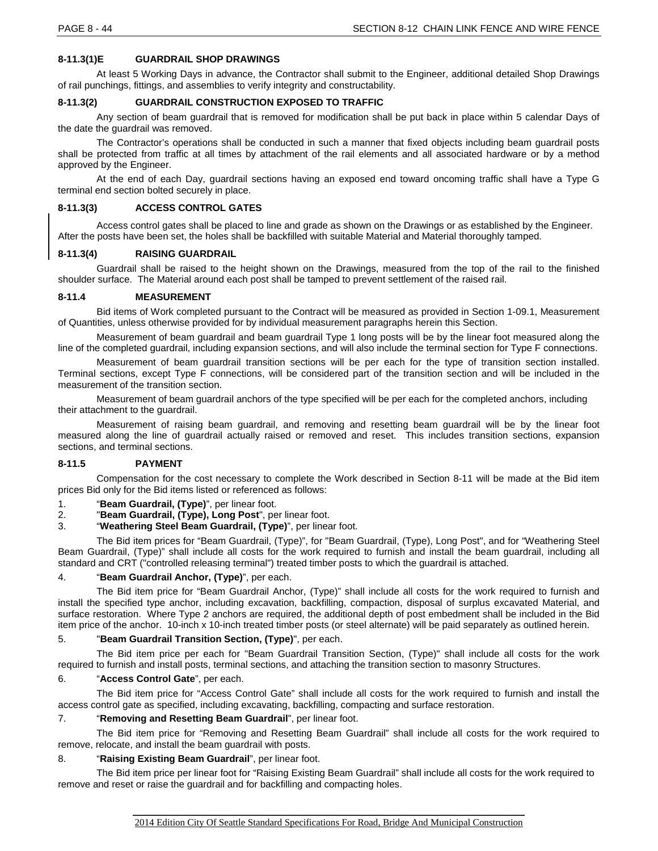# **8-11.3(1)E GUARDRAIL SHOP DRAWINGS**

At least 5 Working Days in advance, the Contractor shall submit to the Engineer, additional detailed Shop Drawings of rail punchings, fittings, and assemblies to verify integrity and constructability.

# **8-11.3(2) GUARDRAIL CONSTRUCTION EXPOSED TO TRAFFIC**

Any section of beam guardrail that is removed for modification shall be put back in place within 5 calendar Days of the date the guardrail was removed.

The Contractor's operations shall be conducted in such a manner that fixed objects including beam guardrail posts shall be protected from traffic at all times by attachment of the rail elements and all associated hardware or by a method approved by the Engineer.

At the end of each Day, guardrail sections having an exposed end toward oncoming traffic shall have a Type G terminal end section bolted securely in place.

## **8-11.3(3) ACCESS CONTROL GATES**

Access control gates shall be placed to line and grade as shown on the Drawings or as established by the Engineer. After the posts have been set, the holes shall be backfilled with suitable Material and Material thoroughly tamped.

#### **8-11.3(4) RAISING GUARDRAIL**

Guardrail shall be raised to the height shown on the Drawings, measured from the top of the rail to the finished shoulder surface. The Material around each post shall be tamped to prevent settlement of the raised rail.

#### **8-11.4 MEASUREMENT**

Bid items of Work completed pursuant to the Contract will be measured as provided in Section 1-09.1, Measurement of Quantities, unless otherwise provided for by individual measurement paragraphs herein this Section.

Measurement of beam guardrail and beam guardrail Type 1 long posts will be by the linear foot measured along the line of the completed guardrail, including expansion sections, and will also include the terminal section for Type F connections.

Measurement of beam guardrail transition sections will be per each for the type of transition section installed. Terminal sections, except Type F connections, will be considered part of the transition section and will be included in the measurement of the transition section.

Measurement of beam guardrail anchors of the type specified will be per each for the completed anchors, including their attachment to the guardrail.

Measurement of raising beam guardrail, and removing and resetting beam guardrail will be by the linear foot measured along the line of guardrail actually raised or removed and reset. This includes transition sections, expansion sections, and terminal sections.

# **8-11.5 PAYMENT**

Compensation for the cost necessary to complete the Work described in Section 8-11 will be made at the Bid item prices Bid only for the Bid items listed or referenced as follows:

- 1. "**Beam Guardrail, (Type)**", per linear foot.
- 2. "**Beam Guardrail, (Type), Long Post**", per linear foot.
- 3. "**Weathering Steel Beam Guardrail, (Type)**", per linear foot.

The Bid item prices for "Beam Guardrail, (Type)", for "Beam Guardrail, (Type), Long Post", and for "Weathering Steel Beam Guardrail, (Type)" shall include all costs for the work required to furnish and install the beam guardrail, including all standard and CRT ("controlled releasing terminal") treated timber posts to which the guardrail is attached.

#### 4. "**Beam Guardrail Anchor, (Type)**", per each.

The Bid item price for "Beam Guardrail Anchor, (Type)" shall include all costs for the work required to furnish and install the specified type anchor, including excavation, backfilling, compaction, disposal of surplus excavated Material, and surface restoration. Where Type 2 anchors are required, the additional depth of post embedment shall be included in the Bid item price of the anchor. 10-inch x 10-inch treated timber posts (or steel alternate) will be paid separately as outlined herein.

# 5. "**Beam Guardrail Transition Section, (Type)**", per each.

The Bid item price per each for "Beam Guardrail Transition Section, (Type)" shall include all costs for the work required to furnish and install posts, terminal sections, and attaching the transition section to masonry Structures.

# 6. "**Access Control Gate**", per each.

The Bid item price for "Access Control Gate" shall include all costs for the work required to furnish and install the access control gate as specified, including excavating, backfilling, compacting and surface restoration.

# 7. "**Removing and Resetting Beam Guardrail**", per linear foot.

The Bid item price for "Removing and Resetting Beam Guardrail" shall include all costs for the work required to remove, relocate, and install the beam guardrail with posts.

# 8. "**Raising Existing Beam Guardrail**", per linear foot.

The Bid item price per linear foot for "Raising Existing Beam Guardrail" shall include all costs for the work required to remove and reset or raise the guardrail and for backfilling and compacting holes.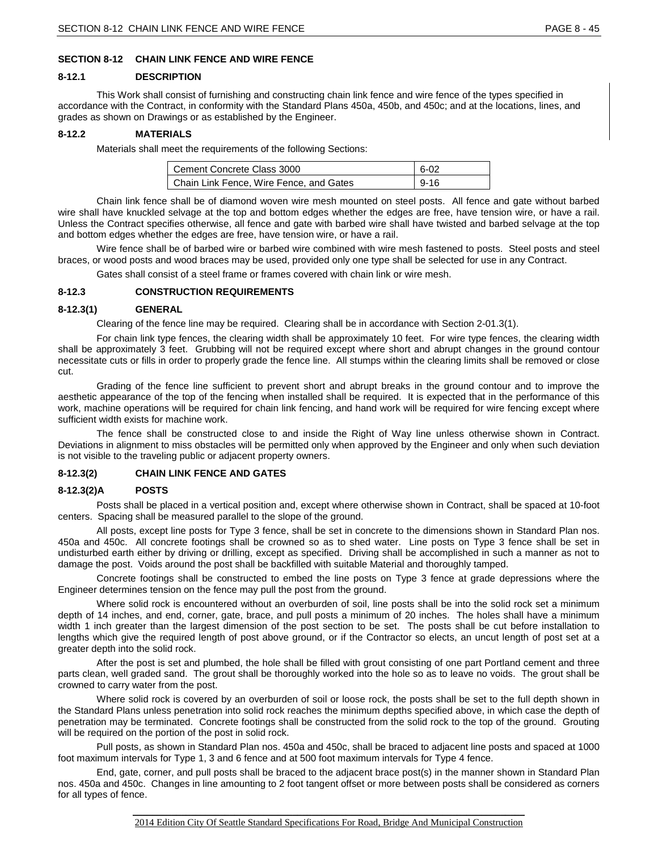# **SECTION 8-12 CHAIN LINK FENCE AND WIRE FENCE**

#### **8-12.1 DESCRIPTION**

This Work shall consist of furnishing and constructing chain link fence and wire fence of the types specified in accordance with the Contract, in conformity with the Standard Plans 450a, 450b, and 450c; and at the locations, lines, and grades as shown on Drawings or as established by the Engineer.

# **8-12.2 MATERIALS**

Materials shall meet the requirements of the following Sections:

| Cement Concrete Class 3000              | $6 - 02$ |
|-----------------------------------------|----------|
| Chain Link Fence, Wire Fence, and Gates | $9 - 16$ |

Chain link fence shall be of diamond woven wire mesh mounted on steel posts. All fence and gate without barbed wire shall have knuckled selvage at the top and bottom edges whether the edges are free, have tension wire, or have a rail. Unless the Contract specifies otherwise, all fence and gate with barbed wire shall have twisted and barbed selvage at the top and bottom edges whether the edges are free, have tension wire, or have a rail.

Wire fence shall be of barbed wire or barbed wire combined with wire mesh fastened to posts. Steel posts and steel braces, or wood posts and wood braces may be used, provided only one type shall be selected for use in any Contract.

Gates shall consist of a steel frame or frames covered with chain link or wire mesh.

#### **8-12.3 CONSTRUCTION REQUIREMENTS**

#### **8-12.3(1) GENERAL**

Clearing of the fence line may be required. Clearing shall be in accordance with Section 2-01.3(1).

For chain link type fences, the clearing width shall be approximately 10 feet. For wire type fences, the clearing width shall be approximately 3 feet. Grubbing will not be required except where short and abrupt changes in the ground contour necessitate cuts or fills in order to properly grade the fence line. All stumps within the clearing limits shall be removed or close cut.

Grading of the fence line sufficient to prevent short and abrupt breaks in the ground contour and to improve the aesthetic appearance of the top of the fencing when installed shall be required. It is expected that in the performance of this work, machine operations will be required for chain link fencing, and hand work will be required for wire fencing except where sufficient width exists for machine work.

The fence shall be constructed close to and inside the Right of Way line unless otherwise shown in Contract. Deviations in alignment to miss obstacles will be permitted only when approved by the Engineer and only when such deviation is not visible to the traveling public or adjacent property owners.

# **8-12.3(2) CHAIN LINK FENCE AND GATES**

#### **8-12.3(2)A POSTS**

Posts shall be placed in a vertical position and, except where otherwise shown in Contract, shall be spaced at 10-foot centers. Spacing shall be measured parallel to the slope of the ground.

All posts, except line posts for Type 3 fence, shall be set in concrete to the dimensions shown in Standard Plan nos. 450a and 450c. All concrete footings shall be crowned so as to shed water. Line posts on Type 3 fence shall be set in undisturbed earth either by driving or drilling, except as specified. Driving shall be accomplished in such a manner as not to damage the post. Voids around the post shall be backfilled with suitable Material and thoroughly tamped.

Concrete footings shall be constructed to embed the line posts on Type 3 fence at grade depressions where the Engineer determines tension on the fence may pull the post from the ground.

Where solid rock is encountered without an overburden of soil, line posts shall be into the solid rock set a minimum depth of 14 inches, and end, corner, gate, brace, and pull posts a minimum of 20 inches. The holes shall have a minimum width 1 inch greater than the largest dimension of the post section to be set. The posts shall be cut before installation to lengths which give the required length of post above ground, or if the Contractor so elects, an uncut length of post set at a greater depth into the solid rock.

After the post is set and plumbed, the hole shall be filled with grout consisting of one part Portland cement and three parts clean, well graded sand. The grout shall be thoroughly worked into the hole so as to leave no voids. The grout shall be crowned to carry water from the post.

Where solid rock is covered by an overburden of soil or loose rock, the posts shall be set to the full depth shown in the Standard Plans unless penetration into solid rock reaches the minimum depths specified above, in which case the depth of penetration may be terminated. Concrete footings shall be constructed from the solid rock to the top of the ground. Grouting will be required on the portion of the post in solid rock.

Pull posts, as shown in Standard Plan nos. 450a and 450c, shall be braced to adjacent line posts and spaced at 1000 foot maximum intervals for Type 1, 3 and 6 fence and at 500 foot maximum intervals for Type 4 fence.

End, gate, corner, and pull posts shall be braced to the adjacent brace post(s) in the manner shown in Standard Plan nos. 450a and 450c. Changes in line amounting to 2 foot tangent offset or more between posts shall be considered as corners for all types of fence.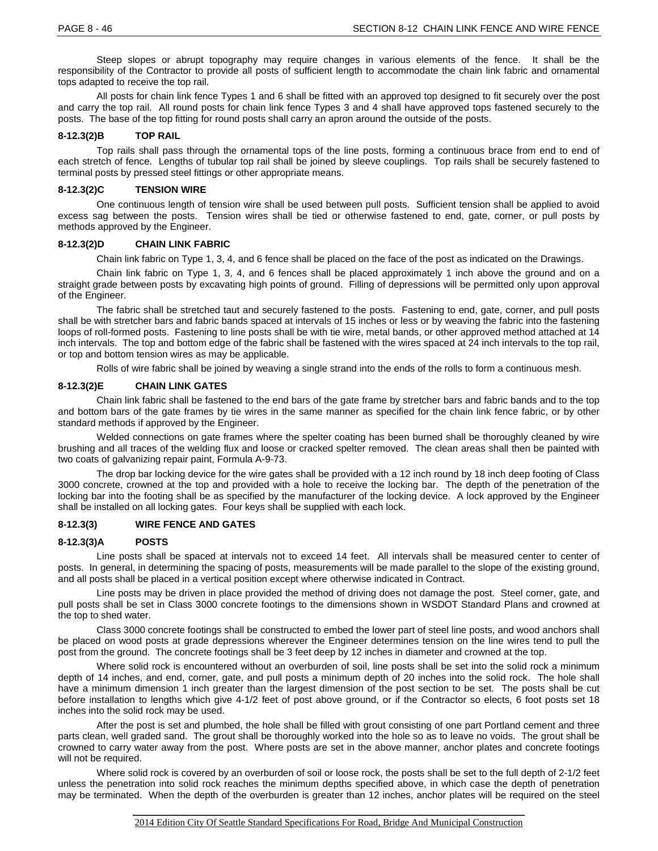Steep slopes or abrupt topography may require changes in various elements of the fence. It shall be the responsibility of the Contractor to provide all posts of sufficient length to accommodate the chain link fabric and ornamental tops adapted to receive the top rail.

All posts for chain link fence Types 1 and 6 shall be fitted with an approved top designed to fit securely over the post and carry the top rail. All round posts for chain link fence Types 3 and 4 shall have approved tops fastened securely to the posts. The base of the top fitting for round posts shall carry an apron around the outside of the posts.

# **8-12.3(2)B TOP RAIL**

Top rails shall pass through the ornamental tops of the line posts, forming a continuous brace from end to end of each stretch of fence. Lengths of tubular top rail shall be joined by sleeve couplings. Top rails shall be securely fastened to terminal posts by pressed steel fittings or other appropriate means.

#### **8-12.3(2)C TENSION WIRE**

One continuous length of tension wire shall be used between pull posts. Sufficient tension shall be applied to avoid excess sag between the posts. Tension wires shall be tied or otherwise fastened to end, gate, corner, or pull posts by methods approved by the Engineer.

#### **8-12.3(2)D CHAIN LINK FABRIC**

Chain link fabric on Type 1, 3, 4, and 6 fence shall be placed on the face of the post as indicated on the Drawings.

Chain link fabric on Type 1, 3, 4, and 6 fences shall be placed approximately 1 inch above the ground and on a straight grade between posts by excavating high points of ground. Filling of depressions will be permitted only upon approval of the Engineer.

The fabric shall be stretched taut and securely fastened to the posts. Fastening to end, gate, corner, and pull posts shall be with stretcher bars and fabric bands spaced at intervals of 15 inches or less or by weaving the fabric into the fastening loops of roll-formed posts. Fastening to line posts shall be with tie wire, metal bands, or other approved method attached at 14 inch intervals. The top and bottom edge of the fabric shall be fastened with the wires spaced at 24 inch intervals to the top rail, or top and bottom tension wires as may be applicable.

Rolls of wire fabric shall be joined by weaving a single strand into the ends of the rolls to form a continuous mesh.

#### **8-12.3(2)E CHAIN LINK GATES**

Chain link fabric shall be fastened to the end bars of the gate frame by stretcher bars and fabric bands and to the top and bottom bars of the gate frames by tie wires in the same manner as specified for the chain link fence fabric, or by other standard methods if approved by the Engineer.

Welded connections on gate frames where the spelter coating has been burned shall be thoroughly cleaned by wire brushing and all traces of the welding flux and loose or cracked spelter removed. The clean areas shall then be painted with two coats of galvanizing repair paint, Formula A-9-73.

The drop bar locking device for the wire gates shall be provided with a 12 inch round by 18 inch deep footing of Class 3000 concrete, crowned at the top and provided with a hole to receive the locking bar. The depth of the penetration of the locking bar into the footing shall be as specified by the manufacturer of the locking device. A lock approved by the Engineer shall be installed on all locking gates. Four keys shall be supplied with each lock.

#### **8-12.3(3) WIRE FENCE AND GATES**

#### **8-12.3(3)A POSTS**

Line posts shall be spaced at intervals not to exceed 14 feet. All intervals shall be measured center to center of posts. In general, in determining the spacing of posts, measurements will be made parallel to the slope of the existing ground, and all posts shall be placed in a vertical position except where otherwise indicated in Contract.

Line posts may be driven in place provided the method of driving does not damage the post. Steel corner, gate, and pull posts shall be set in Class 3000 concrete footings to the dimensions shown in WSDOT Standard Plans and crowned at the top to shed water.

Class 3000 concrete footings shall be constructed to embed the lower part of steel line posts, and wood anchors shall be placed on wood posts at grade depressions wherever the Engineer determines tension on the line wires tend to pull the post from the ground. The concrete footings shall be 3 feet deep by 12 inches in diameter and crowned at the top.

Where solid rock is encountered without an overburden of soil, line posts shall be set into the solid rock a minimum depth of 14 inches, and end, corner, gate, and pull posts a minimum depth of 20 inches into the solid rock. The hole shall have a minimum dimension 1 inch greater than the largest dimension of the post section to be set. The posts shall be cut before installation to lengths which give 4-1/2 feet of post above ground, or if the Contractor so elects, 6 foot posts set 18 inches into the solid rock may be used.

After the post is set and plumbed, the hole shall be filled with grout consisting of one part Portland cement and three parts clean, well graded sand. The grout shall be thoroughly worked into the hole so as to leave no voids. The grout shall be crowned to carry water away from the post. Where posts are set in the above manner, anchor plates and concrete footings will not be required.

Where solid rock is covered by an overburden of soil or loose rock, the posts shall be set to the full depth of 2-1/2 feet unless the penetration into solid rock reaches the minimum depths specified above, in which case the depth of penetration may be terminated. When the depth of the overburden is greater than 12 inches, anchor plates will be required on the steel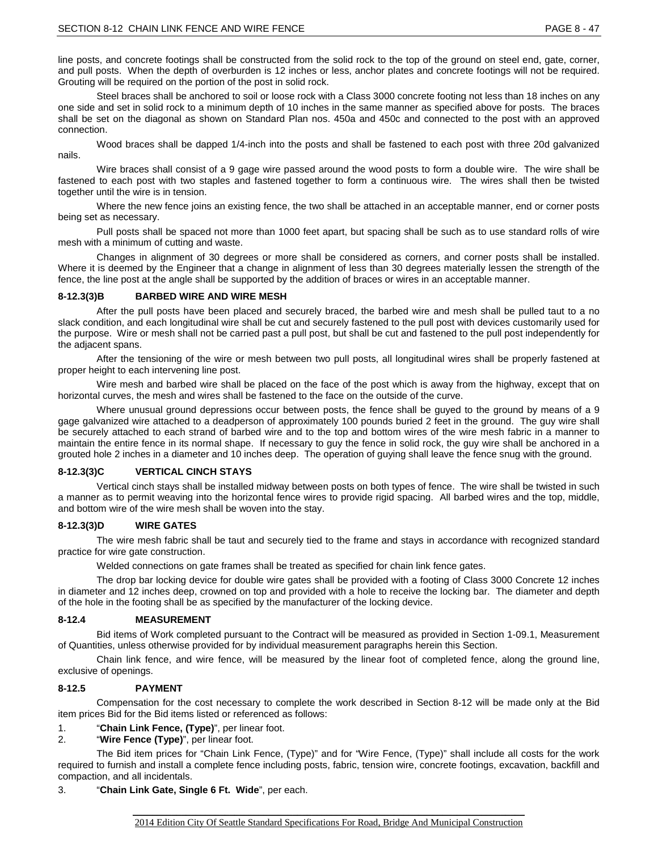line posts, and concrete footings shall be constructed from the solid rock to the top of the ground on steel end, gate, corner, and pull posts. When the depth of overburden is 12 inches or less, anchor plates and concrete footings will not be required. Grouting will be required on the portion of the post in solid rock.

Steel braces shall be anchored to soil or loose rock with a Class 3000 concrete footing not less than 18 inches on any one side and set in solid rock to a minimum depth of 10 inches in the same manner as specified above for posts. The braces shall be set on the diagonal as shown on Standard Plan nos. 450a and 450c and connected to the post with an approved connection.

Wood braces shall be dapped 1/4-inch into the posts and shall be fastened to each post with three 20d galvanized nails.

Wire braces shall consist of a 9 gage wire passed around the wood posts to form a double wire. The wire shall be fastened to each post with two staples and fastened together to form a continuous wire. The wires shall then be twisted together until the wire is in tension.

Where the new fence joins an existing fence, the two shall be attached in an acceptable manner, end or corner posts being set as necessary.

Pull posts shall be spaced not more than 1000 feet apart, but spacing shall be such as to use standard rolls of wire mesh with a minimum of cutting and waste.

Changes in alignment of 30 degrees or more shall be considered as corners, and corner posts shall be installed. Where it is deemed by the Engineer that a change in alignment of less than 30 degrees materially lessen the strength of the fence, the line post at the angle shall be supported by the addition of braces or wires in an acceptable manner.

#### **8-12.3(3)B BARBED WIRE AND WIRE MESH**

After the pull posts have been placed and securely braced, the barbed wire and mesh shall be pulled taut to a no slack condition, and each longitudinal wire shall be cut and securely fastened to the pull post with devices customarily used for the purpose. Wire or mesh shall not be carried past a pull post, but shall be cut and fastened to the pull post independently for the adjacent spans.

After the tensioning of the wire or mesh between two pull posts, all longitudinal wires shall be properly fastened at proper height to each intervening line post.

Wire mesh and barbed wire shall be placed on the face of the post which is away from the highway, except that on horizontal curves, the mesh and wires shall be fastened to the face on the outside of the curve.

Where unusual ground depressions occur between posts, the fence shall be guyed to the ground by means of a 9 gage galvanized wire attached to a deadperson of approximately 100 pounds buried 2 feet in the ground. The guy wire shall be securely attached to each strand of barbed wire and to the top and bottom wires of the wire mesh fabric in a manner to maintain the entire fence in its normal shape. If necessary to guy the fence in solid rock, the guy wire shall be anchored in a grouted hole 2 inches in a diameter and 10 inches deep. The operation of guying shall leave the fence snug with the ground.

# **8-12.3(3)C VERTICAL CINCH STAYS**

Vertical cinch stays shall be installed midway between posts on both types of fence. The wire shall be twisted in such a manner as to permit weaving into the horizontal fence wires to provide rigid spacing. All barbed wires and the top, middle, and bottom wire of the wire mesh shall be woven into the stay.

# **8-12.3(3)D WIRE GATES**

The wire mesh fabric shall be taut and securely tied to the frame and stays in accordance with recognized standard practice for wire gate construction.

Welded connections on gate frames shall be treated as specified for chain link fence gates.

The drop bar locking device for double wire gates shall be provided with a footing of Class 3000 Concrete 12 inches in diameter and 12 inches deep, crowned on top and provided with a hole to receive the locking bar. The diameter and depth of the hole in the footing shall be as specified by the manufacturer of the locking device.

# **8-12.4 MEASUREMENT**

Bid items of Work completed pursuant to the Contract will be measured as provided in Section 1-09.1, Measurement of Quantities, unless otherwise provided for by individual measurement paragraphs herein this Section.

Chain link fence, and wire fence, will be measured by the linear foot of completed fence, along the ground line, exclusive of openings.

# **8-12.5 PAYMENT**

Compensation for the cost necessary to complete the work described in Section 8-12 will be made only at the Bid item prices Bid for the Bid items listed or referenced as follows:

1. "**Chain Link Fence, (Type)**", per linear foot.

2. "**Wire Fence (Type)**", per linear foot.

The Bid item prices for "Chain Link Fence, (Type)" and for "Wire Fence, (Type)" shall include all costs for the work required to furnish and install a complete fence including posts, fabric, tension wire, concrete footings, excavation, backfill and compaction, and all incidentals.

# 3. "**Chain Link Gate, Single 6 Ft. Wide**", per each.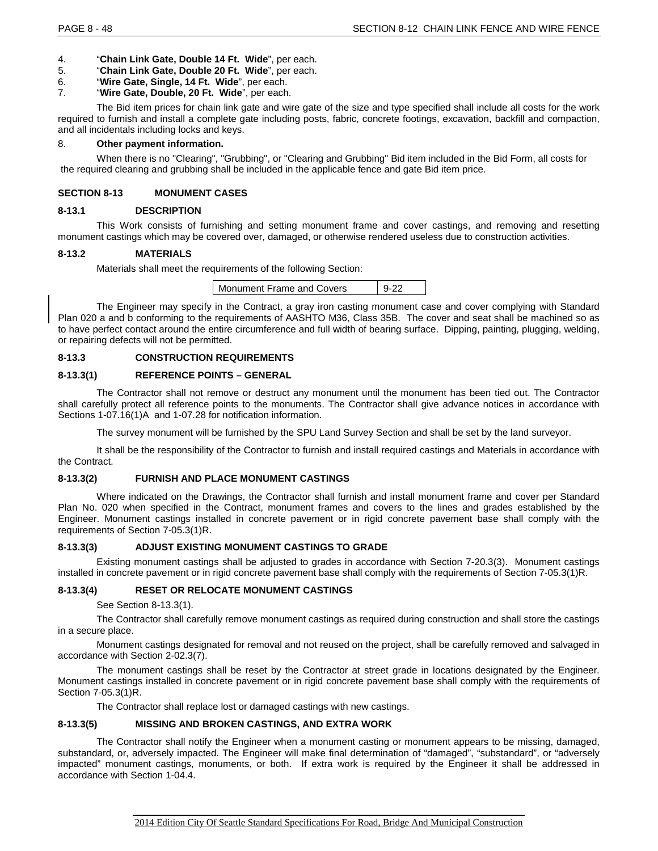- 4. "**Chain Link Gate, Double 14 Ft. Wide**", per each.
- 5. "**Chain Link Gate, Double 20 Ft. Wide**", per each.
- 6. "**Wire Gate, Single, 14 Ft. Wide**", per each.
- 7. "**Wire Gate, Double, 20 Ft. Wide**", per each.

The Bid item prices for chain link gate and wire gate of the size and type specified shall include all costs for the work required to furnish and install a complete gate including posts, fabric, concrete footings, excavation, backfill and compaction, and all incidentals including locks and keys.

#### 8. **Other payment information.**

When there is no "Clearing", "Grubbing", or "Clearing and Grubbing" Bid item included in the Bid Form, all costs for the required clearing and grubbing shall be included in the applicable fence and gate Bid item price.

# **SECTION 8-13 MONUMENT CASES**

#### **8-13.1 DESCRIPTION**

This Work consists of furnishing and setting monument frame and cover castings, and removing and resetting monument castings which may be covered over, damaged, or otherwise rendered useless due to construction activities.

#### **8-13.2 MATERIALS**

Materials shall meet the requirements of the following Section:

| Monument Frame and Covers | $9-22$ |
|---------------------------|--------|
|---------------------------|--------|

The Engineer may specify in the Contract, a gray iron casting monument case and cover complying with Standard Plan 020 a and b conforming to the requirements of AASHTO M36, Class 35B. The cover and seat shall be machined so as to have perfect contact around the entire circumference and full width of bearing surface. Dipping, painting, plugging, welding, or repairing defects will not be permitted.

# **8-13.3 CONSTRUCTION REQUIREMENTS**

## **8-13.3(1) REFERENCE POINTS – GENERAL**

The Contractor shall not remove or destruct any monument until the monument has been tied out. The Contractor shall carefully protect all reference points to the monuments. The Contractor shall give advance notices in accordance with Sections 1-07.16(1)A and 1-07.28 for notification information.

The survey monument will be furnished by the SPU Land Survey Section and shall be set by the land surveyor.

It shall be the responsibility of the Contractor to furnish and install required castings and Materials in accordance with the Contract.

# **8-13.3(2) FURNISH AND PLACE MONUMENT CASTINGS**

Where indicated on the Drawings, the Contractor shall furnish and install monument frame and cover per Standard Plan No. 020 when specified in the Contract, monument frames and covers to the lines and grades established by the Engineer. Monument castings installed in concrete pavement or in rigid concrete pavement base shall comply with the requirements of Section 7-05.3(1)R.

# **8-13.3(3) ADJUST EXISTING MONUMENT CASTINGS TO GRADE**

Existing monument castings shall be adjusted to grades in accordance with Section 7-20.3(3). Monument castings installed in concrete pavement or in rigid concrete pavement base shall comply with the requirements of Section 7-05.3(1)R.

# **8-13.3(4) RESET OR RELOCATE MONUMENT CASTINGS**

See Section 8-13.3(1).

The Contractor shall carefully remove monument castings as required during construction and shall store the castings in a secure place.

Monument castings designated for removal and not reused on the project, shall be carefully removed and salvaged in accordance with Section 2-02.3(7).

The monument castings shall be reset by the Contractor at street grade in locations designated by the Engineer. Monument castings installed in concrete pavement or in rigid concrete pavement base shall comply with the requirements of Section 7-05.3(1)R.

The Contractor shall replace lost or damaged castings with new castings.

# **8-13.3(5) MISSING AND BROKEN CASTINGS, AND EXTRA WORK**

The Contractor shall notify the Engineer when a monument casting or monument appears to be missing, damaged, substandard, or, adversely impacted. The Engineer will make final determination of "damaged", "substandard", or "adversely impacted" monument castings, monuments, or both. If extra work is required by the Engineer it shall be addressed in accordance with Section 1-04.4.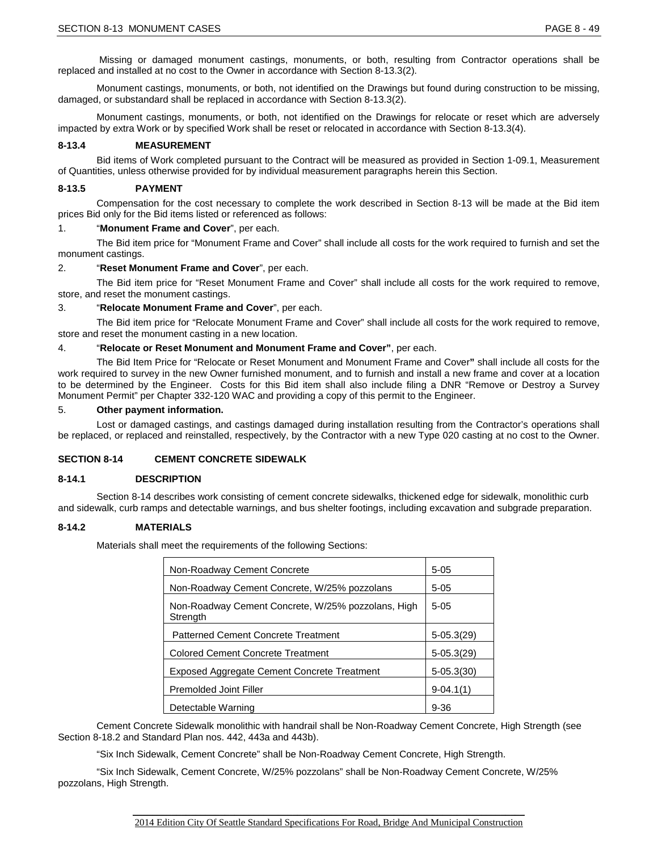Missing or damaged monument castings, monuments, or both, resulting from Contractor operations shall be replaced and installed at no cost to the Owner in accordance with Section 8-13.3(2).

Monument castings, monuments, or both, not identified on the Drawings but found during construction to be missing, damaged, or substandard shall be replaced in accordance with Section 8-13.3(2).

Monument castings, monuments, or both, not identified on the Drawings for relocate or reset which are adversely impacted by extra Work or by specified Work shall be reset or relocated in accordance with Section 8-13.3(4).

#### **8-13.4 MEASUREMENT**

Bid items of Work completed pursuant to the Contract will be measured as provided in Section 1-09.1, Measurement of Quantities, unless otherwise provided for by individual measurement paragraphs herein this Section.

#### **8-13.5 PAYMENT**

Compensation for the cost necessary to complete the work described in Section 8-13 will be made at the Bid item prices Bid only for the Bid items listed or referenced as follows:

#### 1. "**Monument Frame and Cover**", per each.

The Bid item price for "Monument Frame and Cover" shall include all costs for the work required to furnish and set the monument castings.

#### 2. "**Reset Monument Frame and Cover**", per each.

The Bid item price for "Reset Monument Frame and Cover" shall include all costs for the work required to remove, store, and reset the monument castings.

#### 3. "**Relocate Monument Frame and Cover**", per each.

The Bid item price for "Relocate Monument Frame and Cover" shall include all costs for the work required to remove, store and reset the monument casting in a new location.

#### 4. "**Relocate or Reset Monument and Monument Frame and Cover"**, per each.

The Bid Item Price for "Relocate or Reset Monument and Monument Frame and Cover**"** shall include all costs for the work required to survey in the new Owner furnished monument, and to furnish and install a new frame and cover at a location to be determined by the Engineer. Costs for this Bid item shall also include filing a DNR "Remove or Destroy a Survey Monument Permit" per Chapter 332-120 WAC and providing a copy of this permit to the Engineer.

#### 5. **Other payment information.**

Lost or damaged castings, and castings damaged during installation resulting from the Contractor's operations shall be replaced, or replaced and reinstalled, respectively, by the Contractor with a new Type 020 casting at no cost to the Owner.

# **SECTION 8-14 CEMENT CONCRETE SIDEWALK**

# **8-14.1 DESCRIPTION**

Section 8-14 describes work consisting of cement concrete sidewalks, thickened edge for sidewalk, monolithic curb and sidewalk, curb ramps and detectable warnings, and bus shelter footings, including excavation and subgrade preparation.

#### **8-14.2 MATERIALS**

Materials shall meet the requirements of the following Sections:

| Non-Roadway Cement Concrete                                    | $5 - 05$       |
|----------------------------------------------------------------|----------------|
| Non-Roadway Cement Concrete, W/25% pozzolans                   | $5-05$         |
| Non-Roadway Cement Concrete, W/25% pozzolans, High<br>Strength | $5-05$         |
| Patterned Cement Concrete Treatment                            | $5-05.3(29)$   |
| <b>Colored Cement Concrete Treatment</b>                       | $5-05.3(29)$   |
| <b>Exposed Aggregate Cement Concrete Treatment</b>             | $5 - 05.3(30)$ |
| <b>Premolded Joint Filler</b>                                  | $9-04.1(1)$    |
| Detectable Warning                                             | $9 - 36$       |

Cement Concrete Sidewalk monolithic with handrail shall be Non-Roadway Cement Concrete, High Strength (see Section 8-18.2 and Standard Plan nos. 442, 443a and 443b).

"Six Inch Sidewalk, Cement Concrete" shall be Non-Roadway Cement Concrete, High Strength.

"Six Inch Sidewalk, Cement Concrete, W/25% pozzolans" shall be Non-Roadway Cement Concrete, W/25% pozzolans, High Strength.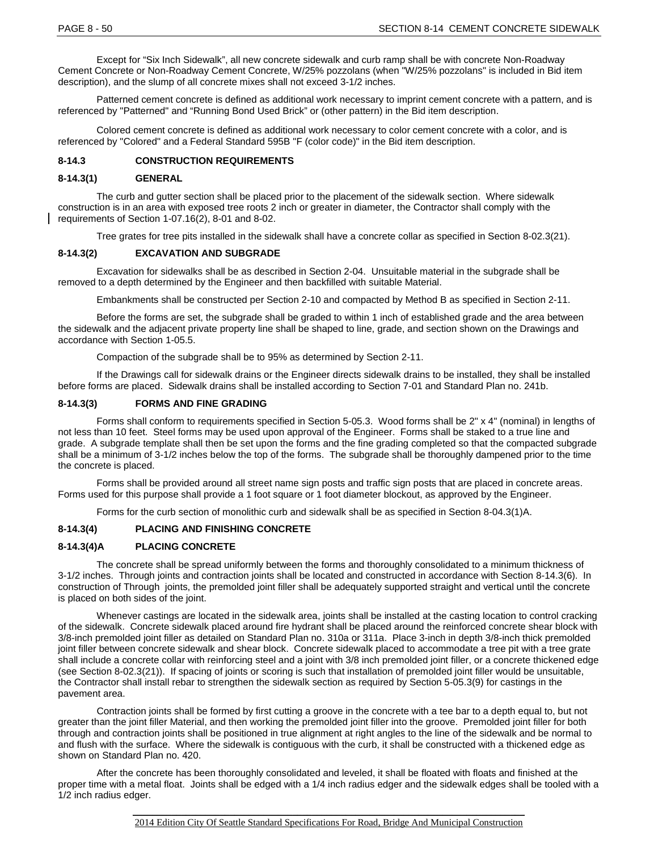Except for "Six Inch Sidewalk", all new concrete sidewalk and curb ramp shall be with concrete Non-Roadway Cement Concrete or Non-Roadway Cement Concrete, W/25% pozzolans (when "W/25% pozzolans" is included in Bid item description), and the slump of all concrete mixes shall not exceed 3-1/2 inches.

Patterned cement concrete is defined as additional work necessary to imprint cement concrete with a pattern, and is referenced by "Patterned" and "Running Bond Used Brick" or (other pattern) in the Bid item description.

Colored cement concrete is defined as additional work necessary to color cement concrete with a color, and is referenced by "Colored" and a Federal Standard 595B "F (color code)" in the Bid item description.

## **8-14.3 CONSTRUCTION REQUIREMENTS**

#### **8-14.3(1) GENERAL**

The curb and gutter section shall be placed prior to the placement of the sidewalk section. Where sidewalk construction is in an area with exposed tree roots 2 inch or greater in diameter, the Contractor shall comply with the requirements of Section 1-07.16(2), 8-01 and 8-02.

Tree grates for tree pits installed in the sidewalk shall have a concrete collar as specified in Section 8-02.3(21).

# **8-14.3(2) EXCAVATION AND SUBGRADE**

Excavation for sidewalks shall be as described in Section 2-04. Unsuitable material in the subgrade shall be removed to a depth determined by the Engineer and then backfilled with suitable Material.

Embankments shall be constructed per Section 2-10 and compacted by Method B as specified in Section 2-11.

Before the forms are set, the subgrade shall be graded to within 1 inch of established grade and the area between the sidewalk and the adjacent private property line shall be shaped to line, grade, and section shown on the Drawings and accordance with Section 1-05.5.

Compaction of the subgrade shall be to 95% as determined by Section 2-11.

If the Drawings call for sidewalk drains or the Engineer directs sidewalk drains to be installed, they shall be installed before forms are placed. Sidewalk drains shall be installed according to Section 7-01 and Standard Plan no. 241b.

#### **8-14.3(3) FORMS AND FINE GRADING**

Forms shall conform to requirements specified in Section 5-05.3. Wood forms shall be 2" x 4" (nominal) in lengths of not less than 10 feet. Steel forms may be used upon approval of the Engineer. Forms shall be staked to a true line and grade. A subgrade template shall then be set upon the forms and the fine grading completed so that the compacted subgrade shall be a minimum of 3-1/2 inches below the top of the forms. The subgrade shall be thoroughly dampened prior to the time the concrete is placed.

Forms shall be provided around all street name sign posts and traffic sign posts that are placed in concrete areas. Forms used for this purpose shall provide a 1 foot square or 1 foot diameter blockout, as approved by the Engineer.

Forms for the curb section of monolithic curb and sidewalk shall be as specified in Section 8-04.3(1)A.

#### **8-14.3(4) PLACING AND FINISHING CONCRETE**

#### **8-14.3(4)A PLACING CONCRETE**

The concrete shall be spread uniformly between the forms and thoroughly consolidated to a minimum thickness of 3-1/2 inches. Through joints and contraction joints shall be located and constructed in accordance with Section 8-14.3(6). In construction of Through joints, the premolded joint filler shall be adequately supported straight and vertical until the concrete is placed on both sides of the joint.

Whenever castings are located in the sidewalk area, joints shall be installed at the casting location to control cracking of the sidewalk. Concrete sidewalk placed around fire hydrant shall be placed around the reinforced concrete shear block with 3/8-inch premolded joint filler as detailed on Standard Plan no. 310a or 311a. Place 3-inch in depth 3/8-inch thick premolded joint filler between concrete sidewalk and shear block. Concrete sidewalk placed to accommodate a tree pit with a tree grate shall include a concrete collar with reinforcing steel and a joint with 3/8 inch premolded joint filler, or a concrete thickened edge (see Section 8-02.3(21)). If spacing of joints or scoring is such that installation of premolded joint filler would be unsuitable, the Contractor shall install rebar to strengthen the sidewalk section as required by Section 5-05.3(9) for castings in the pavement area.

Contraction joints shall be formed by first cutting a groove in the concrete with a tee bar to a depth equal to, but not greater than the joint filler Material, and then working the premolded joint filler into the groove. Premolded joint filler for both through and contraction joints shall be positioned in true alignment at right angles to the line of the sidewalk and be normal to and flush with the surface. Where the sidewalk is contiguous with the curb, it shall be constructed with a thickened edge as shown on Standard Plan no. 420.

After the concrete has been thoroughly consolidated and leveled, it shall be floated with floats and finished at the proper time with a metal float. Joints shall be edged with a 1/4 inch radius edger and the sidewalk edges shall be tooled with a 1/2 inch radius edger.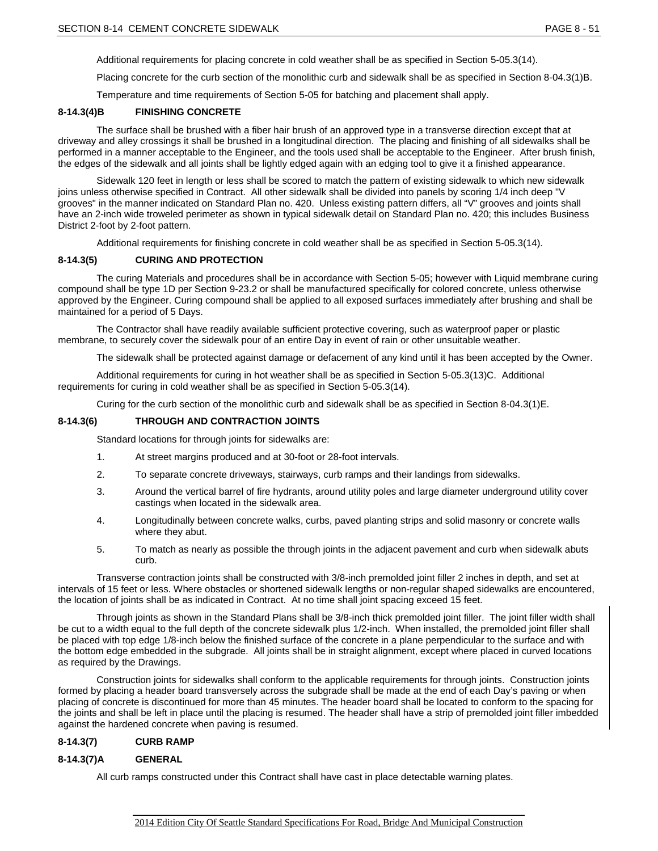Additional requirements for placing concrete in cold weather shall be as specified in Section 5-05.3(14).

Placing concrete for the curb section of the monolithic curb and sidewalk shall be as specified in Section 8-04.3(1)B.

Temperature and time requirements of Section 5-05 for batching and placement shall apply.

# **8-14.3(4)B FINISHING CONCRETE**

The surface shall be brushed with a fiber hair brush of an approved type in a transverse direction except that at driveway and alley crossings it shall be brushed in a longitudinal direction. The placing and finishing of all sidewalks shall be performed in a manner acceptable to the Engineer, and the tools used shall be acceptable to the Engineer. After brush finish, the edges of the sidewalk and all joints shall be lightly edged again with an edging tool to give it a finished appearance.

Sidewalk 120 feet in length or less shall be scored to match the pattern of existing sidewalk to which new sidewalk joins unless otherwise specified in Contract. All other sidewalk shall be divided into panels by scoring 1/4 inch deep "V grooves" in the manner indicated on Standard Plan no. 420. Unless existing pattern differs, all "V" grooves and joints shall have an 2-inch wide troweled perimeter as shown in typical sidewalk detail on Standard Plan no. 420; this includes Business District 2-foot by 2-foot pattern.

Additional requirements for finishing concrete in cold weather shall be as specified in Section 5-05.3(14).

#### **8-14.3(5) CURING AND PROTECTION**

The curing Materials and procedures shall be in accordance with Section 5-05; however with Liquid membrane curing compound shall be type 1D per Section 9-23.2 or shall be manufactured specifically for colored concrete, unless otherwise approved by the Engineer. Curing compound shall be applied to all exposed surfaces immediately after brushing and shall be maintained for a period of 5 Days.

The Contractor shall have readily available sufficient protective covering, such as waterproof paper or plastic membrane, to securely cover the sidewalk pour of an entire Day in event of rain or other unsuitable weather.

The sidewalk shall be protected against damage or defacement of any kind until it has been accepted by the Owner.

Additional requirements for curing in hot weather shall be as specified in Section 5-05.3(13)C. Additional requirements for curing in cold weather shall be as specified in Section 5-05.3(14).

Curing for the curb section of the monolithic curb and sidewalk shall be as specified in Section 8-04.3(1)E.

#### **8-14.3(6) THROUGH AND CONTRACTION JOINTS**

Standard locations for through joints for sidewalks are:

- 1. At street margins produced and at 30-foot or 28-foot intervals.
- 2. To separate concrete driveways, stairways, curb ramps and their landings from sidewalks.
- 3. Around the vertical barrel of fire hydrants, around utility poles and large diameter underground utility cover castings when located in the sidewalk area.
- 4. Longitudinally between concrete walks, curbs, paved planting strips and solid masonry or concrete walls where they abut.
- 5. To match as nearly as possible the through joints in the adjacent pavement and curb when sidewalk abuts curb.

Transverse contraction joints shall be constructed with 3/8-inch premolded joint filler 2 inches in depth, and set at intervals of 15 feet or less. Where obstacles or shortened sidewalk lengths or non-regular shaped sidewalks are encountered, the location of joints shall be as indicated in Contract. At no time shall joint spacing exceed 15 feet.

Through joints as shown in the Standard Plans shall be 3/8-inch thick premolded joint filler. The joint filler width shall be cut to a width equal to the full depth of the concrete sidewalk plus 1/2-inch. When installed, the premolded joint filler shall be placed with top edge 1/8-inch below the finished surface of the concrete in a plane perpendicular to the surface and with the bottom edge embedded in the subgrade. All joints shall be in straight alignment, except where placed in curved locations as required by the Drawings.

Construction joints for sidewalks shall conform to the applicable requirements for through joints. Construction joints formed by placing a header board transversely across the subgrade shall be made at the end of each Day's paving or when placing of concrete is discontinued for more than 45 minutes. The header board shall be located to conform to the spacing for the joints and shall be left in place until the placing is resumed. The header shall have a strip of premolded joint filler imbedded against the hardened concrete when paving is resumed.

## **8-14.3(7) CURB RAMP**

#### **8-14.3(7)A GENERAL**

All curb ramps constructed under this Contract shall have cast in place detectable warning plates.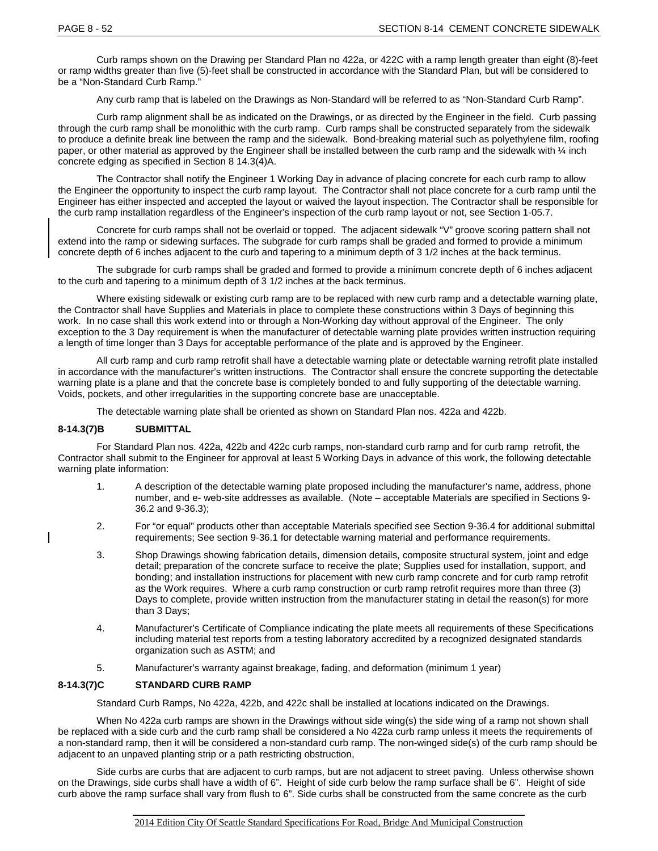Curb ramps shown on the Drawing per Standard Plan no 422a, or 422C with a ramp length greater than eight (8)-feet or ramp widths greater than five (5)-feet shall be constructed in accordance with the Standard Plan, but will be considered to be a "Non-Standard Curb Ramp."

Any curb ramp that is labeled on the Drawings as Non-Standard will be referred to as "Non-Standard Curb Ramp".

Curb ramp alignment shall be as indicated on the Drawings, or as directed by the Engineer in the field. Curb passing through the curb ramp shall be monolithic with the curb ramp. Curb ramps shall be constructed separately from the sidewalk to produce a definite break line between the ramp and the sidewalk. Bond-breaking material such as polyethylene film, roofing paper, or other material as approved by the Engineer shall be installed between the curb ramp and the sidewalk with  $\frac{1}{4}$  inch concrete edging as specified in Section 8 14.3(4)A.

The Contractor shall notify the Engineer 1 Working Day in advance of placing concrete for each curb ramp to allow the Engineer the opportunity to inspect the curb ramp layout. The Contractor shall not place concrete for a curb ramp until the Engineer has either inspected and accepted the layout or waived the layout inspection. The Contractor shall be responsible for the curb ramp installation regardless of the Engineer's inspection of the curb ramp layout or not, see Section 1-05.7.

Concrete for curb ramps shall not be overlaid or topped. The adjacent sidewalk "V" groove scoring pattern shall not extend into the ramp or sidewing surfaces. The subgrade for curb ramps shall be graded and formed to provide a minimum concrete depth of 6 inches adjacent to the curb and tapering to a minimum depth of 3 1/2 inches at the back terminus.

The subgrade for curb ramps shall be graded and formed to provide a minimum concrete depth of 6 inches adjacent to the curb and tapering to a minimum depth of 3 1/2 inches at the back terminus.

Where existing sidewalk or existing curb ramp are to be replaced with new curb ramp and a detectable warning plate, the Contractor shall have Supplies and Materials in place to complete these constructions within 3 Days of beginning this work. In no case shall this work extend into or through a Non-Working day without approval of the Engineer. The only exception to the 3 Day requirement is when the manufacturer of detectable warning plate provides written instruction requiring a length of time longer than 3 Days for acceptable performance of the plate and is approved by the Engineer.

All curb ramp and curb ramp retrofit shall have a detectable warning plate or detectable warning retrofit plate installed in accordance with the manufacturer's written instructions. The Contractor shall ensure the concrete supporting the detectable warning plate is a plane and that the concrete base is completely bonded to and fully supporting of the detectable warning. Voids, pockets, and other irregularities in the supporting concrete base are unacceptable.

The detectable warning plate shall be oriented as shown on Standard Plan nos. 422a and 422b.

# **8-14.3(7)B SUBMITTAL**

For Standard Plan nos. 422a, 422b and 422c curb ramps, non-standard curb ramp and for curb ramp retrofit, the Contractor shall submit to the Engineer for approval at least 5 Working Days in advance of this work, the following detectable warning plate information:

- 1. A description of the detectable warning plate proposed including the manufacturer's name, address, phone number, and e- web-site addresses as available. (Note – acceptable Materials are specified in Sections 9- 36.2 and 9-36.3);
- 2. For "or equal" products other than acceptable Materials specified see Section 9-36.4 for additional submittal requirements; See section 9-36.1 for detectable warning material and performance requirements.
- 3. Shop Drawings showing fabrication details, dimension details, composite structural system, joint and edge detail; preparation of the concrete surface to receive the plate; Supplies used for installation, support, and bonding; and installation instructions for placement with new curb ramp concrete and for curb ramp retrofit as the Work requires. Where a curb ramp construction or curb ramp retrofit requires more than three (3) Days to complete, provide written instruction from the manufacturer stating in detail the reason(s) for more than 3 Days;
- 4. Manufacturer's Certificate of Compliance indicating the plate meets all requirements of these Specifications including material test reports from a testing laboratory accredited by a recognized designated standards organization such as ASTM; and
- 5. Manufacturer's warranty against breakage, fading, and deformation (minimum 1 year)

# **8-14.3(7)C STANDARD CURB RAMP**

Standard Curb Ramps, No 422a, 422b, and 422c shall be installed at locations indicated on the Drawings.

When No 422a curb ramps are shown in the Drawings without side wing(s) the side wing of a ramp not shown shall be replaced with a side curb and the curb ramp shall be considered a No 422a curb ramp unless it meets the requirements of a non-standard ramp, then it will be considered a non-standard curb ramp. The non-winged side(s) of the curb ramp should be adjacent to an unpaved planting strip or a path restricting obstruction,

Side curbs are curbs that are adjacent to curb ramps, but are not adjacent to street paving. Unless otherwise shown on the Drawings, side curbs shall have a width of 6". Height of side curb below the ramp surface shall be 6". Height of side curb above the ramp surface shall vary from flush to 6". Side curbs shall be constructed from the same concrete as the curb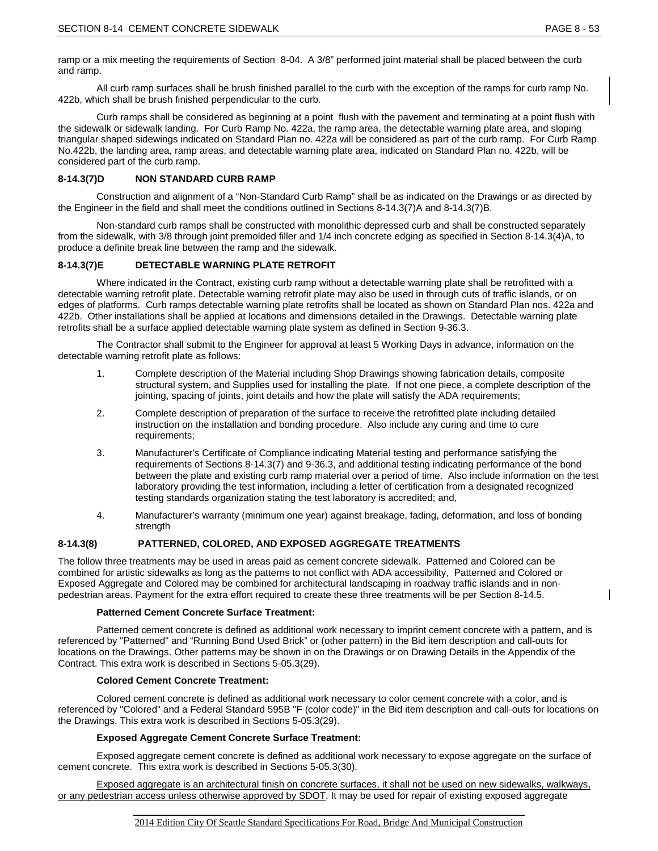ramp or a mix meeting the requirements of Section 8-04. A 3/8" performed joint material shall be placed between the curb and ramp.

All curb ramp surfaces shall be brush finished parallel to the curb with the exception of the ramps for curb ramp No. 422b, which shall be brush finished perpendicular to the curb.

Curb ramps shall be considered as beginning at a point flush with the pavement and terminating at a point flush with the sidewalk or sidewalk landing. For Curb Ramp No. 422a, the ramp area, the detectable warning plate area, and sloping triangular shaped sidewings indicated on Standard Plan no. 422a will be considered as part of the curb ramp. For Curb Ramp No.422b, the landing area, ramp areas, and detectable warning plate area, indicated on Standard Plan no. 422b, will be considered part of the curb ramp.

# **8-14.3(7)D NON STANDARD CURB RAMP**

Construction and alignment of a "Non-Standard Curb Ramp" shall be as indicated on the Drawings or as directed by the Engineer in the field and shall meet the conditions outlined in Sections 8-14.3(7)A and 8-14.3(7)B.

Non-standard curb ramps shall be constructed with monolithic depressed curb and shall be constructed separately from the sidewalk, with 3/8 through joint premolded filler and 1/4 inch concrete edging as specified in Section 8-14.3(4)A, to produce a definite break line between the ramp and the sidewalk.

# **8-14.3(7)E DETECTABLE WARNING PLATE RETROFIT**

Where indicated in the Contract, existing curb ramp without a detectable warning plate shall be retrofitted with a detectable warning retrofit plate. Detectable warning retrofit plate may also be used in through cuts of traffic islands, or on edges of platforms. Curb ramps detectable warning plate retrofits shall be located as shown on Standard Plan nos. 422a and 422b. Other installations shall be applied at locations and dimensions detailed in the Drawings. Detectable warning plate retrofits shall be a surface applied detectable warning plate system as defined in Section 9-36.3.

The Contractor shall submit to the Engineer for approval at least 5 Working Days in advance, information on the detectable warning retrofit plate as follows:

- 1. Complete description of the Material including Shop Drawings showing fabrication details, composite structural system, and Supplies used for installing the plate. If not one piece, a complete description of the jointing, spacing of joints, joint details and how the plate will satisfy the ADA requirements;
- 2. Complete description of preparation of the surface to receive the retrofitted plate including detailed instruction on the installation and bonding procedure. Also include any curing and time to cure requirements;
- 3. Manufacturer's Certificate of Compliance indicating Material testing and performance satisfying the requirements of Sections 8-14.3(7) and 9-36.3, and additional testing indicating performance of the bond between the plate and existing curb ramp material over a period of time. Also include information on the test laboratory providing the test information, including a letter of certification from a designated recognized testing standards organization stating the test laboratory is accredited; and,
- 4. Manufacturer's warranty (minimum one year) against breakage, fading, deformation, and loss of bonding strength

# **8-14.3(8) PATTERNED, COLORED, AND EXPOSED AGGREGATE TREATMENTS**

The follow three treatments may be used in areas paid as cement concrete sidewalk. Patterned and Colored can be combined for artistic sidewalks as long as the patterns to not conflict with ADA accessibility, Patterned and Colored or Exposed Aggregate and Colored may be combined for architectural landscaping in roadway traffic islands and in nonpedestrian areas. Payment for the extra effort required to create these three treatments will be per Section 8-14.5.

# **Patterned Cement Concrete Surface Treatment:**

Patterned cement concrete is defined as additional work necessary to imprint cement concrete with a pattern, and is referenced by "Patterned" and "Running Bond Used Brick" or (other pattern) in the Bid item description and call-outs for locations on the Drawings. Other patterns may be shown in on the Drawings or on Drawing Details in the Appendix of the Contract. This extra work is described in Sections 5-05.3(29).

# **Colored Cement Concrete Treatment:**

Colored cement concrete is defined as additional work necessary to color cement concrete with a color, and is referenced by "Colored" and a Federal Standard 595B "F (color code)" in the Bid item description and call-outs for locations on the Drawings. This extra work is described in Sections 5-05.3(29).

# **Exposed Aggregate Cement Concrete Surface Treatment:**

Exposed aggregate cement concrete is defined as additional work necessary to expose aggregate on the surface of cement concrete. This extra work is described in Sections 5-05.3(30).

Exposed aggregate is an architectural finish on concrete surfaces, it shall not be used on new sidewalks, walkways, or any pedestrian access unless otherwise approved by SDOT. It may be used for repair of existing exposed aggregate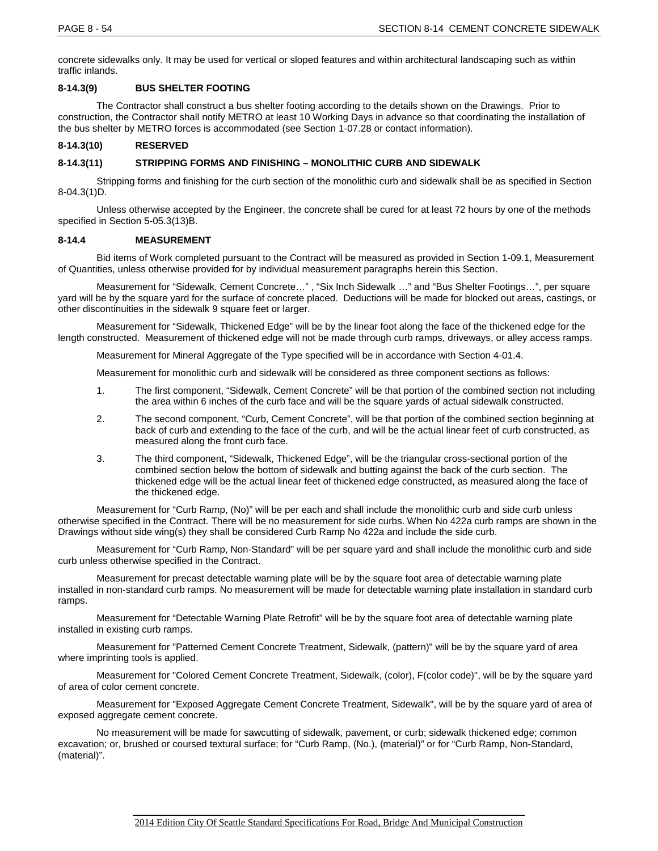concrete sidewalks only. It may be used for vertical or sloped features and within architectural landscaping such as within traffic inlands.

# **8-14.3(9) BUS SHELTER FOOTING**

The Contractor shall construct a bus shelter footing according to the details shown on the Drawings. Prior to construction, the Contractor shall notify METRO at least 10 Working Days in advance so that coordinating the installation of the bus shelter by METRO forces is accommodated (see Section 1-07.28 or contact information).

# **8-14.3(10) RESERVED**

# **8-14.3(11) STRIPPING FORMS AND FINISHING – MONOLITHIC CURB AND SIDEWALK**

Stripping forms and finishing for the curb section of the monolithic curb and sidewalk shall be as specified in Section 8-04.3(1)D.

Unless otherwise accepted by the Engineer, the concrete shall be cured for at least 72 hours by one of the methods specified in Section 5-05.3(13)B.

# **8-14.4 MEASUREMENT**

Bid items of Work completed pursuant to the Contract will be measured as provided in Section 1-09.1, Measurement of Quantities, unless otherwise provided for by individual measurement paragraphs herein this Section.

Measurement for "Sidewalk, Cement Concrete…" , "Six Inch Sidewalk …" and "Bus Shelter Footings…", per square yard will be by the square yard for the surface of concrete placed. Deductions will be made for blocked out areas, castings, or other discontinuities in the sidewalk 9 square feet or larger.

Measurement for "Sidewalk, Thickened Edge" will be by the linear foot along the face of the thickened edge for the length constructed. Measurement of thickened edge will not be made through curb ramps, driveways, or alley access ramps.

Measurement for Mineral Aggregate of the Type specified will be in accordance with Section 4-01.4.

Measurement for monolithic curb and sidewalk will be considered as three component sections as follows:

- 1. The first component, "Sidewalk, Cement Concrete" will be that portion of the combined section not including the area within 6 inches of the curb face and will be the square yards of actual sidewalk constructed.
- 2. The second component, "Curb, Cement Concrete", will be that portion of the combined section beginning at back of curb and extending to the face of the curb, and will be the actual linear feet of curb constructed, as measured along the front curb face.
- 3. The third component, "Sidewalk, Thickened Edge", will be the triangular cross-sectional portion of the combined section below the bottom of sidewalk and butting against the back of the curb section. The thickened edge will be the actual linear feet of thickened edge constructed, as measured along the face of the thickened edge.

Measurement for "Curb Ramp, (No)" will be per each and shall include the monolithic curb and side curb unless otherwise specified in the Contract. There will be no measurement for side curbs. When No 422a curb ramps are shown in the Drawings without side wing(s) they shall be considered Curb Ramp No 422a and include the side curb.

Measurement for "Curb Ramp, Non-Standard" will be per square yard and shall include the monolithic curb and side curb unless otherwise specified in the Contract.

Measurement for precast detectable warning plate will be by the square foot area of detectable warning plate installed in non-standard curb ramps. No measurement will be made for detectable warning plate installation in standard curb ramps.

Measurement for "Detectable Warning Plate Retrofit" will be by the square foot area of detectable warning plate installed in existing curb ramps.

Measurement for "Patterned Cement Concrete Treatment, Sidewalk, (pattern)" will be by the square yard of area where imprinting tools is applied.

Measurement for "Colored Cement Concrete Treatment, Sidewalk, (color), F(color code)", will be by the square yard of area of color cement concrete.

Measurement for "Exposed Aggregate Cement Concrete Treatment, Sidewalk", will be by the square yard of area of exposed aggregate cement concrete.

No measurement will be made for sawcutting of sidewalk, pavement, or curb; sidewalk thickened edge; common excavation; or, brushed or coursed textural surface; for "Curb Ramp, (No.), (material)" or for "Curb Ramp, Non-Standard, (material)".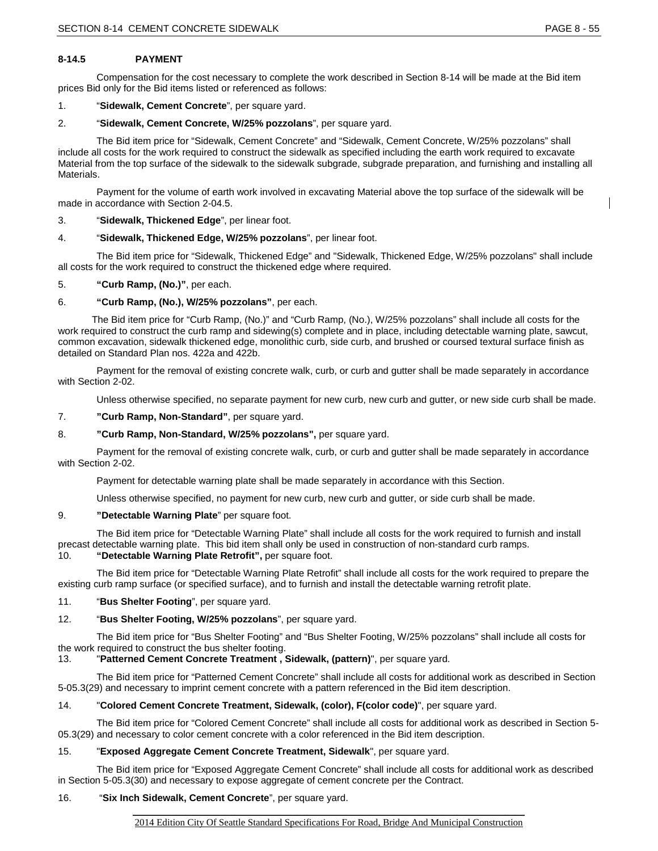# **8-14.5 PAYMENT**

Compensation for the cost necessary to complete the work described in Section 8-14 will be made at the Bid item prices Bid only for the Bid items listed or referenced as follows:

# 1. "**Sidewalk, Cement Concrete**", per square yard.

# 2. "**Sidewalk, Cement Concrete, W/25% pozzolans**", per square yard.

The Bid item price for "Sidewalk, Cement Concrete" and "Sidewalk, Cement Concrete, W/25% pozzolans" shall include all costs for the work required to construct the sidewalk as specified including the earth work required to excavate Material from the top surface of the sidewalk to the sidewalk subgrade, subgrade preparation, and furnishing and installing all Materials.

Payment for the volume of earth work involved in excavating Material above the top surface of the sidewalk will be made in accordance with Section 2-04.5.

# 3. "**Sidewalk, Thickened Edge**", per linear foot.

#### 4. "**Sidewalk, Thickened Edge, W/25% pozzolans**", per linear foot.

The Bid item price for "Sidewalk, Thickened Edge" and "Sidewalk, Thickened Edge, W/25% pozzolans" shall include all costs for the work required to construct the thickened edge where required.

#### 5. **"Curb Ramp, (No.)"**, per each.

#### 6. **"Curb Ramp, (No.), W/25% pozzolans"**, per each.

The Bid item price for "Curb Ramp, (No.)" and "Curb Ramp, (No.), W/25% pozzolans" shall include all costs for the work required to construct the curb ramp and sidewing(s) complete and in place, including detectable warning plate, sawcut, common excavation, sidewalk thickened edge, monolithic curb, side curb, and brushed or coursed textural surface finish as detailed on Standard Plan nos. 422a and 422b.

Payment for the removal of existing concrete walk, curb, or curb and gutter shall be made separately in accordance with Section 2-02.

Unless otherwise specified, no separate payment for new curb, new curb and gutter, or new side curb shall be made.

#### 7. **"Curb Ramp, Non-Standard"**, per square yard.

# 8. **"Curb Ramp, Non-Standard, W/25% pozzolans",** per square yard.

Payment for the removal of existing concrete walk, curb, or curb and gutter shall be made separately in accordance with Section 2-02.

Payment for detectable warning plate shall be made separately in accordance with this Section.

Unless otherwise specified, no payment for new curb, new curb and gutter, or side curb shall be made.

#### 9. **"Detectable Warning Plate**" per square foot.

The Bid item price for "Detectable Warning Plate" shall include all costs for the work required to furnish and install precast detectable warning plate. This bid item shall only be used in construction of non-standard curb ramps.

# 10. **"Detectable Warning Plate Retrofit",** per square foot.

The Bid item price for "Detectable Warning Plate Retrofit" shall include all costs for the work required to prepare the existing curb ramp surface (or specified surface), and to furnish and install the detectable warning retrofit plate.

#### 11. "**Bus Shelter Footing**", per square yard.

# 12. "**Bus Shelter Footing, W/25% pozzolans**", per square yard.

The Bid item price for "Bus Shelter Footing" and "Bus Shelter Footing, W/25% pozzolans" shall include all costs for the work required to construct the bus shelter footing.

# 13. "**Patterned Cement Concrete Treatment , Sidewalk, (pattern)**", per square yard.

The Bid item price for "Patterned Cement Concrete" shall include all costs for additional work as described in Section 5-05.3(29) and necessary to imprint cement concrete with a pattern referenced in the Bid item description.

#### 14. "**Colored Cement Concrete Treatment, Sidewalk, (color), F(color code)**", per square yard.

The Bid item price for "Colored Cement Concrete" shall include all costs for additional work as described in Section 5- 05.3(29) and necessary to color cement concrete with a color referenced in the Bid item description.

# 15. "**Exposed Aggregate Cement Concrete Treatment, Sidewalk**", per square yard.

The Bid item price for "Exposed Aggregate Cement Concrete" shall include all costs for additional work as described in Section 5-05.3(30) and necessary to expose aggregate of cement concrete per the Contract.

# 16. "**Six Inch Sidewalk, Cement Concrete**", per square yard.

\_\_\_\_\_\_\_\_\_\_\_\_\_\_\_\_\_\_\_\_\_\_\_\_\_\_\_\_\_\_\_\_\_\_\_\_\_\_\_\_\_\_\_\_\_\_\_\_\_\_\_\_\_\_\_\_\_\_\_\_\_\_\_\_\_\_\_\_\_\_\_\_\_\_\_\_\_\_\_\_\_ 2014 Edition City Of Seattle Standard Specifications For Road, Bridge And Municipal Construction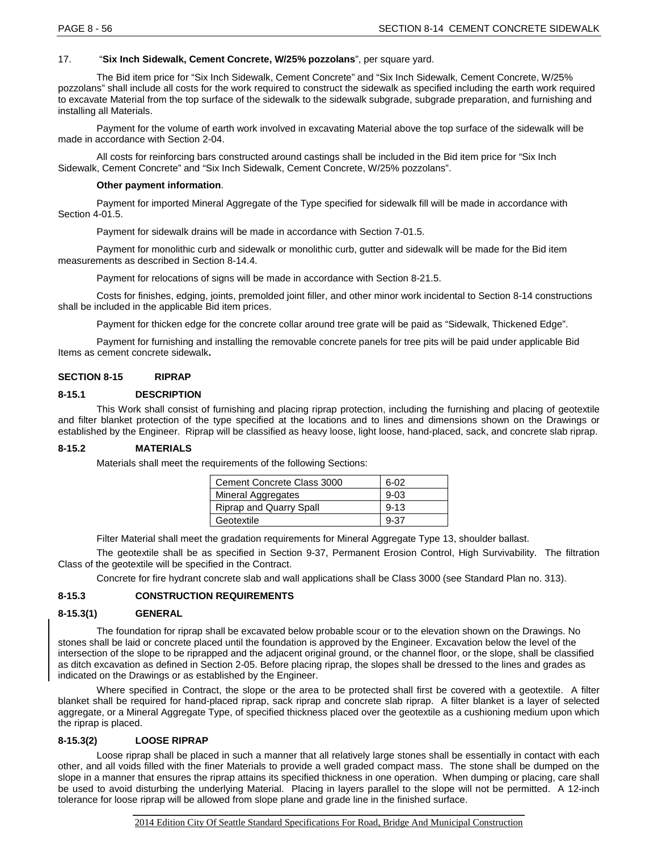# 17. "**Six Inch Sidewalk, Cement Concrete, W/25% pozzolans**", per square yard.

The Bid item price for "Six Inch Sidewalk, Cement Concrete" and "Six Inch Sidewalk, Cement Concrete, W/25% pozzolans" shall include all costs for the work required to construct the sidewalk as specified including the earth work required to excavate Material from the top surface of the sidewalk to the sidewalk subgrade, subgrade preparation, and furnishing and installing all Materials.

Payment for the volume of earth work involved in excavating Material above the top surface of the sidewalk will be made in accordance with Section 2-04.

All costs for reinforcing bars constructed around castings shall be included in the Bid item price for "Six Inch Sidewalk, Cement Concrete" and "Six Inch Sidewalk, Cement Concrete, W/25% pozzolans".

#### **Other payment information**.

Payment for imported Mineral Aggregate of the Type specified for sidewalk fill will be made in accordance with Section 4-01.5.

Payment for sidewalk drains will be made in accordance with Section 7-01.5.

Payment for monolithic curb and sidewalk or monolithic curb, gutter and sidewalk will be made for the Bid item measurements as described in Section 8-14.4.

Payment for relocations of signs will be made in accordance with Section 8-21.5.

Costs for finishes, edging, joints, premolded joint filler, and other minor work incidental to Section 8-14 constructions shall be included in the applicable Bid item prices.

Payment for thicken edge for the concrete collar around tree grate will be paid as "Sidewalk, Thickened Edge".

Payment for furnishing and installing the removable concrete panels for tree pits will be paid under applicable Bid Items as cement concrete sidewalk**.**

# **SECTION 8-15 RIPRAP**

#### **8-15.1 DESCRIPTION**

This Work shall consist of furnishing and placing riprap protection, including the furnishing and placing of geotextile and filter blanket protection of the type specified at the locations and to lines and dimensions shown on the Drawings or established by the Engineer. Riprap will be classified as heavy loose, light loose, hand-placed, sack, and concrete slab riprap.

# **8-15.2 MATERIALS**

Materials shall meet the requirements of the following Sections:

| Cement Concrete Class 3000     | $6 - 02$ |
|--------------------------------|----------|
| <b>Mineral Aggregates</b>      | $9 - 03$ |
| <b>Riprap and Quarry Spall</b> | $9 - 13$ |
| Geotextile                     | 9-37     |

Filter Material shall meet the gradation requirements for Mineral Aggregate Type 13, shoulder ballast.

The geotextile shall be as specified in Section 9-37, Permanent Erosion Control, High Survivability. The filtration Class of the geotextile will be specified in the Contract.

Concrete for fire hydrant concrete slab and wall applications shall be Class 3000 (see Standard Plan no. 313).

# **8-15.3 CONSTRUCTION REQUIREMENTS**

#### **8-15.3(1) GENERAL**

The foundation for riprap shall be excavated below probable scour or to the elevation shown on the Drawings. No stones shall be laid or concrete placed until the foundation is approved by the Engineer. Excavation below the level of the intersection of the slope to be riprapped and the adjacent original ground, or the channel floor, or the slope, shall be classified as ditch excavation as defined in Section 2-05. Before placing riprap, the slopes shall be dressed to the lines and grades as indicated on the Drawings or as established by the Engineer.

Where specified in Contract, the slope or the area to be protected shall first be covered with a geotextile. A filter blanket shall be required for hand-placed riprap, sack riprap and concrete slab riprap. A filter blanket is a layer of selected aggregate, or a Mineral Aggregate Type, of specified thickness placed over the geotextile as a cushioning medium upon which the riprap is placed.

# **8-15.3(2) LOOSE RIPRAP**

Loose riprap shall be placed in such a manner that all relatively large stones shall be essentially in contact with each other, and all voids filled with the finer Materials to provide a well graded compact mass. The stone shall be dumped on the slope in a manner that ensures the riprap attains its specified thickness in one operation. When dumping or placing, care shall be used to avoid disturbing the underlying Material. Placing in layers parallel to the slope will not be permitted. A 12-inch tolerance for loose riprap will be allowed from slope plane and grade line in the finished surface.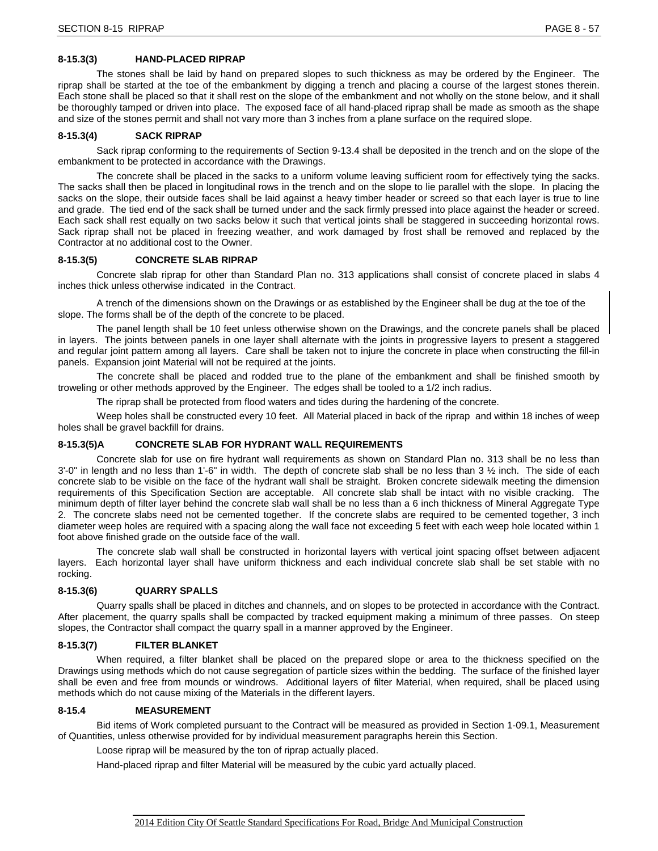# **8-15.3(3) HAND-PLACED RIPRAP**

The stones shall be laid by hand on prepared slopes to such thickness as may be ordered by the Engineer. The riprap shall be started at the toe of the embankment by digging a trench and placing a course of the largest stones therein. Each stone shall be placed so that it shall rest on the slope of the embankment and not wholly on the stone below, and it shall be thoroughly tamped or driven into place. The exposed face of all hand-placed riprap shall be made as smooth as the shape and size of the stones permit and shall not vary more than 3 inches from a plane surface on the required slope.

#### **8-15.3(4) SACK RIPRAP**

Sack riprap conforming to the requirements of Section 9-13.4 shall be deposited in the trench and on the slope of the embankment to be protected in accordance with the Drawings.

The concrete shall be placed in the sacks to a uniform volume leaving sufficient room for effectively tying the sacks. The sacks shall then be placed in longitudinal rows in the trench and on the slope to lie parallel with the slope. In placing the sacks on the slope, their outside faces shall be laid against a heavy timber header or screed so that each layer is true to line and grade. The tied end of the sack shall be turned under and the sack firmly pressed into place against the header or screed. Each sack shall rest equally on two sacks below it such that vertical joints shall be staggered in succeeding horizontal rows. Sack riprap shall not be placed in freezing weather, and work damaged by frost shall be removed and replaced by the Contractor at no additional cost to the Owner.

#### **8-15.3(5) CONCRETE SLAB RIPRAP**

Concrete slab riprap for other than Standard Plan no. 313 applications shall consist of concrete placed in slabs 4 inches thick unless otherwise indicated in the Contract.

A trench of the dimensions shown on the Drawings or as established by the Engineer shall be dug at the toe of the slope. The forms shall be of the depth of the concrete to be placed.

The panel length shall be 10 feet unless otherwise shown on the Drawings, and the concrete panels shall be placed in layers. The joints between panels in one layer shall alternate with the joints in progressive layers to present a staggered and regular joint pattern among all layers. Care shall be taken not to injure the concrete in place when constructing the fill-in panels. Expansion joint Material will not be required at the joints.

The concrete shall be placed and rodded true to the plane of the embankment and shall be finished smooth by troweling or other methods approved by the Engineer. The edges shall be tooled to a 1/2 inch radius.

The riprap shall be protected from flood waters and tides during the hardening of the concrete.

Weep holes shall be constructed every 10 feet. All Material placed in back of the riprap and within 18 inches of weep holes shall be gravel backfill for drains.

#### **8-15.3(5)A CONCRETE SLAB FOR HYDRANT WALL REQUIREMENTS**

Concrete slab for use on fire hydrant wall requirements as shown on Standard Plan no. 313 shall be no less than  $3'$ -0" in length and no less than  $1'$ -6" in width. The depth of concrete slab shall be no less than  $3\frac{1}{2}$  inch. The side of each concrete slab to be visible on the face of the hydrant wall shall be straight. Broken concrete sidewalk meeting the dimension requirements of this Specification Section are acceptable. All concrete slab shall be intact with no visible cracking. The minimum depth of filter layer behind the concrete slab wall shall be no less than a 6 inch thickness of Mineral Aggregate Type 2. The concrete slabs need not be cemented together. If the concrete slabs are required to be cemented together, 3 inch diameter weep holes are required with a spacing along the wall face not exceeding 5 feet with each weep hole located within 1 foot above finished grade on the outside face of the wall.

The concrete slab wall shall be constructed in horizontal layers with vertical joint spacing offset between adjacent layers. Each horizontal layer shall have uniform thickness and each individual concrete slab shall be set stable with no rocking.

#### **8-15.3(6) QUARRY SPALLS**

Quarry spalls shall be placed in ditches and channels, and on slopes to be protected in accordance with the Contract. After placement, the quarry spalls shall be compacted by tracked equipment making a minimum of three passes. On steep slopes, the Contractor shall compact the quarry spall in a manner approved by the Engineer.

#### **8-15.3(7) FILTER BLANKET**

When required, a filter blanket shall be placed on the prepared slope or area to the thickness specified on the Drawings using methods which do not cause segregation of particle sizes within the bedding. The surface of the finished layer shall be even and free from mounds or windrows. Additional layers of filter Material, when required, shall be placed using methods which do not cause mixing of the Materials in the different layers.

# **8-15.4 MEASUREMENT**

Bid items of Work completed pursuant to the Contract will be measured as provided in Section 1-09.1, Measurement of Quantities, unless otherwise provided for by individual measurement paragraphs herein this Section.

Loose riprap will be measured by the ton of riprap actually placed.

Hand-placed riprap and filter Material will be measured by the cubic yard actually placed.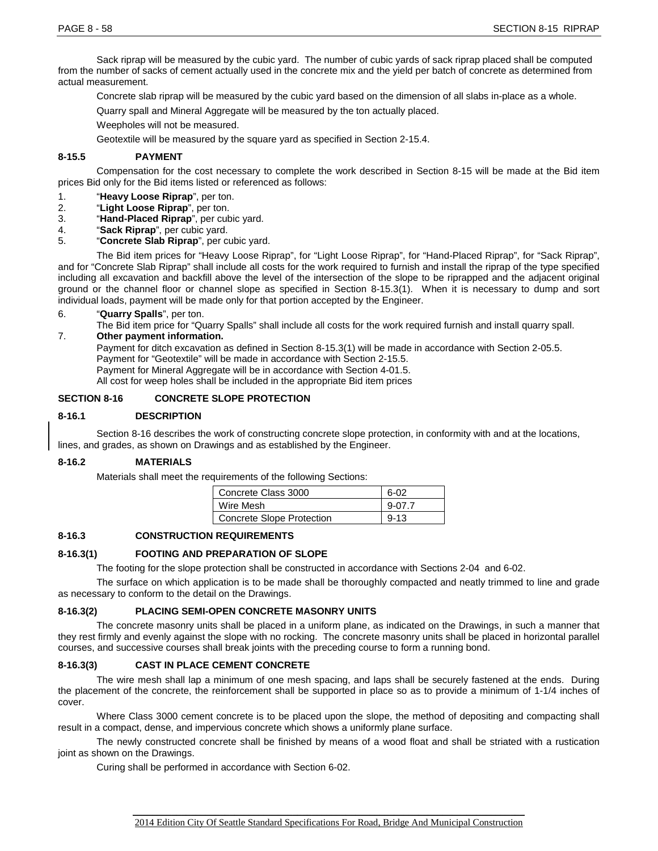Sack riprap will be measured by the cubic yard. The number of cubic yards of sack riprap placed shall be computed from the number of sacks of cement actually used in the concrete mix and the yield per batch of concrete as determined from actual measurement.

Concrete slab riprap will be measured by the cubic yard based on the dimension of all slabs in-place as a whole.

Quarry spall and Mineral Aggregate will be measured by the ton actually placed.

Weepholes will not be measured.

Geotextile will be measured by the square yard as specified in Section 2-15.4.

# **8-15.5 PAYMENT**

Compensation for the cost necessary to complete the work described in Section 8-15 will be made at the Bid item prices Bid only for the Bid items listed or referenced as follows:

- 1. "**Heavy Loose Riprap**", per ton.
- 2. "**Light Loose Riprap**", per ton.
- 3. "**Hand-Placed Riprap**", per cubic yard.
- 4. "**Sack Riprap**", per cubic yard.
- 5. "**Concrete Slab Riprap**", per cubic yard.

The Bid item prices for "Heavy Loose Riprap", for "Light Loose Riprap", for "Hand-Placed Riprap", for "Sack Riprap", and for "Concrete Slab Riprap" shall include all costs for the work required to furnish and install the riprap of the type specified including all excavation and backfill above the level of the intersection of the slope to be riprapped and the adjacent original ground or the channel floor or channel slope as specified in Section 8-15.3(1). When it is necessary to dump and sort individual loads, payment will be made only for that portion accepted by the Engineer.

6. "**Quarry Spalls**", per ton.

The Bid item price for "Quarry Spalls" shall include all costs for the work required furnish and install quarry spall.

7. **Other payment information.**

Payment for ditch excavation as defined in Section 8-15.3(1) will be made in accordance with Section 2-05.5. Payment for "Geotextile" will be made in accordance with Section 2-15.5. Payment for Mineral Aggregate will be in accordance with Section 4-01.5. All cost for weep holes shall be included in the appropriate Bid item prices

#### **SECTION 8-16 CONCRETE SLOPE PROTECTION**

#### **8-16.1 DESCRIPTION**

Section 8-16 describes the work of constructing concrete slope protection, in conformity with and at the locations, lines, and grades, as shown on Drawings and as established by the Engineer.

## **8-16.2 MATERIALS**

Materials shall meet the requirements of the following Sections:

| Concrete Class 3000       | 6-02     |
|---------------------------|----------|
| Wire Mesh                 | $9-07.7$ |
| Concrete Slope Protection | $9 - 13$ |

#### **8-16.3 CONSTRUCTION REQUIREMENTS**

## **8-16.3(1) FOOTING AND PREPARATION OF SLOPE**

The footing for the slope protection shall be constructed in accordance with Sections 2-04 and 6-02.

The surface on which application is to be made shall be thoroughly compacted and neatly trimmed to line and grade as necessary to conform to the detail on the Drawings.

#### **8-16.3(2) PLACING SEMI-OPEN CONCRETE MASONRY UNITS**

The concrete masonry units shall be placed in a uniform plane, as indicated on the Drawings, in such a manner that they rest firmly and evenly against the slope with no rocking. The concrete masonry units shall be placed in horizontal parallel courses, and successive courses shall break joints with the preceding course to form a running bond.

#### **8-16.3(3) CAST IN PLACE CEMENT CONCRETE**

The wire mesh shall lap a minimum of one mesh spacing, and laps shall be securely fastened at the ends. During the placement of the concrete, the reinforcement shall be supported in place so as to provide a minimum of 1-1/4 inches of cover.

Where Class 3000 cement concrete is to be placed upon the slope, the method of depositing and compacting shall result in a compact, dense, and impervious concrete which shows a uniformly plane surface.

The newly constructed concrete shall be finished by means of a wood float and shall be striated with a rustication joint as shown on the Drawings.

Curing shall be performed in accordance with Section 6-02.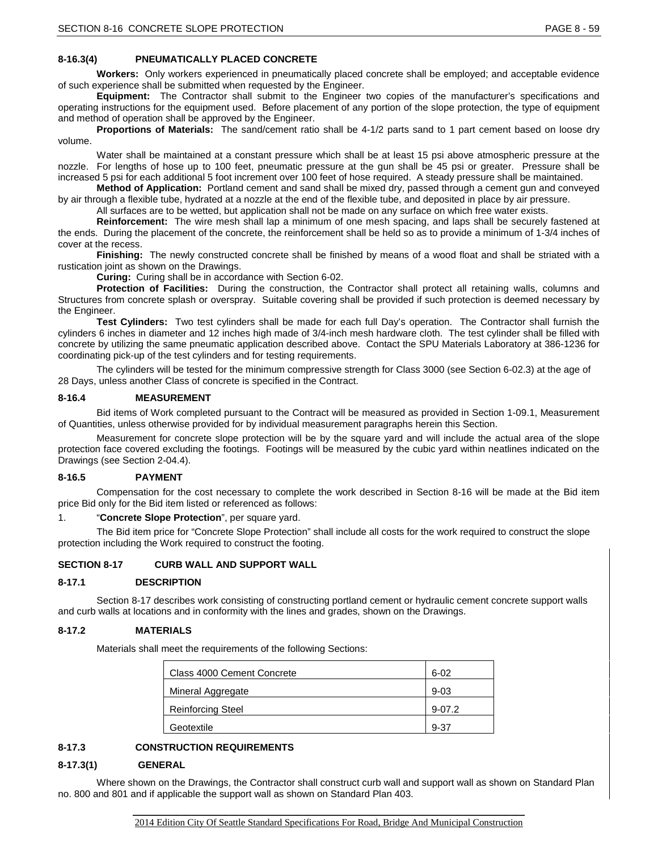# **8-16.3(4) PNEUMATICALLY PLACED CONCRETE**

**Workers:** Only workers experienced in pneumatically placed concrete shall be employed; and acceptable evidence of such experience shall be submitted when requested by the Engineer.

**Equipment:** The Contractor shall submit to the Engineer two copies of the manufacturer's specifications and operating instructions for the equipment used. Before placement of any portion of the slope protection, the type of equipment and method of operation shall be approved by the Engineer.

**Proportions of Materials:** The sand/cement ratio shall be 4-1/2 parts sand to 1 part cement based on loose dry volume.

Water shall be maintained at a constant pressure which shall be at least 15 psi above atmospheric pressure at the nozzle. For lengths of hose up to 100 feet, pneumatic pressure at the gun shall be 45 psi or greater. Pressure shall be increased 5 psi for each additional 5 foot increment over 100 feet of hose required. A steady pressure shall be maintained.

**Method of Application:** Portland cement and sand shall be mixed dry, passed through a cement gun and conveyed by air through a flexible tube, hydrated at a nozzle at the end of the flexible tube, and deposited in place by air pressure.

All surfaces are to be wetted, but application shall not be made on any surface on which free water exists.

**Reinforcement:** The wire mesh shall lap a minimum of one mesh spacing, and laps shall be securely fastened at the ends. During the placement of the concrete, the reinforcement shall be held so as to provide a minimum of 1-3/4 inches of cover at the recess.

**Finishing:** The newly constructed concrete shall be finished by means of a wood float and shall be striated with a rustication joint as shown on the Drawings.

**Curing:** Curing shall be in accordance with Section 6-02.

**Protection of Facilities:** During the construction, the Contractor shall protect all retaining walls, columns and Structures from concrete splash or overspray. Suitable covering shall be provided if such protection is deemed necessary by the Engineer.

**Test Cylinders:** Two test cylinders shall be made for each full Day's operation. The Contractor shall furnish the cylinders 6 inches in diameter and 12 inches high made of 3/4-inch mesh hardware cloth. The test cylinder shall be filled with concrete by utilizing the same pneumatic application described above. Contact the SPU Materials Laboratory at 386-1236 for coordinating pick-up of the test cylinders and for testing requirements.

The cylinders will be tested for the minimum compressive strength for Class 3000 (see Section 6-02.3) at the age of 28 Days, unless another Class of concrete is specified in the Contract.

#### **8-16.4 MEASUREMENT**

Bid items of Work completed pursuant to the Contract will be measured as provided in Section 1-09.1, Measurement of Quantities, unless otherwise provided for by individual measurement paragraphs herein this Section.

Measurement for concrete slope protection will be by the square yard and will include the actual area of the slope protection face covered excluding the footings. Footings will be measured by the cubic yard within neatlines indicated on the Drawings (see Section 2-04.4).

# **8-16.5 PAYMENT**

Compensation for the cost necessary to complete the work described in Section 8-16 will be made at the Bid item price Bid only for the Bid item listed or referenced as follows:

1. "**Concrete Slope Protection**", per square yard.

The Bid item price for "Concrete Slope Protection" shall include all costs for the work required to construct the slope protection including the Work required to construct the footing.

# **SECTION 8-17 CURB WALL AND SUPPORT WALL**

# **8-17.1 DESCRIPTION**

Section 8-17 describes work consisting of constructing portland cement or hydraulic cement concrete support walls and curb walls at locations and in conformity with the lines and grades, shown on the Drawings.

#### **8-17.2 MATERIALS**

Materials shall meet the requirements of the following Sections:

| Class 4000 Cement Concrete | $6 - 02$ |
|----------------------------|----------|
| Mineral Aggregate          | $9 - 03$ |
| <b>Reinforcing Steel</b>   | $9-07.2$ |
| Geotextile                 | $9 - 37$ |

# **8-17.3 CONSTRUCTION REQUIREMENTS**

# **8-17.3(1) GENERAL**

Where shown on the Drawings, the Contractor shall construct curb wall and support wall as shown on Standard Plan no. 800 and 801 and if applicable the support wall as shown on Standard Plan 403.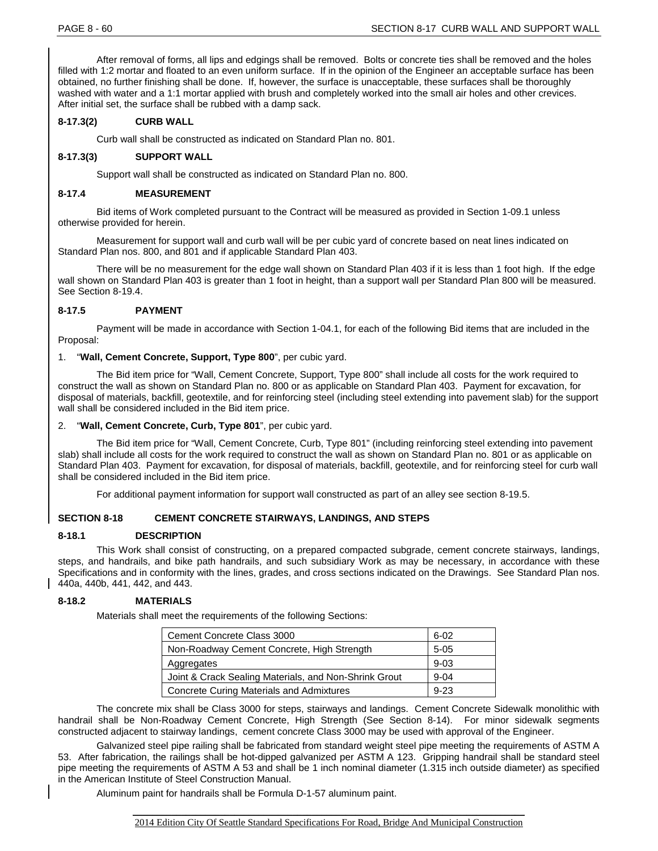After removal of forms, all lips and edgings shall be removed. Bolts or concrete ties shall be removed and the holes filled with 1:2 mortar and floated to an even uniform surface. If in the opinion of the Engineer an acceptable surface has been obtained, no further finishing shall be done. If, however, the surface is unacceptable, these surfaces shall be thoroughly washed with water and a 1:1 mortar applied with brush and completely worked into the small air holes and other crevices. After initial set, the surface shall be rubbed with a damp sack.

# **8-17.3(2) CURB WALL**

Curb wall shall be constructed as indicated on Standard Plan no. 801.

# **8-17.3(3) SUPPORT WALL**

Support wall shall be constructed as indicated on Standard Plan no. 800.

#### **8-17.4 MEASUREMENT**

Bid items of Work completed pursuant to the Contract will be measured as provided in Section 1-09.1 unless otherwise provided for herein.

Measurement for support wall and curb wall will be per cubic yard of concrete based on neat lines indicated on Standard Plan nos. 800, and 801 and if applicable Standard Plan 403.

There will be no measurement for the edge wall shown on Standard Plan 403 if it is less than 1 foot high. If the edge wall shown on Standard Plan 403 is greater than 1 foot in height, than a support wall per Standard Plan 800 will be measured. See Section 8-19.4.

# **8-17.5 PAYMENT**

Payment will be made in accordance with Section 1-04.1, for each of the following Bid items that are included in the Proposal:

#### 1. "**Wall, Cement Concrete, Support, Type 800**", per cubic yard.

The Bid item price for "Wall, Cement Concrete, Support, Type 800" shall include all costs for the work required to construct the wall as shown on Standard Plan no. 800 or as applicable on Standard Plan 403. Payment for excavation, for disposal of materials, backfill, geotextile, and for reinforcing steel (including steel extending into pavement slab) for the support wall shall be considered included in the Bid item price.

#### "Wall, Cement Concrete, Curb, Type 801", per cubic yard.

The Bid item price for "Wall, Cement Concrete, Curb, Type 801" (including reinforcing steel extending into pavement slab) shall include all costs for the work required to construct the wall as shown on Standard Plan no. 801 or as applicable on Standard Plan 403. Payment for excavation, for disposal of materials, backfill, geotextile, and for reinforcing steel for curb wall shall be considered included in the Bid item price.

For additional payment information for support wall constructed as part of an alley see section 8-19.5.

#### **SECTION 8-18 CEMENT CONCRETE STAIRWAYS, LANDINGS, AND STEPS**

#### **8-18.1 DESCRIPTION**

This Work shall consist of constructing, on a prepared compacted subgrade, cement concrete stairways, landings, steps, and handrails, and bike path handrails, and such subsidiary Work as may be necessary, in accordance with these Specifications and in conformity with the lines, grades, and cross sections indicated on the Drawings. See Standard Plan nos. 440a, 440b, 441, 442, and 443.

# **8-18.2 MATERIALS**

Materials shall meet the requirements of the following Sections:

| Cement Concrete Class 3000                            | $6 - 02$ |
|-------------------------------------------------------|----------|
| Non-Roadway Cement Concrete, High Strength            | $5 - 05$ |
| Aggregates                                            | $9 - 03$ |
| Joint & Crack Sealing Materials, and Non-Shrink Grout | $9 - 04$ |
| Concrete Curing Materials and Admixtures              | $9 - 23$ |

The concrete mix shall be Class 3000 for steps, stairways and landings. Cement Concrete Sidewalk monolithic with handrail shall be Non-Roadway Cement Concrete, High Strength (See Section 8-14). For minor sidewalk segments constructed adjacent to stairway landings, cement concrete Class 3000 may be used with approval of the Engineer.

Galvanized steel pipe railing shall be fabricated from standard weight steel pipe meeting the requirements of ASTM A 53. After fabrication, the railings shall be hot-dipped galvanized per ASTM A 123. Gripping handrail shall be standard steel pipe meeting the requirements of ASTM A 53 and shall be 1 inch nominal diameter (1.315 inch outside diameter) as specified in the American Institute of Steel Construction Manual.

Aluminum paint for handrails shall be Formula D-1-57 aluminum paint.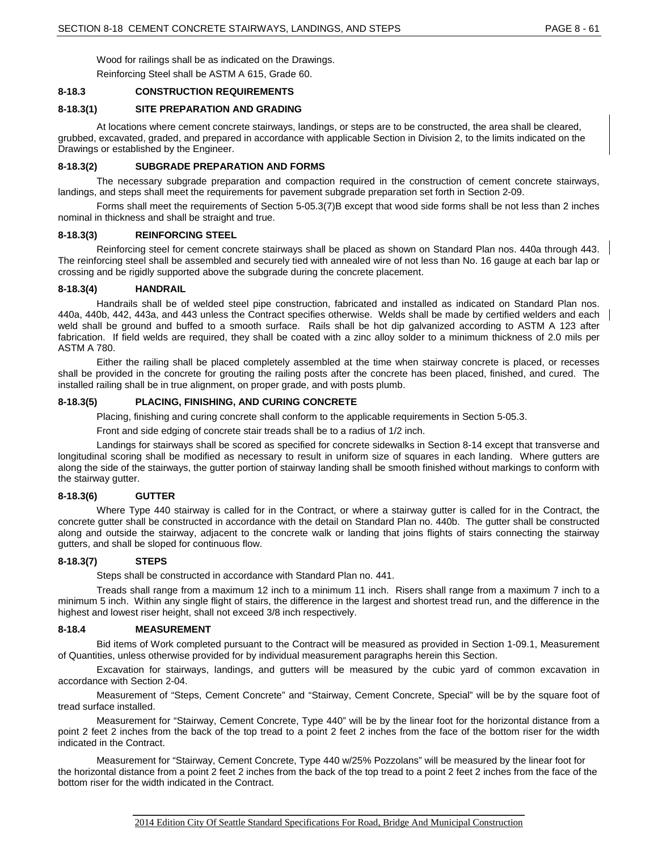Wood for railings shall be as indicated on the Drawings.

Reinforcing Steel shall be ASTM A 615, Grade 60.

# **8-18.3 CONSTRUCTION REQUIREMENTS**

#### **8-18.3(1) SITE PREPARATION AND GRADING**

At locations where cement concrete stairways, landings, or steps are to be constructed, the area shall be cleared, grubbed, excavated, graded, and prepared in accordance with applicable Section in Division 2, to the limits indicated on the Drawings or established by the Engineer.

#### **8-18.3(2) SUBGRADE PREPARATION AND FORMS**

The necessary subgrade preparation and compaction required in the construction of cement concrete stairways, landings, and steps shall meet the requirements for pavement subgrade preparation set forth in Section 2-09.

Forms shall meet the requirements of Section 5-05.3(7)B except that wood side forms shall be not less than 2 inches nominal in thickness and shall be straight and true.

#### **8-18.3(3) REINFORCING STEEL**

Reinforcing steel for cement concrete stairways shall be placed as shown on Standard Plan nos. 440a through 443. The reinforcing steel shall be assembled and securely tied with annealed wire of not less than No. 16 gauge at each bar lap or crossing and be rigidly supported above the subgrade during the concrete placement.

#### **8-18.3(4) HANDRAIL**

Handrails shall be of welded steel pipe construction, fabricated and installed as indicated on Standard Plan nos. 440a, 440b, 442, 443a, and 443 unless the Contract specifies otherwise. Welds shall be made by certified welders and each weld shall be ground and buffed to a smooth surface. Rails shall be hot dip galvanized according to ASTM A 123 after fabrication. If field welds are required, they shall be coated with a zinc alloy solder to a minimum thickness of 2.0 mils per ASTM A 780.

Either the railing shall be placed completely assembled at the time when stairway concrete is placed, or recesses shall be provided in the concrete for grouting the railing posts after the concrete has been placed, finished, and cured. The installed railing shall be in true alignment, on proper grade, and with posts plumb.

## **8-18.3(5) PLACING, FINISHING, AND CURING CONCRETE**

Placing, finishing and curing concrete shall conform to the applicable requirements in Section 5-05.3.

Front and side edging of concrete stair treads shall be to a radius of 1/2 inch.

Landings for stairways shall be scored as specified for concrete sidewalks in Section 8-14 except that transverse and longitudinal scoring shall be modified as necessary to result in uniform size of squares in each landing. Where gutters are along the side of the stairways, the gutter portion of stairway landing shall be smooth finished without markings to conform with the stairway gutter.

#### **8-18.3(6) GUTTER**

Where Type 440 stairway is called for in the Contract, or where a stairway gutter is called for in the Contract, the concrete gutter shall be constructed in accordance with the detail on Standard Plan no. 440b. The gutter shall be constructed along and outside the stairway, adjacent to the concrete walk or landing that joins flights of stairs connecting the stairway gutters, and shall be sloped for continuous flow.

#### **8-18.3(7) STEPS**

Steps shall be constructed in accordance with Standard Plan no. 441.

Treads shall range from a maximum 12 inch to a minimum 11 inch. Risers shall range from a maximum 7 inch to a minimum 5 inch. Within any single flight of stairs, the difference in the largest and shortest tread run, and the difference in the highest and lowest riser height, shall not exceed 3/8 inch respectively.

#### **8-18.4 MEASUREMENT**

Bid items of Work completed pursuant to the Contract will be measured as provided in Section 1-09.1, Measurement of Quantities, unless otherwise provided for by individual measurement paragraphs herein this Section.

Excavation for stairways, landings, and gutters will be measured by the cubic yard of common excavation in accordance with Section 2-04.

Measurement of "Steps, Cement Concrete" and "Stairway, Cement Concrete, Special" will be by the square foot of tread surface installed.

Measurement for "Stairway, Cement Concrete, Type 440" will be by the linear foot for the horizontal distance from a point 2 feet 2 inches from the back of the top tread to a point 2 feet 2 inches from the face of the bottom riser for the width indicated in the Contract.

Measurement for "Stairway, Cement Concrete, Type 440 w/25% Pozzolans" will be measured by the linear foot for the horizontal distance from a point 2 feet 2 inches from the back of the top tread to a point 2 feet 2 inches from the face of the bottom riser for the width indicated in the Contract.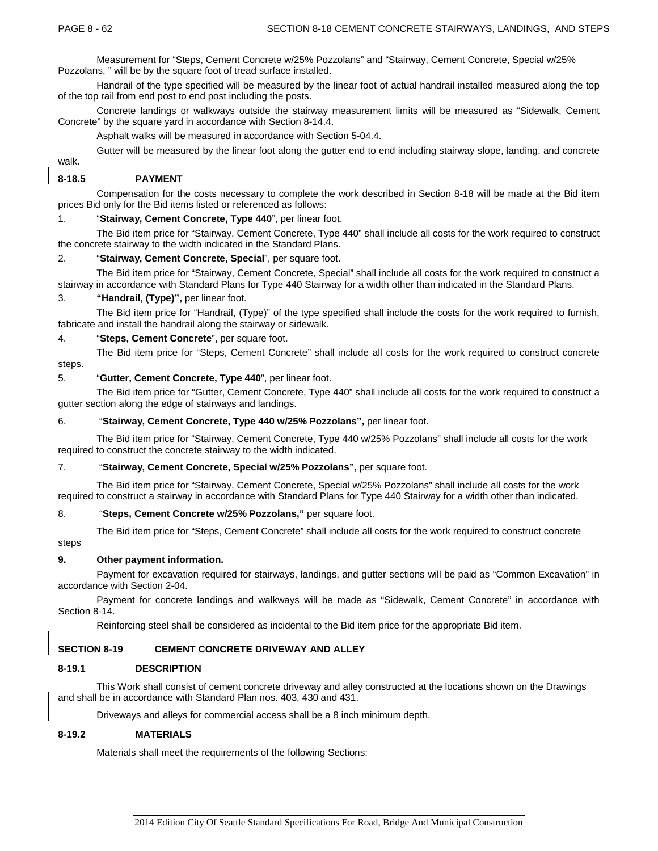Measurement for "Steps, Cement Concrete w/25% Pozzolans" and "Stairway, Cement Concrete, Special w/25% Pozzolans, " will be by the square foot of tread surface installed.

Handrail of the type specified will be measured by the linear foot of actual handrail installed measured along the top of the top rail from end post to end post including the posts.

Concrete landings or walkways outside the stairway measurement limits will be measured as "Sidewalk, Cement Concrete" by the square yard in accordance with Section 8-14.4.

Asphalt walks will be measured in accordance with Section 5-04.4.

Gutter will be measured by the linear foot along the gutter end to end including stairway slope, landing, and concrete

walk.

# **8-18.5 PAYMENT**

Compensation for the costs necessary to complete the work described in Section 8-18 will be made at the Bid item prices Bid only for the Bid items listed or referenced as follows:

# 1. "**Stairway, Cement Concrete, Type 440**", per linear foot.

The Bid item price for "Stairway, Cement Concrete, Type 440" shall include all costs for the work required to construct the concrete stairway to the width indicated in the Standard Plans.

#### 2. "**Stairway, Cement Concrete, Special**", per square foot.

The Bid item price for "Stairway, Cement Concrete, Special" shall include all costs for the work required to construct a stairway in accordance with Standard Plans for Type 440 Stairway for a width other than indicated in the Standard Plans.

#### 3. **"Handrail, (Type)",** per linear foot.

The Bid item price for "Handrail, (Type)" of the type specified shall include the costs for the work required to furnish, fabricate and install the handrail along the stairway or sidewalk.

#### 4. "**Steps, Cement Concrete**", per square foot.

The Bid item price for "Steps, Cement Concrete" shall include all costs for the work required to construct concrete steps.

# 5. "**Gutter, Cement Concrete, Type 440**", per linear foot.

The Bid item price for "Gutter, Cement Concrete, Type 440" shall include all costs for the work required to construct a gutter section along the edge of stairways and landings.

# 6. "**Stairway, Cement Concrete, Type 440 w/25% Pozzolans",** per linear foot.

The Bid item price for "Stairway, Cement Concrete, Type 440 w/25% Pozzolans" shall include all costs for the work required to construct the concrete stairway to the width indicated.

#### 7. "**Stairway, Cement Concrete, Special w/25% Pozzolans",** per square foot.

The Bid item price for "Stairway, Cement Concrete, Special w/25% Pozzolans" shall include all costs for the work required to construct a stairway in accordance with Standard Plans for Type 440 Stairway for a width other than indicated.

#### 8. "**Steps, Cement Concrete w/25% Pozzolans,"** per square foot.

The Bid item price for "Steps, Cement Concrete" shall include all costs for the work required to construct concrete

steps

# **9. Other payment information.**

Payment for excavation required for stairways, landings, and gutter sections will be paid as "Common Excavation" in accordance with Section 2-04.

Payment for concrete landings and walkways will be made as "Sidewalk, Cement Concrete" in accordance with Section 8-14.

Reinforcing steel shall be considered as incidental to the Bid item price for the appropriate Bid item.

# **SECTION 8-19 CEMENT CONCRETE DRIVEWAY AND ALLEY**

#### **8-19.1 DESCRIPTION**

This Work shall consist of cement concrete driveway and alley constructed at the locations shown on the Drawings and shall be in accordance with Standard Plan nos. 403, 430 and 431.

Driveways and alleys for commercial access shall be a 8 inch minimum depth.

# **8-19.2 MATERIALS**

Materials shall meet the requirements of the following Sections: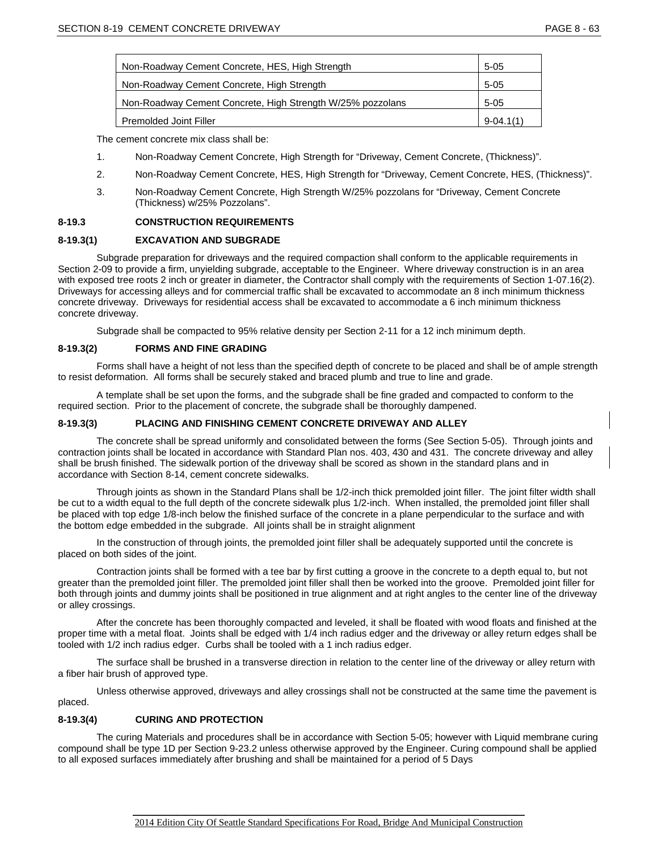| Non-Roadway Cement Concrete, HES, High Strength            | $5-05$      |
|------------------------------------------------------------|-------------|
| Non-Roadway Cement Concrete, High Strength                 | $5-05$      |
| Non-Roadway Cement Concrete, High Strength W/25% pozzolans | $5-05$      |
| Premolded Joint Filler                                     | $9-04.1(1)$ |

The cement concrete mix class shall be:

- 1. Non-Roadway Cement Concrete, High Strength for "Driveway, Cement Concrete, (Thickness)".
- 2. Non-Roadway Cement Concrete, HES, High Strength for "Driveway, Cement Concrete, HES, (Thickness)".
- 3. Non-Roadway Cement Concrete, High Strength W/25% pozzolans for "Driveway, Cement Concrete (Thickness) w/25% Pozzolans".

# **8-19.3 CONSTRUCTION REQUIREMENTS**

#### **8-19.3(1) EXCAVATION AND SUBGRADE**

Subgrade preparation for driveways and the required compaction shall conform to the applicable requirements in Section 2-09 to provide a firm, unyielding subgrade, acceptable to the Engineer. Where driveway construction is in an area with exposed tree roots 2 inch or greater in diameter, the Contractor shall comply with the requirements of Section 1-07.16(2). Driveways for accessing alleys and for commercial traffic shall be excavated to accommodate an 8 inch minimum thickness concrete driveway. Driveways for residential access shall be excavated to accommodate a 6 inch minimum thickness concrete driveway.

Subgrade shall be compacted to 95% relative density per Section 2-11 for a 12 inch minimum depth.

#### **8-19.3(2) FORMS AND FINE GRADING**

Forms shall have a height of not less than the specified depth of concrete to be placed and shall be of ample strength to resist deformation. All forms shall be securely staked and braced plumb and true to line and grade.

A template shall be set upon the forms, and the subgrade shall be fine graded and compacted to conform to the required section. Prior to the placement of concrete, the subgrade shall be thoroughly dampened.

#### **8-19.3(3) PLACING AND FINISHING CEMENT CONCRETE DRIVEWAY AND ALLEY**

The concrete shall be spread uniformly and consolidated between the forms (See Section 5-05). Through joints and contraction joints shall be located in accordance with Standard Plan nos. 403, 430 and 431. The concrete driveway and alley shall be brush finished. The sidewalk portion of the driveway shall be scored as shown in the standard plans and in accordance with Section 8-14, cement concrete sidewalks.

Through joints as shown in the Standard Plans shall be 1/2-inch thick premolded joint filler. The joint filter width shall be cut to a width equal to the full depth of the concrete sidewalk plus 1/2-inch. When installed, the premolded joint filler shall be placed with top edge 1/8-inch below the finished surface of the concrete in a plane perpendicular to the surface and with the bottom edge embedded in the subgrade. All joints shall be in straight alignment

In the construction of through joints, the premolded joint filler shall be adequately supported until the concrete is placed on both sides of the joint.

Contraction joints shall be formed with a tee bar by first cutting a groove in the concrete to a depth equal to, but not greater than the premolded joint filler. The premolded joint filler shall then be worked into the groove. Premolded joint filler for both through joints and dummy joints shall be positioned in true alignment and at right angles to the center line of the driveway or alley crossings.

After the concrete has been thoroughly compacted and leveled, it shall be floated with wood floats and finished at the proper time with a metal float. Joints shall be edged with 1/4 inch radius edger and the driveway or alley return edges shall be tooled with 1/2 inch radius edger. Curbs shall be tooled with a 1 inch radius edger.

The surface shall be brushed in a transverse direction in relation to the center line of the driveway or alley return with a fiber hair brush of approved type.

Unless otherwise approved, driveways and alley crossings shall not be constructed at the same time the pavement is placed.

# **8-19.3(4) CURING AND PROTECTION**

The curing Materials and procedures shall be in accordance with Section 5-05; however with Liquid membrane curing compound shall be type 1D per Section 9-23.2 unless otherwise approved by the Engineer. Curing compound shall be applied to all exposed surfaces immediately after brushing and shall be maintained for a period of 5 Days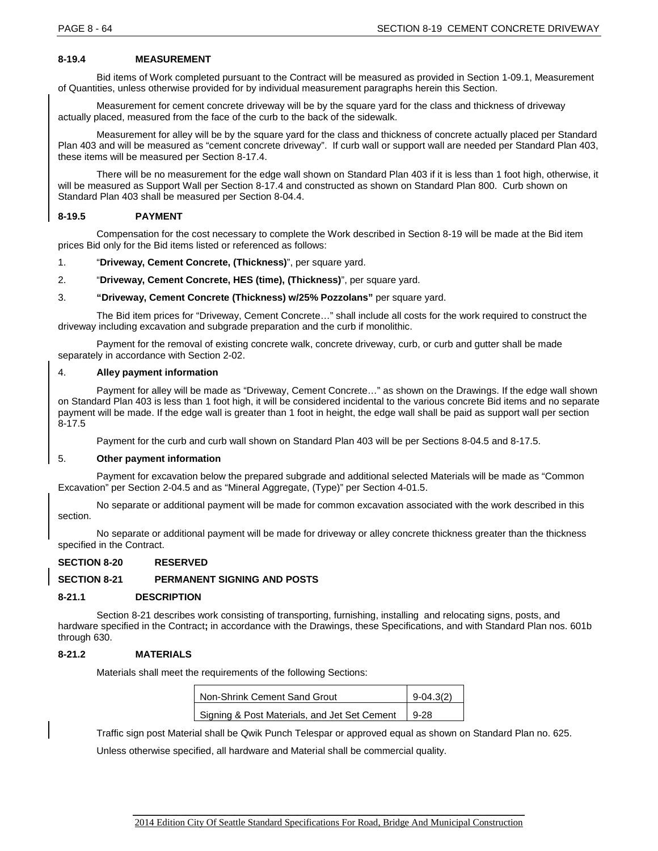# **8-19.4 MEASUREMENT**

Bid items of Work completed pursuant to the Contract will be measured as provided in Section 1-09.1, Measurement of Quantities, unless otherwise provided for by individual measurement paragraphs herein this Section.

Measurement for cement concrete driveway will be by the square yard for the class and thickness of driveway actually placed, measured from the face of the curb to the back of the sidewalk.

Measurement for alley will be by the square yard for the class and thickness of concrete actually placed per Standard Plan 403 and will be measured as "cement concrete driveway". If curb wall or support wall are needed per Standard Plan 403, these items will be measured per Section 8-17.4.

There will be no measurement for the edge wall shown on Standard Plan 403 if it is less than 1 foot high, otherwise, it will be measured as Support Wall per Section 8-17.4 and constructed as shown on Standard Plan 800. Curb shown on Standard Plan 403 shall be measured per Section 8-04.4.

# **8-19.5 PAYMENT**

Compensation for the cost necessary to complete the Work described in Section 8-19 will be made at the Bid item prices Bid only for the Bid items listed or referenced as follows:

1. "**Driveway, Cement Concrete, (Thickness)**", per square yard.

2. "**Driveway, Cement Concrete, HES (time), (Thickness)**", per square yard.

3. **"Driveway, Cement Concrete (Thickness) w/25% Pozzolans"** per square yard.

The Bid item prices for "Driveway, Cement Concrete…" shall include all costs for the work required to construct the driveway including excavation and subgrade preparation and the curb if monolithic.

Payment for the removal of existing concrete walk, concrete driveway, curb, or curb and gutter shall be made separately in accordance with Section 2-02.

#### 4. **Alley payment information**

Payment for alley will be made as "Driveway, Cement Concrete…" as shown on the Drawings. If the edge wall shown on Standard Plan 403 is less than 1 foot high, it will be considered incidental to the various concrete Bid items and no separate payment will be made. If the edge wall is greater than 1 foot in height, the edge wall shall be paid as support wall per section 8-17.5

Payment for the curb and curb wall shown on Standard Plan 403 will be per Sections 8-04.5 and 8-17.5.

# 5. **Other payment information**

Payment for excavation below the prepared subgrade and additional selected Materials will be made as "Common Excavation" per Section 2-04.5 and as "Mineral Aggregate, (Type)" per Section 4-01.5.

No separate or additional payment will be made for common excavation associated with the work described in this section.

No separate or additional payment will be made for driveway or alley concrete thickness greater than the thickness specified in the Contract.

# **SECTION 8-20 RESERVED**

# **SECTION 8-21 PERMANENT SIGNING AND POSTS**

#### **8-21.1 DESCRIPTION**

Section 8-21 describes work consisting of transporting, furnishing, installing and relocating signs, posts, and hardware specified in the Contract**;** in accordance with the Drawings, these Specifications, and with Standard Plan nos. 601b through 630.

#### **8-21.2 MATERIALS**

Materials shall meet the requirements of the following Sections:

| Non-Shrink Cement Sand Grout                 | $9-04.3(2)$ |  |
|----------------------------------------------|-------------|--|
| Signing & Post Materials, and Jet Set Cement | $9-28$      |  |

Traffic sign post Material shall be Qwik Punch Telespar or approved equal as shown on Standard Plan no. 625.

Unless otherwise specified, all hardware and Material shall be commercial quality.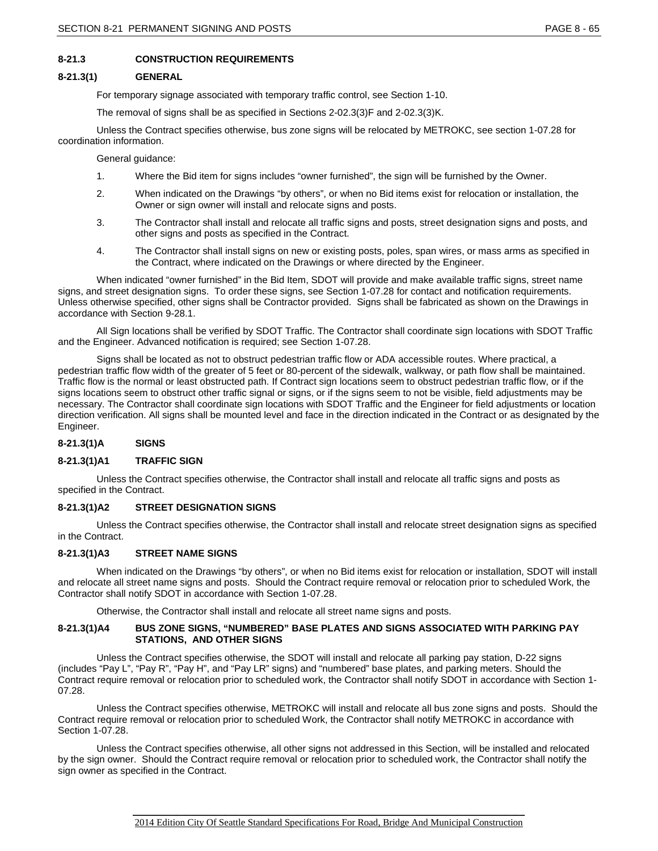# **8-21.3 CONSTRUCTION REQUIREMENTS**

# **8-21.3(1) GENERAL**

For temporary signage associated with temporary traffic control, see Section 1-10.

The removal of signs shall be as specified in Sections 2-02.3(3)F and 2-02.3(3)K.

Unless the Contract specifies otherwise, bus zone signs will be relocated by METROKC, see section 1-07.28 for coordination information.

General guidance:

- 1. Where the Bid item for signs includes "owner furnished", the sign will be furnished by the Owner.
- 2. When indicated on the Drawings "by others", or when no Bid items exist for relocation or installation, the Owner or sign owner will install and relocate signs and posts.
- 3. The Contractor shall install and relocate all traffic signs and posts, street designation signs and posts, and other signs and posts as specified in the Contract.
- 4. The Contractor shall install signs on new or existing posts, poles, span wires, or mass arms as specified in the Contract, where indicated on the Drawings or where directed by the Engineer.

When indicated "owner furnished" in the Bid Item, SDOT will provide and make available traffic signs, street name signs, and street designation signs. To order these signs, see Section 1-07.28 for contact and notification requirements. Unless otherwise specified, other signs shall be Contractor provided. Signs shall be fabricated as shown on the Drawings in accordance with Section 9-28.1.

All Sign locations shall be verified by SDOT Traffic. The Contractor shall coordinate sign locations with SDOT Traffic and the Engineer. Advanced notification is required; see Section 1-07.28.

Signs shall be located as not to obstruct pedestrian traffic flow or ADA accessible routes. Where practical, a pedestrian traffic flow width of the greater of 5 feet or 80-percent of the sidewalk, walkway, or path flow shall be maintained. Traffic flow is the normal or least obstructed path. If Contract sign locations seem to obstruct pedestrian traffic flow, or if the signs locations seem to obstruct other traffic signal or signs, or if the signs seem to not be visible, field adjustments may be necessary. The Contractor shall coordinate sign locations with SDOT Traffic and the Engineer for field adjustments or location direction verification. All signs shall be mounted level and face in the direction indicated in the Contract or as designated by the Engineer.

# **8-21.3(1)A SIGNS**

# **8-21.3(1)A1 TRAFFIC SIGN**

Unless the Contract specifies otherwise, the Contractor shall install and relocate all traffic signs and posts as specified in the Contract.

#### **8-21.3(1)A2 STREET DESIGNATION SIGNS**

Unless the Contract specifies otherwise, the Contractor shall install and relocate street designation signs as specified in the Contract.

## **8-21.3(1)A3 STREET NAME SIGNS**

When indicated on the Drawings "by others", or when no Bid items exist for relocation or installation, SDOT will install and relocate all street name signs and posts. Should the Contract require removal or relocation prior to scheduled Work, the Contractor shall notify SDOT in accordance with Section 1-07.28.

Otherwise, the Contractor shall install and relocate all street name signs and posts.

# **8-21.3(1)A4 BUS ZONE SIGNS, "NUMBERED" BASE PLATES AND SIGNS ASSOCIATED WITH PARKING PAY STATIONS, AND OTHER SIGNS**

Unless the Contract specifies otherwise, the SDOT will install and relocate all parking pay station, D-22 signs (includes "Pay L", "Pay R", "Pay H", and "Pay LR" signs) and "numbered" base plates, and parking meters. Should the Contract require removal or relocation prior to scheduled work, the Contractor shall notify SDOT in accordance with Section 1- 07.28.

Unless the Contract specifies otherwise, METROKC will install and relocate all bus zone signs and posts. Should the Contract require removal or relocation prior to scheduled Work, the Contractor shall notify METROKC in accordance with Section 1-07.28.

Unless the Contract specifies otherwise, all other signs not addressed in this Section, will be installed and relocated by the sign owner. Should the Contract require removal or relocation prior to scheduled work, the Contractor shall notify the sign owner as specified in the Contract.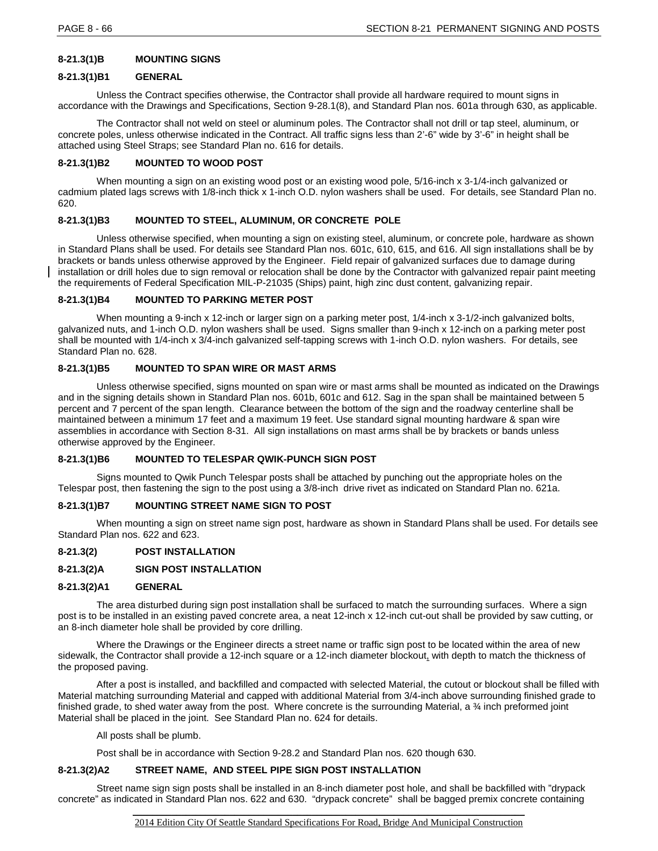# **8-21.3(1)B MOUNTING SIGNS**

#### **8-21.3(1)B1 GENERAL**

Unless the Contract specifies otherwise, the Contractor shall provide all hardware required to mount signs in accordance with the Drawings and Specifications, Section 9-28.1(8), and Standard Plan nos. 601a through 630, as applicable.

The Contractor shall not weld on steel or aluminum poles. The Contractor shall not drill or tap steel, aluminum, or concrete poles, unless otherwise indicated in the Contract. All traffic signs less than 2'-6" wide by 3'-6" in height shall be attached using Steel Straps; see Standard Plan no. 616 for details.

# **8-21.3(1)B2 MOUNTED TO WOOD POST**

When mounting a sign on an existing wood post or an existing wood pole, 5/16-inch x 3-1/4-inch galvanized or cadmium plated lags screws with 1/8-inch thick x 1-inch O.D. nylon washers shall be used. For details, see Standard Plan no. 620.

#### **8-21.3(1)B3 MOUNTED TO STEEL, ALUMINUM, OR CONCRETE POLE**

Unless otherwise specified, when mounting a sign on existing steel, aluminum, or concrete pole, hardware as shown in Standard Plans shall be used. For details see Standard Plan nos. 601c, 610, 615, and 616. All sign installations shall be by brackets or bands unless otherwise approved by the Engineer. Field repair of galvanized surfaces due to damage during installation or drill holes due to sign removal or relocation shall be done by the Contractor with galvanized repair paint meeting the requirements of Federal Specification MIL-P-21035 (Ships) paint, high zinc dust content, galvanizing repair.

# **8-21.3(1)B4 MOUNTED TO PARKING METER POST**

When mounting a 9-inch x 12-inch or larger sign on a parking meter post, 1/4-inch x 3-1/2-inch galvanized bolts, galvanized nuts, and 1-inch O.D. nylon washers shall be used. Signs smaller than 9-inch x 12-inch on a parking meter post shall be mounted with 1/4-inch x 3/4-inch galvanized self-tapping screws with 1-inch O.D. nylon washers. For details, see Standard Plan no. 628.

#### **8-21.3(1)B5 MOUNTED TO SPAN WIRE OR MAST ARMS**

Unless otherwise specified, signs mounted on span wire or mast arms shall be mounted as indicated on the Drawings and in the signing details shown in Standard Plan nos. 601b, 601c and 612. Sag in the span shall be maintained between 5 percent and 7 percent of the span length. Clearance between the bottom of the sign and the roadway centerline shall be maintained between a minimum 17 feet and a maximum 19 feet. Use standard signal mounting hardware & span wire assemblies in accordance with Section 8-31. All sign installations on mast arms shall be by brackets or bands unless otherwise approved by the Engineer.

#### **8-21.3(1)B6 MOUNTED TO TELESPAR QWIK-PUNCH SIGN POST**

Signs mounted to Qwik Punch Telespar posts shall be attached by punching out the appropriate holes on the Telespar post, then fastening the sign to the post using a 3/8-inch drive rivet as indicated on Standard Plan no. 621a.

# **8-21.3(1)B7 MOUNTING STREET NAME SIGN TO POST**

When mounting a sign on street name sign post, hardware as shown in Standard Plans shall be used. For details see Standard Plan nos. 622 and 623.

# **8-21.3(2) POST INSTALLATION**

# **8-21.3(2)A SIGN POST INSTALLATION**

#### **8-21.3(2)A1 GENERAL**

The area disturbed during sign post installation shall be surfaced to match the surrounding surfaces. Where a sign post is to be installed in an existing paved concrete area, a neat 12-inch x 12-inch cut-out shall be provided by saw cutting, or an 8-inch diameter hole shall be provided by core drilling.

Where the Drawings or the Engineer directs a street name or traffic sign post to be located within the area of new sidewalk, the Contractor shall provide a 12-inch square or a 12-inch diameter blockout, with depth to match the thickness of the proposed paving.

After a post is installed, and backfilled and compacted with selected Material, the cutout or blockout shall be filled with Material matching surrounding Material and capped with additional Material from 3/4-inch above surrounding finished grade to finished grade, to shed water away from the post. Where concrete is the surrounding Material, a  $\frac{3}{4}$  inch preformed joint Material shall be placed in the joint. See Standard Plan no. 624 for details.

#### All posts shall be plumb.

Post shall be in accordance with Section 9-28.2 and Standard Plan nos. 620 though 630.

# **8-21.3(2)A2 STREET NAME, AND STEEL PIPE SIGN POST INSTALLATION**

Street name sign sign posts shall be installed in an 8-inch diameter post hole, and shall be backfilled with "drypack concrete" as indicated in Standard Plan nos. 622 and 630. "drypack concrete" shall be bagged premix concrete containing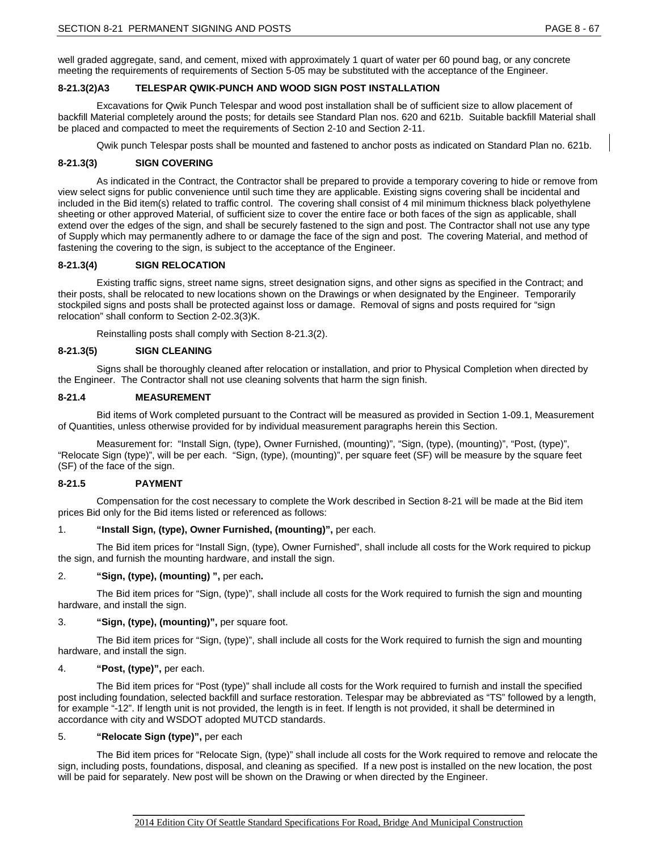well graded aggregate, sand, and cement, mixed with approximately 1 quart of water per 60 pound bag, or any concrete meeting the requirements of requirements of Section 5-05 may be substituted with the acceptance of the Engineer.

# **8-21.3(2)A3 TELESPAR QWIK-PUNCH AND WOOD SIGN POST INSTALLATION**

Excavations for Qwik Punch Telespar and wood post installation shall be of sufficient size to allow placement of backfill Material completely around the posts; for details see Standard Plan nos. 620 and 621b. Suitable backfill Material shall be placed and compacted to meet the requirements of Section 2-10 and Section 2-11.

Qwik punch Telespar posts shall be mounted and fastened to anchor posts as indicated on Standard Plan no. 621b.

# **8-21.3(3) SIGN COVERING**

As indicated in the Contract, the Contractor shall be prepared to provide a temporary covering to hide or remove from view select signs for public convenience until such time they are applicable. Existing signs covering shall be incidental and included in the Bid item(s) related to traffic control. The covering shall consist of 4 mil minimum thickness black polyethylene sheeting or other approved Material, of sufficient size to cover the entire face or both faces of the sign as applicable, shall extend over the edges of the sign, and shall be securely fastened to the sign and post. The Contractor shall not use any type of Supply which may permanently adhere to or damage the face of the sign and post. The covering Material, and method of fastening the covering to the sign, is subject to the acceptance of the Engineer.

# **8-21.3(4) SIGN RELOCATION**

Existing traffic signs, street name signs, street designation signs, and other signs as specified in the Contract; and their posts, shall be relocated to new locations shown on the Drawings or when designated by the Engineer. Temporarily stockpiled signs and posts shall be protected against loss or damage. Removal of signs and posts required for "sign relocation" shall conform to Section 2-02.3(3)K.

Reinstalling posts shall comply with Section 8-21.3(2).

# **8-21.3(5) SIGN CLEANING**

Signs shall be thoroughly cleaned after relocation or installation, and prior to Physical Completion when directed by the Engineer. The Contractor shall not use cleaning solvents that harm the sign finish.

# **8-21.4 MEASUREMENT**

Bid items of Work completed pursuant to the Contract will be measured as provided in Section 1-09.1, Measurement of Quantities, unless otherwise provided for by individual measurement paragraphs herein this Section.

Measurement for: "Install Sign, (type), Owner Furnished, (mounting)", "Sign, (type), (mounting)", "Post, (type)", "Relocate Sign (type)", will be per each. "Sign, (type), (mounting)", per square feet (SF) will be measure by the square feet (SF) of the face of the sign.

# **8-21.5 PAYMENT**

Compensation for the cost necessary to complete the Work described in Section 8-21 will be made at the Bid item prices Bid only for the Bid items listed or referenced as follows:

# 1. **"Install Sign, (type), Owner Furnished, (mounting)",** per each.

The Bid item prices for "Install Sign, (type), Owner Furnished", shall include all costs for the Work required to pickup the sign, and furnish the mounting hardware, and install the sign.

#### 2. **"Sign, (type), (mounting) ",** per each**.**

The Bid item prices for "Sign, (type)", shall include all costs for the Work required to furnish the sign and mounting hardware, and install the sign.

#### 3. **"Sign, (type), (mounting)",** per square foot.

The Bid item prices for "Sign, (type)", shall include all costs for the Work required to furnish the sign and mounting hardware, and install the sign.

# 4. **"Post, (type)",** per each.

The Bid item prices for "Post (type)" shall include all costs for the Work required to furnish and install the specified post including foundation, selected backfill and surface restoration. Telespar may be abbreviated as "TS" followed by a length, for example "-12". If length unit is not provided, the length is in feet. If length is not provided, it shall be determined in accordance with city and WSDOT adopted MUTCD standards.

# 5. **"Relocate Sign (type)",** per each

The Bid item prices for "Relocate Sign, (type)" shall include all costs for the Work required to remove and relocate the sign, including posts, foundations, disposal, and cleaning as specified. If a new post is installed on the new location, the post will be paid for separately. New post will be shown on the Drawing or when directed by the Engineer.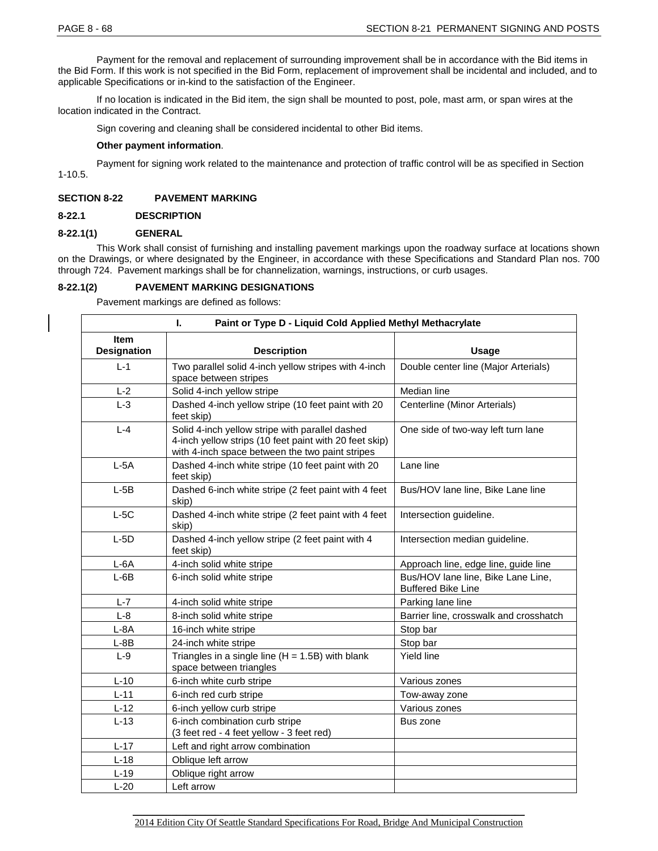Payment for the removal and replacement of surrounding improvement shall be in accordance with the Bid items in the Bid Form. If this work is not specified in the Bid Form, replacement of improvement shall be incidental and included, and to applicable Specifications or in-kind to the satisfaction of the Engineer.

If no location is indicated in the Bid item, the sign shall be mounted to post, pole, mast arm, or span wires at the location indicated in the Contract.

Sign covering and cleaning shall be considered incidental to other Bid items.

#### **Other payment information**.

Payment for signing work related to the maintenance and protection of traffic control will be as specified in Section 1-10.5.

# **SECTION 8-22 PAVEMENT MARKING**

# **8-22.1 DESCRIPTION**

# **8-22.1(1) GENERAL**

This Work shall consist of furnishing and installing pavement markings upon the roadway surface at locations shown on the Drawings, or where designated by the Engineer, in accordance with these Specifications and Standard Plan nos. 700 through 724. Pavement markings shall be for channelization, warnings, instructions, or curb usages.

# **8-22.1(2) PAVEMENT MARKING DESIGNATIONS**

Pavement markings are defined as follows:

| Paint or Type D - Liquid Cold Applied Methyl Methacrylate<br>L. |                                                                                                                                                              |                                                                 |  |  |
|-----------------------------------------------------------------|--------------------------------------------------------------------------------------------------------------------------------------------------------------|-----------------------------------------------------------------|--|--|
| <b>Item</b><br><b>Designation</b>                               | <b>Description</b>                                                                                                                                           | Usage                                                           |  |  |
| $L - 1$                                                         | Two parallel solid 4-inch yellow stripes with 4-inch<br>space between stripes                                                                                | Double center line (Major Arterials)                            |  |  |
| $L-2$                                                           | Solid 4-inch yellow stripe                                                                                                                                   | Median line                                                     |  |  |
| $L-3$                                                           | Dashed 4-inch yellow stripe (10 feet paint with 20<br>feet skip)                                                                                             | Centerline (Minor Arterials)                                    |  |  |
| $L - 4$                                                         | Solid 4-inch yellow stripe with parallel dashed<br>4-inch yellow strips (10 feet paint with 20 feet skip)<br>with 4-inch space between the two paint stripes | One side of two-way left turn lane                              |  |  |
| $L-5A$                                                          | Dashed 4-inch white stripe (10 feet paint with 20<br>feet skip)                                                                                              | Lane line                                                       |  |  |
| $L-5B$                                                          | Dashed 6-inch white stripe (2 feet paint with 4 feet<br>skip)                                                                                                | Bus/HOV lane line, Bike Lane line                               |  |  |
| $L-5C$                                                          | Dashed 4-inch white stripe (2 feet paint with 4 feet<br>skip)                                                                                                | Intersection guideline.                                         |  |  |
| $L-5D$                                                          | Dashed 4-inch yellow stripe (2 feet paint with 4<br>feet skip)                                                                                               | Intersection median guideline.                                  |  |  |
| $L-6A$                                                          | 4-inch solid white stripe                                                                                                                                    | Approach line, edge line, guide line                            |  |  |
| $L-6B$                                                          | 6-inch solid white stripe                                                                                                                                    | Bus/HOV lane line, Bike Lane Line,<br><b>Buffered Bike Line</b> |  |  |
| $L - 7$                                                         | 4-inch solid white stripe                                                                                                                                    | Parking lane line                                               |  |  |
| $L-8$                                                           | 8-inch solid white stripe                                                                                                                                    | Barrier line, crosswalk and crosshatch                          |  |  |
| $L - 8A$                                                        | 16-inch white stripe                                                                                                                                         | Stop bar                                                        |  |  |
| $L - 8B$                                                        | 24-inch white stripe                                                                                                                                         | Stop bar                                                        |  |  |
| $L-9$                                                           | Triangles in a single line $(H = 1.5B)$ with blank<br>space between triangles                                                                                | Yield line                                                      |  |  |
| $L-10$                                                          | 6-inch white curb stripe                                                                                                                                     | Various zones                                                   |  |  |
| $L-11$                                                          | 6-inch red curb stripe                                                                                                                                       | Tow-away zone                                                   |  |  |
| $L-12$                                                          | 6-inch yellow curb stripe                                                                                                                                    | Various zones                                                   |  |  |
| $L-13$                                                          | 6-inch combination curb stripe<br>(3 feet red - 4 feet yellow - 3 feet red)                                                                                  | Bus zone                                                        |  |  |
| $L-17$                                                          | Left and right arrow combination                                                                                                                             |                                                                 |  |  |
| $L-18$                                                          | Oblique left arrow                                                                                                                                           |                                                                 |  |  |
| $L-19$                                                          | Oblique right arrow                                                                                                                                          |                                                                 |  |  |
| $L-20$                                                          | Left arrow                                                                                                                                                   |                                                                 |  |  |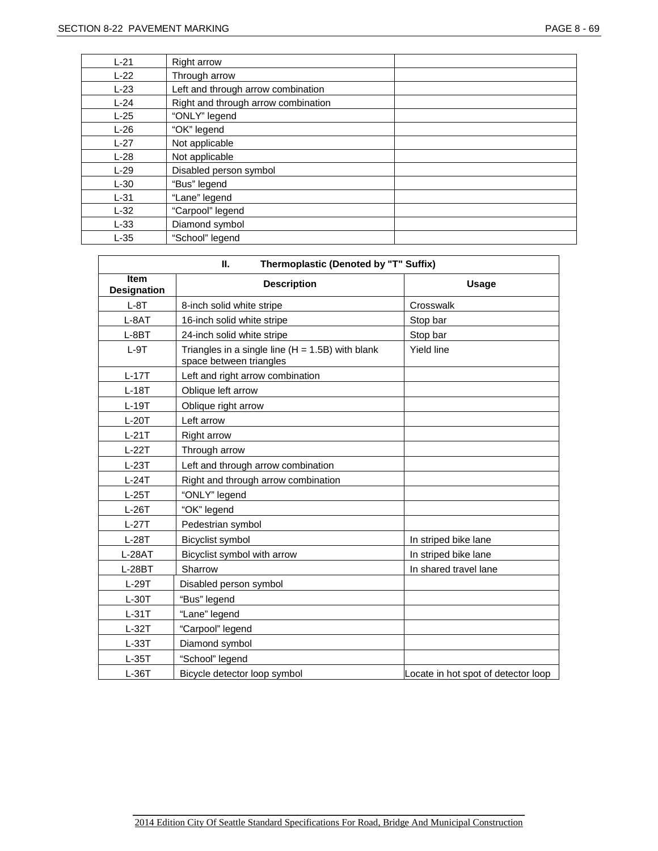| $L-21$ | <b>Right arrow</b>                  |
|--------|-------------------------------------|
| $L-22$ | Through arrow                       |
| $L-23$ | Left and through arrow combination  |
| $L-24$ | Right and through arrow combination |
| $L-25$ | "ONLY" legend                       |
| $L-26$ | "OK" legend                         |
| $L-27$ | Not applicable                      |
| $L-28$ | Not applicable                      |
| $L-29$ | Disabled person symbol              |
| $L-30$ | "Bus" legend                        |
| $L-31$ | "Lane" legend                       |
| $L-32$ | "Carpool" legend                    |
| $L-33$ | Diamond symbol                      |
| $L-35$ | "School" legend                     |

| Thermoplastic (Denoted by "T" Suffix)<br>П. |                                                                               |                                     |  |  |
|---------------------------------------------|-------------------------------------------------------------------------------|-------------------------------------|--|--|
| Item<br><b>Designation</b>                  | <b>Description</b>                                                            | Usage                               |  |  |
| $L-8T$                                      | 8-inch solid white stripe                                                     | Crosswalk                           |  |  |
| $L-8AT$                                     | 16-inch solid white stripe                                                    | Stop bar                            |  |  |
| $L-8BT$                                     | 24-inch solid white stripe                                                    | Stop bar                            |  |  |
| $L-9T$                                      | Triangles in a single line $(H = 1.5B)$ with blank<br>space between triangles | Yield line                          |  |  |
| $L-17T$                                     | Left and right arrow combination                                              |                                     |  |  |
| $L-18T$                                     | Oblique left arrow                                                            |                                     |  |  |
| $L-19T$                                     | Oblique right arrow                                                           |                                     |  |  |
| $L-20T$                                     | Left arrow                                                                    |                                     |  |  |
| $L-21T$                                     | <b>Right arrow</b>                                                            |                                     |  |  |
| $L-22T$                                     | Through arrow                                                                 |                                     |  |  |
| $L-23T$                                     | Left and through arrow combination                                            |                                     |  |  |
| $L-24T$                                     | Right and through arrow combination                                           |                                     |  |  |
| $L-25T$                                     | "ONLY" legend                                                                 |                                     |  |  |
| $L-26T$                                     | "OK" legend                                                                   |                                     |  |  |
| $L-27T$                                     | Pedestrian symbol                                                             |                                     |  |  |
| $L-28T$                                     | Bicyclist symbol                                                              | In striped bike lane                |  |  |
| $L-28AT$                                    | Bicyclist symbol with arrow                                                   | In striped bike lane                |  |  |
| $L-28BT$                                    | Sharrow                                                                       | In shared travel lane               |  |  |
| $L-29T$                                     | Disabled person symbol                                                        |                                     |  |  |
| $L-30T$                                     | "Bus" legend                                                                  |                                     |  |  |
| $L-31T$                                     | "Lane" legend                                                                 |                                     |  |  |
| $L-32T$                                     | "Carpool" legend                                                              |                                     |  |  |
| $L-33T$                                     | Diamond symbol                                                                |                                     |  |  |
| $L-35T$                                     | "School" legend                                                               |                                     |  |  |
| $L-36T$                                     | Bicycle detector loop symbol                                                  | Locate in hot spot of detector loop |  |  |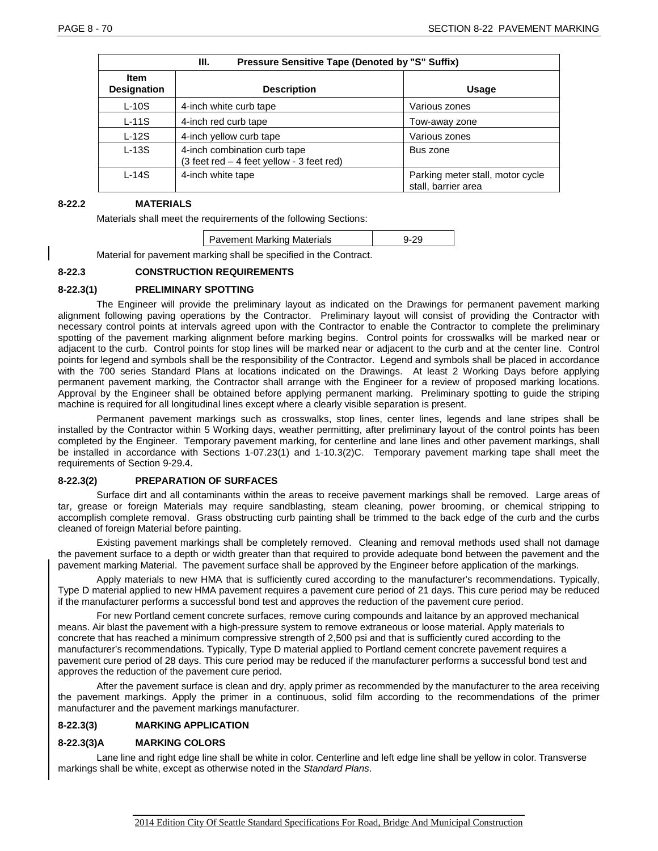| Pressure Sensitive Tape (Denoted by "S" Suffix)<br>Ш. |                                                                                                     |                                                         |  |
|-------------------------------------------------------|-----------------------------------------------------------------------------------------------------|---------------------------------------------------------|--|
| <b>Item</b><br><b>Designation</b>                     | <b>Description</b>                                                                                  | <b>Usage</b>                                            |  |
| $L-10S$                                               | 4-inch white curb tape                                                                              | Various zones                                           |  |
| $L-11S$                                               | 4-inch red curb tape                                                                                | Tow-away zone                                           |  |
| $L-12S$                                               | 4-inch yellow curb tape                                                                             | Various zones                                           |  |
| $L-13S$                                               | 4-inch combination curb tape<br>$(3 \text{ feet red} - 4 \text{ feet yellow} - 3 \text{ feet red})$ | Bus zone                                                |  |
| $L-14S$                                               | 4-inch white tape                                                                                   | Parking meter stall, motor cycle<br>stall, barrier area |  |

#### **8-22.2 MATERIALS**

Materials shall meet the requirements of the following Sections:

| <b>Pavement Marking Materials</b> |  |
|-----------------------------------|--|
|                                   |  |

Material for pavement marking shall be specified in the Contract.

# **8-22.3 CONSTRUCTION REQUIREMENTS**

#### **8-22.3(1) PRELIMINARY SPOTTING**

The Engineer will provide the preliminary layout as indicated on the Drawings for permanent pavement marking alignment following paving operations by the Contractor. Preliminary layout will consist of providing the Contractor with necessary control points at intervals agreed upon with the Contractor to enable the Contractor to complete the preliminary spotting of the pavement marking alignment before marking begins. Control points for crosswalks will be marked near or adjacent to the curb. Control points for stop lines will be marked near or adjacent to the curb and at the center line. Control points for legend and symbols shall be the responsibility of the Contractor. Legend and symbols shall be placed in accordance with the 700 series Standard Plans at locations indicated on the Drawings. At least 2 Working Days before applying permanent pavement marking, the Contractor shall arrange with the Engineer for a review of proposed marking locations. Approval by the Engineer shall be obtained before applying permanent marking. Preliminary spotting to guide the striping machine is required for all longitudinal lines except where a clearly visible separation is present.

Permanent pavement markings such as crosswalks, stop lines, center lines, legends and lane stripes shall be installed by the Contractor within 5 Working days, weather permitting, after preliminary layout of the control points has been completed by the Engineer. Temporary pavement marking, for centerline and lane lines and other pavement markings, shall be installed in accordance with Sections 1-07.23(1) and 1-10.3(2)C. Temporary pavement marking tape shall meet the requirements of Section 9-29.4.

# **8-22.3(2) PREPARATION OF SURFACES**

Surface dirt and all contaminants within the areas to receive pavement markings shall be removed. Large areas of tar, grease or foreign Materials may require sandblasting, steam cleaning, power brooming, or chemical stripping to accomplish complete removal. Grass obstructing curb painting shall be trimmed to the back edge of the curb and the curbs cleaned of foreign Material before painting.

Existing pavement markings shall be completely removed. Cleaning and removal methods used shall not damage the pavement surface to a depth or width greater than that required to provide adequate bond between the pavement and the pavement marking Material. The pavement surface shall be approved by the Engineer before application of the markings.

Apply materials to new HMA that is sufficiently cured according to the manufacturer's recommendations. Typically, Type D material applied to new HMA pavement requires a pavement cure period of 21 days. This cure period may be reduced if the manufacturer performs a successful bond test and approves the reduction of the pavement cure period.

For new Portland cement concrete surfaces, remove curing compounds and laitance by an approved mechanical means. Air blast the pavement with a high-pressure system to remove extraneous or loose material. Apply materials to concrete that has reached a minimum compressive strength of 2,500 psi and that is sufficiently cured according to the manufacturer's recommendations. Typically, Type D material applied to Portland cement concrete pavement requires a pavement cure period of 28 days. This cure period may be reduced if the manufacturer performs a successful bond test and approves the reduction of the pavement cure period.

After the pavement surface is clean and dry, apply primer as recommended by the manufacturer to the area receiving the pavement markings. Apply the primer in a continuous, solid film according to the recommendations of the primer manufacturer and the pavement markings manufacturer.

# **8-22.3(3) MARKING APPLICATION**

# **8-22.3(3)A MARKING COLORS**

Lane line and right edge line shall be white in color. Centerline and left edge line shall be yellow in color. Transverse markings shall be white, except as otherwise noted in the *[Standard Plans](http://www.wsdot.wa.gov/Publications/Manuals/M21-01.htm)*.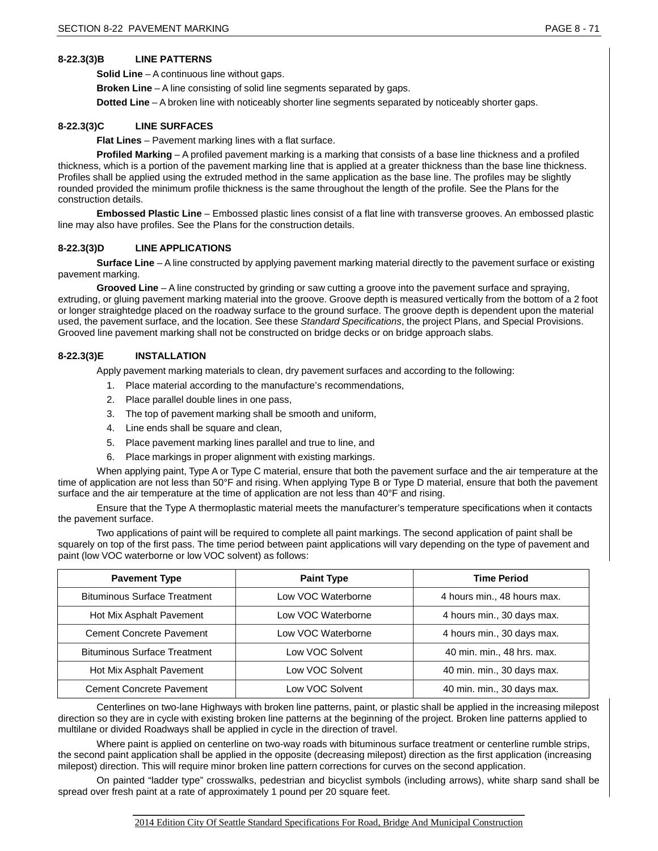# **8-22.3(3)B LINE PATTERNS**

**Solid Line** – A continuous line without gaps.

**Broken Line** – A line consisting of solid line segments separated by gaps.

**Dotted Line** – A broken line with noticeably shorter line segments separated by noticeably shorter gaps.

# **8-22.3(3)C LINE SURFACES**

**Flat Lines** – Pavement marking lines with a flat surface.

**Profiled Marking** – A profiled pavement marking is a marking that consists of a base line thickness and a profiled thickness, which is a portion of the pavement marking line that is applied at a greater thickness than the base line thickness. Profiles shall be applied using the extruded method in the same application as the base line. The profiles may be slightly rounded provided the minimum profile thickness is the same throughout the length of the profile. See the Plans for the construction details.

**Embossed Plastic Line** – Embossed plastic lines consist of a flat line with transverse grooves. An embossed plastic line may also have profiles. See the Plans for the construction details.

## **8-22.3(3)D LINE APPLICATIONS**

**Surface Line** – A line constructed by applying pavement marking material directly to the pavement surface or existing pavement marking.

**Grooved Line** – A line constructed by grinding or saw cutting a groove into the pavement surface and spraying, extruding, or gluing pavement marking material into the groove. Groove depth is measured vertically from the bottom of a 2 foot or longer straightedge placed on the roadway surface to the ground surface. The groove depth is dependent upon the material used, the pavement surface, and the location. See these *Standard Specifications*, the project Plans, and Special Provisions. Grooved line pavement marking shall not be constructed on bridge decks or on bridge approach slabs.

#### **8-22.3(3)E INSTALLATION**

Apply pavement marking materials to clean, dry pavement surfaces and according to the following:

- 1. Place material according to the manufacture's recommendations,
- 2. Place parallel double lines in one pass,
- 3. The top of pavement marking shall be smooth and uniform,
- 4. Line ends shall be square and clean,
- 5. Place pavement marking lines parallel and true to line, and
- 6. Place markings in proper alignment with existing markings.

When applying paint, Type A or Type C material, ensure that both the pavement surface and the air temperature at the time of application are not less than 50°F and rising. When applying Type B or Type D material, ensure that both the pavement surface and the air temperature at the time of application are not less than 40°F and rising.

Ensure that the Type A thermoplastic material meets the manufacturer's temperature specifications when it contacts the pavement surface.

Two applications of paint will be required to complete all paint markings. The second application of paint shall be squarely on top of the first pass. The time period between paint applications will vary depending on the type of pavement and paint (low VOC waterborne or low VOC solvent) as follows:

| <b>Pavement Type</b>                | <b>Paint Type</b>  | <b>Time Period</b>          |  |  |
|-------------------------------------|--------------------|-----------------------------|--|--|
| <b>Bituminous Surface Treatment</b> | Low VOC Waterborne | 4 hours min., 48 hours max. |  |  |
| Hot Mix Asphalt Pavement            | Low VOC Waterborne | 4 hours min., 30 days max.  |  |  |
| <b>Cement Concrete Pavement</b>     | Low VOC Waterborne | 4 hours min., 30 days max.  |  |  |
| <b>Bituminous Surface Treatment</b> | Low VOC Solvent    | 40 min. min., 48 hrs. max.  |  |  |
| Hot Mix Asphalt Pavement            | Low VOC Solvent    | 40 min. min., 30 days max.  |  |  |
| <b>Cement Concrete Pavement</b>     | Low VOC Solvent    | 40 min. min., 30 days max.  |  |  |

Centerlines on two-lane Highways with broken line patterns, paint, or plastic shall be applied in the increasing milepost direction so they are in cycle with existing broken line patterns at the beginning of the project. Broken line patterns applied to multilane or divided Roadways shall be applied in cycle in the direction of travel.

Where paint is applied on centerline on two-way roads with bituminous surface treatment or centerline rumble strips, the second paint application shall be applied in the opposite (decreasing milepost) direction as the first application (increasing milepost) direction. This will require minor broken line pattern corrections for curves on the second application.

On painted "ladder type" crosswalks, pedestrian and bicyclist symbols (including arrows), white sharp sand shall be spread over fresh paint at a rate of approximately 1 pound per 20 square feet.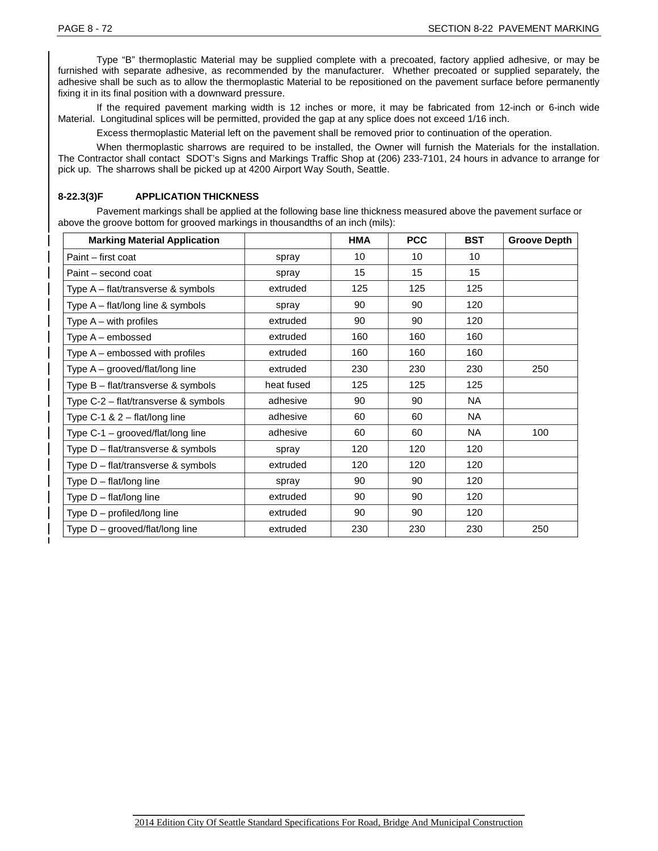Type "B" thermoplastic Material may be supplied complete with a precoated, factory applied adhesive, or may be furnished with separate adhesive, as recommended by the manufacturer. Whether precoated or supplied separately, the adhesive shall be such as to allow the thermoplastic Material to be repositioned on the pavement surface before permanently fixing it in its final position with a downward pressure.

If the required pavement marking width is 12 inches or more, it may be fabricated from 12-inch or 6-inch wide Material. Longitudinal splices will be permitted, provided the gap at any splice does not exceed 1/16 inch.

Excess thermoplastic Material left on the pavement shall be removed prior to continuation of the operation.

When thermoplastic sharrows are required to be installed, the Owner will furnish the Materials for the installation. The Contractor shall contact SDOT's Signs and Markings Traffic Shop at (206) 233-7101, 24 hours in advance to arrange for pick up. The sharrows shall be picked up at 4200 Airport Way South, Seattle.

# **8-22.3(3)F APPLICATION THICKNESS**

Pavement markings shall be applied at the following base line thickness measured above the pavement surface or above the groove bottom for grooved markings in thousandths of an inch (mils):

| <b>Marking Material Application</b>     |            | <b>HMA</b> | <b>PCC</b> | <b>BST</b> | <b>Groove Depth</b> |
|-----------------------------------------|------------|------------|------------|------------|---------------------|
| Paint - first coat                      | spray      | 10         | 10         | 10         |                     |
| Paint – second coat                     | spray      | 15         | 15         | 15         |                     |
| Type A - flat/transverse & symbols      | extruded   | 125        | 125        | 125        |                     |
| Type A - flat/long line & symbols       | spray      | 90         | 90         | 120        |                     |
| Type $A - with$ profiles                | extruded   | 90         | 90         | 120        |                     |
| Type A - embossed                       | extruded   | 160        | 160        | 160        |                     |
| Type A - embossed with profiles         | extruded   | 160        | 160        | 160        |                     |
| Type $A -$ grooved/flat/long line       | extruded   | 230        | 230        | 230        | 250                 |
| Type B - flat/transverse & symbols      | heat fused | 125        | 125        | 125        |                     |
| Type C-2 - flat/transverse & symbols    | adhesive   | 90         | 90         | <b>NA</b>  |                     |
| Type C-1 & $2 - \frac{flat}{long}$ line | adhesive   | 60         | 60         | <b>NA</b>  |                     |
| Type C-1 - grooved/flat/long line       | adhesive   | 60         | 60         | <b>NA</b>  | 100                 |
| Type D - flat/transverse & symbols      | spray      | 120        | 120        | 120        |                     |
| Type D - flat/transverse & symbols      | extruded   | 120        | 120        | 120        |                     |
| Type $D - \frac{flat}{long}$ line       | spray      | 90         | 90         | 120        |                     |
| Type D - flat/long line                 | extruded   | 90         | 90         | 120        |                     |
| Type D - profiled/long line             | extruded   | 90         | 90         | 120        |                     |
| Type $D -$ grooved/flat/long line       | extruded   | 230        | 230        | 230        | 250                 |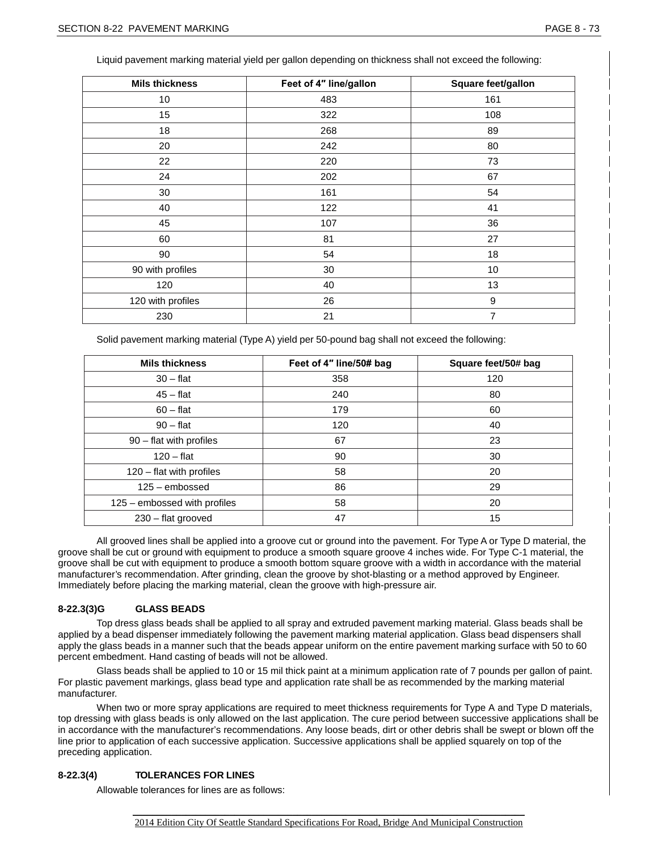Liquid pavement marking material yield per gallon depending on thickness shall not exceed the following:

| <b>Mils thickness</b> | Feet of 4" line/gallon | Square feet/gallon |
|-----------------------|------------------------|--------------------|
| 10                    | 483                    | 161                |
| 15                    | 322                    | 108                |
| 18                    | 268                    | 89                 |
| 20                    | 242                    | 80                 |
| 22                    | 220                    | 73                 |
| 24                    | 202                    | 67                 |
| 30                    | 161                    | 54                 |
| 40                    | 122                    | 41                 |
| 45                    | 107                    | 36                 |
| 60                    | 81                     | 27                 |
| 90                    | 54                     | 18                 |
| 90 with profiles      | 30                     | 10                 |
| 120                   | 40                     | 13                 |
| 120 with profiles     | 26                     | 9                  |
| 230                   | 21                     | $\overline{7}$     |

Solid pavement marking material (Type A) yield per 50-pound bag shall not exceed the following:

| <b>Mils thickness</b>        | Feet of 4" line/50# bag | Square feet/50# bag |
|------------------------------|-------------------------|---------------------|
| $30 - flat$                  | 358                     | 120                 |
| $45 - flat$                  | 240                     | 80                  |
| $60 - flat$                  | 179                     | 60                  |
| $90 - flat$                  | 120                     | 40                  |
| $90$ – flat with profiles    | 67                      | 23                  |
| $120 - flat$                 | 90                      | 30                  |
| $120 -$ flat with profiles   | 58                      | 20                  |
| $125 -$ embossed             | 86                      | 29                  |
| 125 – embossed with profiles | 58                      | 20                  |
| 230 - flat grooved           | 47                      | 15                  |

All grooved lines shall be applied into a groove cut or ground into the pavement. For Type A or Type D material, the groove shall be cut or ground with equipment to produce a smooth square groove 4 inches wide. For Type C-1 material, the groove shall be cut with equipment to produce a smooth bottom square groove with a width in accordance with the material manufacturer's recommendation. After grinding, clean the groove by shot-blasting or a method approved by Engineer. Immediately before placing the marking material, clean the groove with high-pressure air.

# **8-22.3(3)G GLASS BEADS**

Top dress glass beads shall be applied to all spray and extruded pavement marking material. Glass beads shall be applied by a bead dispenser immediately following the pavement marking material application. Glass bead dispensers shall apply the glass beads in a manner such that the beads appear uniform on the entire pavement marking surface with 50 to 60 percent embedment. Hand casting of beads will not be allowed.

Glass beads shall be applied to 10 or 15 mil thick paint at a minimum application rate of 7 pounds per gallon of paint. For plastic pavement markings, glass bead type and application rate shall be as recommended by the marking material manufacturer.

When two or more spray applications are required to meet thickness requirements for Type A and Type D materials, top dressing with glass beads is only allowed on the last application. The cure period between successive applications shall be in accordance with the manufacturer's recommendations. Any loose beads, dirt or other debris shall be swept or blown off the line prior to application of each successive application. Successive applications shall be applied squarely on top of the preceding application.

# **8-22.3(4) TOLERANCES FOR LINES**

Allowable tolerances for lines are as follows: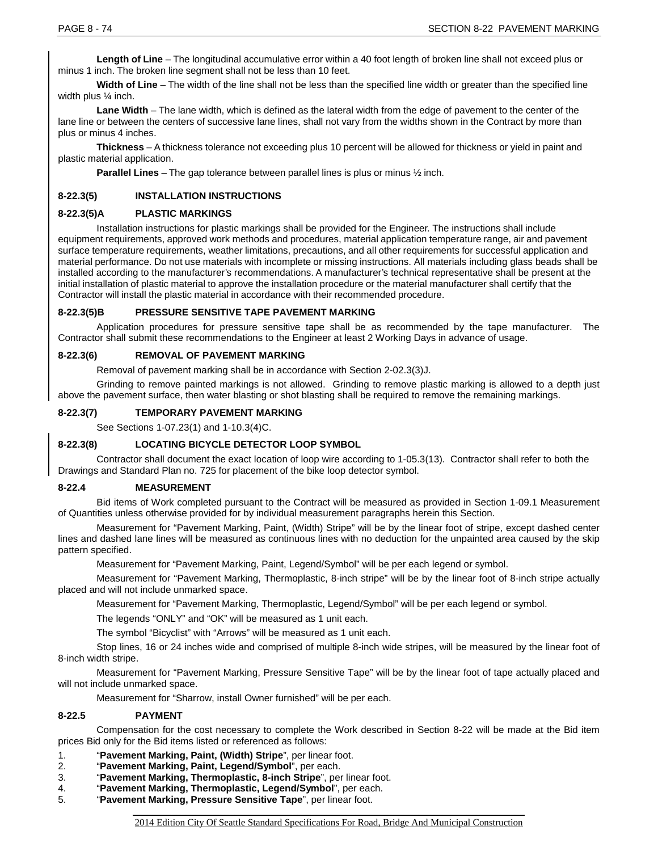**Length of Line** – The longitudinal accumulative error within a 40 foot length of broken line shall not exceed plus or minus 1 inch. The broken line segment shall not be less than 10 feet.

**Width of Line** – The width of the line shall not be less than the specified line width or greater than the specified line width plus ¼ inch.

**Lane Width** – The lane width, which is defined as the lateral width from the edge of pavement to the center of the lane line or between the centers of successive lane lines, shall not vary from the widths shown in the Contract by more than plus or minus 4 inches.

**Thickness** – A thickness tolerance not exceeding plus 10 percent will be allowed for thickness or yield in paint and plastic material application.

**Parallel Lines** – The gap tolerance between parallel lines is plus or minus ½ inch.

# **8-22.3(5) INSTALLATION INSTRUCTIONS**

#### **8-22.3(5)A PLASTIC MARKINGS**

Installation instructions for plastic markings shall be provided for the Engineer. The instructions shall include equipment requirements, approved work methods and procedures, material application temperature range, air and pavement surface temperature requirements, weather limitations, precautions, and all other requirements for successful application and material performance. Do not use materials with incomplete or missing instructions. All materials including glass beads shall be installed according to the manufacturer's recommendations. A manufacturer's technical representative shall be present at the initial installation of plastic material to approve the installation procedure or the material manufacturer shall certify that the Contractor will install the plastic material in accordance with their recommended procedure.

#### **8-22.3(5)B PRESSURE SENSITIVE TAPE PAVEMENT MARKING**

Application procedures for pressure sensitive tape shall be as recommended by the tape manufacturer. The Contractor shall submit these recommendations to the Engineer at least 2 Working Days in advance of usage.

#### **8-22.3(6) REMOVAL OF PAVEMENT MARKING**

Removal of pavement marking shall be in accordance with Section 2-02.3(3)J.

Grinding to remove painted markings is not allowed. Grinding to remove plastic marking is allowed to a depth just above the pavement surface, then water blasting or shot blasting shall be required to remove the remaining markings.

#### **8-22.3(7) TEMPORARY PAVEMENT MARKING**

See Sections 1-07.23(1) and 1-10.3(4)C.

# **8-22.3(8) LOCATING BICYCLE DETECTOR LOOP SYMBOL**

Contractor shall document the exact location of loop wire according to 1-05.3(13). Contractor shall refer to both the Drawings and Standard Plan no. 725 for placement of the bike loop detector symbol.

#### **8-22.4 MEASUREMENT**

Bid items of Work completed pursuant to the Contract will be measured as provided in Section 1-09.1 Measurement of Quantities unless otherwise provided for by individual measurement paragraphs herein this Section.

Measurement for "Pavement Marking, Paint, (Width) Stripe" will be by the linear foot of stripe, except dashed center lines and dashed lane lines will be measured as continuous lines with no deduction for the unpainted area caused by the skip pattern specified.

Measurement for "Pavement Marking, Paint, Legend/Symbol" will be per each legend or symbol.

Measurement for "Pavement Marking, Thermoplastic, 8-inch stripe" will be by the linear foot of 8-inch stripe actually placed and will not include unmarked space.

Measurement for "Pavement Marking, Thermoplastic, Legend/Symbol" will be per each legend or symbol.

The legends "ONLY" and "OK" will be measured as 1 unit each.

The symbol "Bicyclist" with "Arrows" will be measured as 1 unit each.

Stop lines, 16 or 24 inches wide and comprised of multiple 8-inch wide stripes, will be measured by the linear foot of 8-inch width stripe.

Measurement for "Pavement Marking, Pressure Sensitive Tape" will be by the linear foot of tape actually placed and will not include unmarked space.

Measurement for "Sharrow, install Owner furnished" will be per each.

### **8-22.5 PAYMENT**

Compensation for the cost necessary to complete the Work described in Section 8-22 will be made at the Bid item prices Bid only for the Bid items listed or referenced as follows:

- 1. "**Pavement Marking, Paint, (Width) Stripe**", per linear foot.
- 2. "**Pavement Marking, Paint, Legend/Symbol**", per each.
- 3. "**Pavement Marking, Thermoplastic, 8-inch Stripe**", per linear foot.
- 4. "**Pavement Marking, Thermoplastic, Legend/Symbol**", per each.
- 5. "**Pavement Marking, Pressure Sensitive Tape**", per linear foot.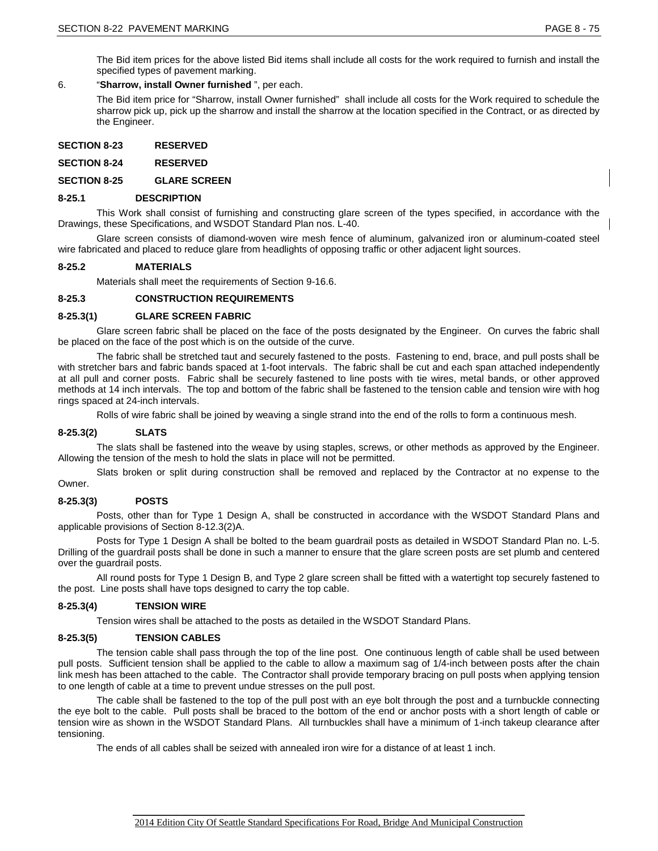# 6. "**Sharrow, install Owner furnished** ", per each.

The Bid item price for "Sharrow, install Owner furnished" shall include all costs for the Work required to schedule the sharrow pick up, pick up the sharrow and install the sharrow at the location specified in the Contract, or as directed by the Engineer.

| <b>SECTION 8-23</b> | <b>RESERVED</b> |
|---------------------|-----------------|
|---------------------|-----------------|

**SECTION 8-24 RESERVED**

**SECTION 8-25 GLARE SCREEN**

# **8-25.1 DESCRIPTION**

This Work shall consist of furnishing and constructing glare screen of the types specified, in accordance with the Drawings, these Specifications, and WSDOT Standard Plan nos. L-40.

Glare screen consists of diamond-woven wire mesh fence of aluminum, galvanized iron or aluminum-coated steel wire fabricated and placed to reduce glare from headlights of opposing traffic or other adjacent light sources.

# **8-25.2 MATERIALS**

Materials shall meet the requirements of Section 9-16.6.

# **8-25.3 CONSTRUCTION REQUIREMENTS**

# **8-25.3(1) GLARE SCREEN FABRIC**

Glare screen fabric shall be placed on the face of the posts designated by the Engineer. On curves the fabric shall be placed on the face of the post which is on the outside of the curve.

The fabric shall be stretched taut and securely fastened to the posts. Fastening to end, brace, and pull posts shall be with stretcher bars and fabric bands spaced at 1-foot intervals. The fabric shall be cut and each span attached independently at all pull and corner posts. Fabric shall be securely fastened to line posts with tie wires, metal bands, or other approved methods at 14 inch intervals. The top and bottom of the fabric shall be fastened to the tension cable and tension wire with hog rings spaced at 24-inch intervals.

Rolls of wire fabric shall be joined by weaving a single strand into the end of the rolls to form a continuous mesh.

# **8-25.3(2) SLATS**

The slats shall be fastened into the weave by using staples, screws, or other methods as approved by the Engineer. Allowing the tension of the mesh to hold the slats in place will not be permitted.

Slats broken or split during construction shall be removed and replaced by the Contractor at no expense to the Owner.

# **8-25.3(3) POSTS**

Posts, other than for Type 1 Design A, shall be constructed in accordance with the WSDOT Standard Plans and applicable provisions of Section 8-12.3(2)A.

Posts for Type 1 Design A shall be bolted to the beam guardrail posts as detailed in WSDOT Standard Plan no. L-5. Drilling of the guardrail posts shall be done in such a manner to ensure that the glare screen posts are set plumb and centered over the guardrail posts.

All round posts for Type 1 Design B, and Type 2 glare screen shall be fitted with a watertight top securely fastened to the post. Line posts shall have tops designed to carry the top cable.

# **8-25.3(4) TENSION WIRE**

Tension wires shall be attached to the posts as detailed in the WSDOT Standard Plans.

# **8-25.3(5) TENSION CABLES**

The tension cable shall pass through the top of the line post. One continuous length of cable shall be used between pull posts. Sufficient tension shall be applied to the cable to allow a maximum sag of 1/4-inch between posts after the chain link mesh has been attached to the cable. The Contractor shall provide temporary bracing on pull posts when applying tension to one length of cable at a time to prevent undue stresses on the pull post.

The cable shall be fastened to the top of the pull post with an eye bolt through the post and a turnbuckle connecting the eye bolt to the cable. Pull posts shall be braced to the bottom of the end or anchor posts with a short length of cable or tension wire as shown in the WSDOT Standard Plans. All turnbuckles shall have a minimum of 1-inch takeup clearance after tensioning.

The ends of all cables shall be seized with annealed iron wire for a distance of at least 1 inch.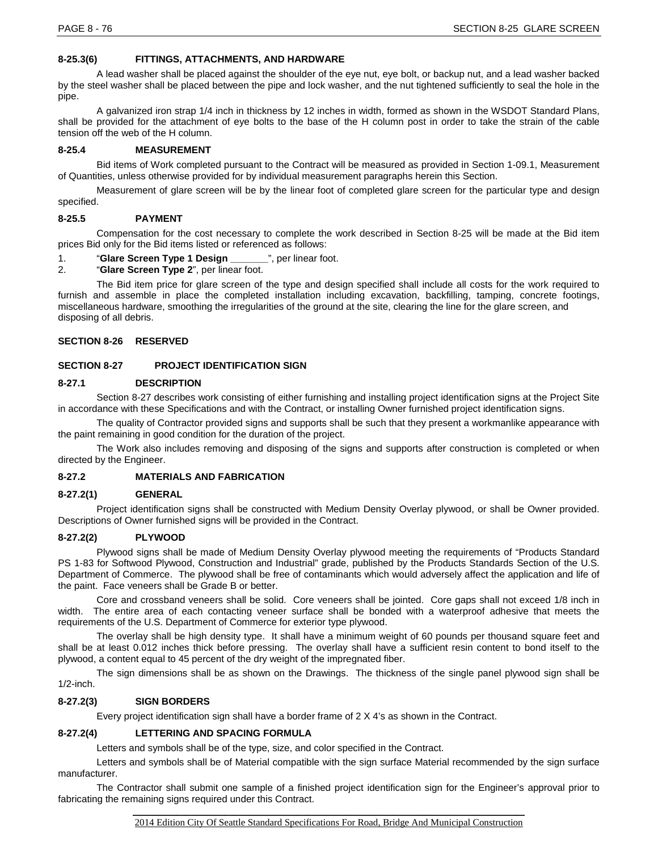# **8-25.3(6) FITTINGS, ATTACHMENTS, AND HARDWARE**

A lead washer shall be placed against the shoulder of the eye nut, eye bolt, or backup nut, and a lead washer backed by the steel washer shall be placed between the pipe and lock washer, and the nut tightened sufficiently to seal the hole in the pipe.

A galvanized iron strap 1/4 inch in thickness by 12 inches in width, formed as shown in the WSDOT Standard Plans, shall be provided for the attachment of eye bolts to the base of the H column post in order to take the strain of the cable tension off the web of the H column.

### **8-25.4 MEASUREMENT**

Bid items of Work completed pursuant to the Contract will be measured as provided in Section 1-09.1, Measurement of Quantities, unless otherwise provided for by individual measurement paragraphs herein this Section.

Measurement of glare screen will be by the linear foot of completed glare screen for the particular type and design specified.

#### **8-25.5 PAYMENT**

Compensation for the cost necessary to complete the work described in Section 8-25 will be made at the Bid item prices Bid only for the Bid items listed or referenced as follows:

1. **"Glare Screen Type 1 Design \_\_\_\_\_\_\_**", per linear foot.<br>2. **"Glare Screen Type 2**", per linear foot.

# "Glare Screen Type 2", per linear foot.

The Bid item price for glare screen of the type and design specified shall include all costs for the work required to furnish and assemble in place the completed installation including excavation, backfilling, tamping, concrete footings, miscellaneous hardware, smoothing the irregularities of the ground at the site, clearing the line for the glare screen, and disposing of all debris.

#### **SECTION 8-26 RESERVED**

#### **SECTION 8-27 PROJECT IDENTIFICATION SIGN**

#### **8-27.1 DESCRIPTION**

Section 8-27 describes work consisting of either furnishing and installing project identification signs at the Project Site in accordance with these Specifications and with the Contract, or installing Owner furnished project identification signs.

The quality of Contractor provided signs and supports shall be such that they present a workmanlike appearance with the paint remaining in good condition for the duration of the project.

The Work also includes removing and disposing of the signs and supports after construction is completed or when directed by the Engineer.

#### **8-27.2 MATERIALS AND FABRICATION**

#### **8-27.2(1) GENERAL**

Project identification signs shall be constructed with Medium Density Overlay plywood, or shall be Owner provided. Descriptions of Owner furnished signs will be provided in the Contract.

#### **8-27.2(2) PLYWOOD**

Plywood signs shall be made of Medium Density Overlay plywood meeting the requirements of "Products Standard PS 1-83 for Softwood Plywood, Construction and Industrial" grade, published by the Products Standards Section of the U.S. Department of Commerce. The plywood shall be free of contaminants which would adversely affect the application and life of the paint. Face veneers shall be Grade B or better.

Core and crossband veneers shall be solid. Core veneers shall be jointed. Core gaps shall not exceed 1/8 inch in width. The entire area of each contacting veneer surface shall be bonded with a waterproof adhesive that meets the requirements of the U.S. Department of Commerce for exterior type plywood.

The overlay shall be high density type. It shall have a minimum weight of 60 pounds per thousand square feet and shall be at least 0.012 inches thick before pressing. The overlay shall have a sufficient resin content to bond itself to the plywood, a content equal to 45 percent of the dry weight of the impregnated fiber.

The sign dimensions shall be as shown on the Drawings. The thickness of the single panel plywood sign shall be 1/2-inch.

#### **8-27.2(3) SIGN BORDERS**

Every project identification sign shall have a border frame of 2 X 4's as shown in the Contract.

# **8-27.2(4) LETTERING AND SPACING FORMULA**

Letters and symbols shall be of the type, size, and color specified in the Contract.

Letters and symbols shall be of Material compatible with the sign surface Material recommended by the sign surface manufacturer.

The Contractor shall submit one sample of a finished project identification sign for the Engineer's approval prior to fabricating the remaining signs required under this Contract.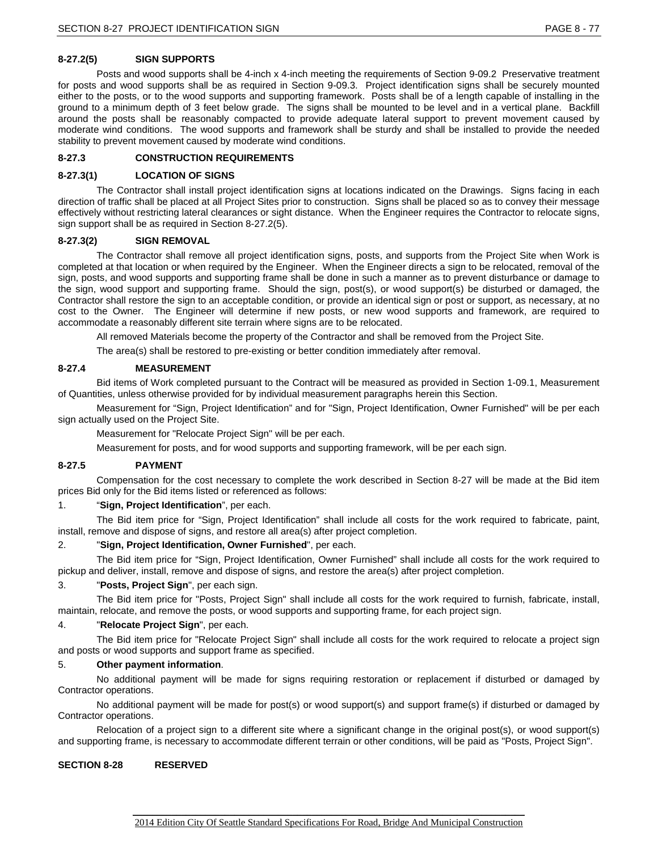# **8-27.2(5) SIGN SUPPORTS**

Posts and wood supports shall be 4-inch x 4-inch meeting the requirements of Section 9-09.2 Preservative treatment for posts and wood supports shall be as required in Section 9-09.3. Project identification signs shall be securely mounted either to the posts, or to the wood supports and supporting framework. Posts shall be of a length capable of installing in the ground to a minimum depth of 3 feet below grade. The signs shall be mounted to be level and in a vertical plane. Backfill around the posts shall be reasonably compacted to provide adequate lateral support to prevent movement caused by moderate wind conditions. The wood supports and framework shall be sturdy and shall be installed to provide the needed stability to prevent movement caused by moderate wind conditions.

# **8-27.3 CONSTRUCTION REQUIREMENTS**

# **8-27.3(1) LOCATION OF SIGNS**

The Contractor shall install project identification signs at locations indicated on the Drawings. Signs facing in each direction of traffic shall be placed at all Project Sites prior to construction. Signs shall be placed so as to convey their message effectively without restricting lateral clearances or sight distance. When the Engineer requires the Contractor to relocate signs, sign support shall be as required in Section 8-27.2(5).

# **8-27.3(2) SIGN REMOVAL**

The Contractor shall remove all project identification signs, posts, and supports from the Project Site when Work is completed at that location or when required by the Engineer. When the Engineer directs a sign to be relocated, removal of the sign, posts, and wood supports and supporting frame shall be done in such a manner as to prevent disturbance or damage to the sign, wood support and supporting frame. Should the sign, post(s), or wood support(s) be disturbed or damaged, the Contractor shall restore the sign to an acceptable condition, or provide an identical sign or post or support, as necessary, at no cost to the Owner. The Engineer will determine if new posts, or new wood supports and framework, are required to accommodate a reasonably different site terrain where signs are to be relocated.

All removed Materials become the property of the Contractor and shall be removed from the Project Site.

The area(s) shall be restored to pre-existing or better condition immediately after removal.

# **8-27.4 MEASUREMENT**

Bid items of Work completed pursuant to the Contract will be measured as provided in Section 1-09.1, Measurement of Quantities, unless otherwise provided for by individual measurement paragraphs herein this Section.

Measurement for "Sign, Project Identification" and for "Sign, Project Identification, Owner Furnished" will be per each sign actually used on the Project Site.

Measurement for "Relocate Project Sign" will be per each.

Measurement for posts, and for wood supports and supporting framework, will be per each sign.

#### **8-27.5 PAYMENT**

Compensation for the cost necessary to complete the work described in Section 8-27 will be made at the Bid item prices Bid only for the Bid items listed or referenced as follows:

# 1. "**Sign, Project Identification**", per each.

The Bid item price for "Sign, Project Identification" shall include all costs for the work required to fabricate, paint, install, remove and dispose of signs, and restore all area(s) after project completion.

# 2. "**Sign, Project Identification, Owner Furnished**", per each.

The Bid item price for "Sign, Project Identification, Owner Furnished" shall include all costs for the work required to pickup and deliver, install, remove and dispose of signs, and restore the area(s) after project completion.

# 3. "**Posts, Project Sign**", per each sign.

The Bid item price for "Posts, Project Sign" shall include all costs for the work required to furnish, fabricate, install, maintain, relocate, and remove the posts, or wood supports and supporting frame, for each project sign.

# 4. "**Relocate Project Sign**", per each.

The Bid item price for "Relocate Project Sign" shall include all costs for the work required to relocate a project sign and posts or wood supports and support frame as specified.

# 5. **Other payment information**.

No additional payment will be made for signs requiring restoration or replacement if disturbed or damaged by Contractor operations.

No additional payment will be made for post(s) or wood support(s) and support frame(s) if disturbed or damaged by Contractor operations.

Relocation of a project sign to a different site where a significant change in the original post(s), or wood support(s) and supporting frame, is necessary to accommodate different terrain or other conditions, will be paid as "Posts, Project Sign".

# **SECTION 8-28 RESERVED**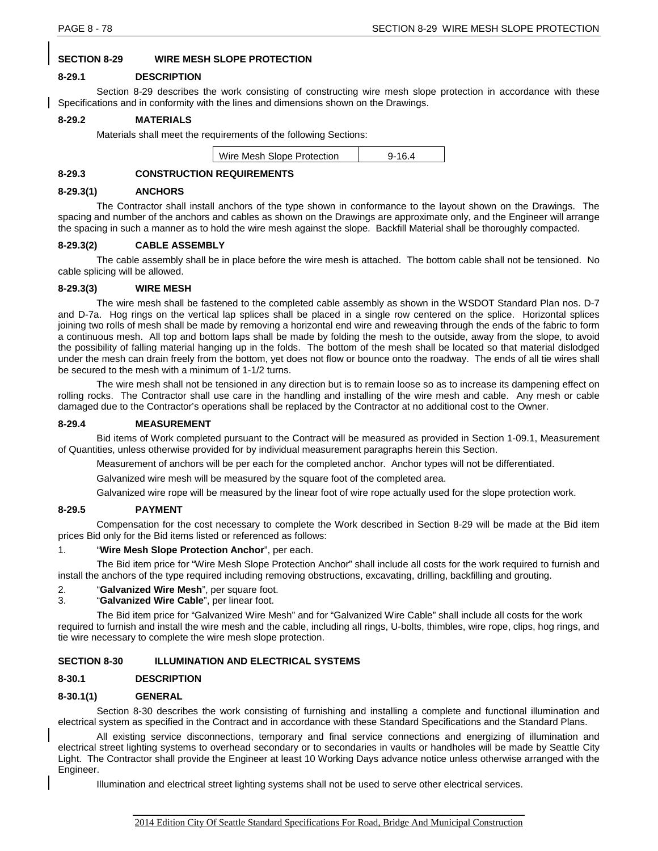# **SECTION 8-29 WIRE MESH SLOPE PROTECTION**

# **8-29.1 DESCRIPTION**

Section 8-29 describes the work consisting of constructing wire mesh slope protection in accordance with these Specifications and in conformity with the lines and dimensions shown on the Drawings.

# **8-29.2 MATERIALS**

Materials shall meet the requirements of the following Sections:

| Wire Mesh Slope Protection | $9 - 16.4$ |
|----------------------------|------------|
|                            |            |

# **8-29.3 CONSTRUCTION REQUIREMENTS**

### **8-29.3(1) ANCHORS**

The Contractor shall install anchors of the type shown in conformance to the layout shown on the Drawings. The spacing and number of the anchors and cables as shown on the Drawings are approximate only, and the Engineer will arrange the spacing in such a manner as to hold the wire mesh against the slope. Backfill Material shall be thoroughly compacted.

#### **8-29.3(2) CABLE ASSEMBLY**

The cable assembly shall be in place before the wire mesh is attached. The bottom cable shall not be tensioned. No cable splicing will be allowed.

#### **8-29.3(3) WIRE MESH**

The wire mesh shall be fastened to the completed cable assembly as shown in the WSDOT Standard Plan nos. D-7 and D-7a. Hog rings on the vertical lap splices shall be placed in a single row centered on the splice. Horizontal splices joining two rolls of mesh shall be made by removing a horizontal end wire and reweaving through the ends of the fabric to form a continuous mesh. All top and bottom laps shall be made by folding the mesh to the outside, away from the slope, to avoid the possibility of falling material hanging up in the folds. The bottom of the mesh shall be located so that material dislodged under the mesh can drain freely from the bottom, yet does not flow or bounce onto the roadway. The ends of all tie wires shall be secured to the mesh with a minimum of 1-1/2 turns.

The wire mesh shall not be tensioned in any direction but is to remain loose so as to increase its dampening effect on rolling rocks. The Contractor shall use care in the handling and installing of the wire mesh and cable. Any mesh or cable damaged due to the Contractor's operations shall be replaced by the Contractor at no additional cost to the Owner.

# **8-29.4 MEASUREMENT**

Bid items of Work completed pursuant to the Contract will be measured as provided in Section 1-09.1, Measurement of Quantities, unless otherwise provided for by individual measurement paragraphs herein this Section.

Measurement of anchors will be per each for the completed anchor. Anchor types will not be differentiated.

Galvanized wire mesh will be measured by the square foot of the completed area.

Galvanized wire rope will be measured by the linear foot of wire rope actually used for the slope protection work.

# **8-29.5 PAYMENT**

Compensation for the cost necessary to complete the Work described in Section 8-29 will be made at the Bid item prices Bid only for the Bid items listed or referenced as follows:

# 1. "**Wire Mesh Slope Protection Anchor**", per each.

The Bid item price for "Wire Mesh Slope Protection Anchor" shall include all costs for the work required to furnish and install the anchors of the type required including removing obstructions, excavating, drilling, backfilling and grouting.

# 2. "**Galvanized Wire Mesh**", per square foot.

"**Galvanized Wire Cable**", per linear foot.

The Bid item price for "Galvanized Wire Mesh" and for "Galvanized Wire Cable" shall include all costs for the work required to furnish and install the wire mesh and the cable, including all rings, U-bolts, thimbles, wire rope, clips, hog rings, and tie wire necessary to complete the wire mesh slope protection.

# **SECTION 8-30 ILLUMINATION AND ELECTRICAL SYSTEMS**

# **8-30.1 DESCRIPTION**

# **8-30.1(1) GENERAL**

Section 8-30 describes the work consisting of furnishing and installing a complete and functional illumination and electrical system as specified in the Contract and in accordance with these Standard Specifications and the Standard Plans.

All existing service disconnections, temporary and final service connections and energizing of illumination and electrical street lighting systems to overhead secondary or to secondaries in vaults or handholes will be made by Seattle City Light. The Contractor shall provide the Engineer at least 10 Working Days advance notice unless otherwise arranged with the Engineer.

Illumination and electrical street lighting systems shall not be used to serve other electrical services.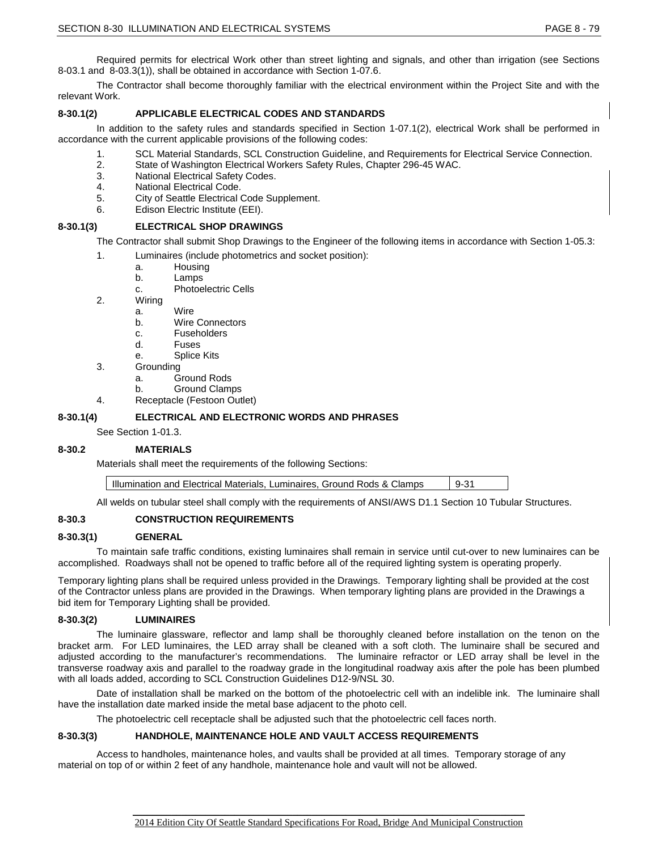Required permits for electrical Work other than street lighting and signals, and other than irrigation (see Sections 8-03.1 and 8-03.3(1)), shall be obtained in accordance with Section 1-07.6.

The Contractor shall become thoroughly familiar with the electrical environment within the Project Site and with the relevant Work.

### **8-30.1(2) APPLICABLE ELECTRICAL CODES AND STANDARDS**

In addition to the safety rules and standards specified in Section 1-07.1(2), electrical Work shall be performed in accordance with the current applicable provisions of the following codes:

- 1. SCL Material Standards, SCL Construction Guideline, and Requirements for Electrical Service Connection.
- 2. State of Washington Electrical Workers Safety Rules, Chapter 296-45 WAC.
- 3. National Electrical Safety Codes.
- 4. National Electrical Code.
- 5. City of Seattle Electrical Code Supplement.
- 6. Edison Electric Institute (EEI).

#### **8-30.1(3) ELECTRICAL SHOP DRAWINGS**

The Contractor shall submit Shop Drawings to the Engineer of the following items in accordance with Section 1-05.3:

- 1. Luminaires (include photometrics and socket position):
	- a. Housing<br>b. Lamps
	- Lamps
	- c. Photoelectric Cells
- 2. Wiring
	- a. Wire
		- b. Wire Connectors
		- c. Fuseholders
		- d. Fuses
		- e. Splice Kits
- 3. Grounding
	- a. Ground Rods<br>b. Ground Clam
	- **Ground Clamps**
- 4. Receptacle (Festoon Outlet)

#### **8-30.1(4) ELECTRICAL AND ELECTRONIC WORDS AND PHRASES**

See Section 1-01.3.

#### **8-30.2 MATERIALS**

Materials shall meet the requirements of the following Sections:

| Illumination and Electrical Materials, Luminaires, Ground Rods & Clamps | $9-31$ |
|-------------------------------------------------------------------------|--------|
|-------------------------------------------------------------------------|--------|

All welds on tubular steel shall comply with the requirements of ANSI/AWS D1.1 Section 10 Tubular Structures.

# **8-30.3 CONSTRUCTION REQUIREMENTS**

#### **8-30.3(1) GENERAL**

To maintain safe traffic conditions, existing luminaires shall remain in service until cut-over to new luminaires can be accomplished. Roadways shall not be opened to traffic before all of the required lighting system is operating properly.

Temporary lighting plans shall be required unless provided in the Drawings. Temporary lighting shall be provided at the cost of the Contractor unless plans are provided in the Drawings. When temporary lighting plans are provided in the Drawings a bid item for Temporary Lighting shall be provided.

#### **8-30.3(2) LUMINAIRES**

The luminaire glassware, reflector and lamp shall be thoroughly cleaned before installation on the tenon on the bracket arm. For LED luminaires, the LED array shall be cleaned with a soft cloth. The luminaire shall be secured and adjusted according to the manufacturer's recommendations. The luminaire refractor or LED array shall be level in the transverse roadway axis and parallel to the roadway grade in the longitudinal roadway axis after the pole has been plumbed with all loads added, according to SCL Construction Guidelines D12-9/NSL 30.

Date of installation shall be marked on the bottom of the photoelectric cell with an indelible ink. The luminaire shall have the installation date marked inside the metal base adjacent to the photo cell.

The photoelectric cell receptacle shall be adjusted such that the photoelectric cell faces north.

# **8-30.3(3) HANDHOLE, MAINTENANCE HOLE AND VAULT ACCESS REQUIREMENTS**

Access to handholes, maintenance holes, and vaults shall be provided at all times. Temporary storage of any material on top of or within 2 feet of any handhole, maintenance hole and vault will not be allowed.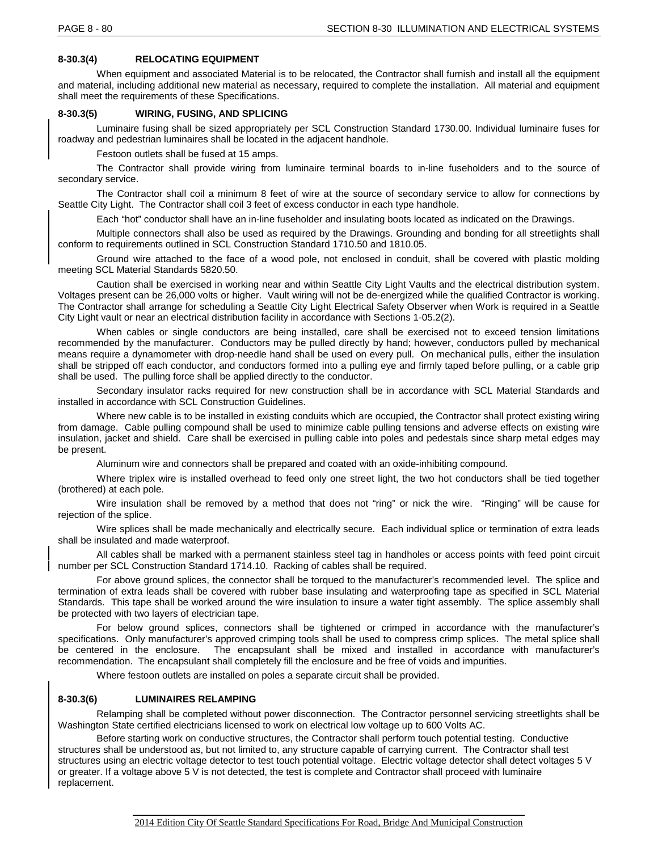# **8-30.3(4) RELOCATING EQUIPMENT**

When equipment and associated Material is to be relocated, the Contractor shall furnish and install all the equipment and material, including additional new material as necessary, required to complete the installation. All material and equipment shall meet the requirements of these Specifications.

# **8-30.3(5) WIRING, FUSING, AND SPLICING**

Luminaire fusing shall be sized appropriately per SCL Construction Standard 1730.00. Individual luminaire fuses for roadway and pedestrian luminaires shall be located in the adjacent handhole.

Festoon outlets shall be fused at 15 amps.

The Contractor shall provide wiring from luminaire terminal boards to in-line fuseholders and to the source of secondary service.

The Contractor shall coil a minimum 8 feet of wire at the source of secondary service to allow for connections by Seattle City Light. The Contractor shall coil 3 feet of excess conductor in each type handhole.

Each "hot" conductor shall have an in-line fuseholder and insulating boots located as indicated on the Drawings.

Multiple connectors shall also be used as required by the Drawings. Grounding and bonding for all streetlights shall conform to requirements outlined in SCL Construction Standard 1710.50 and 1810.05.

Ground wire attached to the face of a wood pole, not enclosed in conduit, shall be covered with plastic molding meeting SCL Material Standards 5820.50.

Caution shall be exercised in working near and within Seattle City Light Vaults and the electrical distribution system. Voltages present can be 26,000 volts or higher. Vault wiring will not be de-energized while the qualified Contractor is working. The Contractor shall arrange for scheduling a Seattle City Light Electrical Safety Observer when Work is required in a Seattle City Light vault or near an electrical distribution facility in accordance with Sections 1-05.2(2).

When cables or single conductors are being installed, care shall be exercised not to exceed tension limitations recommended by the manufacturer. Conductors may be pulled directly by hand; however, conductors pulled by mechanical means require a dynamometer with drop-needle hand shall be used on every pull. On mechanical pulls, either the insulation shall be stripped off each conductor, and conductors formed into a pulling eye and firmly taped before pulling, or a cable grip shall be used. The pulling force shall be applied directly to the conductor.

Secondary insulator racks required for new construction shall be in accordance with SCL Material Standards and installed in accordance with SCL Construction Guidelines.

Where new cable is to be installed in existing conduits which are occupied, the Contractor shall protect existing wiring from damage. Cable pulling compound shall be used to minimize cable pulling tensions and adverse effects on existing wire insulation, jacket and shield. Care shall be exercised in pulling cable into poles and pedestals since sharp metal edges may be present.

Aluminum wire and connectors shall be prepared and coated with an oxide-inhibiting compound.

Where triplex wire is installed overhead to feed only one street light, the two hot conductors shall be tied together (brothered) at each pole.

Wire insulation shall be removed by a method that does not "ring" or nick the wire. "Ringing" will be cause for rejection of the splice.

Wire splices shall be made mechanically and electrically secure. Each individual splice or termination of extra leads shall be insulated and made waterproof.

All cables shall be marked with a permanent stainless steel tag in handholes or access points with feed point circuit number per SCL Construction Standard 1714.10. Racking of cables shall be required.

For above ground splices, the connector shall be torqued to the manufacturer's recommended level. The splice and termination of extra leads shall be covered with rubber base insulating and waterproofing tape as specified in SCL Material Standards. This tape shall be worked around the wire insulation to insure a water tight assembly. The splice assembly shall be protected with two layers of electrician tape.

For below ground splices, connectors shall be tightened or crimped in accordance with the manufacturer's specifications. Only manufacturer's approved crimping tools shall be used to compress crimp splices. The metal splice shall<br>be centered in the enclosure. The encapsulant shall be mixed and installed in accordance with manu The encapsulant shall be mixed and installed in accordance with manufacturer's recommendation. The encapsulant shall completely fill the enclosure and be free of voids and impurities.

Where festoon outlets are installed on poles a separate circuit shall be provided.

# **8-30.3(6) LUMINAIRES RELAMPING**

Relamping shall be completed without power disconnection. The Contractor personnel servicing streetlights shall be Washington State certified electricians licensed to work on electrical low voltage up to 600 Volts AC.

Before starting work on conductive structures, the Contractor shall perform touch potential testing. Conductive structures shall be understood as, but not limited to, any structure capable of carrying current. The Contractor shall test structures using an electric voltage detector to test touch potential voltage. Electric voltage detector shall detect voltages 5 V or greater. If a voltage above 5 V is not detected, the test is complete and Contractor shall proceed with luminaire replacement.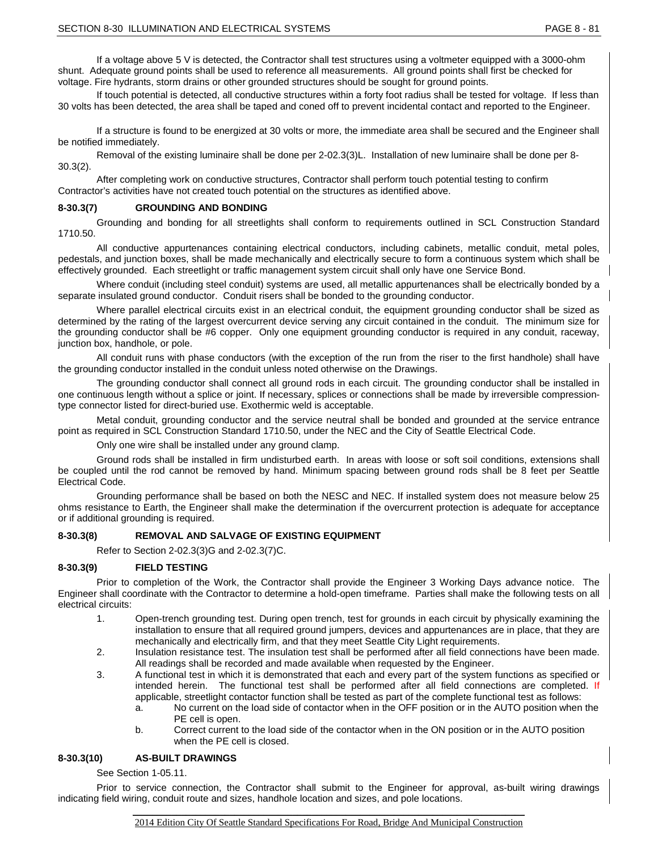If a voltage above 5 V is detected, the Contractor shall test structures using a voltmeter equipped with a 3000-ohm shunt. Adequate ground points shall be used to reference all measurements. All ground points shall first be checked for voltage. Fire hydrants, storm drains or other grounded structures should be sought for ground points.

If touch potential is detected, all conductive structures within a forty foot radius shall be tested for voltage. If less than 30 volts has been detected, the area shall be taped and coned off to prevent incidental contact and reported to the Engineer.

If a structure is found to be energized at 30 volts or more, the immediate area shall be secured and the Engineer shall be notified immediately.

Removal of the existing luminaire shall be done per 2-02.3(3)L. Installation of new luminaire shall be done per 8- 30.3(2).

After completing work on conductive structures, Contractor shall perform touch potential testing to confirm Contractor's activities have not created touch potential on the structures as identified above.

#### **8-30.3(7) GROUNDING AND BONDING**

Grounding and bonding for all streetlights shall conform to requirements outlined in SCL Construction Standard 1710.50.

All conductive appurtenances containing electrical conductors, including cabinets, metallic conduit, metal poles, pedestals, and junction boxes, shall be made mechanically and electrically secure to form a continuous system which shall be effectively grounded. Each streetlight or traffic management system circuit shall only have one Service Bond.

Where conduit (including steel conduit) systems are used, all metallic appurtenances shall be electrically bonded by a separate insulated ground conductor. Conduit risers shall be bonded to the grounding conductor.

Where parallel electrical circuits exist in an electrical conduit, the equipment grounding conductor shall be sized as determined by the rating of the largest overcurrent device serving any circuit contained in the conduit. The minimum size for the grounding conductor shall be #6 copper. Only one equipment grounding conductor is required in any conduit, raceway, junction box, handhole, or pole.

All conduit runs with phase conductors (with the exception of the run from the riser to the first handhole) shall have the grounding conductor installed in the conduit unless noted otherwise on the Drawings.

The grounding conductor shall connect all ground rods in each circuit. The grounding conductor shall be installed in one continuous length without a splice or joint. If necessary, splices or connections shall be made by irreversible compressiontype connector listed for direct-buried use. Exothermic weld is acceptable.

Metal conduit, grounding conductor and the service neutral shall be bonded and grounded at the service entrance point as required in SCL Construction Standard 1710.50, under the NEC and the City of Seattle Electrical Code.

Only one wire shall be installed under any ground clamp.

Ground rods shall be installed in firm undisturbed earth. In areas with loose or soft soil conditions, extensions shall be coupled until the rod cannot be removed by hand. Minimum spacing between ground rods shall be 8 feet per Seattle Electrical Code.

Grounding performance shall be based on both the NESC and NEC. If installed system does not measure below 25 ohms resistance to Earth, the Engineer shall make the determination if the overcurrent protection is adequate for acceptance or if additional grounding is required.

#### **8-30.3(8) REMOVAL AND SALVAGE OF EXISTING EQUIPMENT**

Refer to Section 2-02.3(3)G and 2-02.3(7)C.

# **8-30.3(9) FIELD TESTING**

Prior to completion of the Work, the Contractor shall provide the Engineer 3 Working Days advance notice. The Engineer shall coordinate with the Contractor to determine a hold-open timeframe. Parties shall make the following tests on all electrical circuits:

- 1. Open-trench grounding test. During open trench, test for grounds in each circuit by physically examining the installation to ensure that all required ground jumpers, devices and appurtenances are in place, that they are mechanically and electrically firm, and that they meet Seattle City Light requirements.
- 2. Insulation resistance test. The insulation test shall be performed after all field connections have been made. All readings shall be recorded and made available when requested by the Engineer.
- 3. A functional test in which it is demonstrated that each and every part of the system functions as specified or intended herein. The functional test shall be performed after all field connections are completed. If applicable, streetlight contactor function shall be tested as part of the complete functional test as follows:
	- a. No current on the load side of contactor when in the OFF position or in the AUTO position when the PE cell is open.
	- b. Correct current to the load side of the contactor when in the ON position or in the AUTO position when the PE cell is closed.

#### **8-30.3(10) AS-BUILT DRAWINGS**

See Section 1-05.11.

Prior to service connection, the Contractor shall submit to the Engineer for approval, as-built wiring drawings indicating field wiring, conduit route and sizes, handhole location and sizes, and pole locations.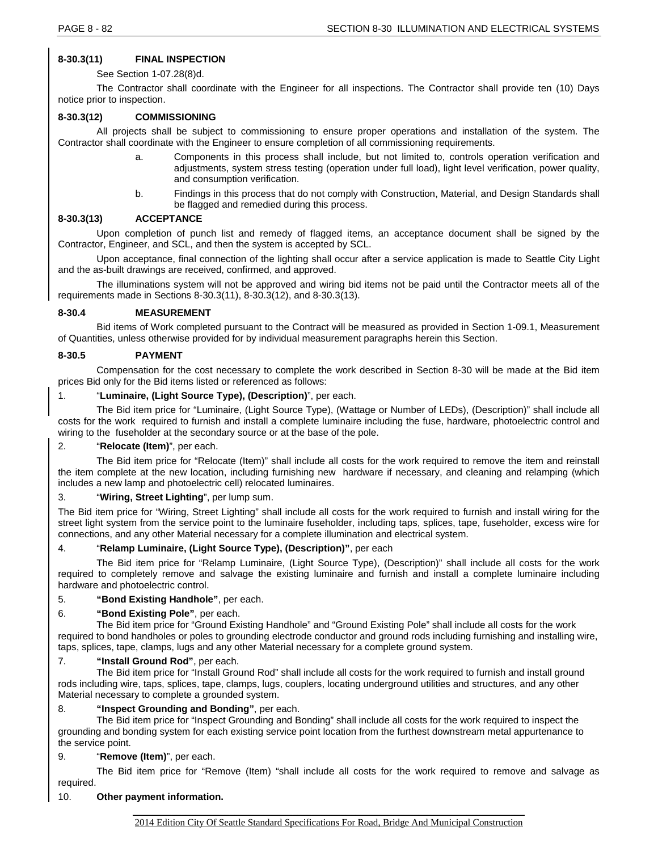# **8-30.3(11) FINAL INSPECTION**

See Section 1-07.28(8)d.

The Contractor shall coordinate with the Engineer for all inspections. The Contractor shall provide ten (10) Days notice prior to inspection.

# **8-30.3(12) COMMISSIONING**

All projects shall be subject to commissioning to ensure proper operations and installation of the system. The Contractor shall coordinate with the Engineer to ensure completion of all commissioning requirements.

- Components in this process shall include, but not limited to, controls operation verification and adjustments, system stress testing (operation under full load), light level verification, power quality, and consumption verification.
- b. Findings in this process that do not comply with Construction, Material, and Design Standards shall be flagged and remedied during this process.

# **8-30.3(13) ACCEPTANCE**

Upon completion of punch list and remedy of flagged items, an acceptance document shall be signed by the Contractor, Engineer, and SCL, and then the system is accepted by SCL.

Upon acceptance, final connection of the lighting shall occur after a service application is made to Seattle City Light and the as-built drawings are received, confirmed, and approved.

The illuminations system will not be approved and wiring bid items not be paid until the Contractor meets all of the requirements made in Sections 8-30.3(11), 8-30.3(12), and 8-30.3(13).

# **8-30.4 MEASUREMENT**

Bid items of Work completed pursuant to the Contract will be measured as provided in Section 1-09.1, Measurement of Quantities, unless otherwise provided for by individual measurement paragraphs herein this Section.

# **8-30.5 PAYMENT**

Compensation for the cost necessary to complete the work described in Section 8-30 will be made at the Bid item prices Bid only for the Bid items listed or referenced as follows:

# 1. "**Luminaire, (Light Source Type), (Description)**", per each.

The Bid item price for "Luminaire, (Light Source Type), (Wattage or Number of LEDs), (Description)" shall include all costs for the work required to furnish and install a complete luminaire including the fuse, hardware, photoelectric control and wiring to the fuseholder at the secondary source or at the base of the pole.

# 2. "**Relocate (Item)**", per each.

The Bid item price for "Relocate (Item)" shall include all costs for the work required to remove the item and reinstall the item complete at the new location, including furnishing new hardware if necessary, and cleaning and relamping (which includes a new lamp and photoelectric cell) relocated luminaires.

# 3. "**Wiring, Street Lighting**", per lump sum.

The Bid item price for "Wiring, Street Lighting" shall include all costs for the work required to furnish and install wiring for the street light system from the service point to the luminaire fuseholder, including taps, splices, tape, fuseholder, excess wire for connections, and any other Material necessary for a complete illumination and electrical system.

# 4. "**Relamp Luminaire, (Light Source Type), (Description)"**, per each

The Bid item price for "Relamp Luminaire, (Light Source Type), (Description)" shall include all costs for the work required to completely remove and salvage the existing luminaire and furnish and install a complete luminaire including hardware and photoelectric control.

#### 5. **"Bond Existing Handhole"**, per each.

# 6. **"Bond Existing Pole"**, per each.

The Bid item price for "Ground Existing Handhole" and "Ground Existing Pole" shall include all costs for the work required to bond handholes or poles to grounding electrode conductor and ground rods including furnishing and installing wire, taps, splices, tape, clamps, lugs and any other Material necessary for a complete ground system.

# 7. **"Install Ground Rod"**, per each.

The Bid item price for "Install Ground Rod" shall include all costs for the work required to furnish and install ground rods including wire, taps, splices, tape, clamps, lugs, couplers, locating underground utilities and structures, and any other Material necessary to complete a grounded system.

#### 8. **"Inspect Grounding and Bonding"**, per each.

The Bid item price for "Inspect Grounding and Bonding" shall include all costs for the work required to inspect the grounding and bonding system for each existing service point location from the furthest downstream metal appurtenance to the service point.

# 9. "**Remove (Item)**", per each.

The Bid item price for "Remove (Item) "shall include all costs for the work required to remove and salvage as required.

# 10. **Other payment information.**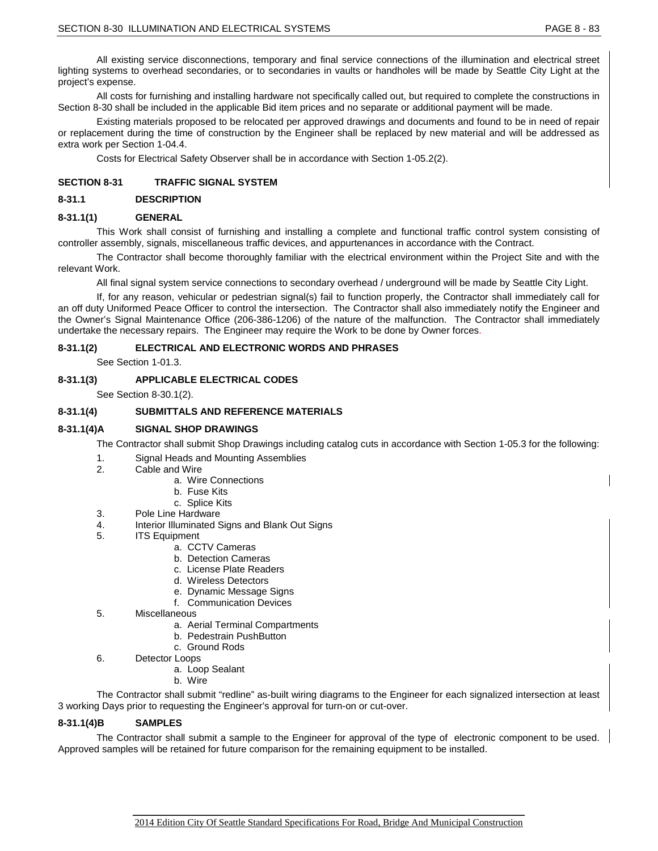All existing service disconnections, temporary and final service connections of the illumination and electrical street lighting systems to overhead secondaries, or to secondaries in vaults or handholes will be made by Seattle City Light at the project's expense.

All costs for furnishing and installing hardware not specifically called out, but required to complete the constructions in Section 8-30 shall be included in the applicable Bid item prices and no separate or additional payment will be made.

Existing materials proposed to be relocated per approved drawings and documents and found to be in need of repair or replacement during the time of construction by the Engineer shall be replaced by new material and will be addressed as extra work per Section 1-04.4.

Costs for Electrical Safety Observer shall be in accordance with Section 1-05.2(2).

#### **SECTION 8-31 TRAFFIC SIGNAL SYSTEM**

#### **8-31.1 DESCRIPTION**

#### **8-31.1(1) GENERAL**

This Work shall consist of furnishing and installing a complete and functional traffic control system consisting of controller assembly, signals, miscellaneous traffic devices, and appurtenances in accordance with the Contract.

The Contractor shall become thoroughly familiar with the electrical environment within the Project Site and with the relevant Work.

All final signal system service connections to secondary overhead / underground will be made by Seattle City Light.

If, for any reason, vehicular or pedestrian signal(s) fail to function properly, the Contractor shall immediately call for an off duty Uniformed Peace Officer to control the intersection. The Contractor shall also immediately notify the Engineer and the Owner's Signal Maintenance Office (206-386-1206) of the nature of the malfunction. The Contractor shall immediately undertake the necessary repairs. The Engineer may require the Work to be done by Owner forces.

#### **8-31.1(2) ELECTRICAL AND ELECTRONIC WORDS AND PHRASES**

See Section 1-01.3.

#### **8-31.1(3) APPLICABLE ELECTRICAL CODES**

See Section 8-30.1(2).

### **8-31.1(4) SUBMITTALS AND REFERENCE MATERIALS**

#### **8-31.1(4)A SIGNAL SHOP DRAWINGS**

The Contractor shall submit Shop Drawings including catalog cuts in accordance with Section 1-05.3 for the following:

- 1. Signal Heads and Mounting Assemblies
- 2. Cable and Wire
	- a. Wire Connections
	- b. Fuse Kits
	- c. Splice Kits
- 3. Pole Line Hardware
- 4. Interior Illuminated Signs and Blank Out Signs
- 5. ITS Equipment
	- a. CCTV Cameras
	- b. Detection Cameras
	- c. License Plate Readers
	- d. Wireless Detectors
	- e. Dynamic Message Signs
	- f. Communication Devices
- 5. Miscellaneous
	- a. Aerial Terminal Compartments
	- b. Pedestrain PushButton
	- c. Ground Rods
- 6. Detector Loops
	- a. Loop Sealant
		- b. Wire

The Contractor shall submit "redline" as-built wiring diagrams to the Engineer for each signalized intersection at least 3 working Days prior to requesting the Engineer's approval for turn-on or cut-over.

# **8-31.1(4)B SAMPLES**

The Contractor shall submit a sample to the Engineer for approval of the type of electronic component to be used. Approved samples will be retained for future comparison for the remaining equipment to be installed.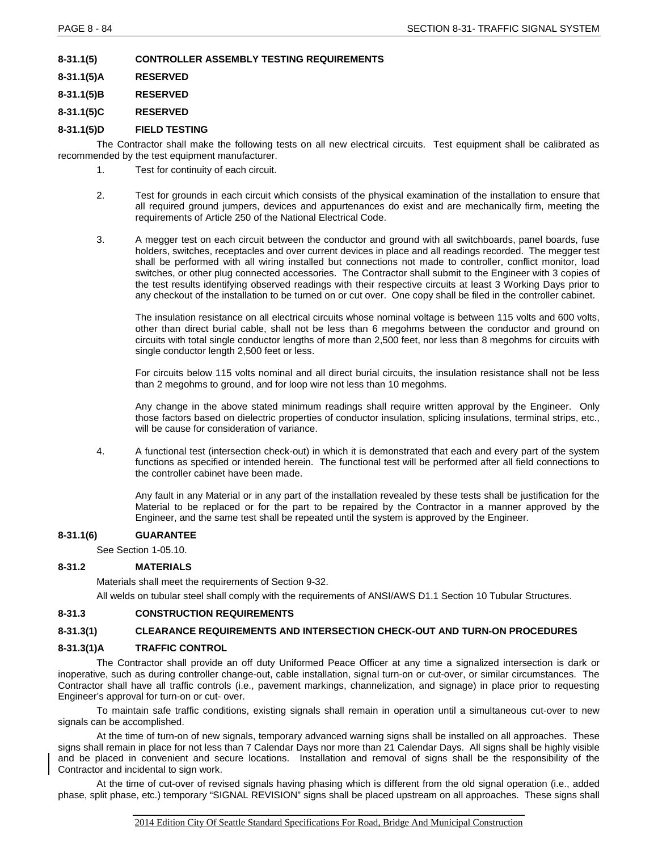**8-31.1(5) CONTROLLER ASSEMBLY TESTING REQUIREMENTS**

**8-31.1(5)A RESERVED**

**8-31.1(5)B RESERVED**

**8-31.1(5)C RESERVED**

# **8-31.1(5)D FIELD TESTING**

The Contractor shall make the following tests on all new electrical circuits. Test equipment shall be calibrated as recommended by the test equipment manufacturer.

- 1. Test for continuity of each circuit.
- 2. Test for grounds in each circuit which consists of the physical examination of the installation to ensure that all required ground jumpers, devices and appurtenances do exist and are mechanically firm, meeting the requirements of Article 250 of the National Electrical Code.
- 3. A megger test on each circuit between the conductor and ground with all switchboards, panel boards, fuse holders, switches, receptacles and over current devices in place and all readings recorded. The megger test shall be performed with all wiring installed but connections not made to controller, conflict monitor, load switches, or other plug connected accessories. The Contractor shall submit to the Engineer with 3 copies of the test results identifying observed readings with their respective circuits at least 3 Working Days prior to any checkout of the installation to be turned on or cut over. One copy shall be filed in the controller cabinet.

The insulation resistance on all electrical circuits whose nominal voltage is between 115 volts and 600 volts, other than direct burial cable, shall not be less than 6 megohms between the conductor and ground on circuits with total single conductor lengths of more than 2,500 feet, nor less than 8 megohms for circuits with single conductor length 2,500 feet or less.

For circuits below 115 volts nominal and all direct burial circuits, the insulation resistance shall not be less than 2 megohms to ground, and for loop wire not less than 10 megohms.

Any change in the above stated minimum readings shall require written approval by the Engineer. Only those factors based on dielectric properties of conductor insulation, splicing insulations, terminal strips, etc., will be cause for consideration of variance.

4. A functional test (intersection check-out) in which it is demonstrated that each and every part of the system functions as specified or intended herein. The functional test will be performed after all field connections to the controller cabinet have been made.

Any fault in any Material or in any part of the installation revealed by these tests shall be justification for the Material to be replaced or for the part to be repaired by the Contractor in a manner approved by the Engineer, and the same test shall be repeated until the system is approved by the Engineer.

# **8-31.1(6) GUARANTEE**

See Section 1-05.10.

# **8-31.2 MATERIALS**

Materials shall meet the requirements of Section 9-32.

All welds on tubular steel shall comply with the requirements of ANSI/AWS D1.1 Section 10 Tubular Structures.

# **8-31.3 CONSTRUCTION REQUIREMENTS**

# **8-31.3(1) CLEARANCE REQUIREMENTS AND INTERSECTION CHECK-OUT AND TURN-ON PROCEDURES**

# **8-31.3(1)A TRAFFIC CONTROL**

The Contractor shall provide an off duty Uniformed Peace Officer at any time a signalized intersection is dark or inoperative, such as during controller change-out, cable installation, signal turn-on or cut-over, or similar circumstances. The Contractor shall have all traffic controls (i.e., pavement markings, channelization, and signage) in place prior to requesting Engineer's approval for turn-on or cut- over.

To maintain safe traffic conditions, existing signals shall remain in operation until a simultaneous cut-over to new signals can be accomplished.

At the time of turn-on of new signals, temporary advanced warning signs shall be installed on all approaches. These signs shall remain in place for not less than 7 Calendar Days nor more than 21 Calendar Days. All signs shall be highly visible and be placed in convenient and secure locations. Installation and removal of signs shall be the responsibility of the Contractor and incidental to sign work.

At the time of cut-over of revised signals having phasing which is different from the old signal operation (i.e., added phase, split phase, etc.) temporary "SIGNAL REVISION" signs shall be placed upstream on all approaches. These signs shall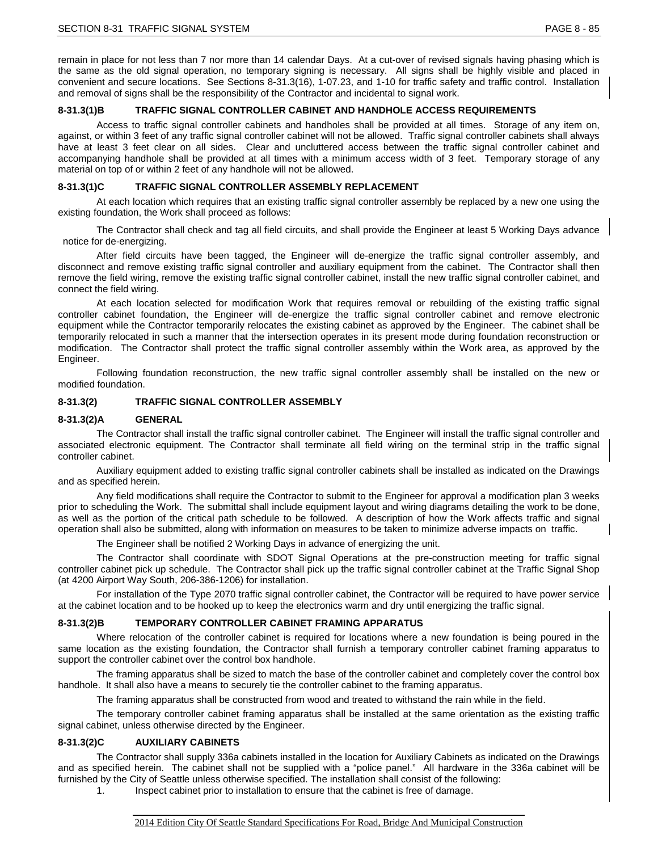remain in place for not less than 7 nor more than 14 calendar Days. At a cut-over of revised signals having phasing which is the same as the old signal operation, no temporary signing is necessary. All signs shall be highly visible and placed in convenient and secure locations. See Sections 8-31.3(16), 1-07.23, and 1-10 for traffic safety and traffic control. Installation and removal of signs shall be the responsibility of the Contractor and incidental to signal work.

#### **8-31.3(1)B TRAFFIC SIGNAL CONTROLLER CABINET AND HANDHOLE ACCESS REQUIREMENTS**

Access to traffic signal controller cabinets and handholes shall be provided at all times. Storage of any item on, against, or within 3 feet of any traffic signal controller cabinet will not be allowed. Traffic signal controller cabinets shall always have at least 3 feet clear on all sides. Clear and uncluttered access between the traffic signal controller cabinet and accompanying handhole shall be provided at all times with a minimum access width of 3 feet. Temporary storage of any material on top of or within 2 feet of any handhole will not be allowed.

### **8-31.3(1)C TRAFFIC SIGNAL CONTROLLER ASSEMBLY REPLACEMENT**

At each location which requires that an existing traffic signal controller assembly be replaced by a new one using the existing foundation, the Work shall proceed as follows:

The Contractor shall check and tag all field circuits, and shall provide the Engineer at least 5 Working Days advance notice for de-energizing.

After field circuits have been tagged, the Engineer will de-energize the traffic signal controller assembly, and disconnect and remove existing traffic signal controller and auxiliary equipment from the cabinet. The Contractor shall then remove the field wiring, remove the existing traffic signal controller cabinet, install the new traffic signal controller cabinet, and connect the field wiring.

At each location selected for modification Work that requires removal or rebuilding of the existing traffic signal controller cabinet foundation, the Engineer will de-energize the traffic signal controller cabinet and remove electronic equipment while the Contractor temporarily relocates the existing cabinet as approved by the Engineer. The cabinet shall be temporarily relocated in such a manner that the intersection operates in its present mode during foundation reconstruction or modification. The Contractor shall protect the traffic signal controller assembly within the Work area, as approved by the Engineer.

Following foundation reconstruction, the new traffic signal controller assembly shall be installed on the new or modified foundation.

#### **8-31.3(2) TRAFFIC SIGNAL CONTROLLER ASSEMBLY**

#### **8-31.3(2)A GENERAL**

The Contractor shall install the traffic signal controller cabinet. The Engineer will install the traffic signal controller and associated electronic equipment. The Contractor shall terminate all field wiring on the terminal strip in the traffic signal controller cabinet.

Auxiliary equipment added to existing traffic signal controller cabinets shall be installed as indicated on the Drawings and as specified herein.

Any field modifications shall require the Contractor to submit to the Engineer for approval a modification plan 3 weeks prior to scheduling the Work. The submittal shall include equipment layout and wiring diagrams detailing the work to be done, as well as the portion of the critical path schedule to be followed. A description of how the Work affects traffic and signal operation shall also be submitted, along with information on measures to be taken to minimize adverse impacts on traffic.

The Engineer shall be notified 2 Working Days in advance of energizing the unit.

The Contractor shall coordinate with SDOT Signal Operations at the pre-construction meeting for traffic signal controller cabinet pick up schedule. The Contractor shall pick up the traffic signal controller cabinet at the Traffic Signal Shop (at 4200 Airport Way South, 206-386-1206) for installation.

For installation of the Type 2070 traffic signal controller cabinet, the Contractor will be required to have power service at the cabinet location and to be hooked up to keep the electronics warm and dry until energizing the traffic signal.

#### **8-31.3(2)B TEMPORARY CONTROLLER CABINET FRAMING APPARATUS**

Where relocation of the controller cabinet is required for locations where a new foundation is being poured in the same location as the existing foundation, the Contractor shall furnish a temporary controller cabinet framing apparatus to support the controller cabinet over the control box handhole.

The framing apparatus shall be sized to match the base of the controller cabinet and completely cover the control box handhole. It shall also have a means to securely tie the controller cabinet to the framing apparatus.

The framing apparatus shall be constructed from wood and treated to withstand the rain while in the field.

The temporary controller cabinet framing apparatus shall be installed at the same orientation as the existing traffic signal cabinet, unless otherwise directed by the Engineer.

#### **8-31.3(2)C AUXILIARY CABINETS**

The Contractor shall supply 336a cabinets installed in the location for Auxiliary Cabinets as indicated on the Drawings and as specified herein. The cabinet shall not be supplied with a "police panel." All hardware in the 336a cabinet will be furnished by the City of Seattle unless otherwise specified. The installation shall consist of the following:

1. Inspect cabinet prior to installation to ensure that the cabinet is free of damage.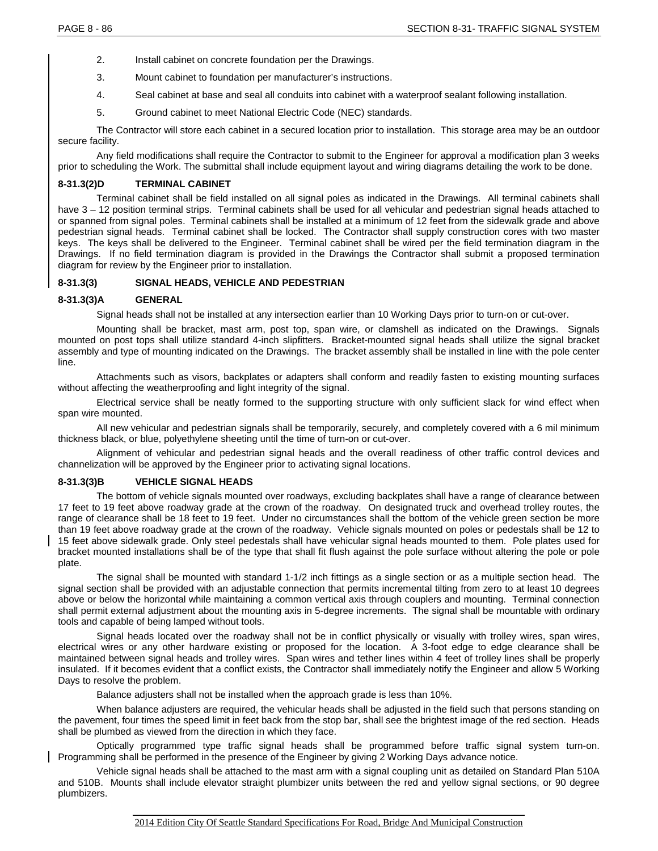- 2. Install cabinet on concrete foundation per the Drawings.
- 3. Mount cabinet to foundation per manufacturer's instructions.
- 4. Seal cabinet at base and seal all conduits into cabinet with a waterproof sealant following installation.
- 5. Ground cabinet to meet National Electric Code (NEC) standards.

The Contractor will store each cabinet in a secured location prior to installation. This storage area may be an outdoor secure facility.

Any field modifications shall require the Contractor to submit to the Engineer for approval a modification plan 3 weeks prior to scheduling the Work. The submittal shall include equipment layout and wiring diagrams detailing the work to be done.

# **8-31.3(2)D TERMINAL CABINET**

Terminal cabinet shall be field installed on all signal poles as indicated in the Drawings. All terminal cabinets shall have  $3 - 12$  position terminal strips. Terminal cabinets shall be used for all vehicular and pedestrian signal heads attached to or spanned from signal poles. Terminal cabinets shall be installed at a minimum of 12 feet from the sidewalk grade and above pedestrian signal heads. Terminal cabinet shall be locked. The Contractor shall supply construction cores with two master keys. The keys shall be delivered to the Engineer. Terminal cabinet shall be wired per the field termination diagram in the Drawings. If no field termination diagram is provided in the Drawings the Contractor shall submit a proposed termination diagram for review by the Engineer prior to installation.

# **8-31.3(3) SIGNAL HEADS, VEHICLE AND PEDESTRIAN**

# **8-31.3(3)A GENERAL**

Signal heads shall not be installed at any intersection earlier than 10 Working Days prior to turn-on or cut-over.

Mounting shall be bracket, mast arm, post top, span wire, or clamshell as indicated on the Drawings. Signals mounted on post tops shall utilize standard 4-inch slipfitters. Bracket-mounted signal heads shall utilize the signal bracket assembly and type of mounting indicated on the Drawings. The bracket assembly shall be installed in line with the pole center line.

Attachments such as visors, backplates or adapters shall conform and readily fasten to existing mounting surfaces without affecting the weatherproofing and light integrity of the signal.

Electrical service shall be neatly formed to the supporting structure with only sufficient slack for wind effect when span wire mounted.

All new vehicular and pedestrian signals shall be temporarily, securely, and completely covered with a 6 mil minimum thickness black, or blue, polyethylene sheeting until the time of turn-on or cut-over.

Alignment of vehicular and pedestrian signal heads and the overall readiness of other traffic control devices and channelization will be approved by the Engineer prior to activating signal locations.

# **8-31.3(3)B VEHICLE SIGNAL HEADS**

The bottom of vehicle signals mounted over roadways, excluding backplates shall have a range of clearance between 17 feet to 19 feet above roadway grade at the crown of the roadway. On designated truck and overhead trolley routes, the range of clearance shall be 18 feet to 19 feet. Under no circumstances shall the bottom of the vehicle green section be more than 19 feet above roadway grade at the crown of the roadway. Vehicle signals mounted on poles or pedestals shall be 12 to 15 feet above sidewalk grade. Only steel pedestals shall have vehicular signal heads mounted to them. Pole plates used for bracket mounted installations shall be of the type that shall fit flush against the pole surface without altering the pole or pole plate.

The signal shall be mounted with standard 1-1/2 inch fittings as a single section or as a multiple section head. The signal section shall be provided with an adjustable connection that permits incremental tilting from zero to at least 10 degrees above or below the horizontal while maintaining a common vertical axis through couplers and mounting. Terminal connection shall permit external adjustment about the mounting axis in 5-degree increments. The signal shall be mountable with ordinary tools and capable of being lamped without tools.

Signal heads located over the roadway shall not be in conflict physically or visually with trolley wires, span wires, electrical wires or any other hardware existing or proposed for the location. A 3-foot edge to edge clearance shall be maintained between signal heads and trolley wires. Span wires and tether lines within 4 feet of trolley lines shall be properly insulated. If it becomes evident that a conflict exists, the Contractor shall immediately notify the Engineer and allow 5 Working Days to resolve the problem.

Balance adjusters shall not be installed when the approach grade is less than 10%.

When balance adjusters are required, the vehicular heads shall be adjusted in the field such that persons standing on the pavement, four times the speed limit in feet back from the stop bar, shall see the brightest image of the red section. Heads shall be plumbed as viewed from the direction in which they face.

Optically programmed type traffic signal heads shall be programmed before traffic signal system turn-on. Programming shall be performed in the presence of the Engineer by giving 2 Working Days advance notice.

Vehicle signal heads shall be attached to the mast arm with a signal coupling unit as detailed on Standard Plan 510A and 510B. Mounts shall include elevator straight plumbizer units between the red and yellow signal sections, or 90 degree plumbizers.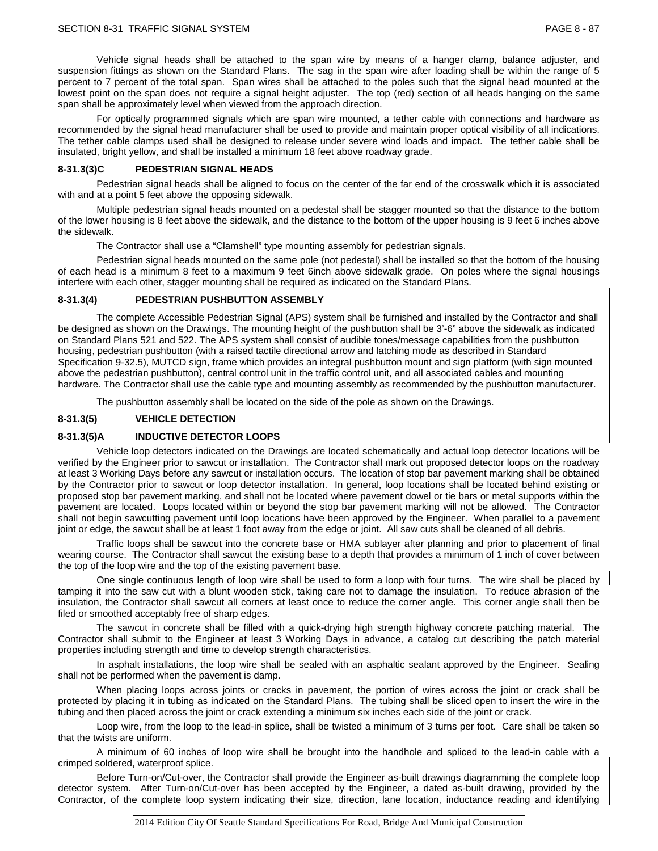Vehicle signal heads shall be attached to the span wire by means of a hanger clamp, balance adjuster, and suspension fittings as shown on the Standard Plans. The sag in the span wire after loading shall be within the range of 5 percent to 7 percent of the total span. Span wires shall be attached to the poles such that the signal head mounted at the lowest point on the span does not require a signal height adjuster. The top (red) section of all heads hanging on the same span shall be approximately level when viewed from the approach direction.

For optically programmed signals which are span wire mounted, a tether cable with connections and hardware as recommended by the signal head manufacturer shall be used to provide and maintain proper optical visibility of all indications. The tether cable clamps used shall be designed to release under severe wind loads and impact. The tether cable shall be insulated, bright yellow, and shall be installed a minimum 18 feet above roadway grade.

#### **8-31.3(3)C PEDESTRIAN SIGNAL HEADS**

Pedestrian signal heads shall be aligned to focus on the center of the far end of the crosswalk which it is associated with and at a point 5 feet above the opposing sidewalk.

Multiple pedestrian signal heads mounted on a pedestal shall be stagger mounted so that the distance to the bottom of the lower housing is 8 feet above the sidewalk, and the distance to the bottom of the upper housing is 9 feet 6 inches above the sidewalk.

The Contractor shall use a "Clamshell" type mounting assembly for pedestrian signals.

Pedestrian signal heads mounted on the same pole (not pedestal) shall be installed so that the bottom of the housing of each head is a minimum 8 feet to a maximum 9 feet 6inch above sidewalk grade. On poles where the signal housings interfere with each other, stagger mounting shall be required as indicated on the Standard Plans.

#### **8-31.3(4) PEDESTRIAN PUSHBUTTON ASSEMBLY**

The complete Accessible Pedestrian Signal (APS) system shall be furnished and installed by the Contractor and shall be designed as shown on the Drawings. The mounting height of the pushbutton shall be 3'-6" above the sidewalk as indicated on Standard Plans 521 and 522. The APS system shall consist of audible tones/message capabilities from the pushbutton housing, pedestrian pushbutton (with a raised tactile directional arrow and latching mode as described in Standard Specification 9-32.5), MUTCD sign, frame which provides an integral pushbutton mount and sign platform (with sign mounted above the pedestrian pushbutton), central control unit in the traffic control unit, and all associated cables and mounting hardware. The Contractor shall use the cable type and mounting assembly as recommended by the pushbutton manufacturer.

The pushbutton assembly shall be located on the side of the pole as shown on the Drawings.

### **8-31.3(5) VEHICLE DETECTION**

#### **8-31.3(5)A INDUCTIVE DETECTOR LOOPS**

Vehicle loop detectors indicated on the Drawings are located schematically and actual loop detector locations will be verified by the Engineer prior to sawcut or installation. The Contractor shall mark out proposed detector loops on the roadway at least 3 Working Days before any sawcut or installation occurs. The location of stop bar pavement marking shall be obtained by the Contractor prior to sawcut or loop detector installation. In general, loop locations shall be located behind existing or proposed stop bar pavement marking, and shall not be located where pavement dowel or tie bars or metal supports within the pavement are located. Loops located within or beyond the stop bar pavement marking will not be allowed. The Contractor shall not begin sawcutting pavement until loop locations have been approved by the Engineer. When parallel to a pavement joint or edge, the sawcut shall be at least 1 foot away from the edge or joint. All saw cuts shall be cleaned of all debris.

Traffic loops shall be sawcut into the concrete base or HMA sublayer after planning and prior to placement of final wearing course. The Contractor shall sawcut the existing base to a depth that provides a minimum of 1 inch of cover between the top of the loop wire and the top of the existing pavement base.

One single continuous length of loop wire shall be used to form a loop with four turns. The wire shall be placed by tamping it into the saw cut with a blunt wooden stick, taking care not to damage the insulation. To reduce abrasion of the insulation, the Contractor shall sawcut all corners at least once to reduce the corner angle. This corner angle shall then be filed or smoothed acceptably free of sharp edges.

The sawcut in concrete shall be filled with a quick-drying high strength highway concrete patching material. The Contractor shall submit to the Engineer at least 3 Working Days in advance, a catalog cut describing the patch material properties including strength and time to develop strength characteristics.

In asphalt installations, the loop wire shall be sealed with an asphaltic sealant approved by the Engineer. Sealing shall not be performed when the pavement is damp.

When placing loops across joints or cracks in pavement, the portion of wires across the joint or crack shall be protected by placing it in tubing as indicated on the Standard Plans. The tubing shall be sliced open to insert the wire in the tubing and then placed across the joint or crack extending a minimum six inches each side of the joint or crack.

Loop wire, from the loop to the lead-in splice, shall be twisted a minimum of 3 turns per foot. Care shall be taken so that the twists are uniform.

A minimum of 60 inches of loop wire shall be brought into the handhole and spliced to the lead-in cable with a crimped soldered, waterproof splice.

Before Turn-on/Cut-over, the Contractor shall provide the Engineer as-built drawings diagramming the complete loop detector system. After Turn-on/Cut-over has been accepted by the Engineer, a dated as-built drawing, provided by the Contractor, of the complete loop system indicating their size, direction, lane location, inductance reading and identifying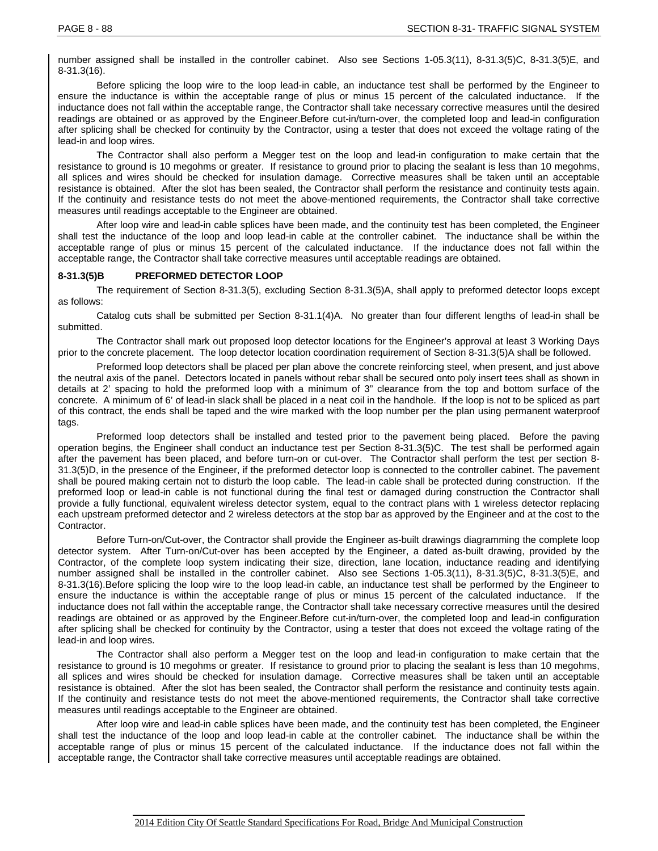number assigned shall be installed in the controller cabinet. Also see Sections 1-05.3(11), 8-31.3(5)C, 8-31.3(5)E, and 8-31.3(16).

Before splicing the loop wire to the loop lead-in cable, an inductance test shall be performed by the Engineer to ensure the inductance is within the acceptable range of plus or minus 15 percent of the calculated inductance. If the inductance does not fall within the acceptable range, the Contractor shall take necessary corrective measures until the desired readings are obtained or as approved by the Engineer.Before cut-in/turn-over, the completed loop and lead-in configuration after splicing shall be checked for continuity by the Contractor, using a tester that does not exceed the voltage rating of the lead-in and loop wires.

The Contractor shall also perform a Megger test on the loop and lead-in configuration to make certain that the resistance to ground is 10 megohms or greater. If resistance to ground prior to placing the sealant is less than 10 megohms, all splices and wires should be checked for insulation damage. Corrective measures shall be taken until an acceptable resistance is obtained. After the slot has been sealed, the Contractor shall perform the resistance and continuity tests again. If the continuity and resistance tests do not meet the above-mentioned requirements, the Contractor shall take corrective measures until readings acceptable to the Engineer are obtained.

After loop wire and lead-in cable splices have been made, and the continuity test has been completed, the Engineer shall test the inductance of the loop and loop lead-in cable at the controller cabinet. The inductance shall be within the acceptable range of plus or minus 15 percent of the calculated inductance. If the inductance does not fall within the acceptable range, the Contractor shall take corrective measures until acceptable readings are obtained.

#### **8-31.3(5)B PREFORMED DETECTOR LOOP**

The requirement of Section 8-31.3(5), excluding Section 8-31.3(5)A, shall apply to preformed detector loops except as follows:

Catalog cuts shall be submitted per Section 8-31.1(4)A. No greater than four different lengths of lead-in shall be submitted.

The Contractor shall mark out proposed loop detector locations for the Engineer's approval at least 3 Working Days prior to the concrete placement. The loop detector location coordination requirement of Section 8-31.3(5)A shall be followed.

Preformed loop detectors shall be placed per plan above the concrete reinforcing steel, when present, and just above the neutral axis of the panel. Detectors located in panels without rebar shall be secured onto poly insert tees shall as shown in details at 2' spacing to hold the preformed loop with a minimum of 3" clearance from the top and bottom surface of the concrete. A minimum of 6' of lead-in slack shall be placed in a neat coil in the handhole. If the loop is not to be spliced as part of this contract, the ends shall be taped and the wire marked with the loop number per the plan using permanent waterproof tags.

Preformed loop detectors shall be installed and tested prior to the pavement being placed. Before the paving operation begins, the Engineer shall conduct an inductance test per Section 8-31.3(5)C. The test shall be performed again after the pavement has been placed, and before turn-on or cut-over. The Contractor shall perform the test per section 8- 31.3(5)D, in the presence of the Engineer, if the preformed detector loop is connected to the controller cabinet. The pavement shall be poured making certain not to disturb the loop cable. The lead-in cable shall be protected during construction. If the preformed loop or lead-in cable is not functional during the final test or damaged during construction the Contractor shall provide a fully functional, equivalent wireless detector system, equal to the contract plans with 1 wireless detector replacing each upstream preformed detector and 2 wireless detectors at the stop bar as approved by the Engineer and at the cost to the Contractor.

Before Turn-on/Cut-over, the Contractor shall provide the Engineer as-built drawings diagramming the complete loop detector system. After Turn-on/Cut-over has been accepted by the Engineer, a dated as-built drawing, provided by the Contractor, of the complete loop system indicating their size, direction, lane location, inductance reading and identifying number assigned shall be installed in the controller cabinet. Also see Sections 1-05.3(11), 8-31.3(5)C, 8-31.3(5)E, and 8-31.3(16).Before splicing the loop wire to the loop lead-in cable, an inductance test shall be performed by the Engineer to ensure the inductance is within the acceptable range of plus or minus 15 percent of the calculated inductance. If the inductance does not fall within the acceptable range, the Contractor shall take necessary corrective measures until the desired readings are obtained or as approved by the Engineer.Before cut-in/turn-over, the completed loop and lead-in configuration after splicing shall be checked for continuity by the Contractor, using a tester that does not exceed the voltage rating of the lead-in and loop wires.

The Contractor shall also perform a Megger test on the loop and lead-in configuration to make certain that the resistance to ground is 10 megohms or greater. If resistance to ground prior to placing the sealant is less than 10 megohms, all splices and wires should be checked for insulation damage. Corrective measures shall be taken until an acceptable resistance is obtained. After the slot has been sealed, the Contractor shall perform the resistance and continuity tests again. If the continuity and resistance tests do not meet the above-mentioned requirements, the Contractor shall take corrective measures until readings acceptable to the Engineer are obtained.

After loop wire and lead-in cable splices have been made, and the continuity test has been completed, the Engineer shall test the inductance of the loop and loop lead-in cable at the controller cabinet. The inductance shall be within the acceptable range of plus or minus 15 percent of the calculated inductance. If the inductance does not fall within the acceptable range, the Contractor shall take corrective measures until acceptable readings are obtained.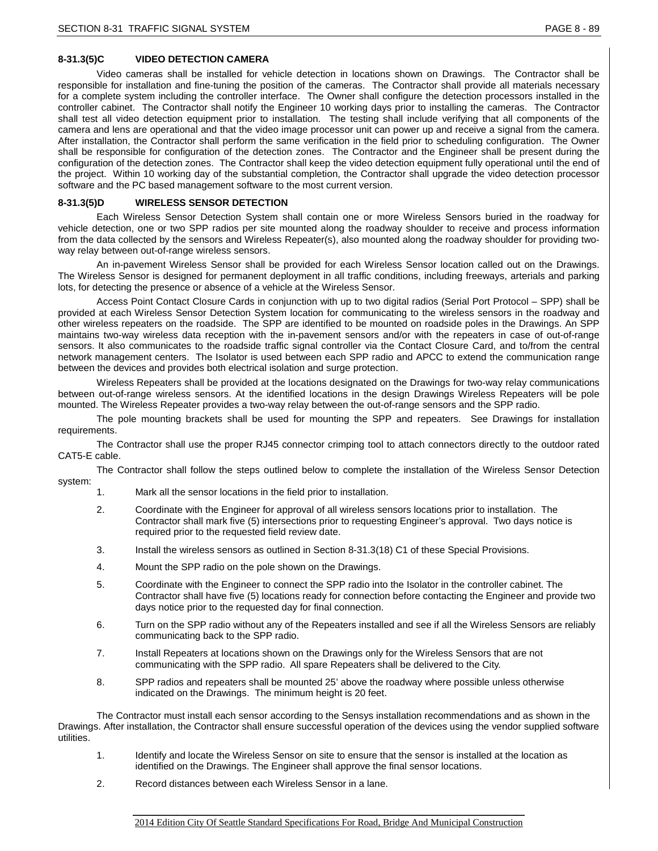# **8-31.3(5)C VIDEO DETECTION CAMERA**

Video cameras shall be installed for vehicle detection in locations shown on Drawings. The Contractor shall be responsible for installation and fine-tuning the position of the cameras. The Contractor shall provide all materials necessary for a complete system including the controller interface. The Owner shall configure the detection processors installed in the controller cabinet. The Contractor shall notify the Engineer 10 working days prior to installing the cameras. The Contractor shall test all video detection equipment prior to installation. The testing shall include verifying that all components of the camera and lens are operational and that the video image processor unit can power up and receive a signal from the camera. After installation, the Contractor shall perform the same verification in the field prior to scheduling configuration. The Owner shall be responsible for configuration of the detection zones. The Contractor and the Engineer shall be present during the configuration of the detection zones. The Contractor shall keep the video detection equipment fully operational until the end of the project. Within 10 working day of the substantial completion, the Contractor shall upgrade the video detection processor software and the PC based management software to the most current version.

### **8-31.3(5)D WIRELESS SENSOR DETECTION**

Each Wireless Sensor Detection System shall contain one or more Wireless Sensors buried in the roadway for vehicle detection, one or two SPP radios per site mounted along the roadway shoulder to receive and process information from the data collected by the sensors and Wireless Repeater(s), also mounted along the roadway shoulder for providing twoway relay between out-of-range wireless sensors.

An in-pavement Wireless Sensor shall be provided for each Wireless Sensor location called out on the Drawings. The Wireless Sensor is designed for permanent deployment in all traffic conditions, including freeways, arterials and parking lots, for detecting the presence or absence of a vehicle at the Wireless Sensor.

Access Point Contact Closure Cards in conjunction with up to two digital radios (Serial Port Protocol – SPP) shall be provided at each Wireless Sensor Detection System location for communicating to the wireless sensors in the roadway and other wireless repeaters on the roadside. The SPP are identified to be mounted on roadside poles in the Drawings. An SPP maintains two-way wireless data reception with the in-pavement sensors and/or with the repeaters in case of out-of-range sensors. It also communicates to the roadside traffic signal controller via the Contact Closure Card, and to/from the central network management centers. The Isolator is used between each SPP radio and APCC to extend the communication range between the devices and provides both electrical isolation and surge protection.

Wireless Repeaters shall be provided at the locations designated on the Drawings for two-way relay communications between out-of-range wireless sensors. At the identified locations in the design Drawings Wireless Repeaters will be pole mounted. The Wireless Repeater provides a two-way relay between the out-of-range sensors and the SPP radio.

The pole mounting brackets shall be used for mounting the SPP and repeaters. See Drawings for installation requirements.

The Contractor shall use the proper RJ45 connector crimping tool to attach connectors directly to the outdoor rated CAT5-E cable.

The Contractor shall follow the steps outlined below to complete the installation of the Wireless Sensor Detection system:

- 1. Mark all the sensor locations in the field prior to installation.
- 2. Coordinate with the Engineer for approval of all wireless sensors locations prior to installation. The Contractor shall mark five (5) intersections prior to requesting Engineer's approval. Two days notice is required prior to the requested field review date.
- 3. Install the wireless sensors as outlined in Section 8-31.3(18) C1 of these Special Provisions.
- 4. Mount the SPP radio on the pole shown on the Drawings.
- 5. Coordinate with the Engineer to connect the SPP radio into the Isolator in the controller cabinet. The Contractor shall have five (5) locations ready for connection before contacting the Engineer and provide two days notice prior to the requested day for final connection.
- 6. Turn on the SPP radio without any of the Repeaters installed and see if all the Wireless Sensors are reliably communicating back to the SPP radio.
- 7. Install Repeaters at locations shown on the Drawings only for the Wireless Sensors that are not communicating with the SPP radio. All spare Repeaters shall be delivered to the City.
- 8. SPP radios and repeaters shall be mounted 25' above the roadway where possible unless otherwise indicated on the Drawings. The minimum height is 20 feet.

The Contractor must install each sensor according to the Sensys installation recommendations and as shown in the Drawings. After installation, the Contractor shall ensure successful operation of the devices using the vendor supplied software utilities.

- 1. Identify and locate the Wireless Sensor on site to ensure that the sensor is installed at the location as identified on the Drawings. The Engineer shall approve the final sensor locations.
- 2. Record distances between each Wireless Sensor in a lane.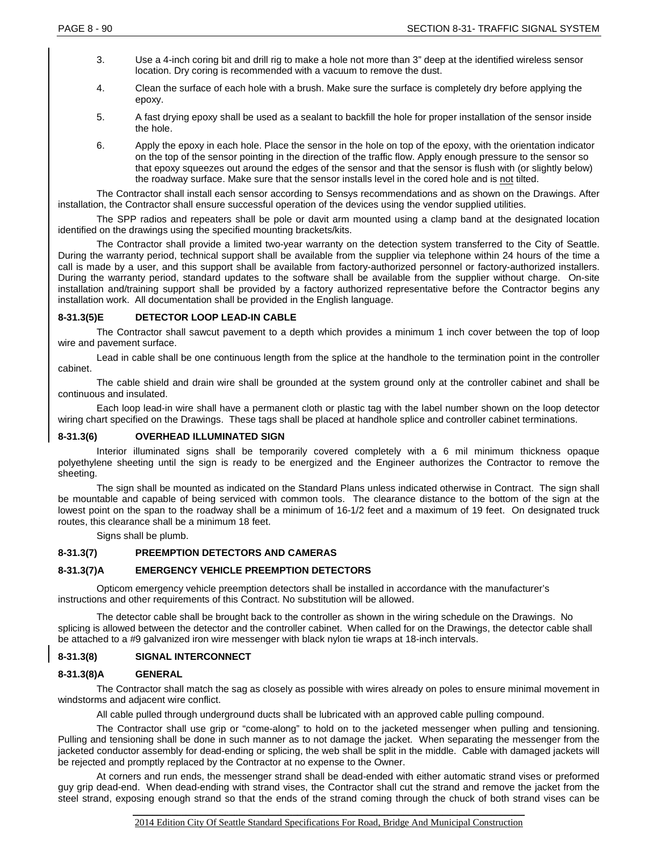- 3. Use a 4-inch coring bit and drill rig to make a hole not more than 3" deep at the identified wireless sensor location. Dry coring is recommended with a vacuum to remove the dust.
- 4. Clean the surface of each hole with a brush. Make sure the surface is completely dry before applying the epoxy.
- 5. A fast drying epoxy shall be used as a sealant to backfill the hole for proper installation of the sensor inside the hole.
- 6. Apply the epoxy in each hole. Place the sensor in the hole on top of the epoxy, with the orientation indicator on the top of the sensor pointing in the direction of the traffic flow. Apply enough pressure to the sensor so that epoxy squeezes out around the edges of the sensor and that the sensor is flush with (or slightly below) the roadway surface. Make sure that the sensor installs level in the cored hole and is not tilted.

The Contractor shall install each sensor according to Sensys recommendations and as shown on the Drawings. After installation, the Contractor shall ensure successful operation of the devices using the vendor supplied utilities.

The SPP radios and repeaters shall be pole or davit arm mounted using a clamp band at the designated location identified on the drawings using the specified mounting brackets/kits.

The Contractor shall provide a limited two-year warranty on the detection system transferred to the City of Seattle. During the warranty period, technical support shall be available from the supplier via telephone within 24 hours of the time a call is made by a user, and this support shall be available from factory-authorized personnel or factory-authorized installers. During the warranty period, standard updates to the software shall be available from the supplier without charge. On-site installation and/training support shall be provided by a factory authorized representative before the Contractor begins any installation work. All documentation shall be provided in the English language.

#### **8-31.3(5)E DETECTOR LOOP LEAD-IN CABLE**

The Contractor shall sawcut pavement to a depth which provides a minimum 1 inch cover between the top of loop wire and pavement surface.

Lead in cable shall be one continuous length from the splice at the handhole to the termination point in the controller cabinet.

The cable shield and drain wire shall be grounded at the system ground only at the controller cabinet and shall be continuous and insulated.

Each loop lead-in wire shall have a permanent cloth or plastic tag with the label number shown on the loop detector wiring chart specified on the Drawings. These tags shall be placed at handhole splice and controller cabinet terminations.

#### **8-31.3(6) OVERHEAD ILLUMINATED SIGN**

Interior illuminated signs shall be temporarily covered completely with a 6 mil minimum thickness opaque polyethylene sheeting until the sign is ready to be energized and the Engineer authorizes the Contractor to remove the sheeting.

The sign shall be mounted as indicated on the Standard Plans unless indicated otherwise in Contract. The sign shall be mountable and capable of being serviced with common tools. The clearance distance to the bottom of the sign at the lowest point on the span to the roadway shall be a minimum of 16-1/2 feet and a maximum of 19 feet. On designated truck routes, this clearance shall be a minimum 18 feet.

Signs shall be plumb.

#### **8-31.3(7) PREEMPTION DETECTORS AND CAMERAS**

#### **8-31.3(7)A EMERGENCY VEHICLE PREEMPTION DETECTORS**

Opticom emergency vehicle preemption detectors shall be installed in accordance with the manufacturer's instructions and other requirements of this Contract. No substitution will be allowed.

The detector cable shall be brought back to the controller as shown in the wiring schedule on the Drawings. No splicing is allowed between the detector and the controller cabinet. When called for on the Drawings, the detector cable shall be attached to a #9 galvanized iron wire messenger with black nylon tie wraps at 18-inch intervals.

#### **8-31.3(8) SIGNAL INTERCONNECT**

#### **8-31.3(8)A GENERAL**

The Contractor shall match the sag as closely as possible with wires already on poles to ensure minimal movement in windstorms and adjacent wire conflict.

All cable pulled through underground ducts shall be lubricated with an approved cable pulling compound.

The Contractor shall use grip or "come-along" to hold on to the jacketed messenger when pulling and tensioning. Pulling and tensioning shall be done in such manner as to not damage the jacket. When separating the messenger from the jacketed conductor assembly for dead-ending or splicing, the web shall be split in the middle. Cable with damaged jackets will be rejected and promptly replaced by the Contractor at no expense to the Owner.

At corners and run ends, the messenger strand shall be dead-ended with either automatic strand vises or preformed guy grip dead-end. When dead-ending with strand vises, the Contractor shall cut the strand and remove the jacket from the steel strand, exposing enough strand so that the ends of the strand coming through the chuck of both strand vises can be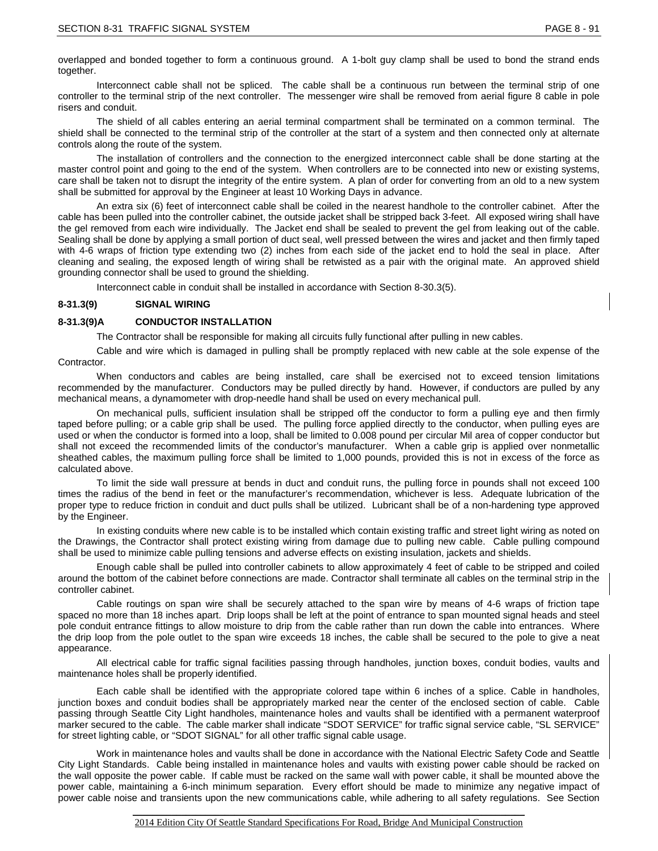overlapped and bonded together to form a continuous ground. A 1-bolt guy clamp shall be used to bond the strand ends together.

Interconnect cable shall not be spliced. The cable shall be a continuous run between the terminal strip of one controller to the terminal strip of the next controller. The messenger wire shall be removed from aerial figure 8 cable in pole risers and conduit.

The shield of all cables entering an aerial terminal compartment shall be terminated on a common terminal. The shield shall be connected to the terminal strip of the controller at the start of a system and then connected only at alternate controls along the route of the system.

The installation of controllers and the connection to the energized interconnect cable shall be done starting at the master control point and going to the end of the system. When controllers are to be connected into new or existing systems, care shall be taken not to disrupt the integrity of the entire system. A plan of order for converting from an old to a new system shall be submitted for approval by the Engineer at least 10 Working Days in advance.

An extra six (6) feet of interconnect cable shall be coiled in the nearest handhole to the controller cabinet. After the cable has been pulled into the controller cabinet, the outside jacket shall be stripped back 3-feet. All exposed wiring shall have the gel removed from each wire individually. The Jacket end shall be sealed to prevent the gel from leaking out of the cable. Sealing shall be done by applying a small portion of duct seal, well pressed between the wires and jacket and then firmly taped with 4-6 wraps of friction type extending two (2) inches from each side of the jacket end to hold the seal in place. After cleaning and sealing, the exposed length of wiring shall be retwisted as a pair with the original mate. An approved shield grounding connector shall be used to ground the shielding.

Interconnect cable in conduit shall be installed in accordance with Section 8-30.3(5).

# **8-31.3(9) SIGNAL WIRING**

# **8-31.3(9)A CONDUCTOR INSTALLATION**

The Contractor shall be responsible for making all circuits fully functional after pulling in new cables.

Cable and wire which is damaged in pulling shall be promptly replaced with new cable at the sole expense of the Contractor.

When conductors and cables are being installed, care shall be exercised not to exceed tension limitations recommended by the manufacturer. Conductors may be pulled directly by hand. However, if conductors are pulled by any mechanical means, a dynamometer with drop-needle hand shall be used on every mechanical pull.

On mechanical pulls, sufficient insulation shall be stripped off the conductor to form a pulling eye and then firmly taped before pulling; or a cable grip shall be used. The pulling force applied directly to the conductor, when pulling eyes are used or when the conductor is formed into a loop, shall be limited to 0.008 pound per circular Mil area of copper conductor but shall not exceed the recommended limits of the conductor's manufacturer. When a cable grip is applied over nonmetallic sheathed cables, the maximum pulling force shall be limited to 1,000 pounds, provided this is not in excess of the force as calculated above.

To limit the side wall pressure at bends in duct and conduit runs, the pulling force in pounds shall not exceed 100 times the radius of the bend in feet or the manufacturer's recommendation, whichever is less. Adequate lubrication of the proper type to reduce friction in conduit and duct pulls shall be utilized. Lubricant shall be of a non-hardening type approved by the Engineer.

In existing conduits where new cable is to be installed which contain existing traffic and street light wiring as noted on the Drawings, the Contractor shall protect existing wiring from damage due to pulling new cable. Cable pulling compound shall be used to minimize cable pulling tensions and adverse effects on existing insulation, jackets and shields.

Enough cable shall be pulled into controller cabinets to allow approximately 4 feet of cable to be stripped and coiled around the bottom of the cabinet before connections are made. Contractor shall terminate all cables on the terminal strip in the controller cabinet.

Cable routings on span wire shall be securely attached to the span wire by means of 4-6 wraps of friction tape spaced no more than 18 inches apart. Drip loops shall be left at the point of entrance to span mounted signal heads and steel pole conduit entrance fittings to allow moisture to drip from the cable rather than run down the cable into entrances. Where the drip loop from the pole outlet to the span wire exceeds 18 inches, the cable shall be secured to the pole to give a neat appearance.

All electrical cable for traffic signal facilities passing through handholes, junction boxes, conduit bodies, vaults and maintenance holes shall be properly identified.

Each cable shall be identified with the appropriate colored tape within 6 inches of a splice. Cable in handholes, junction boxes and conduit bodies shall be appropriately marked near the center of the enclosed section of cable. Cable passing through Seattle City Light handholes, maintenance holes and vaults shall be identified with a permanent waterproof marker secured to the cable. The cable marker shall indicate "SDOT SERVICE" for traffic signal service cable, "SL SERVICE" for street lighting cable, or "SDOT SIGNAL" for all other traffic signal cable usage.

Work in maintenance holes and vaults shall be done in accordance with the National Electric Safety Code and Seattle City Light Standards. Cable being installed in maintenance holes and vaults with existing power cable should be racked on the wall opposite the power cable. If cable must be racked on the same wall with power cable, it shall be mounted above the power cable, maintaining a 6-inch minimum separation. Every effort should be made to minimize any negative impact of power cable noise and transients upon the new communications cable, while adhering to all safety regulations. See Section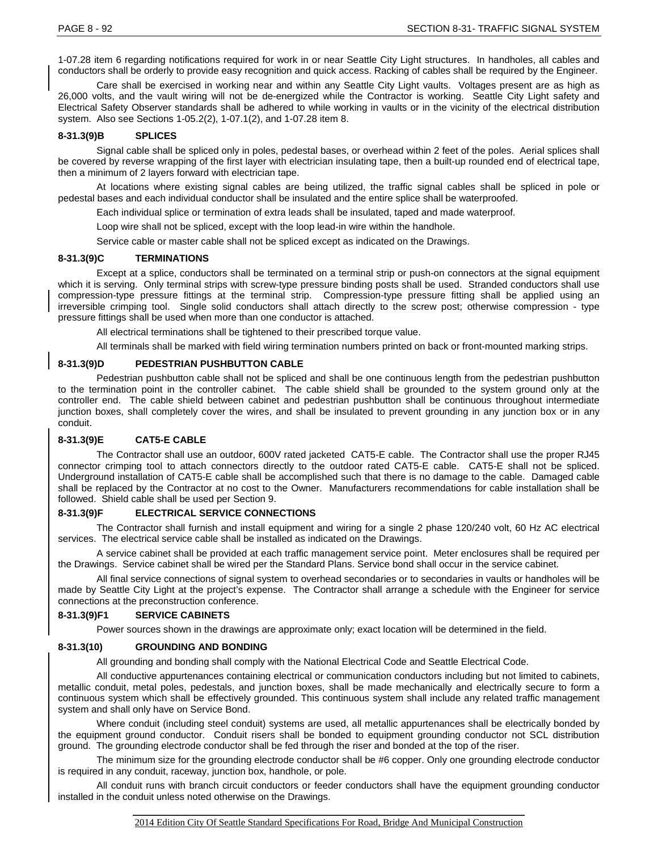1-07.28 item 6 regarding notifications required for work in or near Seattle City Light structures. In handholes, all cables and conductors shall be orderly to provide easy recognition and quick access. Racking of cables shall be required by the Engineer.

Care shall be exercised in working near and within any Seattle City Light vaults. Voltages present are as high as 26,000 volts, and the vault wiring will not be de-energized while the Contractor is working. Seattle City Light safety and Electrical Safety Observer standards shall be adhered to while working in vaults or in the vicinity of the electrical distribution system. Also see Sections 1-05.2(2), 1-07.1(2), and 1-07.28 item 8.

# **8-31.3(9)B SPLICES**

Signal cable shall be spliced only in poles, pedestal bases, or overhead within 2 feet of the poles. Aerial splices shall be covered by reverse wrapping of the first layer with electrician insulating tape, then a built-up rounded end of electrical tape, then a minimum of 2 layers forward with electrician tape.

At locations where existing signal cables are being utilized, the traffic signal cables shall be spliced in pole or pedestal bases and each individual conductor shall be insulated and the entire splice shall be waterproofed.

Each individual splice or termination of extra leads shall be insulated, taped and made waterproof.

Loop wire shall not be spliced, except with the loop lead-in wire within the handhole.

Service cable or master cable shall not be spliced except as indicated on the Drawings.

#### **8-31.3(9)C TERMINATIONS**

Except at a splice, conductors shall be terminated on a terminal strip or push-on connectors at the signal equipment which it is serving. Only terminal strips with screw-type pressure binding posts shall be used. Stranded conductors shall use compression-type pressure fittings at the terminal strip. Compression-type pressure fitting shall be applied using an irreversible crimping tool. Single solid conductors shall attach directly to the screw post; otherwise compression - type pressure fittings shall be used when more than one conductor is attached.

All electrical terminations shall be tightened to their prescribed torque value.

All terminals shall be marked with field wiring termination numbers printed on back or front-mounted marking strips.

#### **8-31.3(9)D PEDESTRIAN PUSHBUTTON CABLE**

Pedestrian pushbutton cable shall not be spliced and shall be one continuous length from the pedestrian pushbutton to the termination point in the controller cabinet. The cable shield shall be grounded to the system ground only at the controller end. The cable shield between cabinet and pedestrian pushbutton shall be continuous throughout intermediate junction boxes, shall completely cover the wires, and shall be insulated to prevent grounding in any junction box or in any conduit.

#### **8-31.3(9)E CAT5-E CABLE**

The Contractor shall use an outdoor, 600V rated jacketed CAT5-E cable. The Contractor shall use the proper RJ45 connector crimping tool to attach connectors directly to the outdoor rated CAT5-E cable. CAT5-E shall not be spliced. Underground installation of CAT5-E cable shall be accomplished such that there is no damage to the cable. Damaged cable shall be replaced by the Contractor at no cost to the Owner. Manufacturers recommendations for cable installation shall be followed. Shield cable shall be used per Section 9.

### **8-31.3(9)F ELECTRICAL SERVICE CONNECTIONS**

The Contractor shall furnish and install equipment and wiring for a single 2 phase 120/240 volt, 60 Hz AC electrical services. The electrical service cable shall be installed as indicated on the Drawings.

A service cabinet shall be provided at each traffic management service point. Meter enclosures shall be required per the Drawings. Service cabinet shall be wired per the Standard Plans. Service bond shall occur in the service cabinet.

All final service connections of signal system to overhead secondaries or to secondaries in vaults or handholes will be made by Seattle City Light at the project's expense. The Contractor shall arrange a schedule with the Engineer for service connections at the preconstruction conference.

#### **8-31.3(9)F1 SERVICE CABINETS**

Power sources shown in the drawings are approximate only; exact location will be determined in the field.

#### **8-31.3(10) GROUNDING AND BONDING**

All grounding and bonding shall comply with the National Electrical Code and Seattle Electrical Code.

All conductive appurtenances containing electrical or communication conductors including but not limited to cabinets, metallic conduit, metal poles, pedestals, and junction boxes, shall be made mechanically and electrically secure to form a continuous system which shall be effectively grounded. This continuous system shall include any related traffic management system and shall only have on Service Bond.

Where conduit (including steel conduit) systems are used, all metallic appurtenances shall be electrically bonded by the equipment ground conductor. Conduit risers shall be bonded to equipment grounding conductor not SCL distribution ground. The grounding electrode conductor shall be fed through the riser and bonded at the top of the riser.

The minimum size for the grounding electrode conductor shall be #6 copper. Only one grounding electrode conductor is required in any conduit, raceway, junction box, handhole, or pole.

All conduit runs with branch circuit conductors or feeder conductors shall have the equipment grounding conductor installed in the conduit unless noted otherwise on the Drawings.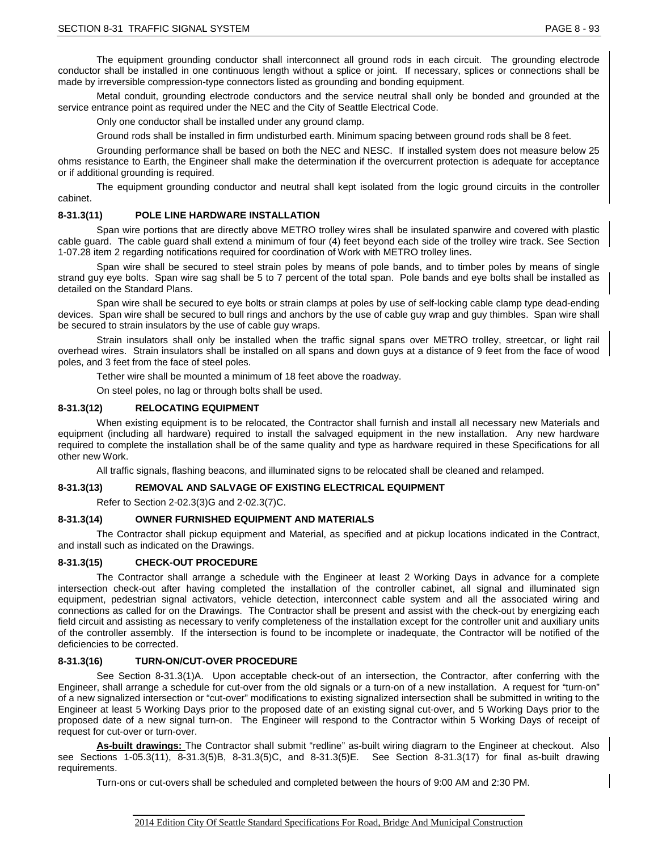The equipment grounding conductor shall interconnect all ground rods in each circuit. The grounding electrode conductor shall be installed in one continuous length without a splice or joint. If necessary, splices or connections shall be made by irreversible compression-type connectors listed as grounding and bonding equipment.

Metal conduit, grounding electrode conductors and the service neutral shall only be bonded and grounded at the service entrance point as required under the NEC and the City of Seattle Electrical Code.

Only one conductor shall be installed under any ground clamp.

Ground rods shall be installed in firm undisturbed earth. Minimum spacing between ground rods shall be 8 feet.

Grounding performance shall be based on both the NEC and NESC. If installed system does not measure below 25 ohms resistance to Earth, the Engineer shall make the determination if the overcurrent protection is adequate for acceptance or if additional grounding is required.

The equipment grounding conductor and neutral shall kept isolated from the logic ground circuits in the controller cabinet.

# **8-31.3(11) POLE LINE HARDWARE INSTALLATION**

Span wire portions that are directly above METRO trolley wires shall be insulated spanwire and covered with plastic cable guard. The cable guard shall extend a minimum of four (4) feet beyond each side of the trolley wire track. See Section 1-07.28 item 2 regarding notifications required for coordination of Work with METRO trolley lines.

Span wire shall be secured to steel strain poles by means of pole bands, and to timber poles by means of single strand guy eye bolts. Span wire sag shall be 5 to 7 percent of the total span. Pole bands and eye bolts shall be installed as detailed on the Standard Plans.

Span wire shall be secured to eye bolts or strain clamps at poles by use of self-locking cable clamp type dead-ending devices. Span wire shall be secured to bull rings and anchors by the use of cable guy wrap and guy thimbles. Span wire shall be secured to strain insulators by the use of cable guy wraps.

Strain insulators shall only be installed when the traffic signal spans over METRO trolley, streetcar, or light rail overhead wires. Strain insulators shall be installed on all spans and down guys at a distance of 9 feet from the face of wood poles, and 3 feet from the face of steel poles.

Tether wire shall be mounted a minimum of 18 feet above the roadway.

On steel poles, no lag or through bolts shall be used.

# **8-31.3(12) RELOCATING EQUIPMENT**

When existing equipment is to be relocated, the Contractor shall furnish and install all necessary new Materials and equipment (including all hardware) required to install the salvaged equipment in the new installation. Any new hardware required to complete the installation shall be of the same quality and type as hardware required in these Specifications for all other new Work.

All traffic signals, flashing beacons, and illuminated signs to be relocated shall be cleaned and relamped.

#### **8-31.3(13) REMOVAL AND SALVAGE OF EXISTING ELECTRICAL EQUIPMENT**

Refer to Section 2-02.3(3)G and 2-02.3(7)C.

# **8-31.3(14) OWNER FURNISHED EQUIPMENT AND MATERIALS**

The Contractor shall pickup equipment and Material, as specified and at pickup locations indicated in the Contract, and install such as indicated on the Drawings.

#### **8-31.3(15) CHECK-OUT PROCEDURE**

The Contractor shall arrange a schedule with the Engineer at least 2 Working Days in advance for a complete intersection check-out after having completed the installation of the controller cabinet, all signal and illuminated sign equipment, pedestrian signal activators, vehicle detection, interconnect cable system and all the associated wiring and connections as called for on the Drawings. The Contractor shall be present and assist with the check-out by energizing each field circuit and assisting as necessary to verify completeness of the installation except for the controller unit and auxiliary units of the controller assembly. If the intersection is found to be incomplete or inadequate, the Contractor will be notified of the deficiencies to be corrected.

# **8-31.3(16) TURN-ON/CUT-OVER PROCEDURE**

See Section 8-31.3(1)A. Upon acceptable check-out of an intersection, the Contractor, after conferring with the Engineer, shall arrange a schedule for cut-over from the old signals or a turn-on of a new installation. A request for "turn-on" of a new signalized intersection or "cut-over" modifications to existing signalized intersection shall be submitted in writing to the Engineer at least 5 Working Days prior to the proposed date of an existing signal cut-over, and 5 Working Days prior to the proposed date of a new signal turn-on. The Engineer will respond to the Contractor within 5 Working Days of receipt of request for cut-over or turn-over.

**As-built drawings:** The Contractor shall submit "redline" as-built wiring diagram to the Engineer at checkout. Also see Sections 1-05.3(11), 8-31.3(5)B, 8-31.3(5)C, and 8-31.3(5)E. See Section 8-31.3(17) for final as-built drawing requirements.

Turn-ons or cut-overs shall be scheduled and completed between the hours of 9:00 AM and 2:30 PM.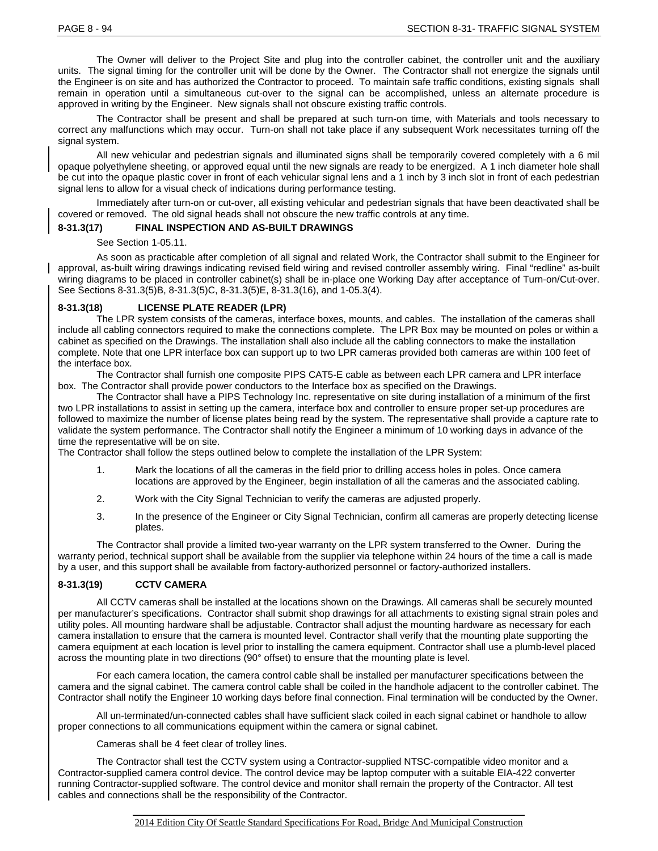The Owner will deliver to the Project Site and plug into the controller cabinet, the controller unit and the auxiliary units. The signal timing for the controller unit will be done by the Owner. The Contractor shall not energize the signals until the Engineer is on site and has authorized the Contractor to proceed. To maintain safe traffic conditions, existing signals shall remain in operation until a simultaneous cut-over to the signal can be accomplished, unless an alternate procedure is approved in writing by the Engineer. New signals shall not obscure existing traffic controls.

The Contractor shall be present and shall be prepared at such turn-on time, with Materials and tools necessary to correct any malfunctions which may occur. Turn-on shall not take place if any subsequent Work necessitates turning off the signal system.

All new vehicular and pedestrian signals and illuminated signs shall be temporarily covered completely with a 6 mil opaque polyethylene sheeting, or approved equal until the new signals are ready to be energized. A 1 inch diameter hole shall be cut into the opaque plastic cover in front of each vehicular signal lens and a 1 inch by 3 inch slot in front of each pedestrian signal lens to allow for a visual check of indications during performance testing.

Immediately after turn-on or cut-over, all existing vehicular and pedestrian signals that have been deactivated shall be covered or removed. The old signal heads shall not obscure the new traffic controls at any time.

# **8-31.3(17) FINAL INSPECTION AND AS-BUILT DRAWINGS**

#### See Section 1-05.11.

As soon as practicable after completion of all signal and related Work, the Contractor shall submit to the Engineer for approval, as-built wiring drawings indicating revised field wiring and revised controller assembly wiring. Final "redline" as-built wiring diagrams to be placed in controller cabinet(s) shall be in-place one Working Day after acceptance of Turn-on/Cut-over. See Sections 8-31.3(5)B, 8-31.3(5)C, 8-31.3(5)E, 8-31.3(16), and 1-05.3(4).

# **8-31.3(18) LICENSE PLATE READER (LPR)**

The LPR system consists of the cameras, interface boxes, mounts, and cables. The installation of the cameras shall include all cabling connectors required to make the connections complete. The LPR Box may be mounted on poles or within a cabinet as specified on the Drawings. The installation shall also include all the cabling connectors to make the installation complete. Note that one LPR interface box can support up to two LPR cameras provided both cameras are within 100 feet of the interface box.

The Contractor shall furnish one composite PIPS CAT5-E cable as between each LPR camera and LPR interface box. The Contractor shall provide power conductors to the Interface box as specified on the Drawings.

The Contractor shall have a PIPS Technology Inc. representative on site during installation of a minimum of the first two LPR installations to assist in setting up the camera, interface box and controller to ensure proper set-up procedures are followed to maximize the number of license plates being read by the system. The representative shall provide a capture rate to validate the system performance. The Contractor shall notify the Engineer a minimum of 10 working days in advance of the time the representative will be on site.

The Contractor shall follow the steps outlined below to complete the installation of the LPR System:

- 1. Mark the locations of all the cameras in the field prior to drilling access holes in poles. Once camera locations are approved by the Engineer, begin installation of all the cameras and the associated cabling.
- 2. Work with the City Signal Technician to verify the cameras are adjusted properly.
- 3. In the presence of the Engineer or City Signal Technician, confirm all cameras are properly detecting license plates.

The Contractor shall provide a limited two-year warranty on the LPR system transferred to the Owner. During the warranty period, technical support shall be available from the supplier via telephone within 24 hours of the time a call is made by a user, and this support shall be available from factory-authorized personnel or factory-authorized installers.

# **8-31.3(19) CCTV CAMERA**

All CCTV cameras shall be installed at the locations shown on the Drawings. All cameras shall be securely mounted per manufacturer's specifications. Contractor shall submit shop drawings for all attachments to existing signal strain poles and utility poles. All mounting hardware shall be adjustable. Contractor shall adjust the mounting hardware as necessary for each camera installation to ensure that the camera is mounted level. Contractor shall verify that the mounting plate supporting the camera equipment at each location is level prior to installing the camera equipment. Contractor shall use a plumb-level placed across the mounting plate in two directions (90° offset) to ensure that the mounting plate is level.

For each camera location, the camera control cable shall be installed per manufacturer specifications between the camera and the signal cabinet. The camera control cable shall be coiled in the handhole adjacent to the controller cabinet. The Contractor shall notify the Engineer 10 working days before final connection. Final termination will be conducted by the Owner.

All un-terminated/un-connected cables shall have sufficient slack coiled in each signal cabinet or handhole to allow proper connections to all communications equipment within the camera or signal cabinet.

Cameras shall be 4 feet clear of trolley lines.

The Contractor shall test the CCTV system using a Contractor-supplied NTSC-compatible video monitor and a Contractor-supplied camera control device. The control device may be laptop computer with a suitable EIA-422 converter running Contractor-supplied software. The control device and monitor shall remain the property of the Contractor. All test cables and connections shall be the responsibility of the Contractor.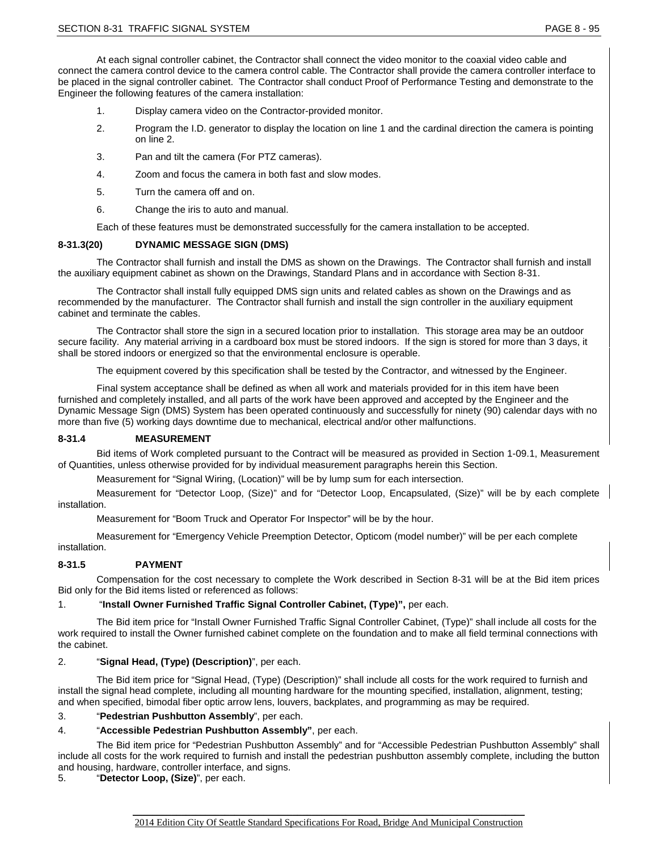At each signal controller cabinet, the Contractor shall connect the video monitor to the coaxial video cable and connect the camera control device to the camera control cable. The Contractor shall provide the camera controller interface to be placed in the signal controller cabinet. The Contractor shall conduct Proof of Performance Testing and demonstrate to the Engineer the following features of the camera installation:

- 1. Display camera video on the Contractor-provided monitor.
- 2. Program the I.D. generator to display the location on line 1 and the cardinal direction the camera is pointing on line 2.
- 3. Pan and tilt the camera (For PTZ cameras).
- 4. Zoom and focus the camera in both fast and slow modes.
- 5. Turn the camera off and on.
- 6. Change the iris to auto and manual.

Each of these features must be demonstrated successfully for the camera installation to be accepted.

### **8-31.3(20) DYNAMIC MESSAGE SIGN (DMS)**

The Contractor shall furnish and install the DMS as shown on the Drawings. The Contractor shall furnish and install the auxiliary equipment cabinet as shown on the Drawings, Standard Plans and in accordance with Section 8-31.

The Contractor shall install fully equipped DMS sign units and related cables as shown on the Drawings and as recommended by the manufacturer. The Contractor shall furnish and install the sign controller in the auxiliary equipment cabinet and terminate the cables.

The Contractor shall store the sign in a secured location prior to installation. This storage area may be an outdoor secure facility. Any material arriving in a cardboard box must be stored indoors. If the sign is stored for more than 3 days, it shall be stored indoors or energized so that the environmental enclosure is operable.

The equipment covered by this specification shall be tested by the Contractor, and witnessed by the Engineer.

Final system acceptance shall be defined as when all work and materials provided for in this item have been furnished and completely installed, and all parts of the work have been approved and accepted by the Engineer and the Dynamic Message Sign (DMS) System has been operated continuously and successfully for ninety (90) calendar days with no more than five (5) working days downtime due to mechanical, electrical and/or other malfunctions.

# **8-31.4 MEASUREMENT**

Bid items of Work completed pursuant to the Contract will be measured as provided in Section 1-09.1, Measurement of Quantities, unless otherwise provided for by individual measurement paragraphs herein this Section.

Measurement for "Signal Wiring, (Location)" will be by lump sum for each intersection.

Measurement for "Detector Loop, (Size)" and for "Detector Loop, Encapsulated, (Size)" will be by each complete installation.

Measurement for "Boom Truck and Operator For Inspector" will be by the hour.

Measurement for "Emergency Vehicle Preemption Detector, Opticom (model number)" will be per each complete installation.

# **8-31.5 PAYMENT**

Compensation for the cost necessary to complete the Work described in Section 8-31 will be at the Bid item prices Bid only for the Bid items listed or referenced as follows:

# 1. "**Install Owner Furnished Traffic Signal Controller Cabinet, (Type)",** per each.

The Bid item price for "Install Owner Furnished Traffic Signal Controller Cabinet, (Type)" shall include all costs for the work required to install the Owner furnished cabinet complete on the foundation and to make all field terminal connections with the cabinet.

# 2. "**Signal Head, (Type) (Description)**", per each.

The Bid item price for "Signal Head, (Type) (Description)" shall include all costs for the work required to furnish and install the signal head complete, including all mounting hardware for the mounting specified, installation, alignment, testing; and when specified, bimodal fiber optic arrow lens, louvers, backplates, and programming as may be required.

#### 3. "**Pedestrian Pushbutton Assembly**", per each.

#### 4. "**Accessible Pedestrian Pushbutton Assembly"**, per each.

The Bid item price for "Pedestrian Pushbutton Assembly" and for "Accessible Pedestrian Pushbutton Assembly" shall include all costs for the work required to furnish and install the pedestrian pushbutton assembly complete, including the button and housing, hardware, controller interface, and signs.<br>5. **Contractor Loop. (Size)**", per each.

5. "**Detector Loop, (Size)**", per each.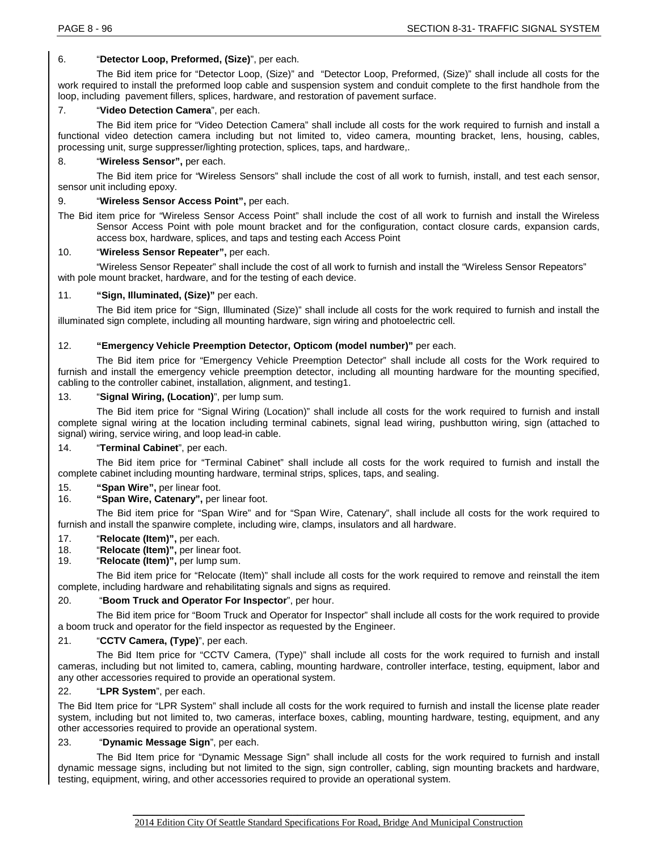# 6. "**Detector Loop, Preformed, (Size)**", per each.

The Bid item price for "Detector Loop, (Size)" and "Detector Loop, Preformed, (Size)" shall include all costs for the work required to install the preformed loop cable and suspension system and conduit complete to the first handhole from the loop, including pavement fillers, splices, hardware, and restoration of pavement surface.

# 7. "**Video Detection Camera**", per each.

The Bid item price for "Video Detection Camera" shall include all costs for the work required to furnish and install a functional video detection camera including but not limited to, video camera, mounting bracket, lens, housing, cables, processing unit, surge suppresser/lighting protection, splices, taps, and hardware,.

# 8. "**Wireless Sensor",** per each.

The Bid item price for "Wireless Sensors" shall include the cost of all work to furnish, install, and test each sensor, sensor unit including epoxy.

# 9. "**Wireless Sensor Access Point",** per each.

The Bid item price for "Wireless Sensor Access Point" shall include the cost of all work to furnish and install the Wireless Sensor Access Point with pole mount bracket and for the configuration, contact closure cards, expansion cards, access box, hardware, splices, and taps and testing each Access Point

# 10. "**Wireless Sensor Repeater",** per each.

"Wireless Sensor Repeater" shall include the cost of all work to furnish and install the "Wireless Sensor Repeators" with pole mount bracket, hardware, and for the testing of each device.

# 11. **"Sign, Illuminated, (Size)"** per each.

The Bid item price for "Sign, Illuminated (Size)" shall include all costs for the work required to furnish and install the illuminated sign complete, including all mounting hardware, sign wiring and photoelectric cell.

# 12. **"Emergency Vehicle Preemption Detector, Opticom (model number)"** per each.

The Bid item price for "Emergency Vehicle Preemption Detector" shall include all costs for the Work required to furnish and install the emergency vehicle preemption detector, including all mounting hardware for the mounting specified, cabling to the controller cabinet, installation, alignment, and testing1.

# 13. "**Signal Wiring, (Location)**", per lump sum.

The Bid item price for "Signal Wiring (Location)" shall include all costs for the work required to furnish and install complete signal wiring at the location including terminal cabinets, signal lead wiring, pushbutton wiring, sign (attached to signal) wiring, service wiring, and loop lead-in cable.

# 14. "**Terminal Cabinet**", per each.

The Bid item price for "Terminal Cabinet" shall include all costs for the work required to furnish and install the complete cabinet including mounting hardware, terminal strips, splices, taps, and sealing.

15. **"Span Wire",** per linear foot.

# 16. **"Span Wire, Catenary",** per linear foot.

The Bid item price for "Span Wire" and for "Span Wire, Catenary", shall include all costs for the work required to furnish and install the spanwire complete, including wire, clamps, insulators and all hardware.

- 17. "**Relocate (Item)",** per each.
- 18. "**Relocate (Item)",** per linear foot.
- 19. "**Relocate (Item)",** per lump sum.

The Bid item price for "Relocate (Item)" shall include all costs for the work required to remove and reinstall the item complete, including hardware and rehabilitating signals and signs as required.

# 20. "**Boom Truck and Operator For Inspector**", per hour.

The Bid item price for "Boom Truck and Operator for Inspector" shall include all costs for the work required to provide a boom truck and operator for the field inspector as requested by the Engineer.

# 21. "**CCTV Camera, (Type)**", per each.

The Bid Item price for "CCTV Camera, (Type)" shall include all costs for the work required to furnish and install cameras, including but not limited to, camera, cabling, mounting hardware, controller interface, testing, equipment, labor and any other accessories required to provide an operational system.

# 22. "**LPR System**", per each.

The Bid Item price for "LPR System" shall include all costs for the work required to furnish and install the license plate reader system, including but not limited to, two cameras, interface boxes, cabling, mounting hardware, testing, equipment, and any other accessories required to provide an operational system.

# 23. "**Dynamic Message Sign**", per each.

The Bid Item price for "Dynamic Message Sign" shall include all costs for the work required to furnish and install dynamic message signs, including but not limited to the sign, sign controller, cabling, sign mounting brackets and hardware, testing, equipment, wiring, and other accessories required to provide an operational system.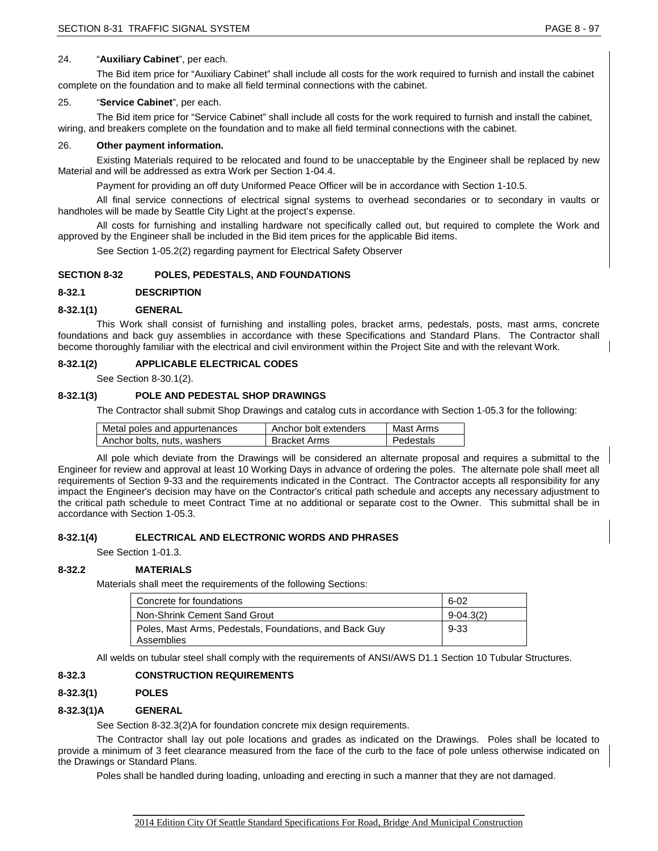# 24. "**Auxiliary Cabinet**", per each.

The Bid item price for "Auxiliary Cabinet" shall include all costs for the work required to furnish and install the cabinet complete on the foundation and to make all field terminal connections with the cabinet.

# 25. "**Service Cabinet**", per each.

The Bid item price for "Service Cabinet" shall include all costs for the work required to furnish and install the cabinet, wiring, and breakers complete on the foundation and to make all field terminal connections with the cabinet.

# 26. **Other payment information.**

Existing Materials required to be relocated and found to be unacceptable by the Engineer shall be replaced by new Material and will be addressed as extra Work per Section 1-04.4.

Payment for providing an off duty Uniformed Peace Officer will be in accordance with Section 1-10.5.

All final service connections of electrical signal systems to overhead secondaries or to secondary in vaults or handholes will be made by Seattle City Light at the project's expense.

All costs for furnishing and installing hardware not specifically called out, but required to complete the Work and approved by the Engineer shall be included in the Bid item prices for the applicable Bid items.

See Section 1-05.2(2) regarding payment for Electrical Safety Observer

# **SECTION 8-32 POLES, PEDESTALS, AND FOUNDATIONS**

# **8-32.1 DESCRIPTION**

# **8-32.1(1) GENERAL**

This Work shall consist of furnishing and installing poles, bracket arms, pedestals, posts, mast arms, concrete foundations and back guy assemblies in accordance with these Specifications and Standard Plans. The Contractor shall become thoroughly familiar with the electrical and civil environment within the Project Site and with the relevant Work.

# **8-32.1(2) APPLICABLE ELECTRICAL CODES**

See Section 8-30.1(2).

# **8-32.1(3) POLE AND PEDESTAL SHOP DRAWINGS**

The Contractor shall submit Shop Drawings and catalog cuts in accordance with Section 1-05.3 for the following:

| Metal poles and appurtenances | Anchor bolt extenders | Mast Arms |
|-------------------------------|-----------------------|-----------|
| Anchor bolts, nuts, washers   | Bracket Arms          | Pedestals |

All pole which deviate from the Drawings will be considered an alternate proposal and requires a submittal to the Engineer for review and approval at least 10 Working Days in advance of ordering the poles. The alternate pole shall meet all requirements of Section 9-33 and the requirements indicated in the Contract. The Contractor accepts all responsibility for any impact the Engineer's decision may have on the Contractor's critical path schedule and accepts any necessary adjustment to the critical path schedule to meet Contract Time at no additional or separate cost to the Owner. This submittal shall be in accordance with Section 1-05.3.

# **8-32.1(4) ELECTRICAL AND ELECTRONIC WORDS AND PHRASES**

See Section 1-01.3.

# **8-32.2 MATERIALS**

Materials shall meet the requirements of the following Sections:

| Concrete for foundations                                             | $6 - 02$      |
|----------------------------------------------------------------------|---------------|
| Non-Shrink Cement Sand Grout                                         | $9 - 04.3(2)$ |
| Poles, Mast Arms, Pedestals, Foundations, and Back Guy<br>Assemblies | 9-33          |

All welds on tubular steel shall comply with the requirements of ANSI/AWS D1.1 Section 10 Tubular Structures.

# **8-32.3 CONSTRUCTION REQUIREMENTS**

# **8-32.3(1) POLES**

# **8-32.3(1)A GENERAL**

See Section 8-32.3(2)A for foundation concrete mix design requirements.

The Contractor shall lay out pole locations and grades as indicated on the Drawings. Poles shall be located to provide a minimum of 3 feet clearance measured from the face of the curb to the face of pole unless otherwise indicated on the Drawings or Standard Plans.

Poles shall be handled during loading, unloading and erecting in such a manner that they are not damaged.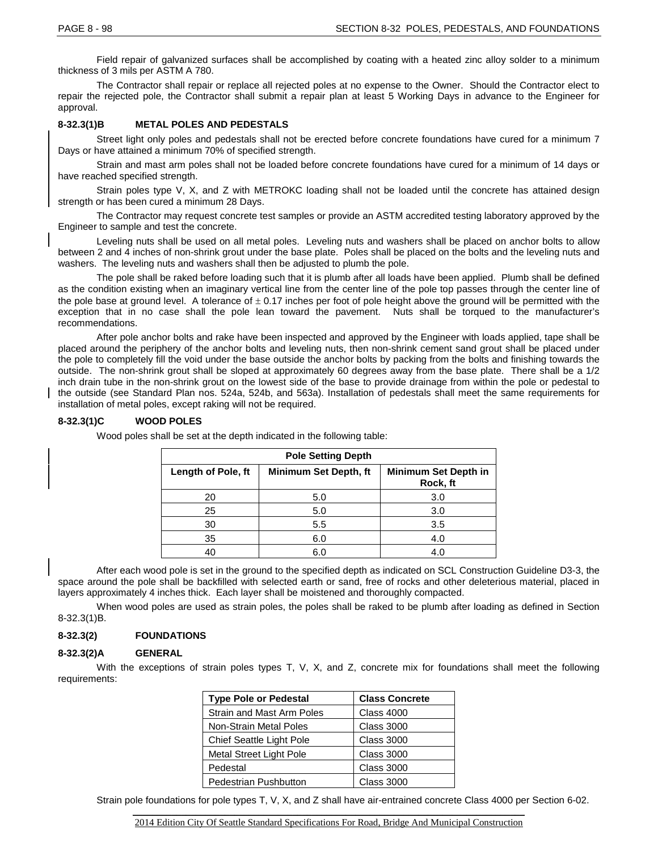Field repair of galvanized surfaces shall be accomplished by coating with a heated zinc alloy solder to a minimum thickness of 3 mils per ASTM A 780.

The Contractor shall repair or replace all rejected poles at no expense to the Owner. Should the Contractor elect to repair the rejected pole, the Contractor shall submit a repair plan at least 5 Working Days in advance to the Engineer for approval.

# **8-32.3(1)B METAL POLES AND PEDESTALS**

Street light only poles and pedestals shall not be erected before concrete foundations have cured for a minimum 7 Days or have attained a minimum 70% of specified strength.

Strain and mast arm poles shall not be loaded before concrete foundations have cured for a minimum of 14 days or have reached specified strength.

Strain poles type V, X, and Z with METROKC loading shall not be loaded until the concrete has attained design strength or has been cured a minimum 28 Days.

The Contractor may request concrete test samples or provide an ASTM accredited testing laboratory approved by the Engineer to sample and test the concrete.

Leveling nuts shall be used on all metal poles. Leveling nuts and washers shall be placed on anchor bolts to allow between 2 and 4 inches of non-shrink grout under the base plate. Poles shall be placed on the bolts and the leveling nuts and washers. The leveling nuts and washers shall then be adjusted to plumb the pole.

The pole shall be raked before loading such that it is plumb after all loads have been applied. Plumb shall be defined as the condition existing when an imaginary vertical line from the center line of the pole top passes through the center line of the pole base at ground level. A tolerance of  $\pm$  0.17 inches per foot of pole height above the ground will be permitted with the exception that in no case shall the pole lean toward the pavement. Nuts shall be torqued to the manufacturer's recommendations.

After pole anchor bolts and rake have been inspected and approved by the Engineer with loads applied, tape shall be placed around the periphery of the anchor bolts and leveling nuts, then non-shrink cement sand grout shall be placed under the pole to completely fill the void under the base outside the anchor bolts by packing from the bolts and finishing towards the outside. The non-shrink grout shall be sloped at approximately 60 degrees away from the base plate. There shall be a 1/2 inch drain tube in the non-shrink grout on the lowest side of the base to provide drainage from within the pole or pedestal to the outside (see Standard Plan nos. 524a, 524b, and 563a). Installation of pedestals shall meet the same requirements for installation of metal poles, except raking will not be required.

# **8-32.3(1)C WOOD POLES**

| <b>Pole Setting Depth</b> |                       |                                  |
|---------------------------|-----------------------|----------------------------------|
| Length of Pole, ft        | Minimum Set Depth, ft | Minimum Set Depth in<br>Rock, ft |
| 20                        | 5.0                   | 3.0                              |
| 25                        | 5.0                   | 3.0                              |
| 30                        | 5.5                   | 3.5                              |
| 35                        | 6.0                   | 4.0                              |
| 40                        | 6.0                   | 4.0                              |

Wood poles shall be set at the depth indicated in the following table:

After each wood pole is set in the ground to the specified depth as indicated on SCL Construction Guideline D3-3, the space around the pole shall be backfilled with selected earth or sand, free of rocks and other deleterious material, placed in layers approximately 4 inches thick. Each layer shall be moistened and thoroughly compacted.

When wood poles are used as strain poles, the poles shall be raked to be plumb after loading as defined in Section 8-32.3(1)B.

# **8-32.3(2) FOUNDATIONS**

# **8-32.3(2)A GENERAL**

With the exceptions of strain poles types T, V, X, and Z, concrete mix for foundations shall meet the following requirements:

| <b>Type Pole or Pedestal</b>  | <b>Class Concrete</b> |
|-------------------------------|-----------------------|
| Strain and Mast Arm Poles     | <b>Class 4000</b>     |
| <b>Non-Strain Metal Poles</b> | <b>Class 3000</b>     |
| Chief Seattle Light Pole      | <b>Class 3000</b>     |
| Metal Street Light Pole       | <b>Class 3000</b>     |
| Pedestal                      | <b>Class 3000</b>     |
| Pedestrian Pushbutton         | <b>Class 3000</b>     |

Strain pole foundations for pole types T, V, X, and Z shall have air-entrained concrete Class 4000 per Section 6-02.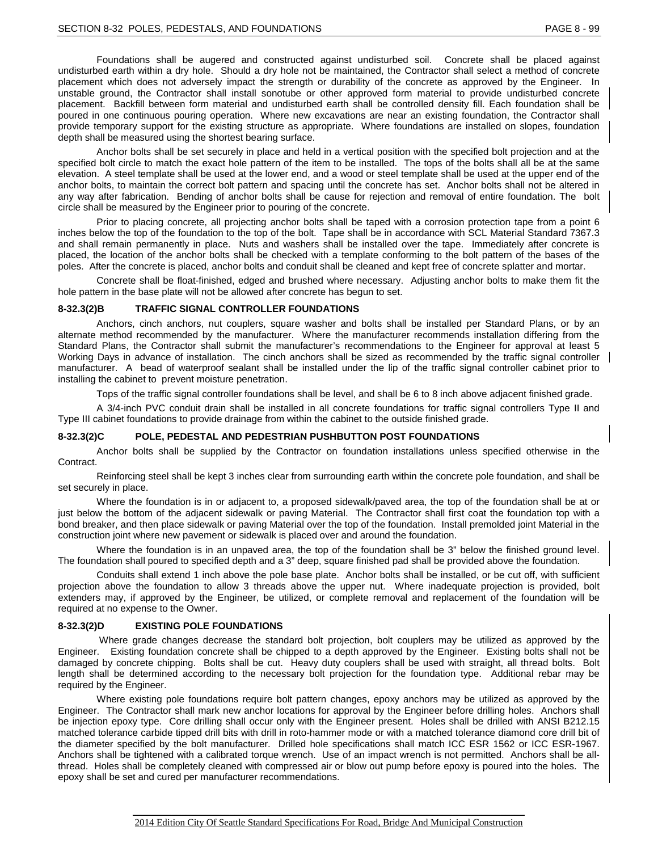Foundations shall be augered and constructed against undisturbed soil. Concrete shall be placed against undisturbed earth within a dry hole. Should a dry hole not be maintained, the Contractor shall select a method of concrete placement which does not adversely impact the strength or durability of the concrete as approved by the Engineer. In unstable ground, the Contractor shall install sonotube or other approved form material to provide undisturbed concrete placement. Backfill between form material and undisturbed earth shall be controlled density fill. Each foundation shall be poured in one continuous pouring operation. Where new excavations are near an existing foundation, the Contractor shall provide temporary support for the existing structure as appropriate. Where foundations are installed on slopes, foundation depth shall be measured using the shortest bearing surface.

Anchor bolts shall be set securely in place and held in a vertical position with the specified bolt projection and at the specified bolt circle to match the exact hole pattern of the item to be installed. The tops of the bolts shall all be at the same elevation. A steel template shall be used at the lower end, and a wood or steel template shall be used at the upper end of the anchor bolts, to maintain the correct bolt pattern and spacing until the concrete has set. Anchor bolts shall not be altered in any way after fabrication. Bending of anchor bolts shall be cause for rejection and removal of entire foundation. The bolt circle shall be measured by the Engineer prior to pouring of the concrete.

Prior to placing concrete, all projecting anchor bolts shall be taped with a corrosion protection tape from a point 6 inches below the top of the foundation to the top of the bolt. Tape shall be in accordance with SCL Material Standard 7367.3 and shall remain permanently in place. Nuts and washers shall be installed over the tape. Immediately after concrete is placed, the location of the anchor bolts shall be checked with a template conforming to the bolt pattern of the bases of the poles. After the concrete is placed, anchor bolts and conduit shall be cleaned and kept free of concrete splatter and mortar.

Concrete shall be float-finished, edged and brushed where necessary. Adjusting anchor bolts to make them fit the hole pattern in the base plate will not be allowed after concrete has begun to set.

#### **8-32.3(2)B TRAFFIC SIGNAL CONTROLLER FOUNDATIONS**

Anchors, cinch anchors, nut couplers, square washer and bolts shall be installed per Standard Plans, or by an alternate method recommended by the manufacturer. Where the manufacturer recommends installation differing from the Standard Plans, the Contractor shall submit the manufacturer's recommendations to the Engineer for approval at least 5 Working Days in advance of installation. The cinch anchors shall be sized as recommended by the traffic signal controller manufacturer. A bead of waterproof sealant shall be installed under the lip of the traffic signal controller cabinet prior to installing the cabinet to prevent moisture penetration.

Tops of the traffic signal controller foundations shall be level, and shall be 6 to 8 inch above adjacent finished grade.

A 3/4-inch PVC conduit drain shall be installed in all concrete foundations for traffic signal controllers Type II and Type III cabinet foundations to provide drainage from within the cabinet to the outside finished grade.

#### **8-32.3(2)C POLE, PEDESTAL AND PEDESTRIAN PUSHBUTTON POST FOUNDATIONS**

Anchor bolts shall be supplied by the Contractor on foundation installations unless specified otherwise in the Contract.

Reinforcing steel shall be kept 3 inches clear from surrounding earth within the concrete pole foundation, and shall be set securely in place.

Where the foundation is in or adjacent to, a proposed sidewalk/paved area, the top of the foundation shall be at or just below the bottom of the adjacent sidewalk or paving Material. The Contractor shall first coat the foundation top with a bond breaker, and then place sidewalk or paving Material over the top of the foundation. Install premolded joint Material in the construction joint where new pavement or sidewalk is placed over and around the foundation.

Where the foundation is in an unpaved area, the top of the foundation shall be 3" below the finished ground level. The foundation shall poured to specified depth and a 3" deep, square finished pad shall be provided above the foundation.

Conduits shall extend 1 inch above the pole base plate. Anchor bolts shall be installed, or be cut off, with sufficient projection above the foundation to allow 3 threads above the upper nut. Where inadequate projection is provided, bolt extenders may, if approved by the Engineer, be utilized, or complete removal and replacement of the foundation will be required at no expense to the Owner.

#### **8-32.3(2)D EXISTING POLE FOUNDATIONS**

Where grade changes decrease the standard bolt projection, bolt couplers may be utilized as approved by the Engineer. Existing foundation concrete shall be chipped to a depth approved by the Engineer. Existing bolts shall not be damaged by concrete chipping. Bolts shall be cut. Heavy duty couplers shall be used with straight, all thread bolts. Bolt length shall be determined according to the necessary bolt projection for the foundation type. Additional rebar may be required by the Engineer.

Where existing pole foundations require bolt pattern changes, epoxy anchors may be utilized as approved by the Engineer. The Contractor shall mark new anchor locations for approval by the Engineer before drilling holes. Anchors shall be injection epoxy type. Core drilling shall occur only with the Engineer present. Holes shall be drilled with ANSI B212.15 matched tolerance carbide tipped drill bits with drill in roto-hammer mode or with a matched tolerance diamond core drill bit of the diameter specified by the bolt manufacturer. Drilled hole specifications shall match ICC ESR 1562 or ICC ESR-1967. Anchors shall be tightened with a calibrated torque wrench. Use of an impact wrench is not permitted. Anchors shall be allthread. Holes shall be completely cleaned with compressed air or blow out pump before epoxy is poured into the holes. The epoxy shall be set and cured per manufacturer recommendations.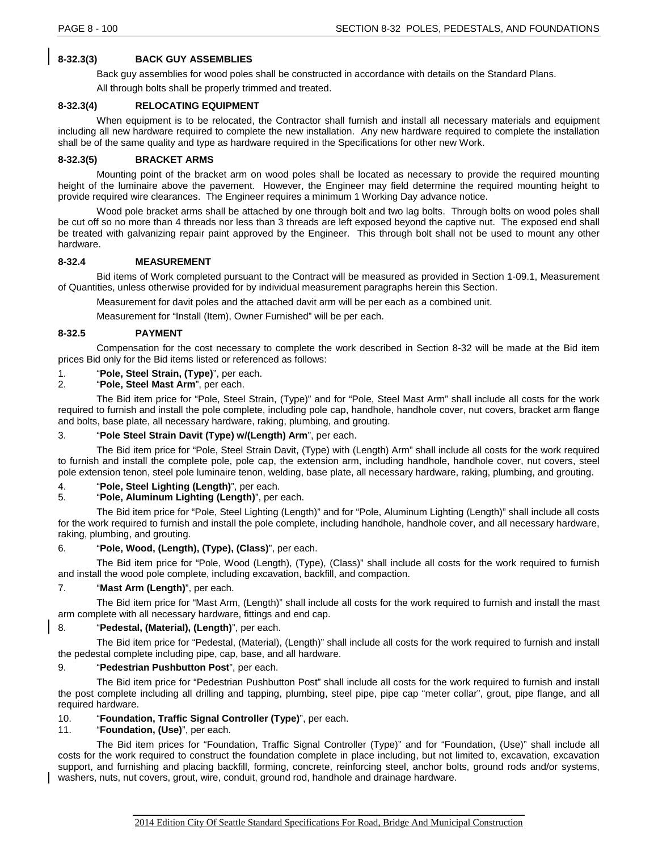# **8-32.3(3) BACK GUY ASSEMBLIES**

Back guy assemblies for wood poles shall be constructed in accordance with details on the Standard Plans.

All through bolts shall be properly trimmed and treated.

# **8-32.3(4) RELOCATING EQUIPMENT**

When equipment is to be relocated, the Contractor shall furnish and install all necessary materials and equipment including all new hardware required to complete the new installation. Any new hardware required to complete the installation shall be of the same quality and type as hardware required in the Specifications for other new Work.

# **8-32.3(5) BRACKET ARMS**

Mounting point of the bracket arm on wood poles shall be located as necessary to provide the required mounting height of the luminaire above the pavement. However, the Engineer may field determine the required mounting height to provide required wire clearances. The Engineer requires a minimum 1 Working Day advance notice.

Wood pole bracket arms shall be attached by one through bolt and two lag bolts. Through bolts on wood poles shall be cut off so no more than 4 threads nor less than 3 threads are left exposed beyond the captive nut. The exposed end shall be treated with galvanizing repair paint approved by the Engineer. This through bolt shall not be used to mount any other hardware.

# **8-32.4 MEASUREMENT**

Bid items of Work completed pursuant to the Contract will be measured as provided in Section 1-09.1, Measurement of Quantities, unless otherwise provided for by individual measurement paragraphs herein this Section.

Measurement for davit poles and the attached davit arm will be per each as a combined unit.

Measurement for "Install (Item), Owner Furnished" will be per each.

# **8-32.5 PAYMENT**

Compensation for the cost necessary to complete the work described in Section 8-32 will be made at the Bid item prices Bid only for the Bid items listed or referenced as follows:

# 1. "**Pole, Steel Strain, (Type)**", per each.

2. "**Pole, Steel Mast Arm**", per each.

The Bid item price for "Pole, Steel Strain, (Type)" and for "Pole, Steel Mast Arm" shall include all costs for the work required to furnish and install the pole complete, including pole cap, handhole, handhole cover, nut covers, bracket arm flange and bolts, base plate, all necessary hardware, raking, plumbing, and grouting.

# 3. "**Pole Steel Strain Davit (Type) w/(Length) Arm**", per each.

The Bid item price for "Pole, Steel Strain Davit, (Type) with (Length) Arm" shall include all costs for the work required to furnish and install the complete pole, pole cap, the extension arm, including handhole, handhole cover, nut covers, steel pole extension tenon, steel pole luminaire tenon, welding, base plate, all necessary hardware, raking, plumbing, and grouting.

# 4. "**Pole, Steel Lighting (Length)**", per each.

# 5. "**Pole, Aluminum Lighting (Length)**", per each.

The Bid item price for "Pole, Steel Lighting (Length)" and for "Pole, Aluminum Lighting (Length)" shall include all costs for the work required to furnish and install the pole complete, including handhole, handhole cover, and all necessary hardware, raking, plumbing, and grouting.

# 6. "**Pole, Wood, (Length), (Type), (Class)**", per each.

The Bid item price for "Pole, Wood (Length), (Type), (Class)" shall include all costs for the work required to furnish and install the wood pole complete, including excavation, backfill, and compaction.

# 7. "**Mast Arm (Length)**", per each.

The Bid item price for "Mast Arm, (Length)" shall include all costs for the work required to furnish and install the mast arm complete with all necessary hardware, fittings and end cap.

# 8. "**Pedestal, (Material), (Length)**", per each.

The Bid item price for "Pedestal, (Material), (Length)" shall include all costs for the work required to furnish and install the pedestal complete including pipe, cap, base, and all hardware.

# 9. "**Pedestrian Pushbutton Post**", per each.

The Bid item price for "Pedestrian Pushbutton Post" shall include all costs for the work required to furnish and install the post complete including all drilling and tapping, plumbing, steel pipe, pipe cap "meter collar", grout, pipe flange, and all required hardware.

# 10. "**Foundation, Traffic Signal Controller (Type)**", per each.

# 11. "**Foundation, (Use)**", per each.

The Bid item prices for "Foundation, Traffic Signal Controller (Type)" and for "Foundation, (Use)" shall include all costs for the work required to construct the foundation complete in place including, but not limited to, excavation, excavation support, and furnishing and placing backfill, forming, concrete, reinforcing steel, anchor bolts, ground rods and/or systems, washers, nuts, nut covers, grout, wire, conduit, ground rod, handhole and drainage hardware.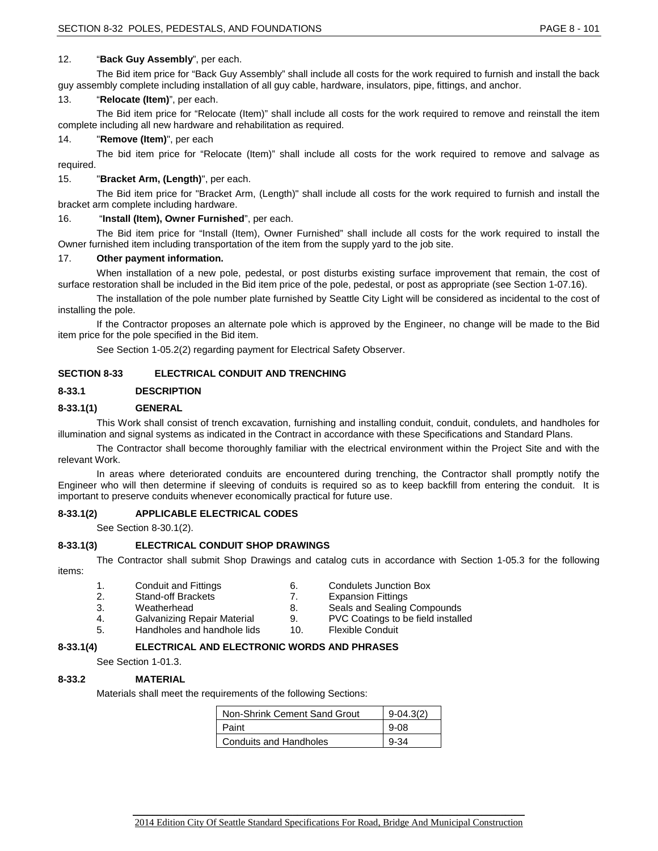# 12. "**Back Guy Assembly**", per each.

The Bid item price for "Back Guy Assembly" shall include all costs for the work required to furnish and install the back guy assembly complete including installation of all guy cable, hardware, insulators, pipe, fittings, and anchor.

### 13. "**Relocate (Item)**", per each.

The Bid item price for "Relocate (Item)" shall include all costs for the work required to remove and reinstall the item complete including all new hardware and rehabilitation as required.

#### 14. "**Remove (Item)**", per each

The bid item price for "Relocate (Item)" shall include all costs for the work required to remove and salvage as required.

#### 15. "**Bracket Arm, (Length)**", per each.

The Bid item price for "Bracket Arm, (Length)" shall include all costs for the work required to furnish and install the bracket arm complete including hardware.

#### 16. "**Install (Item), Owner Furnished**", per each.

The Bid item price for "Install (Item), Owner Furnished" shall include all costs for the work required to install the Owner furnished item including transportation of the item from the supply yard to the job site.

#### 17. **Other payment information.**

When installation of a new pole, pedestal, or post disturbs existing surface improvement that remain, the cost of surface restoration shall be included in the Bid item price of the pole, pedestal, or post as appropriate (see Section 1-07.16).

The installation of the pole number plate furnished by Seattle City Light will be considered as incidental to the cost of installing the pole.

If the Contractor proposes an alternate pole which is approved by the Engineer, no change will be made to the Bid item price for the pole specified in the Bid item.

See Section 1-05.2(2) regarding payment for Electrical Safety Observer.

# **SECTION 8-33 ELECTRICAL CONDUIT AND TRENCHING**

# **8-33.1 DESCRIPTION**

# **8-33.1(1) GENERAL**

This Work shall consist of trench excavation, furnishing and installing conduit, conduit, condulets, and handholes for illumination and signal systems as indicated in the Contract in accordance with these Specifications and Standard Plans.

The Contractor shall become thoroughly familiar with the electrical environment within the Project Site and with the relevant Work.

In areas where deteriorated conduits are encountered during trenching, the Contractor shall promptly notify the Engineer who will then determine if sleeving of conduits is required so as to keep backfill from entering the conduit. It is important to preserve conduits whenever economically practical for future use.

# **8-33.1(2) APPLICABLE ELECTRICAL CODES**

See Section 8-30.1(2).

# **8-33.1(3) ELECTRICAL CONDUIT SHOP DRAWINGS**

The Contractor shall submit Shop Drawings and catalog cuts in accordance with Section 1-05.3 for the following items:

- 1. Conduit and Fittings 6. Condulets Junction Box<br>2. Stand-off Brackets 6. T. Expansion Fittings
- 2. Stand-off Brackets 7. Expansion Fittings
- 
- 
- 5. Handholes and handhole lids 10. Flexible Conduit
- 
- 
- 3. Weatherhead 2. Seals and Sealing Compounds<br>4. Galvanizing Repair Material 4. PVC Coatings to be field installe
	- PVC Coatings to be field installed
	-

# **8-33.1(4) ELECTRICAL AND ELECTRONIC WORDS AND PHRASES**

See Section 1-01.3.

# **8-33.2 MATERIAL**

Materials shall meet the requirements of the following Sections:

| Non-Shrink Cement Sand Grout  | 9-04.3(2) |
|-------------------------------|-----------|
| Paint                         | $9 - 08$  |
| <b>Conduits and Handholes</b> | 9-34      |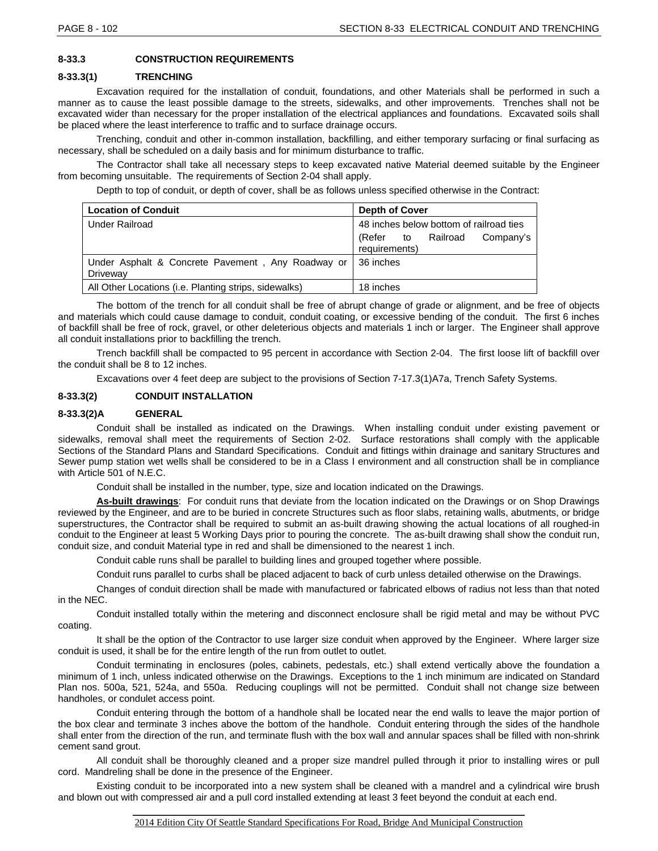# **8-33.3 CONSTRUCTION REQUIREMENTS**

#### **8-33.3(1) TRENCHING**

Excavation required for the installation of conduit, foundations, and other Materials shall be performed in such a manner as to cause the least possible damage to the streets, sidewalks, and other improvements. Trenches shall not be excavated wider than necessary for the proper installation of the electrical appliances and foundations. Excavated soils shall be placed where the least interference to traffic and to surface drainage occurs.

Trenching, conduit and other in-common installation, backfilling, and either temporary surfacing or final surfacing as necessary, shall be scheduled on a daily basis and for minimum disturbance to traffic.

The Contractor shall take all necessary steps to keep excavated native Material deemed suitable by the Engineer from becoming unsuitable. The requirements of Section 2-04 shall apply.

Depth to top of conduit, or depth of cover, shall be as follows unless specified otherwise in the Contract:

| <b>Location of Conduit</b>                                    | <b>Depth of Cover</b>                               |
|---------------------------------------------------------------|-----------------------------------------------------|
| <b>Under Railroad</b>                                         | 48 inches below bottom of railroad ties             |
|                                                               | (Refer to<br>Railroad<br>Company's<br>requirements) |
| Under Asphalt & Concrete Pavement, Any Roadway or<br>Driveway | 36 inches                                           |
| All Other Locations (i.e. Planting strips, sidewalks)         | 18 inches                                           |

The bottom of the trench for all conduit shall be free of abrupt change of grade or alignment, and be free of objects and materials which could cause damage to conduit, conduit coating, or excessive bending of the conduit. The first 6 inches of backfill shall be free of rock, gravel, or other deleterious objects and materials 1 inch or larger. The Engineer shall approve all conduit installations prior to backfilling the trench.

Trench backfill shall be compacted to 95 percent in accordance with Section 2-04. The first loose lift of backfill over the conduit shall be 8 to 12 inches.

Excavations over 4 feet deep are subject to the provisions of Section 7-17.3(1)A7a, Trench Safety Systems.

# **8-33.3(2) CONDUIT INSTALLATION**

#### **8-33.3(2)A GENERAL**

Conduit shall be installed as indicated on the Drawings. When installing conduit under existing pavement or sidewalks, removal shall meet the requirements of Section 2-02. Surface restorations shall comply with the applicable Sections of the Standard Plans and Standard Specifications. Conduit and fittings within drainage and sanitary Structures and Sewer pump station wet wells shall be considered to be in a Class I environment and all construction shall be in compliance with Article 501 of N.E.C.

Conduit shall be installed in the number, type, size and location indicated on the Drawings.

**As-built drawings**: For conduit runs that deviate from the location indicated on the Drawings or on Shop Drawings reviewed by the Engineer, and are to be buried in concrete Structures such as floor slabs, retaining walls, abutments, or bridge superstructures, the Contractor shall be required to submit an as-built drawing showing the actual locations of all roughed-in conduit to the Engineer at least 5 Working Days prior to pouring the concrete. The as-built drawing shall show the conduit run, conduit size, and conduit Material type in red and shall be dimensioned to the nearest 1 inch.

Conduit cable runs shall be parallel to building lines and grouped together where possible.

Conduit runs parallel to curbs shall be placed adjacent to back of curb unless detailed otherwise on the Drawings.

Changes of conduit direction shall be made with manufactured or fabricated elbows of radius not less than that noted in the NEC.

Conduit installed totally within the metering and disconnect enclosure shall be rigid metal and may be without PVC coating.

It shall be the option of the Contractor to use larger size conduit when approved by the Engineer. Where larger size conduit is used, it shall be for the entire length of the run from outlet to outlet.

Conduit terminating in enclosures (poles, cabinets, pedestals, etc.) shall extend vertically above the foundation a minimum of 1 inch, unless indicated otherwise on the Drawings. Exceptions to the 1 inch minimum are indicated on Standard Plan nos. 500a, 521, 524a, and 550a. Reducing couplings will not be permitted. Conduit shall not change size between handholes, or condulet access point.

Conduit entering through the bottom of a handhole shall be located near the end walls to leave the major portion of the box clear and terminate 3 inches above the bottom of the handhole. Conduit entering through the sides of the handhole shall enter from the direction of the run, and terminate flush with the box wall and annular spaces shall be filled with non-shrink cement sand grout.

All conduit shall be thoroughly cleaned and a proper size mandrel pulled through it prior to installing wires or pull cord. Mandreling shall be done in the presence of the Engineer.

Existing conduit to be incorporated into a new system shall be cleaned with a mandrel and a cylindrical wire brush and blown out with compressed air and a pull cord installed extending at least 3 feet beyond the conduit at each end.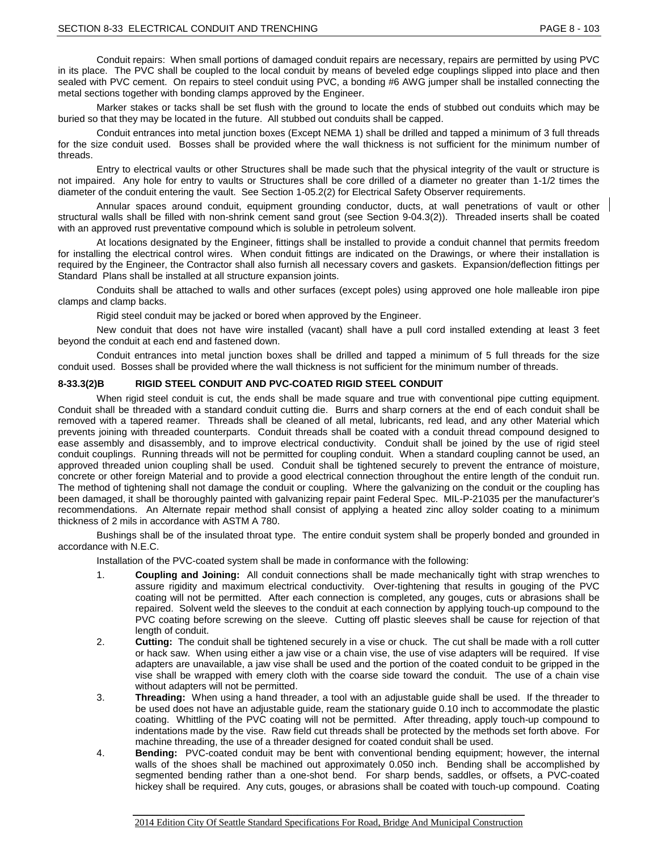Conduit repairs: When small portions of damaged conduit repairs are necessary, repairs are permitted by using PVC in its place. The PVC shall be coupled to the local conduit by means of beveled edge couplings slipped into place and then sealed with PVC cement. On repairs to steel conduit using PVC, a bonding #6 AWG jumper shall be installed connecting the metal sections together with bonding clamps approved by the Engineer.

Marker stakes or tacks shall be set flush with the ground to locate the ends of stubbed out conduits which may be buried so that they may be located in the future. All stubbed out conduits shall be capped.

Conduit entrances into metal junction boxes (Except NEMA 1) shall be drilled and tapped a minimum of 3 full threads for the size conduit used. Bosses shall be provided where the wall thickness is not sufficient for the minimum number of threads.

Entry to electrical vaults or other Structures shall be made such that the physical integrity of the vault or structure is not impaired. Any hole for entry to vaults or Structures shall be core drilled of a diameter no greater than 1-1/2 times the diameter of the conduit entering the vault. See Section 1-05.2(2) for Electrical Safety Observer requirements.

Annular spaces around conduit, equipment grounding conductor, ducts, at wall penetrations of vault or other structural walls shall be filled with non-shrink cement sand grout (see Section 9-04.3(2)). Threaded inserts shall be coated with an approved rust preventative compound which is soluble in petroleum solvent.

At locations designated by the Engineer, fittings shall be installed to provide a conduit channel that permits freedom for installing the electrical control wires. When conduit fittings are indicated on the Drawings, or where their installation is required by the Engineer, the Contractor shall also furnish all necessary covers and gaskets. Expansion/deflection fittings per Standard Plans shall be installed at all structure expansion joints.

Conduits shall be attached to walls and other surfaces (except poles) using approved one hole malleable iron pipe clamps and clamp backs.

Rigid steel conduit may be jacked or bored when approved by the Engineer.

New conduit that does not have wire installed (vacant) shall have a pull cord installed extending at least 3 feet beyond the conduit at each end and fastened down.

Conduit entrances into metal junction boxes shall be drilled and tapped a minimum of 5 full threads for the size conduit used. Bosses shall be provided where the wall thickness is not sufficient for the minimum number of threads.

# **8-33.3(2)B RIGID STEEL CONDUIT AND PVC-COATED RIGID STEEL CONDUIT**

When rigid steel conduit is cut, the ends shall be made square and true with conventional pipe cutting equipment. Conduit shall be threaded with a standard conduit cutting die. Burrs and sharp corners at the end of each conduit shall be removed with a tapered reamer. Threads shall be cleaned of all metal, lubricants, red lead, and any other Material which prevents joining with threaded counterparts. Conduit threads shall be coated with a conduit thread compound designed to ease assembly and disassembly, and to improve electrical conductivity. Conduit shall be joined by the use of rigid steel conduit couplings. Running threads will not be permitted for coupling conduit. When a standard coupling cannot be used, an approved threaded union coupling shall be used. Conduit shall be tightened securely to prevent the entrance of moisture, concrete or other foreign Material and to provide a good electrical connection throughout the entire length of the conduit run. The method of tightening shall not damage the conduit or coupling. Where the galvanizing on the conduit or the coupling has been damaged, it shall be thoroughly painted with galvanizing repair paint Federal Spec. MIL-P-21035 per the manufacturer's recommendations. An Alternate repair method shall consist of applying a heated zinc alloy solder coating to a minimum thickness of 2 mils in accordance with ASTM A 780.

Bushings shall be of the insulated throat type. The entire conduit system shall be properly bonded and grounded in accordance with N.E.C.

Installation of the PVC-coated system shall be made in conformance with the following:

- 1. **Coupling and Joining:** All conduit connections shall be made mechanically tight with strap wrenches to assure rigidity and maximum electrical conductivity. Over-tightening that results in gouging of the PVC coating will not be permitted. After each connection is completed, any gouges, cuts or abrasions shall be repaired. Solvent weld the sleeves to the conduit at each connection by applying touch-up compound to the PVC coating before screwing on the sleeve. Cutting off plastic sleeves shall be cause for rejection of that length of conduit.
- 2. **Cutting:** The conduit shall be tightened securely in a vise or chuck. The cut shall be made with a roll cutter or hack saw. When using either a jaw vise or a chain vise, the use of vise adapters will be required. If vise adapters are unavailable, a jaw vise shall be used and the portion of the coated conduit to be gripped in the vise shall be wrapped with emery cloth with the coarse side toward the conduit. The use of a chain vise without adapters will not be permitted.
- 3. **Threading:** When using a hand threader, a tool with an adjustable guide shall be used. If the threader to be used does not have an adjustable guide, ream the stationary guide 0.10 inch to accommodate the plastic coating. Whittling of the PVC coating will not be permitted. After threading, apply touch-up compound to indentations made by the vise. Raw field cut threads shall be protected by the methods set forth above. For machine threading, the use of a threader designed for coated conduit shall be used.
- 4. **Bending:** PVC-coated conduit may be bent with conventional bending equipment; however, the internal walls of the shoes shall be machined out approximately 0.050 inch. Bending shall be accomplished by segmented bending rather than a one-shot bend. For sharp bends, saddles, or offsets, a PVC-coated hickey shall be required. Any cuts, gouges, or abrasions shall be coated with touch-up compound. Coating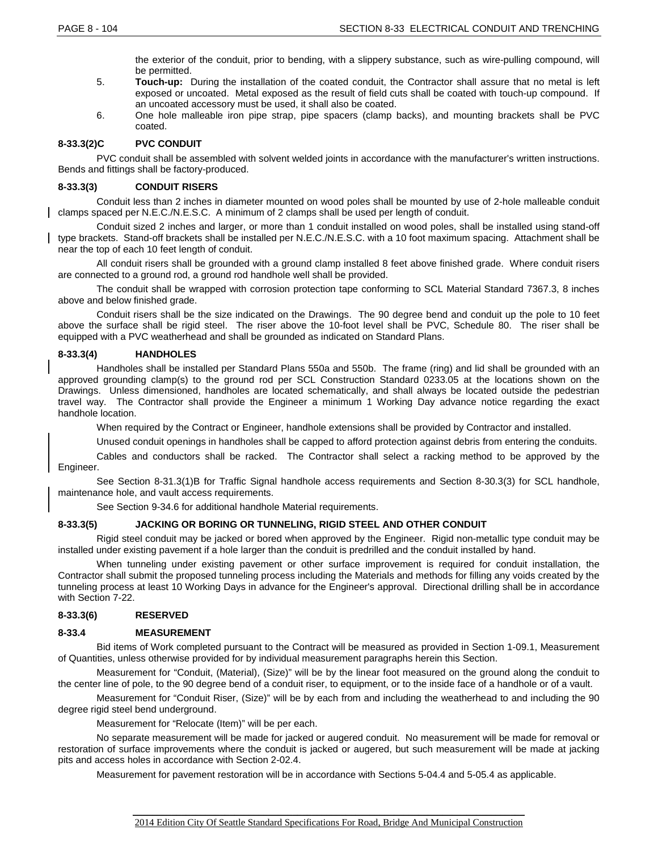the exterior of the conduit, prior to bending, with a slippery substance, such as wire-pulling compound, will be permitted.

- 5. **Touch-up:** During the installation of the coated conduit, the Contractor shall assure that no metal is left exposed or uncoated. Metal exposed as the result of field cuts shall be coated with touch-up compound. If an uncoated accessory must be used, it shall also be coated.
- 6. One hole malleable iron pipe strap, pipe spacers (clamp backs), and mounting brackets shall be PVC coated.

# **8-33.3(2)C PVC CONDUIT**

PVC conduit shall be assembled with solvent welded joints in accordance with the manufacturer's written instructions. Bends and fittings shall be factory-produced.

### **8-33.3(3) CONDUIT RISERS**

Conduit less than 2 inches in diameter mounted on wood poles shall be mounted by use of 2-hole malleable conduit clamps spaced per N.E.C./N.E.S.C. A minimum of 2 clamps shall be used per length of conduit.

Conduit sized 2 inches and larger, or more than 1 conduit installed on wood poles, shall be installed using stand-off type brackets. Stand-off brackets shall be installed per N.E.C./N.E.S.C. with a 10 foot maximum spacing. Attachment shall be near the top of each 10 feet length of conduit.

All conduit risers shall be grounded with a ground clamp installed 8 feet above finished grade. Where conduit risers are connected to a ground rod, a ground rod handhole well shall be provided.

The conduit shall be wrapped with corrosion protection tape conforming to SCL Material Standard 7367.3, 8 inches above and below finished grade.

Conduit risers shall be the size indicated on the Drawings. The 90 degree bend and conduit up the pole to 10 feet above the surface shall be rigid steel. The riser above the 10-foot level shall be PVC, Schedule 80. The riser shall be equipped with a PVC weatherhead and shall be grounded as indicated on Standard Plans.

# **8-33.3(4) HANDHOLES**

Handholes shall be installed per Standard Plans 550a and 550b. The frame (ring) and lid shall be grounded with an approved grounding clamp(s) to the ground rod per SCL Construction Standard 0233.05 at the locations shown on the Drawings. Unless dimensioned, handholes are located schematically, and shall always be located outside the pedestrian travel way. The Contractor shall provide the Engineer a minimum 1 Working Day advance notice regarding the exact handhole location.

When required by the Contract or Engineer, handhole extensions shall be provided by Contractor and installed.

Unused conduit openings in handholes shall be capped to afford protection against debris from entering the conduits.

Cables and conductors shall be racked. The Contractor shall select a racking method to be approved by the Engineer.

See Section 8-31.3(1)B for Traffic Signal handhole access requirements and Section 8-30.3(3) for SCL handhole, maintenance hole, and vault access requirements.

See Section 9-34.6 for additional handhole Material requirements.

# **8-33.3(5) JACKING OR BORING OR TUNNELING, RIGID STEEL AND OTHER CONDUIT**

Rigid steel conduit may be jacked or bored when approved by the Engineer. Rigid non-metallic type conduit may be installed under existing pavement if a hole larger than the conduit is predrilled and the conduit installed by hand.

When tunneling under existing pavement or other surface improvement is required for conduit installation, the Contractor shall submit the proposed tunneling process including the Materials and methods for filling any voids created by the tunneling process at least 10 Working Days in advance for the Engineer's approval. Directional drilling shall be in accordance with Section 7-22.

# **8-33.3(6) RESERVED**

# **8-33.4 MEASUREMENT**

Bid items of Work completed pursuant to the Contract will be measured as provided in Section 1-09.1, Measurement of Quantities, unless otherwise provided for by individual measurement paragraphs herein this Section.

Measurement for "Conduit, (Material), (Size)" will be by the linear foot measured on the ground along the conduit to the center line of pole, to the 90 degree bend of a conduit riser, to equipment, or to the inside face of a handhole or of a vault.

Measurement for "Conduit Riser, (Size)" will be by each from and including the weatherhead to and including the 90 degree rigid steel bend underground.

Measurement for "Relocate (Item)" will be per each.

No separate measurement will be made for jacked or augered conduit. No measurement will be made for removal or restoration of surface improvements where the conduit is jacked or augered, but such measurement will be made at jacking pits and access holes in accordance with Section 2-02.4.

Measurement for pavement restoration will be in accordance with Sections 5-04.4 and 5-05.4 as applicable.